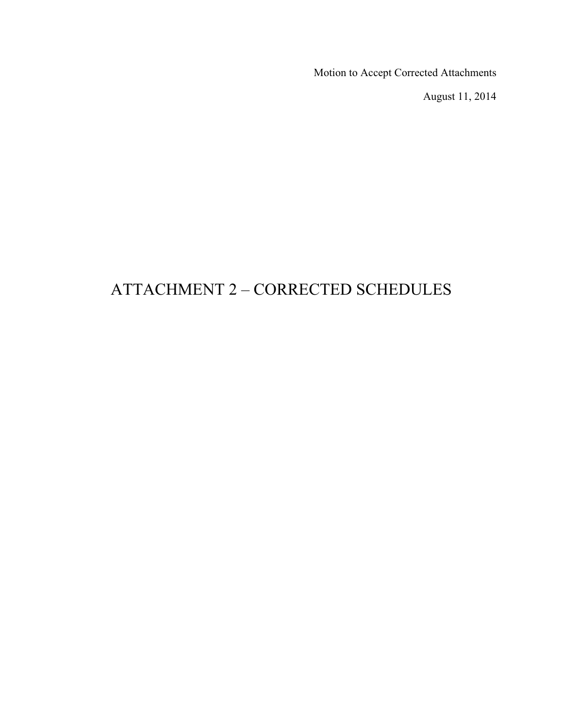Motion to Accept Corrected Attachments

August 11, 2014

# ATTACHMENT 2 – CORRECTED SCHEDULES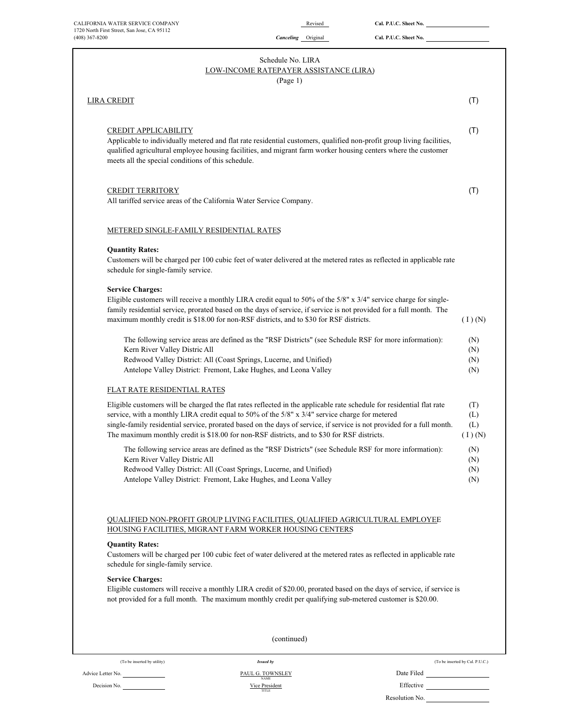| CALIFORNIA WATER SERVICE COMPANY<br>1720 North First Street, San Jose, CA 95112                | Revised                                                                                                                                                                                                                                                                                                                                                                                                                                          | Cal. P.U.C. Sheet No. |                                 |
|------------------------------------------------------------------------------------------------|--------------------------------------------------------------------------------------------------------------------------------------------------------------------------------------------------------------------------------------------------------------------------------------------------------------------------------------------------------------------------------------------------------------------------------------------------|-----------------------|---------------------------------|
| $(408)$ 367-8200                                                                               | Canceling Original                                                                                                                                                                                                                                                                                                                                                                                                                               | Cal. P.U.C. Sheet No. |                                 |
|                                                                                                | Schedule No. LIRA<br>LOW-INCOME RATEPAYER ASSISTANCE (LIRA)<br>(Page 1)                                                                                                                                                                                                                                                                                                                                                                          |                       |                                 |
| LIRA CREDIT                                                                                    |                                                                                                                                                                                                                                                                                                                                                                                                                                                  |                       | (T)                             |
| CREDIT APPLICABILITY<br>meets all the special conditions of this schedule.                     | Applicable to individually metered and flat rate residential customers, qualified non-profit group living facilities,<br>qualified agricultural employee housing facilities, and migrant farm worker housing centers where the customer                                                                                                                                                                                                          |                       | (T)                             |
| <b>CREDIT TERRITORY</b><br>All tariffed service areas of the California Water Service Company. |                                                                                                                                                                                                                                                                                                                                                                                                                                                  |                       | (T)                             |
| METERED SINGLE-FAMILY RESIDENTIAL RATES                                                        |                                                                                                                                                                                                                                                                                                                                                                                                                                                  |                       |                                 |
| <b>Quantity Rates:</b><br>schedule for single-family service.                                  | Customers will be charged per 100 cubic feet of water delivered at the metered rates as reflected in applicable rate                                                                                                                                                                                                                                                                                                                             |                       |                                 |
| <b>Service Charges:</b>                                                                        | Eligible customers will receive a monthly LIRA credit equal to 50% of the 5/8" x 3/4" service charge for single-<br>family residential service, prorated based on the days of service, if service is not provided for a full month. The<br>maximum monthly credit is \$18.00 for non-RSF districts, and to \$30 for RSF districts.                                                                                                               |                       | $(1)$ (N)                       |
| Kern River Valley Distric All                                                                  | The following service areas are defined as the "RSF Districts" (see Schedule RSF for more information):<br>Redwood Valley District: All (Coast Springs, Lucerne, and Unified)<br>Antelope Valley District: Fremont, Lake Hughes, and Leona Valley                                                                                                                                                                                                |                       | (N)<br>(N)<br>(N)<br>(N)        |
| <b>FLAT RATE RESIDENTIAL RATES</b>                                                             |                                                                                                                                                                                                                                                                                                                                                                                                                                                  |                       |                                 |
|                                                                                                | Eligible customers will be charged the flat rates reflected in the applicable rate schedule for residential flat rate<br>service, with a monthly LIRA credit equal to 50% of the 5/8" x 3/4" service charge for metered<br>single-family residential service, prorated based on the days of service, if service is not provided for a full month.<br>The maximum monthly credit is \$18.00 for non-RSF districts, and to \$30 for RSF districts. |                       | (T)<br>(L)<br>(L)<br>$(1)$ (N)  |
| Kern River Valley Distric All                                                                  | The following service areas are defined as the "RSF Districts" (see Schedule RSF for more information):<br>Redwood Valley District: All (Coast Springs, Lucerne, and Unified)<br>Antelope Valley District: Fremont, Lake Hughes, and Leona Valley                                                                                                                                                                                                |                       | (N)<br>(N)<br>(N)<br>(N)        |
|                                                                                                | QUALIFIED NON-PROFIT GROUP LIVING FACILITIES, QUALIFIED AGRICULTURAL EMPLOYEE<br>HOUSING FACILITIES, MIGRANT FARM WORKER HOUSING CENTERS                                                                                                                                                                                                                                                                                                         |                       |                                 |
| <b>Quantity Rates:</b><br>schedule for single-family service.                                  | Customers will be charged per 100 cubic feet of water delivered at the metered rates as reflected in applicable rate                                                                                                                                                                                                                                                                                                                             |                       |                                 |
| <b>Service Charges:</b>                                                                        | Eligible customers will receive a monthly LIRA credit of \$20.00, prorated based on the days of service, if service is<br>not provided for a full month. The maximum monthly credit per qualifying sub-metered customer is \$20.00.                                                                                                                                                                                                              |                       |                                 |
|                                                                                                | (continued)                                                                                                                                                                                                                                                                                                                                                                                                                                      |                       |                                 |
| (To be inserted by utility)                                                                    | <b>Issued by</b>                                                                                                                                                                                                                                                                                                                                                                                                                                 |                       | (To be inserted by Cal. P.U.C.) |
| Advice Letter No.                                                                              | PAUL G. TOWNSLEY                                                                                                                                                                                                                                                                                                                                                                                                                                 | Date Filed            |                                 |

Vice President PAUL G. TOWNSLEY

 $\frac{N_{\text{AMRE}}}{N_{\text{HSE}}}\n\text{Effective}$ Effective
Effective
Effective
Eigenstein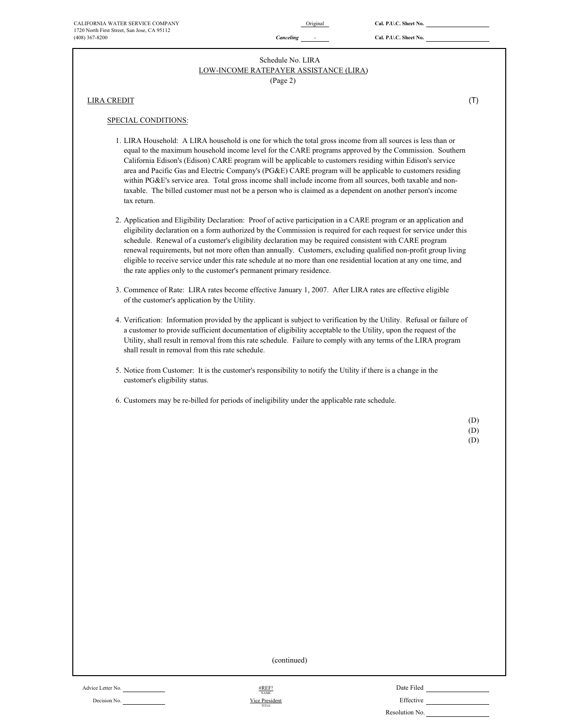# LOW-INCOME RATEPAYER ASSISTANCE (LIRA) Schedule No. LIRA

(Page 2)

LIRA CREDIT (T) (T)

#### SPECIAL CONDITIONS:

- 1. LIRA Household: A LIRA household is one for which the total gross income from all sources is less than or equal to the maximum household income level for the CARE programs approved by the Commission. Southern California Edison's (Edison) CARE program will be applicable to customers residing within Edison's service area and Pacific Gas and Electric Company's (PG&E) CARE program will be applicable to customers residing within PG&E's service area. Total gross income shall include income from all sources, both taxable and nontaxable. The billed customer must not be a person who is claimed as a dependent on another person's income tax return.
- 2. Application and Eligibility Declaration: Proof of active participation in a CARE program or an application and eligibility declaration on a form authorized by the Commission is required for each request for service under this schedule. Renewal of a customer's eligibility declaration may be required consistent with CARE program renewal requirements, but not more often than annually. Customers, excluding qualified non-profit group living eligible to receive service under this rate schedule at no more than one residential location at any one time, and the rate applies only to the customer's permanent primary residence.
- 3. Commence of Rate: LIRA rates become effective January 1, 2007. After LIRA rates are effective eligible of the customer's application by the Utility.
- 4. Verification: Information provided by the applicant is subject to verification by the Utility. Refusal or failure of a customer to provide sufficient documentation of eligibility acceptable to the Utility, upon the request of the Utility, shall result in removal from this rate schedule. Failure to comply with any terms of the LIRA program shall result in removal from this rate schedule.
- 5. Notice from Customer: It is the customer's responsibility to notify the Utility if there is a change in the customer's eligibility status.
- 6. Customers may be re-billed for periods of ineligibility under the applicable rate schedule.

(D) (D)

| ۰.<br>I<br>I<br>ł |
|-------------------|
|                   |
| I<br>۰.           |

(continued)

Decision No. **Effective Decision No. Effective Decision No. <b>Effective** #REF! NAME Vice Presiden TITLE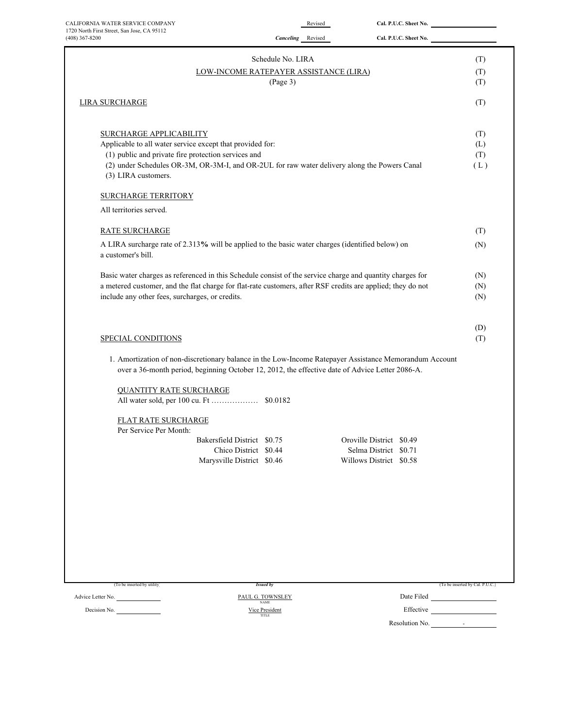| CALIFORNIA WATER SERVICE COMPANY                                                                                                                                                                          |                                                    | Revised                  | Cal. P.U.C. Sheet No.      |                                 |
|-----------------------------------------------------------------------------------------------------------------------------------------------------------------------------------------------------------|----------------------------------------------------|--------------------------|----------------------------|---------------------------------|
| 1720 North First Street, San Jose, CA 95112<br>$(408)$ 367-8200                                                                                                                                           | <b>Canceling</b> Revised                           |                          | Cal. P.U.C. Sheet No.      |                                 |
|                                                                                                                                                                                                           |                                                    |                          |                            |                                 |
|                                                                                                                                                                                                           | Schedule No. LIRA                                  |                          |                            | (T)                             |
|                                                                                                                                                                                                           | LOW-INCOME RATEPAYER ASSISTANCE (LIRA)<br>(Page 3) |                          |                            | (T)<br>(T)                      |
|                                                                                                                                                                                                           |                                                    |                          |                            |                                 |
| <b>LIRA SURCHARGE</b>                                                                                                                                                                                     |                                                    |                          |                            | (T)                             |
|                                                                                                                                                                                                           |                                                    |                          |                            |                                 |
| <b>SURCHARGE APPLICABILITY</b><br>Applicable to all water service except that provided for:                                                                                                               |                                                    |                          |                            | (T)                             |
| (1) public and private fire protection services and                                                                                                                                                       |                                                    |                          |                            | (L)<br>(T)                      |
| (2) under Schedules OR-3M, OR-3M-I, and OR-2UL for raw water delivery along the Powers Canal                                                                                                              |                                                    |                          |                            | (L)                             |
| (3) LIRA customers.                                                                                                                                                                                       |                                                    |                          |                            |                                 |
| <b>SURCHARGE TERRITORY</b>                                                                                                                                                                                |                                                    |                          |                            |                                 |
| All territories served.                                                                                                                                                                                   |                                                    |                          |                            |                                 |
|                                                                                                                                                                                                           |                                                    |                          |                            |                                 |
| <b>RATE SURCHARGE</b>                                                                                                                                                                                     |                                                    |                          |                            | (T)                             |
| A LIRA surcharge rate of 2.313% will be applied to the basic water charges (identified below) on<br>a customer's bill.                                                                                    |                                                    |                          |                            | (N)                             |
| Basic water charges as referenced in this Schedule consist of the service charge and quantity charges for                                                                                                 |                                                    |                          |                            | (N)                             |
| a metered customer, and the flat charge for flat-rate customers, after RSF credits are applied; they do not                                                                                               |                                                    |                          |                            | (N)                             |
| include any other fees, surcharges, or credits.                                                                                                                                                           |                                                    |                          |                            | (N)                             |
|                                                                                                                                                                                                           |                                                    |                          |                            |                                 |
|                                                                                                                                                                                                           |                                                    |                          |                            | (D)                             |
| SPECIAL CONDITIONS                                                                                                                                                                                        |                                                    |                          |                            | (T)                             |
| 1. Amortization of non-discretionary balance in the Low-Income Ratepayer Assistance Memorandum Account<br>over a 36-month period, beginning October 12, 2012, the effective date of Advice Letter 2086-A. |                                                    |                          |                            |                                 |
| <b>QUANTITY RATE SURCHARGE</b>                                                                                                                                                                            |                                                    |                          |                            |                                 |
|                                                                                                                                                                                                           |                                                    |                          |                            |                                 |
|                                                                                                                                                                                                           |                                                    |                          |                            |                                 |
| FLAT RATE SURCHARGE<br>Per Service Per Month:                                                                                                                                                             |                                                    |                          |                            |                                 |
|                                                                                                                                                                                                           | Bakersfield District \$0.75                        | Oroville District \$0.49 |                            |                                 |
|                                                                                                                                                                                                           | Chico District \$0.44                              | Selma District \$0.71    |                            |                                 |
|                                                                                                                                                                                                           | Marysville District \$0.46                         | Willows District \$0.58  |                            |                                 |
|                                                                                                                                                                                                           |                                                    |                          |                            |                                 |
|                                                                                                                                                                                                           |                                                    |                          |                            |                                 |
|                                                                                                                                                                                                           |                                                    |                          |                            |                                 |
|                                                                                                                                                                                                           |                                                    |                          |                            |                                 |
|                                                                                                                                                                                                           |                                                    |                          |                            |                                 |
|                                                                                                                                                                                                           |                                                    |                          |                            |                                 |
|                                                                                                                                                                                                           |                                                    |                          |                            |                                 |
| (To be inserted by utility)                                                                                                                                                                               | <b>Issued by</b>                                   |                          |                            | (To be inserted by Cal. P.U.C.) |
| Advice Letter No.                                                                                                                                                                                         | PAUL G. TOWNSLEY                                   |                          |                            |                                 |
| Decision No.                                                                                                                                                                                              | <b>NAME</b><br>Vice President                      |                          | Effective <u>contracts</u> |                                 |
|                                                                                                                                                                                                           | TITLE                                              |                          | Resolution No. 4           |                                 |
|                                                                                                                                                                                                           |                                                    |                          |                            |                                 |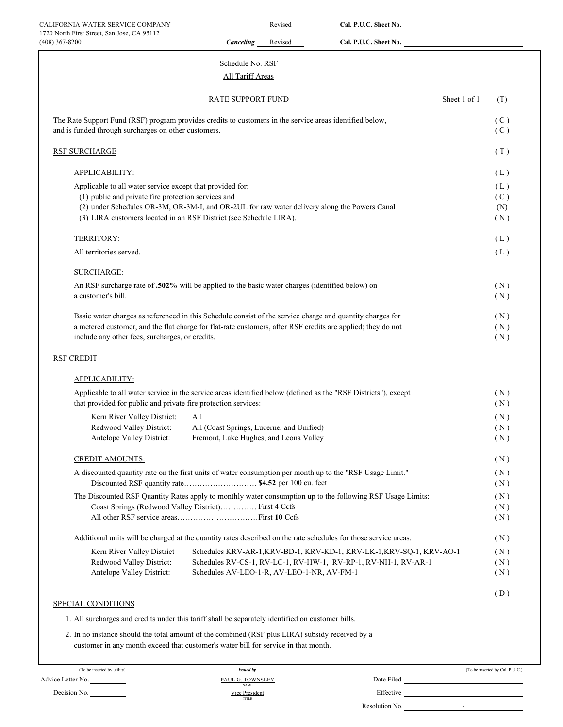| CALIFORNIA WATER SERVICE COMPANY                                                                                                                                   |                                            | Revised | Cal. P.U.C. Sheet No.                                                |                                 |
|--------------------------------------------------------------------------------------------------------------------------------------------------------------------|--------------------------------------------|---------|----------------------------------------------------------------------|---------------------------------|
| 1720 North First Street, San Jose, CA 95112<br>(408) 367-8200                                                                                                      | <b>Canceling</b>                           | Revised | Cal. P.U.C. Sheet No.                                                |                                 |
|                                                                                                                                                                    | Schedule No. RSF                           |         |                                                                      |                                 |
|                                                                                                                                                                    | All Tariff Areas                           |         |                                                                      |                                 |
|                                                                                                                                                                    | RATE SUPPORT FUND                          |         |                                                                      | Sheet 1 of 1<br>(T)             |
| The Rate Support Fund (RSF) program provides credits to customers in the service areas identified below,                                                           |                                            |         |                                                                      | (C)                             |
| and is funded through surcharges on other customers.                                                                                                               |                                            |         |                                                                      | (C)                             |
| <b>RSF SURCHARGE</b>                                                                                                                                               |                                            |         |                                                                      | (T)                             |
| APPLICABILITY:                                                                                                                                                     |                                            |         |                                                                      | (L)                             |
| Applicable to all water service except that provided for:                                                                                                          |                                            |         |                                                                      | (L)                             |
| (1) public and private fire protection services and                                                                                                                |                                            |         |                                                                      | (C)                             |
| (2) under Schedules OR-3M, OR-3M-I, and OR-2UL for raw water delivery along the Powers Canal                                                                       |                                            |         |                                                                      | (N)                             |
| (3) LIRA customers located in an RSF District (see Schedule LIRA).                                                                                                 |                                            |         |                                                                      | (N)                             |
| TERRITORY:                                                                                                                                                         |                                            |         |                                                                      | (L)                             |
| All territories served.                                                                                                                                            |                                            |         |                                                                      | (L)                             |
| <b>SURCHARGE:</b>                                                                                                                                                  |                                            |         |                                                                      |                                 |
| An RSF surcharge rate of .502% will be applied to the basic water charges (identified below) on                                                                    |                                            |         |                                                                      | (N)                             |
| a customer's bill.                                                                                                                                                 |                                            |         |                                                                      | (N)                             |
| Basic water charges as referenced in this Schedule consist of the service charge and quantity charges for                                                          |                                            |         |                                                                      | (N)                             |
| a metered customer, and the flat charge for flat-rate customers, after RSF credits are applied; they do not                                                        |                                            |         |                                                                      | (N)                             |
| include any other fees, surcharges, or credits.                                                                                                                    |                                            |         |                                                                      | (N)                             |
| <b>RSF CREDIT</b>                                                                                                                                                  |                                            |         |                                                                      |                                 |
| APPLICABILITY:                                                                                                                                                     |                                            |         |                                                                      |                                 |
| Applicable to all water service in the service areas identified below (defined as the "RSF Districts"), except                                                     |                                            |         |                                                                      | (N)                             |
| that provided for public and private fire protection services:                                                                                                     |                                            |         |                                                                      | (N)                             |
| Kern River Valley District:                                                                                                                                        | All                                        |         |                                                                      | (N)                             |
| Redwood Valley District:                                                                                                                                           | All (Coast Springs, Lucerne, and Unified)  |         |                                                                      | (N)                             |
| Antelope Valley District:                                                                                                                                          | Fremont, Lake Hughes, and Leona Valley     |         |                                                                      | (N)                             |
| <b>CREDIT AMOUNTS:</b>                                                                                                                                             |                                            |         |                                                                      | (N)                             |
| A discounted quantity rate on the first units of water consumption per month up to the "RSF Usage Limit."                                                          |                                            |         |                                                                      | (N)                             |
| Discounted RSF quantity rate \$4.52 per 100 cu. feet                                                                                                               |                                            |         |                                                                      | (N)                             |
| The Discounted RSF Quantity Rates apply to monthly water consumption up to the following RSF Usage Limits:<br>Coast Springs (Redwood Valley District) First 4 Ccfs |                                            |         |                                                                      | (N)<br>(N)                      |
|                                                                                                                                                                    |                                            |         |                                                                      | (N)                             |
| Additional units will be charged at the quantity rates described on the rate schedules for those service areas.                                                    |                                            |         |                                                                      |                                 |
|                                                                                                                                                                    |                                            |         |                                                                      | (N)                             |
| Kern River Valley District                                                                                                                                         |                                            |         | Schedules KRV-AR-1, KRV-BD-1, KRV-KD-1, KRV-LK-1, KRV-SQ-1, KRV-AO-1 | (N)                             |
| Redwood Valley District:<br>Antelope Valley District:                                                                                                              | Schedules AV-LEO-1-R, AV-LEO-1-NR, AV-FM-1 |         | Schedules RV-CS-1, RV-LC-1, RV-HW-1, RV-RP-1, RV-NH-1, RV-AR-1       | (N)<br>(N)                      |
|                                                                                                                                                                    |                                            |         |                                                                      |                                 |
| SPECIAL CONDITIONS                                                                                                                                                 |                                            |         |                                                                      | (D)                             |
| 1. All surcharges and credits under this tariff shall be separately identified on customer bills.                                                                  |                                            |         |                                                                      |                                 |
| 2. In no instance should the total amount of the combined (RSF plus LIRA) subsidy received by a                                                                    |                                            |         |                                                                      |                                 |
| customer in any month exceed that customer's water bill for service in that month.                                                                                 |                                            |         |                                                                      |                                 |
| (To be inserted by utility)                                                                                                                                        | <b>Issued by</b>                           |         |                                                                      | (To be inserted by Cal. P.U.C.) |
| Advice Letter No.                                                                                                                                                  | PAUL G. TOWNSLEY<br><b>NAME</b>            |         |                                                                      |                                 |
| Decision No.                                                                                                                                                       | <b>Vice President</b><br>TITLE             |         |                                                                      |                                 |
|                                                                                                                                                                    |                                            |         | Resolution No.<br>the contract of the contract of the                |                                 |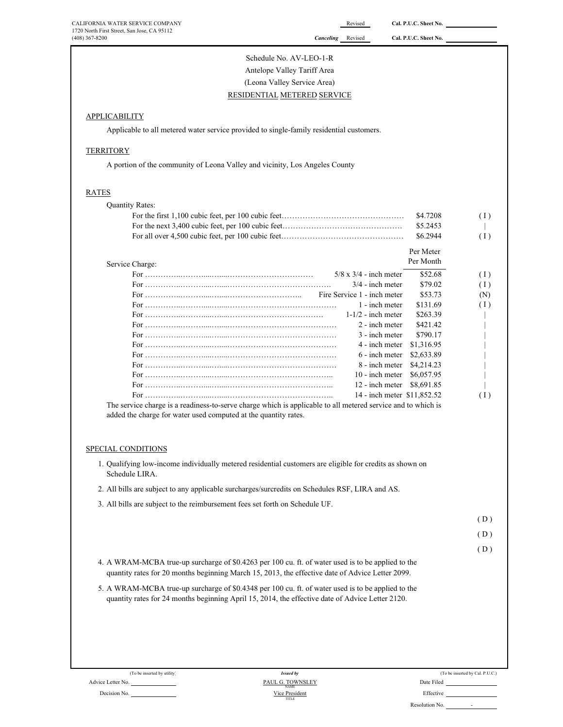| CALIFORNIA WATER SERVICE COMPANY                                                                                                                                                                       |                                      | Revised                       | Cal. P.U.C. Sheet No.       |                                 |
|--------------------------------------------------------------------------------------------------------------------------------------------------------------------------------------------------------|--------------------------------------|-------------------------------|-----------------------------|---------------------------------|
| 1720 North First Street, San Jose, CA 95112<br>(408) 367-8200                                                                                                                                          | Canceling                            | Revised                       | Cal. P.U.C. Sheet No.       |                                 |
|                                                                                                                                                                                                        | Schedule No. AV-LEO-1-R              |                               |                             |                                 |
|                                                                                                                                                                                                        |                                      |                               |                             |                                 |
|                                                                                                                                                                                                        | Antelope Valley Tariff Area          |                               |                             |                                 |
|                                                                                                                                                                                                        | (Leona Valley Service Area)          |                               |                             |                                 |
|                                                                                                                                                                                                        | RESIDENTIAL METERED SERVICE          |                               |                             |                                 |
| <b>APPLICABILITY</b>                                                                                                                                                                                   |                                      |                               |                             |                                 |
| Applicable to all metered water service provided to single-family residential customers.                                                                                                               |                                      |                               |                             |                                 |
| <b>TERRITORY</b>                                                                                                                                                                                       |                                      |                               |                             |                                 |
| A portion of the community of Leona Valley and vicinity, Los Angeles County                                                                                                                            |                                      |                               |                             |                                 |
|                                                                                                                                                                                                        |                                      |                               |                             |                                 |
| RATES                                                                                                                                                                                                  |                                      |                               |                             |                                 |
| <b>Quantity Rates:</b>                                                                                                                                                                                 |                                      |                               |                             |                                 |
|                                                                                                                                                                                                        |                                      |                               | \$4.7208                    | (1)                             |
|                                                                                                                                                                                                        |                                      |                               | \$5.2453                    |                                 |
|                                                                                                                                                                                                        |                                      |                               | \$6.2944                    | (1)                             |
|                                                                                                                                                                                                        |                                      |                               | Per Meter                   |                                 |
| Service Charge:                                                                                                                                                                                        |                                      |                               | Per Month                   |                                 |
|                                                                                                                                                                                                        |                                      | $5/8 \times 3/4$ - inch meter | \$52.68                     | (1)                             |
|                                                                                                                                                                                                        |                                      | $3/4$ - inch meter            | \$79.02                     | (1)                             |
|                                                                                                                                                                                                        |                                      | Fire Service 1 - inch meter   | \$53.73                     | (N)                             |
|                                                                                                                                                                                                        |                                      | 1 - inch meter                | \$131.69                    | (1)                             |
|                                                                                                                                                                                                        |                                      | $1-1/2$ - inch meter          | \$263.39                    |                                 |
|                                                                                                                                                                                                        |                                      | 2 - inch meter                | \$421.42                    |                                 |
|                                                                                                                                                                                                        |                                      | 3 - inch meter                | \$790.17                    |                                 |
|                                                                                                                                                                                                        |                                      | 4 - inch meter                | \$1,316.95                  |                                 |
|                                                                                                                                                                                                        |                                      | 6 - inch meter                | \$2,633.89                  |                                 |
|                                                                                                                                                                                                        |                                      | 8 - inch meter                | \$4,214.23                  |                                 |
|                                                                                                                                                                                                        |                                      | 10 - inch meter               | \$6,057.95                  |                                 |
|                                                                                                                                                                                                        |                                      | 12 - inch meter               | \$8,691.85                  |                                 |
|                                                                                                                                                                                                        |                                      |                               | 14 - inch meter \$11,852.52 | (1)                             |
| The service charge is a readiness-to-serve charge which is applicable to all metered service and to which is<br>added the charge for water used computed at the quantity rates.                        |                                      |                               |                             |                                 |
|                                                                                                                                                                                                        |                                      |                               |                             |                                 |
| SPECIAL CONDITIONS                                                                                                                                                                                     |                                      |                               |                             |                                 |
| 1. Qualifying low-income individually metered residential customers are eligible for credits as shown on<br>Schedule LIRA.                                                                             |                                      |                               |                             |                                 |
| 2. All bills are subject to any applicable surcharges/surcredits on Schedules RSF, LIRA and AS.                                                                                                        |                                      |                               |                             |                                 |
| 3. All bills are subject to the reimbursement fees set forth on Schedule UF.                                                                                                                           |                                      |                               |                             |                                 |
|                                                                                                                                                                                                        |                                      |                               |                             | (D)                             |
|                                                                                                                                                                                                        |                                      |                               |                             | (D)                             |
|                                                                                                                                                                                                        |                                      |                               |                             | (D)                             |
| 4. A WRAM-MCBA true-up surcharge of \$0.4263 per 100 cu. ft. of water used is to be applied to the                                                                                                     |                                      |                               |                             |                                 |
| quantity rates for 20 months beginning March 15, 2013, the effective date of Advice Letter 2099.<br>5. A WRAM-MCBA true-up surcharge of \$0.4348 per 100 cu. ft. of water used is to be applied to the |                                      |                               |                             |                                 |
| quantity rates for 24 months beginning April 15, 2014, the effective date of Advice Letter 2120.                                                                                                       |                                      |                               |                             |                                 |
|                                                                                                                                                                                                        |                                      |                               |                             |                                 |
|                                                                                                                                                                                                        |                                      |                               |                             |                                 |
| (To be inserted by utility)<br>Advice Letter No.                                                                                                                                                       | <b>Issued by</b><br>PAUL G. TOWNSLEY |                               | Date Filed                  | (To be inserted by Cal. P.U.C.) |
|                                                                                                                                                                                                        |                                      |                               |                             |                                 |

|                | (To be inserted by Cal. P.U.C.) |
|----------------|---------------------------------|
| Date Filed     |                                 |
| Effective      |                                 |
| Resolution No. |                                 |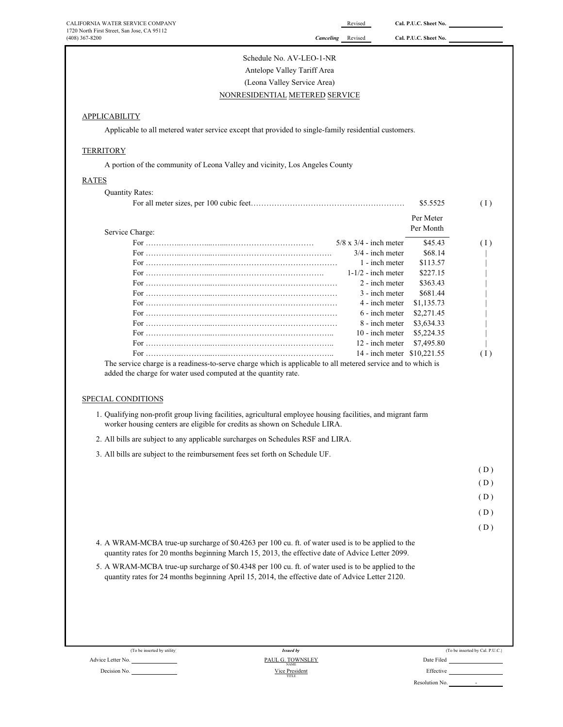| CALIFORNIA WATER SERVICE COMPANY                                                                                                                                                                       |                                | Revised                       | Cal. P.U.C. Sheet No. |                                 |
|--------------------------------------------------------------------------------------------------------------------------------------------------------------------------------------------------------|--------------------------------|-------------------------------|-----------------------|---------------------------------|
| 1720 North First Street, San Jose, CA 95112<br>$(408)$ 367-8200                                                                                                                                        | Canceling                      | Revised                       | Cal. P.U.C. Sheet No. |                                 |
|                                                                                                                                                                                                        | Schedule No. AV-LEO-1-NR       |                               |                       |                                 |
|                                                                                                                                                                                                        | Antelope Valley Tariff Area    |                               |                       |                                 |
|                                                                                                                                                                                                        | (Leona Valley Service Area)    |                               |                       |                                 |
| NONRESIDENTIAL METERED SERVICE                                                                                                                                                                         |                                |                               |                       |                                 |
|                                                                                                                                                                                                        |                                |                               |                       |                                 |
| <b>APPLICABILITY</b>                                                                                                                                                                                   |                                |                               |                       |                                 |
| Applicable to all metered water service except that provided to single-family residential customers.                                                                                                   |                                |                               |                       |                                 |
| <b>TERRITORY</b>                                                                                                                                                                                       |                                |                               |                       |                                 |
| A portion of the community of Leona Valley and vicinity, Los Angeles County                                                                                                                            |                                |                               |                       |                                 |
| <b>RATES</b>                                                                                                                                                                                           |                                |                               |                       |                                 |
| <b>Quantity Rates:</b>                                                                                                                                                                                 |                                |                               |                       |                                 |
|                                                                                                                                                                                                        |                                |                               | \$5.5525              | (1)                             |
|                                                                                                                                                                                                        |                                |                               | Per Meter             |                                 |
| Service Charge:                                                                                                                                                                                        |                                |                               | Per Month             |                                 |
|                                                                                                                                                                                                        |                                | $5/8 \times 3/4$ - inch meter | \$45.43               | (1)                             |
|                                                                                                                                                                                                        |                                | $3/4$ - inch meter            | \$68.14               |                                 |
|                                                                                                                                                                                                        |                                | 1 - inch meter                | \$113.57              |                                 |
|                                                                                                                                                                                                        |                                | $1-1/2$ - inch meter          | \$227.15              |                                 |
|                                                                                                                                                                                                        |                                | 2 - inch meter                | \$363.43              |                                 |
|                                                                                                                                                                                                        |                                | 3 - inch meter                | \$681.44              |                                 |
|                                                                                                                                                                                                        |                                | 4 - inch meter                | \$1,135.73            |                                 |
|                                                                                                                                                                                                        |                                | 6 - inch meter                | \$2,271.45            |                                 |
|                                                                                                                                                                                                        |                                | 8 - inch meter                | \$3,634.33            |                                 |
|                                                                                                                                                                                                        |                                | 10 - inch meter               | \$5,224.35            |                                 |
|                                                                                                                                                                                                        |                                | 12 - inch meter               | \$7,495.80            |                                 |
|                                                                                                                                                                                                        |                                | 14 - inch meter \$10,221.55   |                       | (1)                             |
| The service charge is a readiness-to-serve charge which is applicable to all metered service and to which is<br>added the charge for water used computed at the quantity rate.                         |                                |                               |                       |                                 |
| SPECIAL CONDITIONS                                                                                                                                                                                     |                                |                               |                       |                                 |
| 1. Qualifying non-profit group living facilities, agricultural employee housing facilities, and migrant farm<br>worker housing centers are eligible for credits as shown on Schedule LIRA.             |                                |                               |                       |                                 |
| 2. All bills are subject to any applicable surcharges on Schedules RSF and LIRA.                                                                                                                       |                                |                               |                       |                                 |
| 3. All bills are subject to the reimbursement fees set forth on Schedule UF.                                                                                                                           |                                |                               |                       |                                 |
|                                                                                                                                                                                                        |                                |                               |                       | (D)                             |
|                                                                                                                                                                                                        |                                |                               |                       | (D)                             |
|                                                                                                                                                                                                        |                                |                               |                       |                                 |
|                                                                                                                                                                                                        |                                |                               |                       | (D)                             |
|                                                                                                                                                                                                        |                                |                               |                       | (D)                             |
|                                                                                                                                                                                                        |                                |                               |                       |                                 |
|                                                                                                                                                                                                        |                                |                               |                       | (D)                             |
| 4. A WRAM-MCBA true-up surcharge of \$0.4263 per 100 cu. ft. of water used is to be applied to the<br>quantity rates for 20 months beginning March 15, 2013, the effective date of Advice Letter 2099. |                                |                               |                       |                                 |
|                                                                                                                                                                                                        |                                |                               |                       |                                 |
| 5. A WRAM-MCBA true-up surcharge of \$0.4348 per 100 cu. ft. of water used is to be applied to the<br>quantity rates for 24 months beginning April 15, 2014, the effective date of Advice Letter 2120. |                                |                               |                       |                                 |
|                                                                                                                                                                                                        |                                |                               |                       |                                 |
|                                                                                                                                                                                                        |                                |                               |                       |                                 |
|                                                                                                                                                                                                        |                                |                               |                       |                                 |
| (To be inserted by utility)<br>Advice Letter No.                                                                                                                                                       | <b>Issued by</b>               |                               | Date Filed            | (To be inserted by Cal. P.U.C.) |
|                                                                                                                                                                                                        | PAUL G. TOWNSLEY               |                               | Effective             |                                 |
| Decision No.                                                                                                                                                                                           | Vice President<br><b>TITLE</b> |                               |                       |                                 |

Resolution No.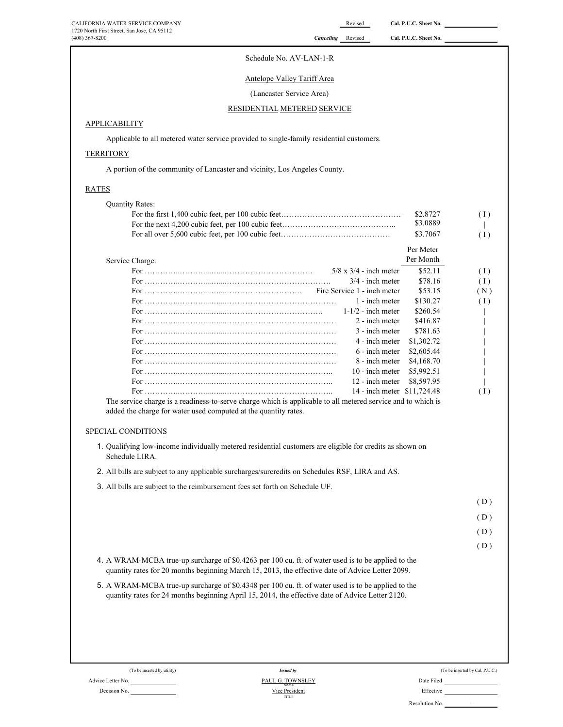| CALIFORNIA WATER SERVICE COMPANY<br>1720 North First Street, San Jose, CA 95112                                                                                                                        |                                      | Revised                                             | Cal. P.U.C. Sheet No.       |                                 |
|--------------------------------------------------------------------------------------------------------------------------------------------------------------------------------------------------------|--------------------------------------|-----------------------------------------------------|-----------------------------|---------------------------------|
| (408) 367-8200                                                                                                                                                                                         | <b>Canceling</b> Revised             |                                                     | Cal. P.U.C. Sheet No.       |                                 |
|                                                                                                                                                                                                        | Schedule No. AV-LAN-1-R              |                                                     |                             |                                 |
|                                                                                                                                                                                                        | <b>Antelope Valley Tariff Area</b>   |                                                     |                             |                                 |
|                                                                                                                                                                                                        | (Lancaster Service Area)             |                                                     |                             |                                 |
|                                                                                                                                                                                                        |                                      |                                                     |                             |                                 |
|                                                                                                                                                                                                        | RESIDENTIAL METERED SERVICE          |                                                     |                             |                                 |
| APPLICABILITY                                                                                                                                                                                          |                                      |                                                     |                             |                                 |
| Applicable to all metered water service provided to single-family residential customers.                                                                                                               |                                      |                                                     |                             |                                 |
| <b>TERRITORY</b>                                                                                                                                                                                       |                                      |                                                     |                             |                                 |
| A portion of the community of Lancaster and vicinity, Los Angeles County.                                                                                                                              |                                      |                                                     |                             |                                 |
| <b>RATES</b>                                                                                                                                                                                           |                                      |                                                     |                             |                                 |
| <b>Quantity Rates:</b>                                                                                                                                                                                 |                                      |                                                     |                             |                                 |
|                                                                                                                                                                                                        |                                      |                                                     | \$2.8727                    | (1)                             |
|                                                                                                                                                                                                        |                                      |                                                     | \$3.0889<br>\$3.7067        |                                 |
|                                                                                                                                                                                                        |                                      |                                                     |                             | (1)                             |
|                                                                                                                                                                                                        |                                      |                                                     | Per Meter                   |                                 |
| Service Charge:                                                                                                                                                                                        |                                      |                                                     | Per Month<br>\$52.11        |                                 |
|                                                                                                                                                                                                        |                                      | $5/8 \times 3/4$ - inch meter<br>$3/4$ - inch meter | \$78.16                     | (1)<br>(1)                      |
|                                                                                                                                                                                                        |                                      | Fire Service 1 - inch meter                         | \$53.15                     | (N)                             |
|                                                                                                                                                                                                        |                                      | 1 - inch meter                                      | \$130.27                    | (1)                             |
|                                                                                                                                                                                                        |                                      | $1-1/2$ - inch meter                                | \$260.54                    |                                 |
|                                                                                                                                                                                                        |                                      | 2 - inch meter                                      | \$416.87                    |                                 |
|                                                                                                                                                                                                        |                                      | 3 - inch meter<br>4 - inch meter                    | \$781.63                    |                                 |
|                                                                                                                                                                                                        |                                      | 6 - inch meter                                      | \$1,302.72<br>\$2,605.44    |                                 |
|                                                                                                                                                                                                        |                                      | 8 - inch meter                                      | \$4,168.70                  |                                 |
|                                                                                                                                                                                                        |                                      | 10 - inch meter                                     | \$5,992.51                  |                                 |
|                                                                                                                                                                                                        |                                      | 12 - inch meter                                     | \$8,597.95                  |                                 |
| The service charge is a readiness-to-serve charge which is applicable to all metered service and to which is                                                                                           |                                      |                                                     | 14 - inch meter \$11,724.48 | (1)                             |
| added the charge for water used computed at the quantity rates.                                                                                                                                        |                                      |                                                     |                             |                                 |
| SPECIAL CONDITIONS                                                                                                                                                                                     |                                      |                                                     |                             |                                 |
| 1. Qualifying low-income individually metered residential customers are eligible for credits as shown on<br>Schedule LIRA.                                                                             |                                      |                                                     |                             |                                 |
| 2. All bills are subject to any applicable surcharges/surcredits on Schedules RSF, LIRA and AS.                                                                                                        |                                      |                                                     |                             |                                 |
| 3. All bills are subject to the reimbursement fees set forth on Schedule UF.                                                                                                                           |                                      |                                                     |                             |                                 |
|                                                                                                                                                                                                        |                                      |                                                     |                             | (D)                             |
|                                                                                                                                                                                                        |                                      |                                                     |                             | (D)                             |
|                                                                                                                                                                                                        |                                      |                                                     |                             |                                 |
|                                                                                                                                                                                                        |                                      |                                                     |                             | (D)                             |
|                                                                                                                                                                                                        |                                      |                                                     |                             | (D)                             |
| 4. A WRAM-MCBA true-up surcharge of \$0.4263 per 100 cu. ft. of water used is to be applied to the<br>quantity rates for 20 months beginning March 15, 2013, the effective date of Advice Letter 2099. |                                      |                                                     |                             |                                 |
| 5. A WRAM-MCBA true-up surcharge of \$0.4348 per 100 cu. ft. of water used is to be applied to the<br>quantity rates for 24 months beginning April 15, 2014, the effective date of Advice Letter 2120. |                                      |                                                     |                             |                                 |
|                                                                                                                                                                                                        |                                      |                                                     |                             |                                 |
|                                                                                                                                                                                                        |                                      |                                                     |                             |                                 |
| (To be inserted by utility)<br>Advice Letter No.                                                                                                                                                       | <b>Issued by</b><br>PAUL G. TOWNSLEY |                                                     | Date Filed                  | (To be inserted by Cal. P.U.C.) |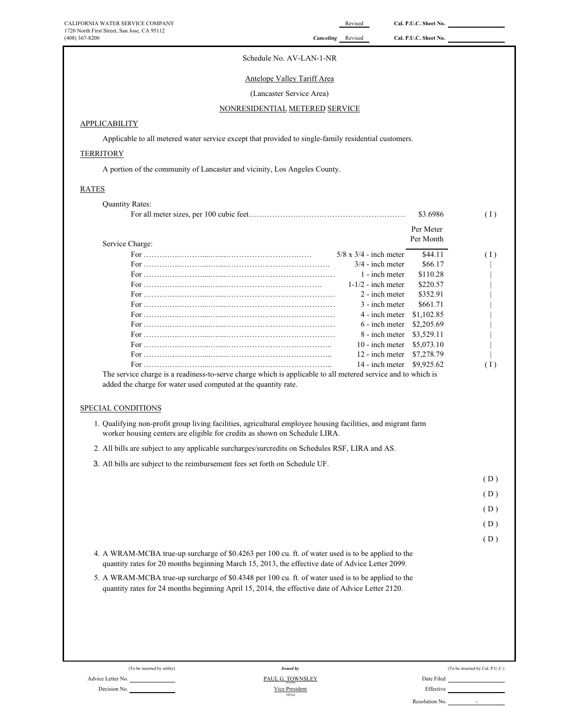#### Schedule No. AV-LAN-1-NR

#### Antelope Valley Tariff Area

#### (Lancaster Service Area)

#### NONRESIDENTIAL METERED SERVICE

#### **APPLICABILITY**

Applicable to all metered water service except that provided to single-family residential customers.

#### **TERRITORY**

A portion of the community of Lancaster and vicinity, Los Angeles County.

#### RATES

| <b>Quantity Rates:</b> |                               | \$3.6986   | (1) |
|------------------------|-------------------------------|------------|-----|
|                        |                               | Per Meter  |     |
| Service Charge:        |                               | Per Month  |     |
|                        | $5/8 \times 3/4$ - inch meter | \$44.11    | (1) |
|                        | $3/4$ - inch meter            | \$66.17    |     |
|                        | 1 - inch meter                | \$110.28   |     |
|                        | $1-1/2$ - inch meter          | \$220.57   |     |
|                        | 2 - inch meter                | \$352.91   |     |
|                        | 3 - inch meter                | \$661.71   |     |
|                        | 4 - inch meter                | \$1,102.85 |     |
|                        | 6 - inch meter                | \$2,205.69 |     |
|                        | 8 - inch meter                | \$3,529.11 |     |
|                        | 10 - inch meter               | \$5,073.10 |     |
|                        | 12 - inch meter               | \$7,278.79 |     |
|                        | 14 - inch meter               | \$9,925.62 | (1) |

added the charge for water used computed at the quantity rate.

#### SPECIAL CONDITIONS

1. Qualifying non-profit group living facilities, agricultural employee housing facilities, and migrant farm worker housing centers are eligible for credits as shown on Schedule LIRA.

- 2. All bills are subject to any applicable surcharges/surcredits on Schedules RSF, LIRA and AS.
- 3. All bills are subject to the reimbursement fees set forth on Schedule UF.

( D )

 $(D)$ 

( D )

- ( D )
- 4. A WRAM-MCBA true-up surcharge of \$0.4263 per 100 cu. ft. of water used is to be applied to the quantity rates for 20 months beginning March 15, 2013, the effective date of Advice Letter 2099.
- 5. A WRAM-MCBA true-up surcharge of \$0.4348 per 100 cu. ft. of water used is to be applied to the quantity rates for 24 months beginning April 15, 2014, the effective date of Advice Letter 2120.

(To be inserted by utility) Advice Letter No. <u>NAME (NOT COMMISSION)</u> Date Filed **PAUL G. TOWNSLEY** 

Decision No.

Vice President TITLE *Issued by*

|                | (To be inserted by Cal. P.U.C.) |
|----------------|---------------------------------|
| Date Filed     |                                 |
| Effective      |                                 |
| Resolution No. |                                 |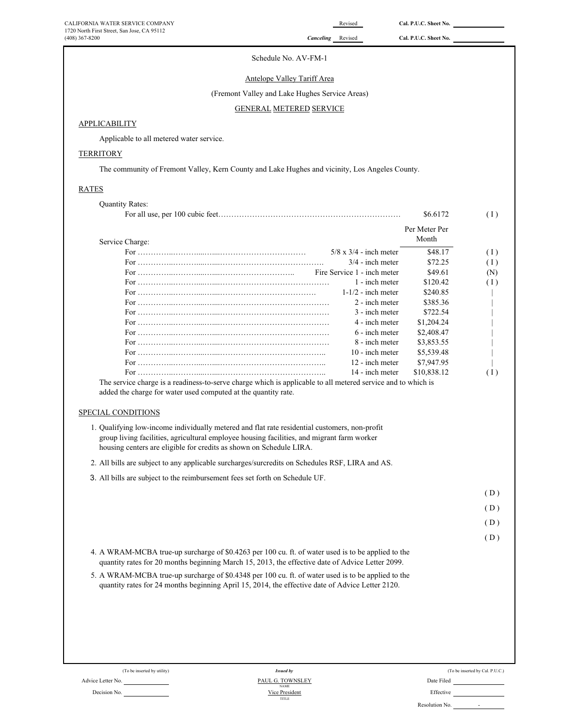#### Schedule No. AV-FM-1

#### Antelope Valley Tariff Area

# (Fremont Valley and Lake Hughes Service Areas)

#### GENERAL METERED SERVICE

#### **APPLICABILITY**

Applicable to all metered water service.

### **TERRITORY**

The community of Fremont Valley, Kern County and Lake Hughes and vicinity, Los Angeles County.

#### RATES

|                    |                                                                                                                                                                                                        |                               | Per Meter Per<br>Month |  |
|--------------------|--------------------------------------------------------------------------------------------------------------------------------------------------------------------------------------------------------|-------------------------------|------------------------|--|
| Service Charge:    |                                                                                                                                                                                                        |                               |                        |  |
|                    |                                                                                                                                                                                                        | $5/8 \times 3/4$ - inch meter | \$48.17                |  |
|                    |                                                                                                                                                                                                        | $3/4$ - inch meter            | \$72.25                |  |
|                    |                                                                                                                                                                                                        | Fire Service 1 - inch meter   | \$49.61                |  |
|                    |                                                                                                                                                                                                        | 1 - inch meter                | \$120.42               |  |
|                    |                                                                                                                                                                                                        | $1-1/2$ - inch meter          | \$240.85               |  |
|                    |                                                                                                                                                                                                        | 2 - inch meter                | \$385.36               |  |
|                    |                                                                                                                                                                                                        | 3 - inch meter                | \$722.54               |  |
|                    |                                                                                                                                                                                                        | 4 - inch meter                | \$1,204.24             |  |
|                    |                                                                                                                                                                                                        | 6 - inch meter                | \$2,408.47             |  |
|                    |                                                                                                                                                                                                        | 8 - inch meter                | \$3,853.55             |  |
|                    | For $\ldots$ $\ldots$ $\ldots$ $\ldots$ $\ldots$ $\ldots$ $\ldots$ $\ldots$ $\ldots$ $\ldots$ $\ldots$ $\ldots$ $\ldots$ $\ldots$ $\ldots$                                                             | 10 - inch meter               | \$5,539.48             |  |
|                    |                                                                                                                                                                                                        | 12 - inch meter               | \$7,947.95             |  |
|                    | The service charge is a readiness-to-serve charge which is applicable to all metered service and to which is                                                                                           | 14 - inch meter               | \$10,838.12            |  |
| SPECIAL CONDITIONS | 1. Qualifying low-income individually metered and flat rate residential customers, non-profit<br>group living facilities, agricultural employee housing facilities, and migrant farm worker            |                               |                        |  |
|                    | housing centers are eligible for credits as shown on Schedule LIRA.                                                                                                                                    |                               |                        |  |
|                    | 2. All bills are subject to any applicable surcharges/surcredits on Schedules RSF, LIRA and AS.                                                                                                        |                               |                        |  |
|                    | 3. All bills are subject to the reimbursement fees set forth on Schedule UF.                                                                                                                           |                               |                        |  |
|                    |                                                                                                                                                                                                        |                               |                        |  |
|                    |                                                                                                                                                                                                        |                               |                        |  |
|                    |                                                                                                                                                                                                        |                               |                        |  |
|                    | 4. A WRAM-MCBA true-up surcharge of \$0.4263 per 100 cu. ft. of water used is to be applied to the<br>quantity rates for 20 months beginning March 15, 2013, the effective date of Advice Letter 2099. |                               |                        |  |

 $(\mathrm{To}\ \mathrm{be}\ \mathrm{inserted}\ \mathrm{by}\ \mathrm{utility})$ 

Advice Letter No.

Decision No.

TITLE <sub>NAME</sub><br>Vice President *Issued by* PAUL G. TOWNSLEY

|                | (To be inserted by Cal. P.U.C.) |
|----------------|---------------------------------|
| Date Filed     |                                 |
| Effective      |                                 |
| Resolution No. |                                 |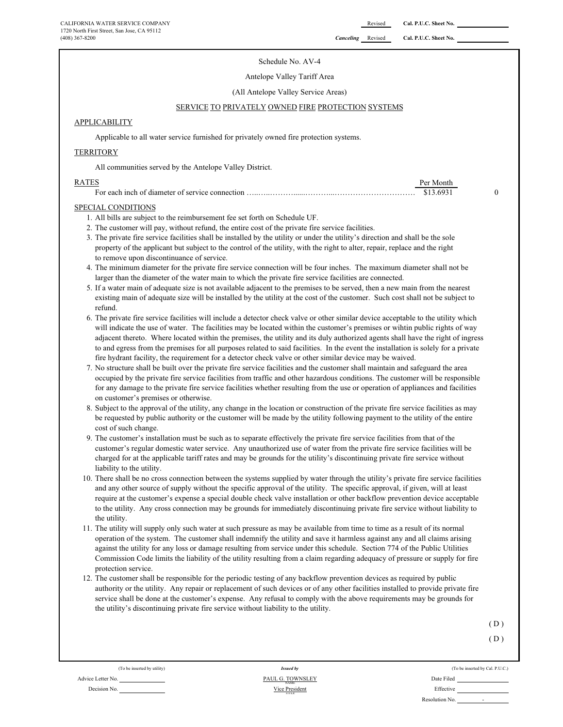#### Schedule No. AV-4

#### Antelope Valley Tariff Area

(All Antelope Valley Service Areas)

#### SERVICE TO PRIVATELY OWNED FIRE PROTECTION SYSTEMS

#### **APPLICABILITY**

Applicable to all water service furnished for privately owned fire protection systems.

#### **TERRITORY**

All communities served by the Antelope Valley District.

| RATES |       |  |
|-------|-------|--|
|       | . 69. |  |

#### SPECIAL CONDITIONS

- 1. All bills are subject to the reimbursement fee set forth on Schedule UF.
- 2. The customer will pay, without refund, the entire cost of the private fire service facilities.
- 3. The private fire service facilities shall be installed by the utility or under the utility's direction and shall be the sole property of the applicant but subject to the control of the utility, with the right to alter, repair, replace and the right to remove upon discontinuance of service.
- 4. The minimum diameter for the private fire service connection will be four inches. The maximum diameter shall not be larger than the diameter of the water main to which the private fire service facilities are connected.
- 5. If a water main of adequate size is not available adjacent to the premises to be served, then a new main from the nearest existing main of adequate size will be installed by the utility at the cost of the customer. Such cost shall not be subject to refund.
- 6. The private fire service facilities will include a detector check valve or other similar device acceptable to the utility which will indicate the use of water. The facilities may be located within the customer's premises or wihtin public rights of way adjacent thereto. Where located within the premises, the utility and its duly authorized agents shall have the right of ingress to and egress from the premises for all purposes related to said facilities. In the event the installation is solely for a private fire hydrant facility, the requirement for a detector check valve or other similar device may be waived.
- 7. No structure shall be built over the private fire service facilities and the customer shall maintain and safeguard the area occupied by the private fire service facilities from traffic and other hazardous conditions. The customer will be responsible for any damage to the private fire service facilities whether resulting from the use or operation of appliances and facilities on customer's premises or otherwise.
- 8. Subject to the approval of the utility, any change in the location or construction of the private fire service facilities as may be requested by public authority or the customer will be made by the utility following payment to the utility of the entire cost of such change.
- 9. The customer's installation must be such as to separate effectively the private fire service facilities from that of the customer's regular domestic water service. Any unauthorized use of water from the private fire service facilities will be charged for at the applicable tariff rates and may be grounds for the utility's discontinuing private fire service without liability to the utility.
- 10. There shall be no cross connection between the systems supplied by water through the utility's private fire service facilities and any other source of supply without the specific approval of the utility. The specific approval, if given, will at least require at the customer's expense a special double check valve installation or other backflow prevention device acceptable to the utility. Any cross connection may be grounds for immediately discontinuing private fire service without liability to the utility.
- 11. The utility will supply only such water at such pressure as may be available from time to time as a result of its normal operation of the system. The customer shall indemnify the utility and save it harmless against any and all claims arising against the utility for any loss or damage resulting from service under this schedule. Section 774 of the Public Utilities Commission Code limits the liability of the utility resulting from a claim regarding adequacy of pressure or supply for fire protection service.
- 12. The customer shall be responsible for the periodic testing of any backflow prevention devices as required by public authority or the utility. Any repair or replacement of such devices or of any other facilities installed to provide private fire service shall be done at the customer's expense. Any refusal to comply with the above requirements may be grounds for the utility's discontinuing private fire service without liability to the utility.

 $(D)$ 

 $(D)$ 

(To be inserted by utility) (To be inserted by Cal. P.U.C.) Decision No. Nice President No. 2006 and Nice President No. 2006 and Nice President No. 2006 and Nice President No. 2006 and Nice President No. 2006 and Nice President No. 2006 and Nice President No. 2006 and Nice Presiden Resolution No. -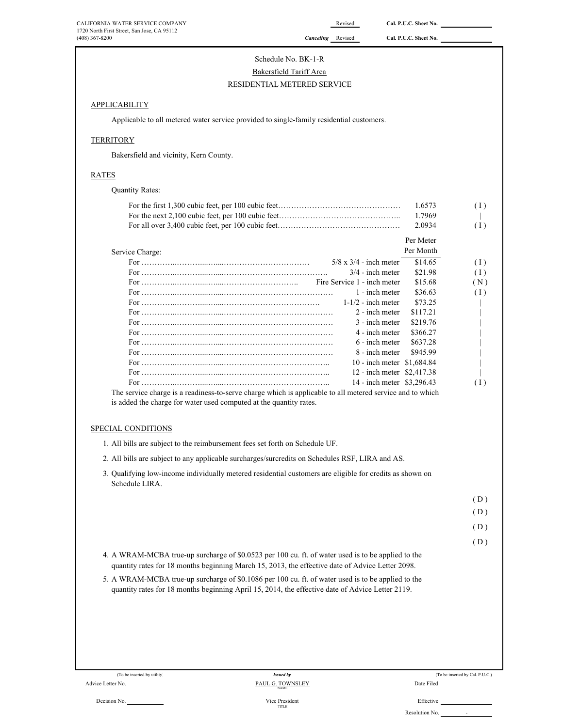# Schedule No. BK-1-R Bakersfield Tariff Area RESIDENTIAL METERED SERVICE

#### **APPLICABILITY**

Applicable to all metered water service provided to single-family residential customers.

#### **TERRITORY**

Bakersfield and vicinity, Kern County.

#### RATES

|                                                                                                                                                                                                                                                                                                                    | 1.6573    |  |
|--------------------------------------------------------------------------------------------------------------------------------------------------------------------------------------------------------------------------------------------------------------------------------------------------------------------|-----------|--|
|                                                                                                                                                                                                                                                                                                                    | 1.7969    |  |
|                                                                                                                                                                                                                                                                                                                    | 2.0934    |  |
|                                                                                                                                                                                                                                                                                                                    | Per Meter |  |
| Service Charge:                                                                                                                                                                                                                                                                                                    | Per Month |  |
| $5/8$ x $3/4$ - inch meter                                                                                                                                                                                                                                                                                         | \$14.65   |  |
| $3/4$ - inch meter                                                                                                                                                                                                                                                                                                 | \$21.98   |  |
| Fire Service 1 - inch meter                                                                                                                                                                                                                                                                                        | \$15.68   |  |
| 1 - inch meter                                                                                                                                                                                                                                                                                                     | \$36.63   |  |
| $1-1/2$ - inch meter                                                                                                                                                                                                                                                                                               | \$73.25   |  |
| 2 - inch meter                                                                                                                                                                                                                                                                                                     | \$117.21  |  |
| 3 - inch meter                                                                                                                                                                                                                                                                                                     | \$219.76  |  |
| 4 - inch meter                                                                                                                                                                                                                                                                                                     | \$366.27  |  |
| 6 - inch meter                                                                                                                                                                                                                                                                                                     | \$637.28  |  |
| 8 - inch meter                                                                                                                                                                                                                                                                                                     | \$945.99  |  |
| 10 - inch meter \$1,684.84                                                                                                                                                                                                                                                                                         |           |  |
| 12 - inch meter \$2,417.38                                                                                                                                                                                                                                                                                         |           |  |
| 14 - inch meter \$3,296.43                                                                                                                                                                                                                                                                                         |           |  |
| 1. All bills are subject to the reimbursement fees set forth on Schedule UF.                                                                                                                                                                                                                                       |           |  |
| 2. All bills are subject to any applicable surcharges/surcredits on Schedules RSF, LIRA and AS.                                                                                                                                                                                                                    |           |  |
| Schedule LIRA.                                                                                                                                                                                                                                                                                                     |           |  |
|                                                                                                                                                                                                                                                                                                                    |           |  |
|                                                                                                                                                                                                                                                                                                                    |           |  |
|                                                                                                                                                                                                                                                                                                                    |           |  |
|                                                                                                                                                                                                                                                                                                                    |           |  |
| 3. Qualifying low-income individually metered residential customers are eligible for credits as shown on<br>4. A WRAM-MCBA true-up surcharge of \$0.0523 per 100 cu. ft. of water used is to be applied to the<br>quantity rates for 18 months beginning March 15, 2013, the effective date of Advice Letter 2098. |           |  |
| quantity rates for 18 months beginning April 15, 2014, the effective date of Advice Letter 2119.                                                                                                                                                                                                                   |           |  |
| 5. A WRAM-MCBA true-up surcharge of \$0.1086 per 100 cu. ft. of water used is to be applied to the                                                                                                                                                                                                                 |           |  |
|                                                                                                                                                                                                                                                                                                                    |           |  |

Vice President<br>
TITLE

(To be inserted by Cal. P.U.C.) Issued by Cal. P.U.C.)

Decision No.  $\frac{\text{Vice President}}{\text{min } \varepsilon}$  Effective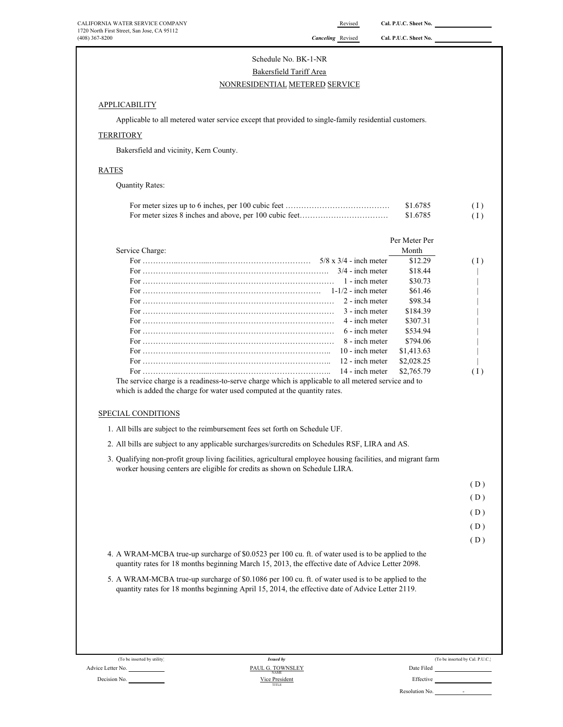# Schedule No. BK-1-NR Bakersfield Tariff Area NONRESIDENTIAL METERED SERVICE

#### **APPLICABILITY**

Applicable to all metered water service except that provided to single-family residential customers.

#### **TERRITORY**

Bakersfield and vicinity, Kern County.

#### RATES

Quantity Rates:

| \$1.6785 | (1) |
|----------|-----|
| \$1.6785 | (1) |

|                                                                                                                                                                                                       | Per Meter Per |     |
|-------------------------------------------------------------------------------------------------------------------------------------------------------------------------------------------------------|---------------|-----|
| Service Charge:                                                                                                                                                                                       | Month         |     |
|                                                                                                                                                                                                       | \$12.29       | (1) |
| $3/4$ - inch meter                                                                                                                                                                                    | \$18.44       |     |
| 1 - inch meter                                                                                                                                                                                        | \$30.73       |     |
|                                                                                                                                                                                                       | \$61.46       |     |
| 2 - inch meter                                                                                                                                                                                        | \$98.34       |     |
| 3 - inch meter                                                                                                                                                                                        | \$184.39      |     |
| 4 - inch meter                                                                                                                                                                                        | \$307.31      |     |
| 6 - inch meter                                                                                                                                                                                        | \$534.94      |     |
| 8 - inch meter                                                                                                                                                                                        | \$794.06      |     |
| $10 -$ inch meter                                                                                                                                                                                     | \$1,413.63    |     |
| 12 - inch meter                                                                                                                                                                                       | \$2,028.25    |     |
| 14 - inch meter                                                                                                                                                                                       | \$2,765.79    | (1) |
| SPECIAL CONDITIONS<br>1. All bills are subject to the reimbursement fees set forth on Schedule UF.<br>2. All bills are subject to any applicable surcharges/surcredits on Schedules RSF, LIRA and AS. |               |     |
| 3. Qualifying non-profit group living facilities, agricultural employee housing facilities, and migrant farm<br>worker housing centers are eligible for credits as shown on Schedule LIRA.            |               |     |
|                                                                                                                                                                                                       |               | (D) |
|                                                                                                                                                                                                       |               | (D) |
|                                                                                                                                                                                                       |               | (D) |
|                                                                                                                                                                                                       |               | (D) |
|                                                                                                                                                                                                       |               | (D) |
| 4. A WRAM-MCBA true-up surcharge of \$0.0523 per 100 cu. ft. of water used is to be applied to the                                                                                                    |               |     |

quantity rates for 18 months beginning March 15, 2013, the effective date of Advice Letter 2098.

5. A WRAM-MCBA true-up surcharge of \$0.1086 per 100 cu. ft. of water used is to be applied to the quantity rates for 18 months beginning April 15, 2014, the effective date of Advice Letter 2119.

| (To be inserted by utility) | <b>Issued by</b>                | (To be inserted by Cal. P.U.C.)            |
|-----------------------------|---------------------------------|--------------------------------------------|
| Advice Letter No.           | PAUL G. TOWNSLEY<br><b>NAME</b> | Date Filed                                 |
| Decision No.                | Vice President<br>TITLE         | Effective                                  |
|                             |                                 | Resolution No.<br>$\overline{\phantom{a}}$ |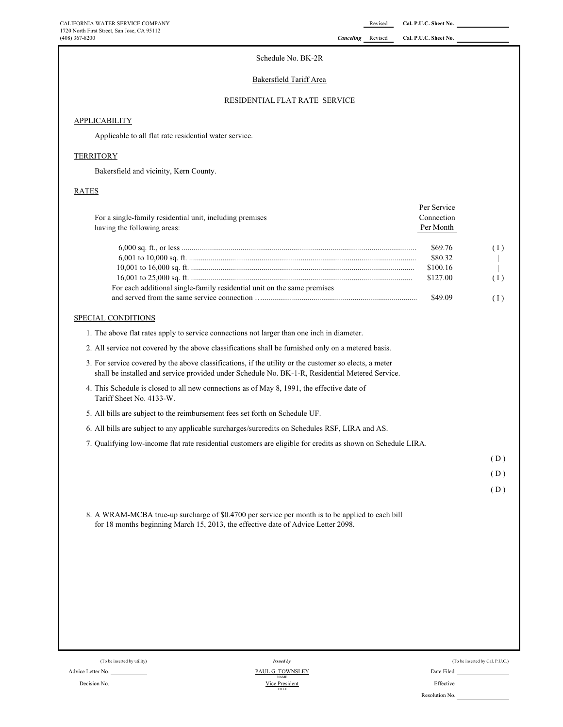#### (408) 367-8200 *Canceling* Revised **Cal. P.U.C. Sheet No.**

#### Schedule No. BK-2R

### Bakersfield Tariff Area

### RESIDENTIAL FLAT RATE SERVICE

### **APPLICABILITY**

Applicable to all flat rate residential water service.

#### **TERRITORY**

Bakersfield and vicinity, Kern County.

#### RATES

| For a single-family residential unit, including premises<br>having the following areas:                                                                                                                   | Per Service<br>Connection<br>Per Month                |                                 |
|-----------------------------------------------------------------------------------------------------------------------------------------------------------------------------------------------------------|-------------------------------------------------------|---------------------------------|
| For each additional single-family residential unit on the same premises                                                                                                                                   | \$69.76<br>\$80.32<br>\$100.16<br>\$127.00<br>\$49.09 | (1)<br>(1)<br>(1)               |
| SPECIAL CONDITIONS                                                                                                                                                                                        |                                                       |                                 |
| 1. The above flat rates apply to service connections not larger than one inch in diameter.                                                                                                                |                                                       |                                 |
| 2. All service not covered by the above classifications shall be furnished only on a metered basis.                                                                                                       |                                                       |                                 |
| 3. For service covered by the above classifications, if the utility or the customer so elects, a meter<br>shall be installed and service provided under Schedule No. BK-1-R, Residential Metered Service. |                                                       |                                 |
| 4. This Schedule is closed to all new connections as of May 8, 1991, the effective date of<br>Tariff Sheet No. 4133-W.                                                                                    |                                                       |                                 |
| 5. All bills are subject to the reimbursement fees set forth on Schedule UF.                                                                                                                              |                                                       |                                 |
| 6. All bills are subject to any applicable surcharges/surcredits on Schedules RSF, LIRA and AS.                                                                                                           |                                                       |                                 |
| 7. Qualifying low-income flat rate residential customers are eligible for credits as shown on Schedule LIRA.                                                                                              |                                                       |                                 |
|                                                                                                                                                                                                           |                                                       | (D)                             |
|                                                                                                                                                                                                           |                                                       | (D)                             |
|                                                                                                                                                                                                           |                                                       | (D)                             |
| 8. A WRAM-MCBA true-up surcharge of \$0.4700 per service per month is to be applied to each bill<br>for 18 months beginning March 15, 2013, the effective date of Advice Letter 2098.                     |                                                       |                                 |
|                                                                                                                                                                                                           |                                                       |                                 |
|                                                                                                                                                                                                           |                                                       |                                 |
|                                                                                                                                                                                                           |                                                       |                                 |
|                                                                                                                                                                                                           |                                                       |                                 |
| (To be inserted by utility)<br><b>Issued by</b>                                                                                                                                                           |                                                       | (To be inserted by Cal. P.U.C.) |

Advice Letter No. Date Filed  $V$ ice President<br>
Decision No. Effective Effective Effective Effective Effective Effective Effective Effective Effective  $V$ <sub>NAME</sub><br>Vice President *Issued by* PAUL G. TOWNSLEY TITLE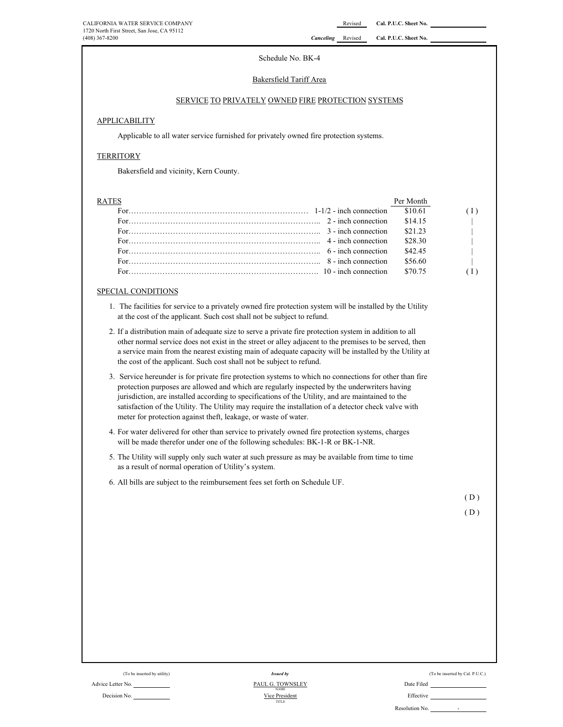#### Schedule No. BK-4

#### Bakersfield Tariff Area

#### SERVICE TO PRIVATELY OWNED FIRE PROTECTION SYSTEMS

#### APPLICABILITY

Applicable to all water service furnished for privately owned fire protection systems.

#### **TERRITORY**

Bakersfield and vicinity, Kern County.

| <b>RATES</b> |         |              |
|--------------|---------|--------------|
|              |         | (I)          |
|              |         | $\Box$       |
|              |         | $\mathbf{1}$ |
|              |         |              |
|              | \$42.45 | $\sim$ 1.0   |
|              | \$56.60 | $\sim$ 1.0   |
|              |         |              |
|              |         |              |

#### SPECIAL CONDITIONS

- 1. The facilities for service to a privately owned fire protection system will be installed by the Utility at the cost of the applicant. Such cost shall not be subject to refund.
- 2. If a distribution main of adequate size to serve a private fire protection system in addition to all other normal service does not exist in the street or alley adjacent to the premises to be served, then a service main from the nearest existing main of adequate capacity will be installed by the Utility at the cost of the applicant. Such cost shall not be subject to refund.
- 3. Service hereunder is for private fire protection systems to which no connections for other than fire protection purposes are allowed and which are regularly inspected by the underwriters having jurisdiction, are installed according to specifications of the Utility, and are maintained to the satisfaction of the Utility. The Utility may require the installation of a detector check valve with meter for protection against theft, leakage, or waste of water.
- 4. For water delivered for other than service to privately owned fire protection systems, charges will be made therefor under one of the following schedules: BK-1-R or BK-1-NR.
- 5. The Utility will supply only such water at such pressure as may be available from time to time as a result of normal operation of Utility's system.
- 6. All bills are subject to the reimbursement fees set forth on Schedule UF.

 $(D)$ 

 $(D)$ 

Advice Letter No. 2008 Date Filed Decision No. **Effective Decision No. Effective Decision No. Effective** PAUL G. TOWNSLEY Vice President NAME TITLE *Issued by*

(To be inserted by culity) (To be inserted by Cal. P.U.C.) Issued by Cal. P.U.C.)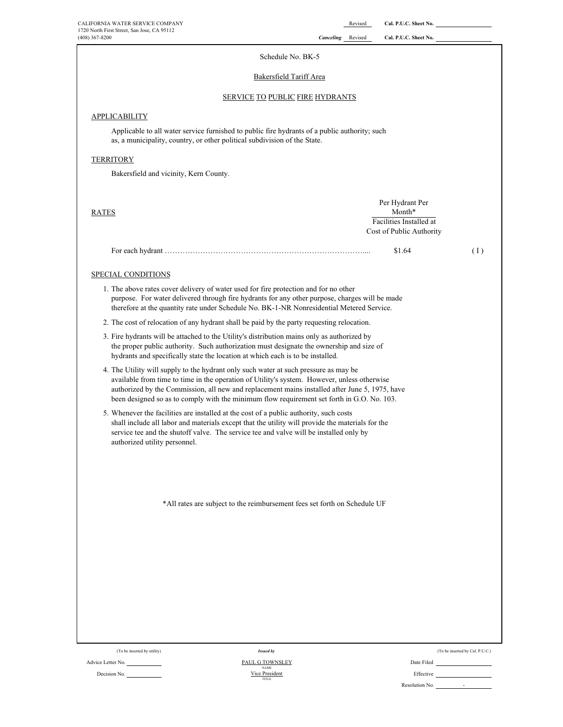| CALIFORNIA WATER SERVICE COMPANY                                                                                                                                                                                                                                                                                                                                                    | Cal. P.U.C. Sheet No.<br>Revised                  |  |
|-------------------------------------------------------------------------------------------------------------------------------------------------------------------------------------------------------------------------------------------------------------------------------------------------------------------------------------------------------------------------------------|---------------------------------------------------|--|
| 1720 North First Street, San Jose, CA 95112<br>$(408)$ 367-8200                                                                                                                                                                                                                                                                                                                     | <b>Canceling</b> Revised<br>Cal. P.U.C. Sheet No. |  |
| Schedule No. BK-5                                                                                                                                                                                                                                                                                                                                                                   |                                                   |  |
| Bakersfield Tariff Area                                                                                                                                                                                                                                                                                                                                                             |                                                   |  |
| <b>SERVICE TO PUBLIC FIRE HYDRANTS</b>                                                                                                                                                                                                                                                                                                                                              |                                                   |  |
| <b>APPLICABILITY</b>                                                                                                                                                                                                                                                                                                                                                                |                                                   |  |
| Applicable to all water service furnished to public fire hydrants of a public authority; such<br>as, a municipality, country, or other political subdivision of the State.                                                                                                                                                                                                          |                                                   |  |
| <b>TERRITORY</b>                                                                                                                                                                                                                                                                                                                                                                    |                                                   |  |
| Bakersfield and vicinity, Kern County.                                                                                                                                                                                                                                                                                                                                              |                                                   |  |
|                                                                                                                                                                                                                                                                                                                                                                                     |                                                   |  |
| <b>RATES</b>                                                                                                                                                                                                                                                                                                                                                                        | Per Hydrant Per<br>Month*                         |  |
|                                                                                                                                                                                                                                                                                                                                                                                     | Facilities Installed at                           |  |
|                                                                                                                                                                                                                                                                                                                                                                                     | Cost of Public Authority                          |  |
|                                                                                                                                                                                                                                                                                                                                                                                     | \$1.64<br>(1)                                     |  |
| <b>SPECIAL CONDITIONS</b>                                                                                                                                                                                                                                                                                                                                                           |                                                   |  |
| 1. The above rates cover delivery of water used for fire protection and for no other<br>purpose. For water delivered through fire hydrants for any other purpose, charges will be made<br>therefore at the quantity rate under Schedule No. BK-1-NR Nonresidential Metered Service.                                                                                                 |                                                   |  |
| 2. The cost of relocation of any hydrant shall be paid by the party requesting relocation.                                                                                                                                                                                                                                                                                          |                                                   |  |
| 3. Fire hydrants will be attached to the Utility's distribution mains only as authorized by<br>the proper public authority. Such authorization must designate the ownership and size of<br>hydrants and specifically state the location at which each is to be installed.                                                                                                           |                                                   |  |
| 4. The Utility will supply to the hydrant only such water at such pressure as may be<br>available from time to time in the operation of Utility's system. However, unless otherwise<br>authorized by the Commission, all new and replacement mains installed after June 5, 1975, have<br>been designed so as to comply with the minimum flow requirement set forth in G.O. No. 103. |                                                   |  |
| 5. Whenever the facilities are installed at the cost of a public authority, such costs<br>shall include all labor and materials except that the utility will provide the materials for the<br>service tee and the shutoff valve. The service tee and valve will be installed only by<br>authorized utility personnel.                                                               |                                                   |  |
|                                                                                                                                                                                                                                                                                                                                                                                     |                                                   |  |
| *All rates are subject to the reimbursement fees set forth on Schedule UF                                                                                                                                                                                                                                                                                                           |                                                   |  |
|                                                                                                                                                                                                                                                                                                                                                                                     |                                                   |  |
|                                                                                                                                                                                                                                                                                                                                                                                     |                                                   |  |
|                                                                                                                                                                                                                                                                                                                                                                                     |                                                   |  |
|                                                                                                                                                                                                                                                                                                                                                                                     |                                                   |  |
|                                                                                                                                                                                                                                                                                                                                                                                     |                                                   |  |
|                                                                                                                                                                                                                                                                                                                                                                                     |                                                   |  |
|                                                                                                                                                                                                                                                                                                                                                                                     |                                                   |  |
|                                                                                                                                                                                                                                                                                                                                                                                     |                                                   |  |
| (To be inserted by utility)<br><b>Issued by</b><br><b>PAUL G TOWNSLEY</b><br>Advice Letter No.                                                                                                                                                                                                                                                                                      | (To be inserted by Cal. P.U.C.)<br>Date Filed     |  |

 $\frac{\text{VAME}}{\text{Area}}$  Effective Effective Effective Effective Effective Effective Effective Effective Effective Effective Effective Effective Effective  $\frac{\text{VAME}}{\text{true}}$ Vice President<br>TITLE **PAUL G TOWNSLEY**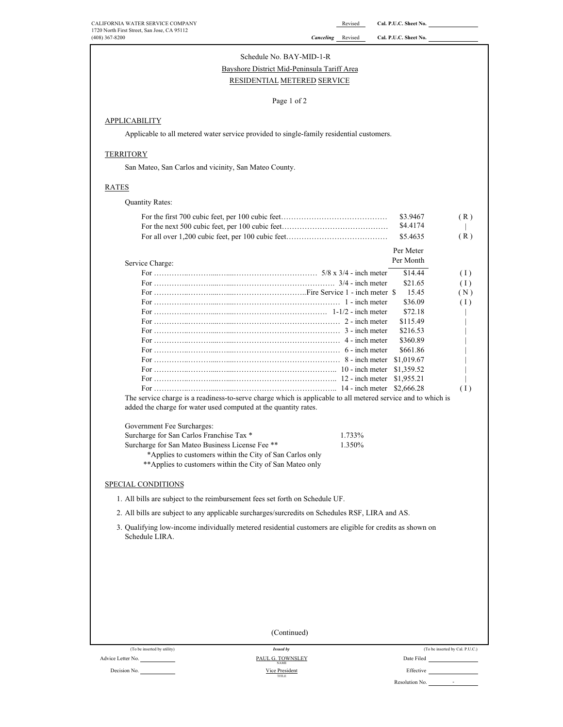# Schedule No. BAY-MID-1-R

# Bayshore District Mid-Peninsula Tariff Area

# RESIDENTIAL METERED SERVICE

#### Page 1 of 2

### **APPLICABILITY**

Applicable to all metered water service provided to single-family residential customers.

#### **TERRITORY**

San Mateo, San Carlos and vicinity, San Mateo County.

### RATES

| <b>Quantity Rates:</b> |  |
|------------------------|--|
|------------------------|--|

|                                                                                                                                                                                   | \$3.9467<br>(R)   |
|-----------------------------------------------------------------------------------------------------------------------------------------------------------------------------------|-------------------|
|                                                                                                                                                                                   | \$4.4174          |
|                                                                                                                                                                                   | \$5.4635<br>(R)   |
|                                                                                                                                                                                   | Per Meter         |
| Service Charge:                                                                                                                                                                   | Per Month         |
|                                                                                                                                                                                   | \$14.44<br>(1)    |
|                                                                                                                                                                                   | \$21.65<br>(1)    |
|                                                                                                                                                                                   | 15.45<br>(N)      |
|                                                                                                                                                                                   | \$36.09<br>(1)    |
|                                                                                                                                                                                   | \$72.18           |
|                                                                                                                                                                                   | \$115.49          |
|                                                                                                                                                                                   | \$216.53          |
|                                                                                                                                                                                   | \$360.89          |
|                                                                                                                                                                                   | \$661.86          |
|                                                                                                                                                                                   | \$1,019.67        |
|                                                                                                                                                                                   | \$1,359.52        |
|                                                                                                                                                                                   | \$1,955.21        |
|                                                                                                                                                                                   | \$2,666.28<br>(1) |
| The service charge is a readiness-to-serve charge which is applicable to all metered service and to which is<br>added the charge for water used computed at the quantity rates.   |                   |
| Government Fee Surcharges:                                                                                                                                                        |                   |
| Surcharge for San Carlos Franchise Tax *<br>1.733%                                                                                                                                |                   |
| Surcharge for San Mateo Business License Fee **<br>1.350%<br>*Applies to customers within the City of San Carlos only<br>**Applies to customers within the City of San Mateo only |                   |

### SPECIAL CONDITIONS

1. All bills are subject to the reimbursement fees set forth on Schedule UF.

2. All bills are subject to any applicable surcharges/surcredits on Schedules RSF, LIRA and AS.

3. Qualifying low-income individually metered residential customers are eligible for credits as shown on Schedule LIRA.

|                             | (Continued)                     |                                 |
|-----------------------------|---------------------------------|---------------------------------|
|                             |                                 |                                 |
| (To be inserted by utility) | <b>Issued by</b>                | (To be inserted by Cal. P.U.C.) |
| Advice Letter No.           | PAUL G. TOWNSLEY<br><b>NAME</b> | Date Filed                      |
| Decision No.                | Vice President<br>TITLE         | Effective                       |
|                             |                                 | Resolution No.<br>٠             |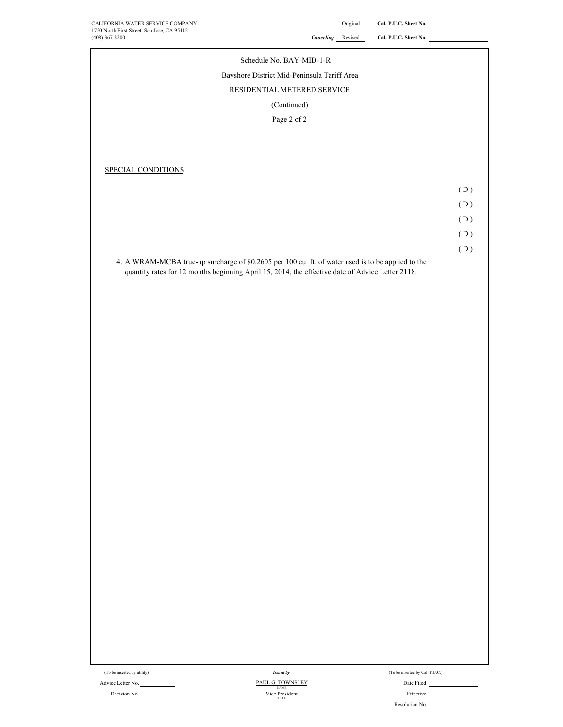CALIFORNIA WATER SERVICE COMPANY **CALL ASSESSED ASSESSED ASSESSED A** Cal. P.U.C. Sheet No.

# 1720 North First Street, San Jose, CA 95112<br>(408) 367-8200 **Cal. P.U.C. Sheet No. Called Authority** Called Authority Called Authority Called Authority Called Authority Called Authority Called Authority Called Authority C SPECIAL CONDITIONS ( D )  $(D)$ ( D ) ( D ) ( D ) 4. A WRAM-MCBA true-up surcharge of \$0.2605 per 100 cu. ft. of water used is to be applied to the quantity rates for 12 months beginning April 15, 2014, the effective date of Advice Letter 2118. Schedule No. BAY-MID-1-R RESIDENTIAL METERED SERVICE Page 2 of 2 (Continued) Bayshore District Mid-Peninsula Tariff Area

(To be inserted by utility)

Advice Letter No. Date Filed PAUL G. TOWNSLEY Decision No. <u>NAME</u><br>
Vice President<br>
Effective Vice President *Issued by* NAME

| To be inserted by Cal. P.U.C.) |  |  |  |  |
|--------------------------------|--|--|--|--|
|                                |  |  |  |  |

Resolution No.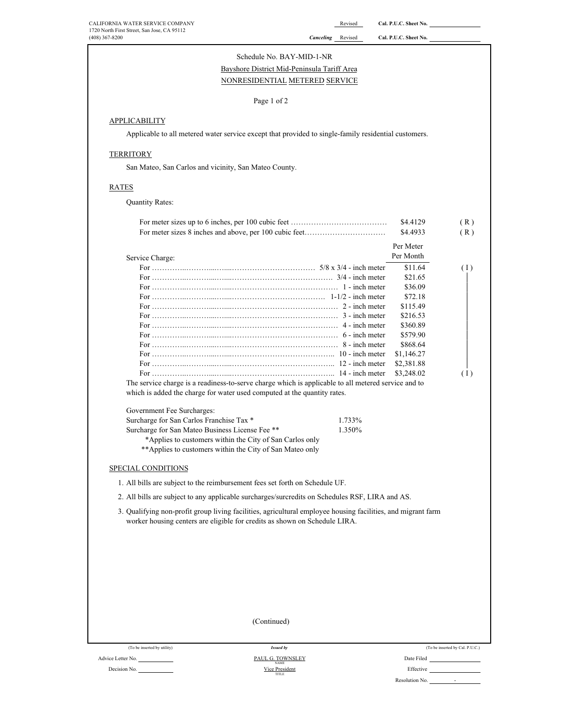| CALIFORNIA WATER SERVICE COMPANY<br>1720 North First Street, San Jose, CA 95112 |                                                                                                                                                                                            | Revised                  | Cal. P.U.C. Sheet No. |                                 |
|---------------------------------------------------------------------------------|--------------------------------------------------------------------------------------------------------------------------------------------------------------------------------------------|--------------------------|-----------------------|---------------------------------|
| (408) 367-8200                                                                  |                                                                                                                                                                                            | <b>Canceling</b> Revised | Cal. P.U.C. Sheet No. |                                 |
|                                                                                 | Schedule No. BAY-MID-1-NR                                                                                                                                                                  |                          |                       |                                 |
|                                                                                 | Bayshore District Mid-Peninsula Tariff Area                                                                                                                                                |                          |                       |                                 |
|                                                                                 | NONRESIDENTIAL METERED SERVICE                                                                                                                                                             |                          |                       |                                 |
|                                                                                 | Page 1 of 2                                                                                                                                                                                |                          |                       |                                 |
| <b>APPLICABILITY</b>                                                            |                                                                                                                                                                                            |                          |                       |                                 |
|                                                                                 | Applicable to all metered water service except that provided to single-family residential customers.                                                                                       |                          |                       |                                 |
| <b>TERRITORY</b>                                                                |                                                                                                                                                                                            |                          |                       |                                 |
|                                                                                 | San Mateo, San Carlos and vicinity, San Mateo County.                                                                                                                                      |                          |                       |                                 |
| <b>RATES</b>                                                                    |                                                                                                                                                                                            |                          |                       |                                 |
| <b>Quantity Rates:</b>                                                          |                                                                                                                                                                                            |                          |                       |                                 |
|                                                                                 |                                                                                                                                                                                            |                          |                       |                                 |
|                                                                                 |                                                                                                                                                                                            |                          | \$4.4129              | (R)                             |
|                                                                                 |                                                                                                                                                                                            |                          | \$4.4933              | (R)                             |
|                                                                                 |                                                                                                                                                                                            |                          | Per Meter             |                                 |
| Service Charge:                                                                 |                                                                                                                                                                                            |                          | Per Month             |                                 |
|                                                                                 |                                                                                                                                                                                            |                          | \$11.64<br>\$21.65    | (1)                             |
|                                                                                 |                                                                                                                                                                                            |                          | \$36.09               |                                 |
|                                                                                 |                                                                                                                                                                                            |                          | \$72.18               |                                 |
|                                                                                 |                                                                                                                                                                                            |                          | \$115.49              |                                 |
|                                                                                 |                                                                                                                                                                                            |                          | \$216.53              |                                 |
|                                                                                 |                                                                                                                                                                                            |                          | \$360.89              |                                 |
|                                                                                 |                                                                                                                                                                                            |                          | \$579.90              |                                 |
|                                                                                 |                                                                                                                                                                                            |                          | \$868.64              |                                 |
|                                                                                 |                                                                                                                                                                                            |                          | \$1,146.27            |                                 |
|                                                                                 |                                                                                                                                                                                            |                          | \$2,381.88            |                                 |
|                                                                                 |                                                                                                                                                                                            |                          | \$3,248.02            | (1)                             |
|                                                                                 | The service charge is a readiness-to-serve charge which is applicable to all metered service and to<br>which is added the charge for water used computed at the quantity rates.            |                          |                       |                                 |
| Government Fee Surcharges:                                                      |                                                                                                                                                                                            |                          |                       |                                 |
| Surcharge for San Carlos Franchise Tax *                                        |                                                                                                                                                                                            | 1.733%                   |                       |                                 |
|                                                                                 | Surcharge for San Mateo Business License Fee **                                                                                                                                            | 1.350%                   |                       |                                 |
|                                                                                 | *Applies to customers within the City of San Carlos only                                                                                                                                   |                          |                       |                                 |
|                                                                                 | ** Applies to customers within the City of San Mateo only                                                                                                                                  |                          |                       |                                 |
| SPECIAL CONDITIONS                                                              |                                                                                                                                                                                            |                          |                       |                                 |
|                                                                                 | 1. All bills are subject to the reimbursement fees set forth on Schedule UF.                                                                                                               |                          |                       |                                 |
|                                                                                 | 2. All bills are subject to any applicable surcharges/surcredits on Schedules RSF, LIRA and AS.                                                                                            |                          |                       |                                 |
|                                                                                 | 3. Qualifying non-profit group living facilities, agricultural employee housing facilities, and migrant farm<br>worker housing centers are eligible for credits as shown on Schedule LIRA. |                          |                       |                                 |
|                                                                                 |                                                                                                                                                                                            |                          |                       |                                 |
|                                                                                 |                                                                                                                                                                                            |                          |                       |                                 |
|                                                                                 |                                                                                                                                                                                            |                          |                       |                                 |
|                                                                                 |                                                                                                                                                                                            |                          |                       |                                 |
|                                                                                 |                                                                                                                                                                                            |                          |                       |                                 |
|                                                                                 |                                                                                                                                                                                            |                          |                       |                                 |
|                                                                                 |                                                                                                                                                                                            |                          |                       |                                 |
|                                                                                 |                                                                                                                                                                                            |                          |                       |                                 |
|                                                                                 | (Continued)                                                                                                                                                                                |                          |                       |                                 |
|                                                                                 |                                                                                                                                                                                            |                          |                       |                                 |
| (To be inserted by utility)                                                     | <b>Issued by</b>                                                                                                                                                                           |                          |                       | (To be inserted by Cal. P.U.C.) |
| Advice Letter No.                                                               | PAUL G. TOWNSLEY<br><b>NAME</b>                                                                                                                                                            |                          | Date Filed            |                                 |
| Decision No.                                                                    | Vice President                                                                                                                                                                             |                          | Effective             |                                 |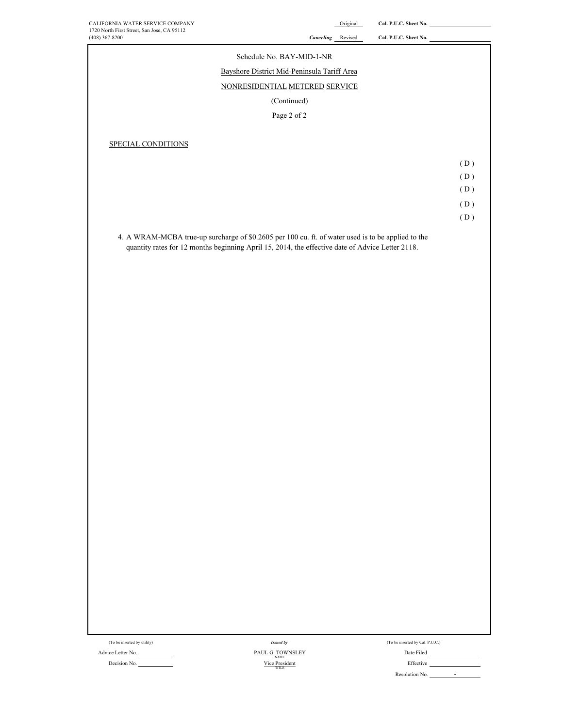| CALIFORNIA WATER SERVICE COMPANY                                                                                                                |                   | Original | Cal. P.U.C. Sheet No.           |     |
|-------------------------------------------------------------------------------------------------------------------------------------------------|-------------------|----------|---------------------------------|-----|
| 1720 North First Street, San Jose, CA 95112<br>$(408)$ 367-8200                                                                                 | Canceling Revised |          | Cal. P.U.C. Sheet No.           |     |
| Schedule No. BAY-MID-1-NR                                                                                                                       |                   |          |                                 |     |
| Bayshore District Mid-Peninsula Tariff Area                                                                                                     |                   |          |                                 |     |
| NONRESIDENTIAL METERED SERVICE                                                                                                                  |                   |          |                                 |     |
| (Continued)                                                                                                                                     |                   |          |                                 |     |
| Page 2 of 2                                                                                                                                     |                   |          |                                 |     |
|                                                                                                                                                 |                   |          |                                 |     |
| SPECIAL CONDITIONS                                                                                                                              |                   |          |                                 |     |
|                                                                                                                                                 |                   |          |                                 | (D) |
|                                                                                                                                                 |                   |          |                                 | (D) |
|                                                                                                                                                 |                   |          |                                 | (D) |
|                                                                                                                                                 |                   |          |                                 | (D) |
|                                                                                                                                                 |                   |          |                                 | (D) |
| 4. A WRAM-MCBA true-up surcharge of \$0.2605 per 100 cu. ft. of water used is to be applied to the                                              |                   |          |                                 |     |
| quantity rates for 12 months beginning April 15, 2014, the effective date of Advice Letter 2118.                                                |                   |          |                                 |     |
|                                                                                                                                                 |                   |          |                                 |     |
|                                                                                                                                                 |                   |          |                                 |     |
|                                                                                                                                                 |                   |          |                                 |     |
|                                                                                                                                                 |                   |          |                                 |     |
|                                                                                                                                                 |                   |          |                                 |     |
|                                                                                                                                                 |                   |          |                                 |     |
|                                                                                                                                                 |                   |          |                                 |     |
|                                                                                                                                                 |                   |          |                                 |     |
|                                                                                                                                                 |                   |          |                                 |     |
|                                                                                                                                                 |                   |          |                                 |     |
|                                                                                                                                                 |                   |          |                                 |     |
|                                                                                                                                                 |                   |          |                                 |     |
|                                                                                                                                                 |                   |          |                                 |     |
|                                                                                                                                                 |                   |          |                                 |     |
|                                                                                                                                                 |                   |          |                                 |     |
|                                                                                                                                                 |                   |          |                                 |     |
|                                                                                                                                                 |                   |          |                                 |     |
|                                                                                                                                                 |                   |          |                                 |     |
|                                                                                                                                                 |                   |          |                                 |     |
|                                                                                                                                                 |                   |          |                                 |     |
|                                                                                                                                                 |                   |          |                                 |     |
|                                                                                                                                                 |                   |          |                                 |     |
|                                                                                                                                                 |                   |          |                                 |     |
|                                                                                                                                                 |                   |          |                                 |     |
|                                                                                                                                                 |                   |          |                                 |     |
|                                                                                                                                                 |                   |          |                                 |     |
| (To be inserted by utility)<br><b>Issued by</b>                                                                                                 |                   |          | (To be inserted by Cal. P.U.C.) |     |
| Advice Letter No.<br>$\underbrace{\text{PAUL G. TOWNSLEY}}_{\text{NAME}}$<br>$\underbrace{\text{Vice President}}_{\text{TITE}}$<br>Decision No. |                   |          | Date Filed<br>Effective         |     |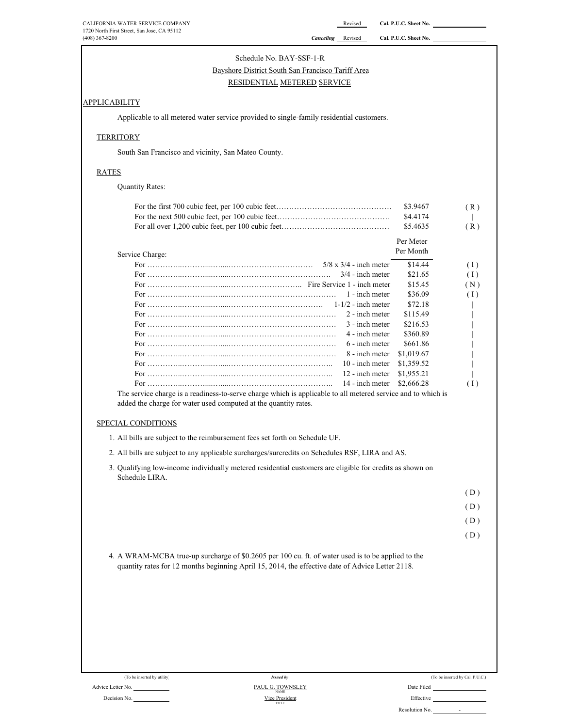#### Schedule No. BAY-SSF-1-R

# Bayshore District South San Francisco Tariff Area

### RESIDENTIAL METERED SERVICE

### **APPLICABILITY**

Applicable to all metered water service provided to single-family residential customers.

### **TERRITORY**

South San Francisco and vicinity, San Mateo County.

### RATES

Quantity Rates:

| 4. A WRAM-MCBA true-up surcharge of \$0.2605 per 100 cu. ft. of water used is to be applied to the<br>quantity rates for 12 months beginning April 15, 2014, the effective date of Advice Letter 2118.<br>(To be inserted by utility)<br><b>Issued by</b><br>Advice Letter No.<br>PAUL G. TOWNSLEY |                               | Date Filed           | (D)<br>(D)<br>(D)<br>(D)<br>(To be inserted by Cal. P.U.C.) |
|----------------------------------------------------------------------------------------------------------------------------------------------------------------------------------------------------------------------------------------------------------------------------------------------------|-------------------------------|----------------------|-------------------------------------------------------------|
|                                                                                                                                                                                                                                                                                                    |                               |                      |                                                             |
|                                                                                                                                                                                                                                                                                                    |                               |                      |                                                             |
|                                                                                                                                                                                                                                                                                                    |                               |                      |                                                             |
|                                                                                                                                                                                                                                                                                                    |                               |                      |                                                             |
|                                                                                                                                                                                                                                                                                                    |                               |                      |                                                             |
|                                                                                                                                                                                                                                                                                                    |                               |                      |                                                             |
|                                                                                                                                                                                                                                                                                                    |                               |                      |                                                             |
|                                                                                                                                                                                                                                                                                                    |                               |                      |                                                             |
|                                                                                                                                                                                                                                                                                                    |                               |                      |                                                             |
|                                                                                                                                                                                                                                                                                                    |                               |                      |                                                             |
|                                                                                                                                                                                                                                                                                                    |                               |                      |                                                             |
|                                                                                                                                                                                                                                                                                                    |                               |                      |                                                             |
|                                                                                                                                                                                                                                                                                                    |                               |                      |                                                             |
|                                                                                                                                                                                                                                                                                                    |                               |                      |                                                             |
|                                                                                                                                                                                                                                                                                                    |                               |                      |                                                             |
|                                                                                                                                                                                                                                                                                                    |                               |                      |                                                             |
|                                                                                                                                                                                                                                                                                                    |                               |                      |                                                             |
|                                                                                                                                                                                                                                                                                                    |                               |                      |                                                             |
| Schedule LIRA.                                                                                                                                                                                                                                                                                     |                               |                      |                                                             |
| 3. Qualifying low-income individually metered residential customers are eligible for credits as shown on                                                                                                                                                                                           |                               |                      |                                                             |
| 2. All bills are subject to any applicable surcharges/surcredits on Schedules RSF, LIRA and AS.                                                                                                                                                                                                    |                               |                      |                                                             |
| 1. All bills are subject to the reimbursement fees set forth on Schedule UF.                                                                                                                                                                                                                       |                               |                      |                                                             |
|                                                                                                                                                                                                                                                                                                    |                               |                      |                                                             |
| SPECIAL CONDITIONS                                                                                                                                                                                                                                                                                 |                               |                      |                                                             |
| added the charge for water used computed at the quantity rates.                                                                                                                                                                                                                                    |                               |                      |                                                             |
| The service charge is a readiness-to-serve charge which is applicable to all metered service and to which is                                                                                                                                                                                       |                               |                      |                                                             |
|                                                                                                                                                                                                                                                                                                    | 14 - inch meter               | \$2,666.28           | (1)                                                         |
|                                                                                                                                                                                                                                                                                                    | 12 - inch meter               | \$1,955.21           |                                                             |
|                                                                                                                                                                                                                                                                                                    | 10 - inch meter               | \$1,359.52           |                                                             |
|                                                                                                                                                                                                                                                                                                    | 8 - inch meter                | \$1,019.67           |                                                             |
|                                                                                                                                                                                                                                                                                                    | 6 - inch meter                | \$661.86             |                                                             |
|                                                                                                                                                                                                                                                                                                    | 4 - inch meter                | \$360.89             |                                                             |
|                                                                                                                                                                                                                                                                                                    | 3 - inch meter                | \$216.53             |                                                             |
|                                                                                                                                                                                                                                                                                                    | 2 - inch meter                | \$115.49             |                                                             |
|                                                                                                                                                                                                                                                                                                    | $1-1/2$ - inch meter          | \$72.18              |                                                             |
|                                                                                                                                                                                                                                                                                                    | 1 - inch meter                | \$36.09              | (1)                                                         |
|                                                                                                                                                                                                                                                                                                    |                               | \$15.45              | (N)                                                         |
|                                                                                                                                                                                                                                                                                                    | $3/4$ - inch meter            | \$21.65              | (1)                                                         |
|                                                                                                                                                                                                                                                                                                    | $5/8 \times 3/4$ - inch meter | \$14.44              | (1)                                                         |
|                                                                                                                                                                                                                                                                                                    |                               | Per Month            |                                                             |
| Service Charge:                                                                                                                                                                                                                                                                                    |                               | Per Meter            |                                                             |
|                                                                                                                                                                                                                                                                                                    |                               | \$5.4635             | (R)                                                         |
|                                                                                                                                                                                                                                                                                                    |                               |                      |                                                             |
|                                                                                                                                                                                                                                                                                                    |                               |                      |                                                             |
|                                                                                                                                                                                                                                                                                                    |                               | \$3.9467<br>\$4.4174 | (R)                                                         |

#### Decision No. **Effective Decision No. Effective Decision No. Effective Effective Effective** TITLE NAME<br>Vice President

|          | (To be inserted by Cal. P.U.C.) |  |
|----------|---------------------------------|--|
| . 1711 1 |                                 |  |

-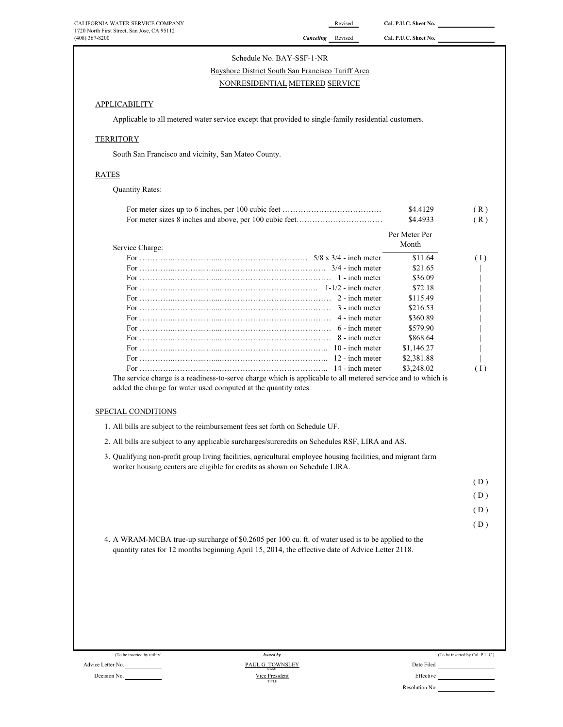| CALIFORNIA WATER SERVICE COMPANY<br>1720 North First Street, San Jose, CA 95112                                                                                                                        | Revised        | Cal. P.U.C. Sheet No.  |                                                                    |
|--------------------------------------------------------------------------------------------------------------------------------------------------------------------------------------------------------|----------------|------------------------|--------------------------------------------------------------------|
| $(408)$ 367-8200<br>Canceling Revised                                                                                                                                                                  |                | Cal. P.U.C. Sheet No.  |                                                                    |
| Schedule No. BAY-SSF-1-NR                                                                                                                                                                              |                |                        |                                                                    |
| Bayshore District South San Francisco Tariff Area                                                                                                                                                      |                |                        |                                                                    |
| NONRESIDENTIAL METERED SERVICE                                                                                                                                                                         |                |                        |                                                                    |
| <b>APPLICABILITY</b>                                                                                                                                                                                   |                |                        |                                                                    |
| Applicable to all metered water service except that provided to single-family residential customers.                                                                                                   |                |                        |                                                                    |
| <b>TERRITORY</b>                                                                                                                                                                                       |                |                        |                                                                    |
| South San Francisco and vicinity, San Mateo County.                                                                                                                                                    |                |                        |                                                                    |
| <b>RATES</b>                                                                                                                                                                                           |                |                        |                                                                    |
| <b>Quantity Rates:</b>                                                                                                                                                                                 |                |                        |                                                                    |
|                                                                                                                                                                                                        |                | \$4.4129               | (R)                                                                |
|                                                                                                                                                                                                        |                | \$4.4933               | (R)                                                                |
|                                                                                                                                                                                                        |                | Per Meter Per<br>Month |                                                                    |
| Service Charge:                                                                                                                                                                                        |                | \$11.64                |                                                                    |
|                                                                                                                                                                                                        |                | \$21.65                | (1)                                                                |
|                                                                                                                                                                                                        |                | \$36.09                |                                                                    |
|                                                                                                                                                                                                        |                | \$72.18                |                                                                    |
|                                                                                                                                                                                                        |                | \$115.49               |                                                                    |
|                                                                                                                                                                                                        |                | \$216.53               |                                                                    |
|                                                                                                                                                                                                        | 4 - inch meter | \$360.89               |                                                                    |
|                                                                                                                                                                                                        | 6 - inch meter | \$579.90               |                                                                    |
|                                                                                                                                                                                                        | 8 - inch meter | \$868.64               |                                                                    |
|                                                                                                                                                                                                        |                | \$1,146.27             |                                                                    |
|                                                                                                                                                                                                        |                | \$2,381.88             |                                                                    |
|                                                                                                                                                                                                        |                |                        |                                                                    |
|                                                                                                                                                                                                        |                | \$3,248.02             |                                                                    |
| The service charge is a readiness-to-serve charge which is applicable to all metered service and to which is<br>added the charge for water used computed at the quantity rates.                        |                |                        |                                                                    |
| SPECIAL CONDITIONS                                                                                                                                                                                     |                |                        |                                                                    |
| 1. All bills are subject to the reimbursement fees set forth on Schedule UF.<br>2. All bills are subject to any applicable surcharges/surcredits on Schedules RSF, LIRA and AS.                        |                |                        |                                                                    |
| 3. Qualifying non-profit group living facilities, agricultural employee housing facilities, and migrant farm                                                                                           |                |                        |                                                                    |
| worker housing centers are eligible for credits as shown on Schedule LIRA.                                                                                                                             |                |                        |                                                                    |
|                                                                                                                                                                                                        |                |                        |                                                                    |
|                                                                                                                                                                                                        |                |                        |                                                                    |
|                                                                                                                                                                                                        |                |                        |                                                                    |
|                                                                                                                                                                                                        |                |                        |                                                                    |
| 4. A WRAM-MCBA true-up surcharge of \$0.2605 per 100 cu. ft. of water used is to be applied to the<br>quantity rates for 12 months beginning April 15, 2014, the effective date of Advice Letter 2118. |                |                        |                                                                    |
|                                                                                                                                                                                                        |                |                        |                                                                    |
| (To be inserted by utility)<br><b>Issued by</b>                                                                                                                                                        |                |                        |                                                                    |
| PAUL G. TOWNSLEY<br>Advice Letter No.<br>NAME<br>Decision No.<br>Vice President                                                                                                                        |                |                        | (1)<br>(D)<br>(D)<br>(D)<br>(D)<br>(To be inserted by Cal. P.U.C.) |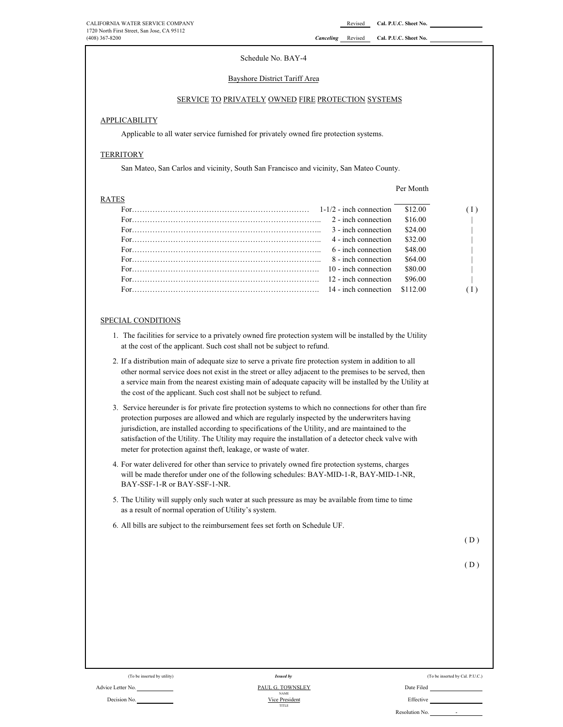#### Schedule No. BAY-4

#### Bayshore District Tariff Area

#### SERVICE TO PRIVATELY OWNED FIRE PROTECTION SYSTEMS

#### **APPLICABILITY**

Applicable to all water service furnished for privately owned fire protection systems.

#### **TERRITORY**

San Mateo, San Carlos and vicinity, South San Francisco and vicinity, San Mateo County.

#### Per Month

| <b>RATES</b>                                                                                                                                                                                                                                                                                        |                      |          |  |
|-----------------------------------------------------------------------------------------------------------------------------------------------------------------------------------------------------------------------------------------------------------------------------------------------------|----------------------|----------|--|
| For $\ldots$ in $\ldots$ in $\ldots$ in $\ldots$ in $\ldots$ in $\ldots$ in $\ldots$ in $\ldots$ in $\ldots$ in $\ldots$ in $\ldots$ in $\ldots$ in $\ldots$ in $\ldots$ in $\ldots$ in $\ldots$ in $\ldots$ in $\ldots$ in $\ldots$ in $\ldots$ in $\ldots$ in $\ldots$ in $\ldots$ in $\ldots$ in |                      | \$12.00  |  |
|                                                                                                                                                                                                                                                                                                     | 2 - inch connection  | \$16.00  |  |
|                                                                                                                                                                                                                                                                                                     | 3 - inch connection  | \$24.00  |  |
|                                                                                                                                                                                                                                                                                                     | 4 - inch connection  | \$32.00  |  |
|                                                                                                                                                                                                                                                                                                     | 6 - inch connection  | \$48.00  |  |
|                                                                                                                                                                                                                                                                                                     | 8 - inch connection  | \$64.00  |  |
|                                                                                                                                                                                                                                                                                                     | 10 - inch connection | \$80.00  |  |
|                                                                                                                                                                                                                                                                                                     | 12 - inch connection | \$96.00  |  |
|                                                                                                                                                                                                                                                                                                     |                      | \$112.00 |  |

#### SPECIAL CONDITIONS

- 1. The facilities for service to a privately owned fire protection system will be installed by the Utility at the cost of the applicant. Such cost shall not be subject to refund.
- 2. If a distribution main of adequate size to serve a private fire protection system in addition to all other normal service does not exist in the street or alley adjacent to the premises to be served, then a service main from the nearest existing main of adequate capacity will be installed by the Utility at the cost of the applicant. Such cost shall not be subject to refund.
- 3. Service hereunder is for private fire protection systems to which no connections for other than fire protection purposes are allowed and which are regularly inspected by the underwriters having jurisdiction, are installed according to specifications of the Utility, and are maintained to the satisfaction of the Utility. The Utility may require the installation of a detector check valve with meter for protection against theft, leakage, or waste of water.
- 4. For water delivered for other than service to privately owned fire protection systems, charges will be made therefor under one of the following schedules: BAY-MID-1-R, BAY-MID-1-NR, BAY-SSF-1-R or BAY-SSF-1-NR.
- 5. The Utility will supply only such water at such pressure as may be available from time to time as a result of normal operation of Utility's system.
- 6. All bills are subject to the reimbursement fees set forth on Schedule UF.

 $(D)$ 

$$
(D)
$$

| (To be inserted by utility) |  |  |
|-----------------------------|--|--|
|-----------------------------|--|--|

Decision No.

Advice Letter No. Date Filed PAUL G. TOWNSLEY *Issued by* NAME Vice President TITLE

| (To be inserted by utility) | <b>Issued by</b>                       | (To be inserted by Cal. P.U.C.)            |
|-----------------------------|----------------------------------------|--------------------------------------------|
| No.                         | PAUL G. TOWNSLEY                       | Date Filed                                 |
| No.                         | <b>NAME</b><br>Vice President<br>TITLE | Effective                                  |
|                             |                                        | Resolution No.<br>$\overline{\phantom{0}}$ |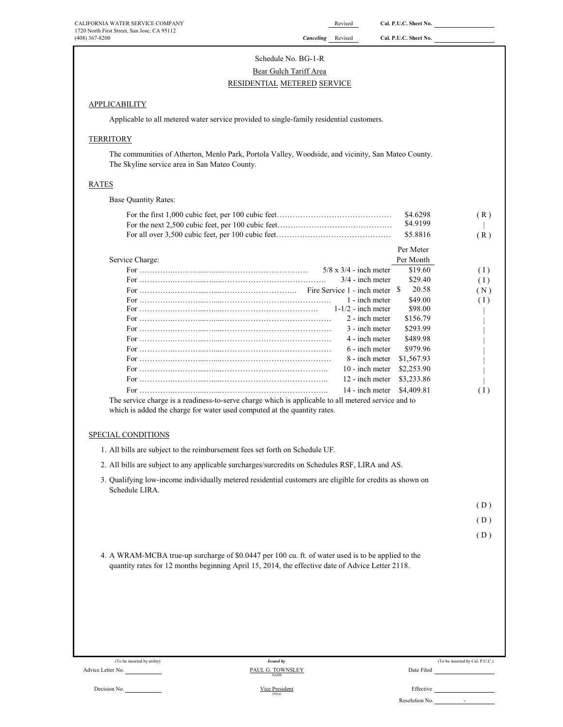# Schedule No. BG-1-R Bear Gulch Tariff Area RESIDENTIAL METERED SERVICE

## APPLICABILITY

Applicable to all metered water service provided to single-family residential customers.

### **TERRITORY**

The communities of Atherton, Menlo Park, Portola Valley, Woodside, and vicinity, San Mateo County. The Skyline service area in San Mateo County.

#### RATES

Base Quantity Rates:

| \$4.9199<br>\$5.8816<br>(R)<br>Per Meter<br>Per Month<br>\$19.60<br>(1)<br>\$29.40<br>(1)<br>20.58<br>(N)<br>\$49.00<br>(1)<br>\$98.00<br>\$156.79<br>\$293.99<br>\$489.98<br>\$979.96<br>\$1,567.93<br>\$2,253.90<br>\$3,233.86 |
|----------------------------------------------------------------------------------------------------------------------------------------------------------------------------------------------------------------------------------|
|                                                                                                                                                                                                                                  |
|                                                                                                                                                                                                                                  |
|                                                                                                                                                                                                                                  |
|                                                                                                                                                                                                                                  |
|                                                                                                                                                                                                                                  |
|                                                                                                                                                                                                                                  |
|                                                                                                                                                                                                                                  |
|                                                                                                                                                                                                                                  |
|                                                                                                                                                                                                                                  |
|                                                                                                                                                                                                                                  |
|                                                                                                                                                                                                                                  |
|                                                                                                                                                                                                                                  |
|                                                                                                                                                                                                                                  |
|                                                                                                                                                                                                                                  |
|                                                                                                                                                                                                                                  |
|                                                                                                                                                                                                                                  |
| \$4,409.81<br>(1)                                                                                                                                                                                                                |
|                                                                                                                                                                                                                                  |
|                                                                                                                                                                                                                                  |
| 3. Qualifying low-income individually metered residential customers are eligible for credits as shown on                                                                                                                         |
| (D)                                                                                                                                                                                                                              |
| (D)                                                                                                                                                                                                                              |
| (D)                                                                                                                                                                                                                              |
| 4. A WRAM-MCBA true-up surcharge of \$0.0447 per 100 cu. ft. of water used is to be applied to the                                                                                                                               |
| The service charge is a readiness-to-serve charge which is applicable to all metered service and to                                                                                                                              |

Advice Letter No.

Decision No. Effective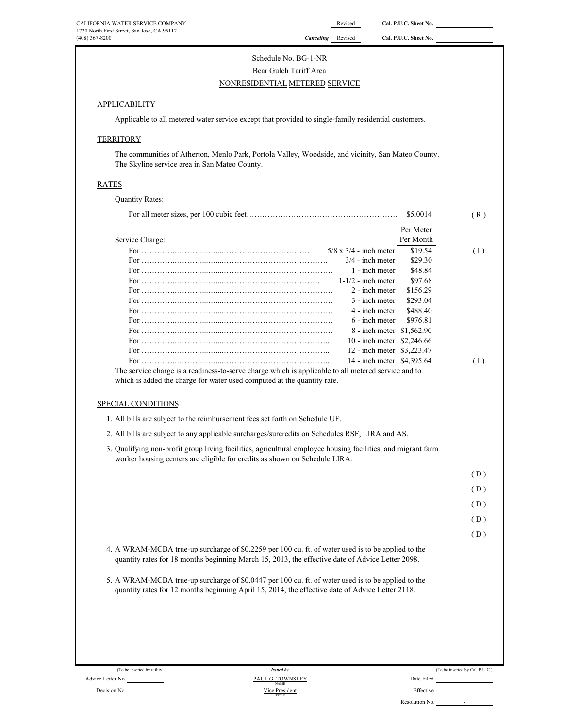# Schedule No. BG-1-NR Bear Gulch Tariff Area NONRESIDENTIAL METERED SERVICE

#### **APPLICABILITY**

Applicable to all metered water service except that provided to single-family residential customers.

#### **TERRITORY**

The communities of Atherton, Menlo Park, Portola Valley, Woodside, and vicinity, San Mateo County. The Skyline service area in San Mateo County.

#### RATES

Quantity Rates:

|                                                                                                    |                               | \$5,0014  | (R) |
|----------------------------------------------------------------------------------------------------|-------------------------------|-----------|-----|
|                                                                                                    |                               | Per Meter |     |
| Service Charge:                                                                                    |                               | Per Month |     |
|                                                                                                    | $5/8 \times 3/4$ - inch meter | \$19.54   | (1) |
|                                                                                                    | $3/4$ - inch meter            | \$29.30   |     |
|                                                                                                    | 1 - inch meter                | \$48.84   |     |
|                                                                                                    | $1-1/2$ - inch meter          | \$97.68   |     |
|                                                                                                    | 2 - inch meter                | \$156.29  |     |
|                                                                                                    | 3 - inch meter                | \$293.04  |     |
|                                                                                                    | 4 - inch meter                | \$488.40  |     |
|                                                                                                    | $6$ - inch meter              | \$976.81  |     |
|                                                                                                    | 8 - inch meter \$1,562.90     |           |     |
|                                                                                                    | 10 - inch meter \$2,246.66    |           |     |
|                                                                                                    | 12 - inch meter \$3,223.47    |           |     |
|                                                                                                    | 14 - inch meter \$4,395.64    |           | (1) |
| The service charge is a readings to serve charge which is enplicable to all metered service and to |                               |           |     |

The service charge is a readiness-to-serve charge which is applicable to all metered service and to which is added the charge for water used computed at the quantity rate.

#### SPECIAL CONDITIONS

- 1. All bills are subject to the reimbursement fees set forth on Schedule UF.
- 2. All bills are subject to any applicable surcharges/surcredits on Schedules RSF, LIRA and AS.
- 3. Qualifying non-profit group living facilities, agricultural employee housing facilities, and migrant farm worker housing centers are eligible for credits as shown on Schedule LIRA.

( D )

 $(D)$ 

- $(D)$
- ( D )

( D )

- 4. A WRAM-MCBA true-up surcharge of \$0.2259 per 100 cu. ft. of water used is to be applied to the quantity rates for 18 months beginning March 15, 2013, the effective date of Advice Letter 2098.
- 5. A WRAM-MCBA true-up surcharge of \$0.0447 per 100 cu. ft. of water used is to be applied to the quantity rates for 12 months beginning April 15, 2014, the effective date of Advice Letter 2118.

Advice Letter No.

(To be inserted by utility) (To be inserted by Cal. P.U.C.)<br>
PAUL G. TOWNSLEY Date Filed Due Filed Cal. P.U.C.) Decision No. **Effective Decision No. Effective Decision No. 2004 PAUL G. TOWNSLEY** Vice President *Issued by* TITLE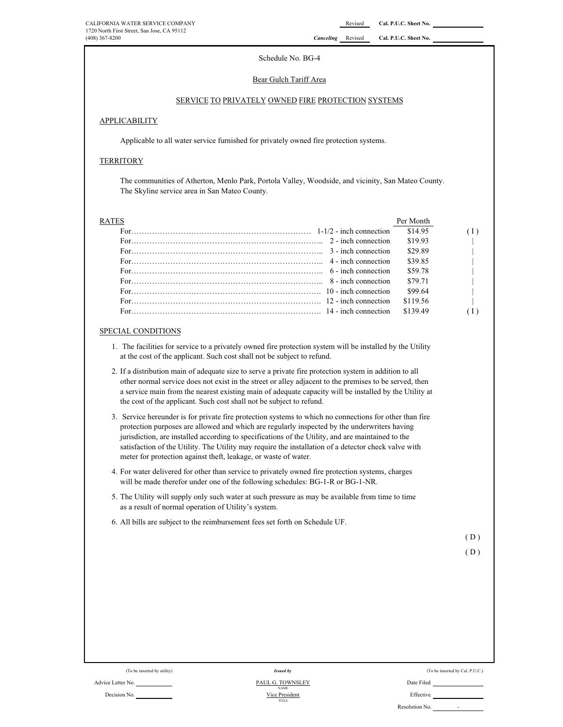#### Schedule No. BG-4

#### Bear Gulch Tariff Area

#### SERVICE TO PRIVATELY OWNED FIRE PROTECTION SYSTEMS

#### **APPLICABILITY**

Applicable to all water service furnished for privately owned fire protection systems.

#### **TERRITORY**

The communities of Atherton, Menlo Park, Portola Valley, Woodside, and vicinity, San Mateo County. The Skyline service area in San Mateo County.

| R A TES |                                                                                                                                                                                                                                                                                                                                         | Per Month |  |
|---------|-----------------------------------------------------------------------------------------------------------------------------------------------------------------------------------------------------------------------------------------------------------------------------------------------------------------------------------------|-----------|--|
|         | For $\ldots$ is a set of $\ldots$ is a set of $\ldots$ in $\ldots$ in $\ldots$ in $1-1/2$ - inch connection                                                                                                                                                                                                                             | \$14.95   |  |
|         |                                                                                                                                                                                                                                                                                                                                         | \$19.93   |  |
|         | For $\ldots$ $\ldots$ $\ldots$ $\ldots$ $\ldots$ $\ldots$ $\ldots$ $\ldots$ $\ldots$ $\ldots$ $\ldots$ $\ldots$ $\ldots$ $\ldots$ $\ldots$ $\ldots$ $\ldots$ $\ldots$ $\ldots$ $\ldots$ $\ldots$ $\ldots$ $\ldots$ $\ldots$ $\ldots$ $\ldots$ $\ldots$ $\ldots$ $\ldots$ $\ldots$ $\ldots$ $\ldots$ $\ldots$ $\ldots$ $\ldots$ $\ldots$ | \$29.89   |  |
|         | For $\cdots$ 4 - inch connection                                                                                                                                                                                                                                                                                                        | \$39.85   |  |
|         |                                                                                                                                                                                                                                                                                                                                         | \$59.78   |  |
|         | For $\ldots$ $\ldots$ $\ldots$ $\ldots$ $\ldots$ $\ldots$ $\ldots$ $\ldots$ $\ldots$ $\ldots$ $\ldots$ $\ldots$ $\ldots$ $\ldots$ $\ldots$ $\ldots$ $\ldots$ $\ldots$ $\ldots$ $\ldots$ $\ldots$ $\ldots$ $\ldots$ $\ldots$ $\ldots$ $\ldots$                                                                                           | \$79.71   |  |
|         |                                                                                                                                                                                                                                                                                                                                         | \$99.64   |  |
|         |                                                                                                                                                                                                                                                                                                                                         | \$119.56  |  |
|         | For $\ldots$ is a set of $\ldots$ is a set of $\ldots$ is a set of $\ldots$ in $14$ - inch connection                                                                                                                                                                                                                                   | \$139.49  |  |

#### SPECIAL CONDITIONS

- 1. The facilities for service to a privately owned fire protection system will be installed by the Utility at the cost of the applicant. Such cost shall not be subject to refund.
- 2. If a distribution main of adequate size to serve a private fire protection system in addition to all other normal service does not exist in the street or alley adjacent to the premises to be served, then a service main from the nearest existing main of adequate capacity will be installed by the Utility at the cost of the applicant. Such cost shall not be subject to refund.
- 3. Service hereunder is for private fire protection systems to which no connections for other than fire protection purposes are allowed and which are regularly inspected by the underwriters having jurisdiction, are installed according to specifications of the Utility, and are maintained to the satisfaction of the Utility. The Utility may require the installation of a detector check valve with meter for protection against theft, leakage, or waste of water.
- 4. For water delivered for other than service to privately owned fire protection systems, charges will be made therefor under one of the following schedules: BG-1-R or BG-1-NR.
- 5. The Utility will supply only such water at such pressure as may be available from time to time as a result of normal operation of Utility's system.
- 6. All bills are subject to the reimbursement fees set forth on Schedule UF.

 $(D)$ 

$$
(D)
$$

#### Advice Letter No. Date Filed COMMON CONTROLLEY DESCRIPTION OF PAUL G. TOWNSLEY Decision No. **Effective Decision No. Effective Decision No. Effective** *Issued by* TITLE NAME Vice President

(To be inserted by Unlity) (To be inserted by Cal. P.U.C.) Issued by Cal. P.U.C.)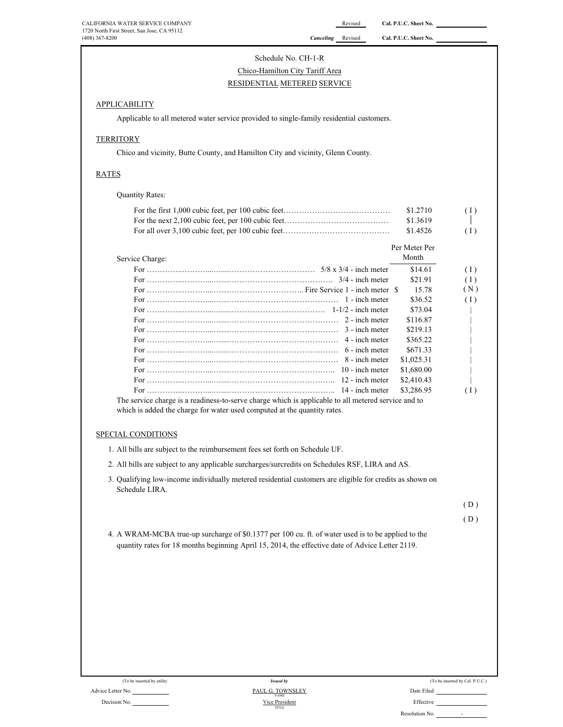# Schedule No. CH-1-R

# Chico-Hamilton City Tariff Area RESIDENTIAL METERED SERVICE

#### **APPLICABILITY**

Applicable to all metered water service provided to single-family residential customers.

#### **TERRITORY**

Chico and vicinity, Butte County, and Hamilton City and vicinity, Glenn County.

#### RATES

Quantity Rates:

| \$1.2710 | (1) |
|----------|-----|
| \$1.3619 |     |
| \$1.4526 | (1) |

|                                                                                                                 | Per Meter Per |     |
|-----------------------------------------------------------------------------------------------------------------|---------------|-----|
| Service Charge:                                                                                                 | Month         |     |
|                                                                                                                 | \$14.61       | (1) |
|                                                                                                                 | \$21.91       | (1) |
|                                                                                                                 | 15.78         | (N) |
|                                                                                                                 | \$36.52       | (1) |
|                                                                                                                 | \$73.04       |     |
|                                                                                                                 | \$116.87      |     |
|                                                                                                                 | \$219.13      |     |
|                                                                                                                 | \$365.22      |     |
| For $\ldots$ 6 - inch meter                                                                                     | \$671.33      |     |
|                                                                                                                 | \$1,025.31    |     |
|                                                                                                                 | \$1,680.00    |     |
|                                                                                                                 | \$2,410.43    |     |
|                                                                                                                 | \$3,286.95    | (1) |
| πΜες αναπολείς επειρείς του επιλεπτικού και στους επιλεπτικού που που που που παραγωγή του που που που που παρα |               |     |

The service charge is a readiness-to-serve charge which is applicable to all metered service and to which is added the charge for water used computed at the quantity rates.

#### SPECIAL CONDITIONS

- 1. All bills are subject to the reimbursement fees set forth on Schedule UF.
- 2. All bills are subject to any applicable surcharges/surcredits on Schedules RSF, LIRA and AS.
- 3. Qualifying low-income individually metered residential customers are eligible for credits as shown on Schedule LIRA.

( D )

( D )

4. A WRAM-MCBA true-up surcharge of \$0.1377 per 100 cu. ft. of water used is to be applied to the quantity rates for 18 months beginning April 15, 2014, the effective date of Advice Letter 2119.

| (To be inserted by utility) | <b>Issued by</b>                | (To be inserted by Cal. P.U.C.) |
|-----------------------------|---------------------------------|---------------------------------|
| Advice Letter No.           | PAUL G. TOWNSLEY<br><b>NAME</b> | Date Filed                      |
| Decision No.                | Vice President                  | Effective                       |
|                             | TITLE                           | Resolution No.<br>-             |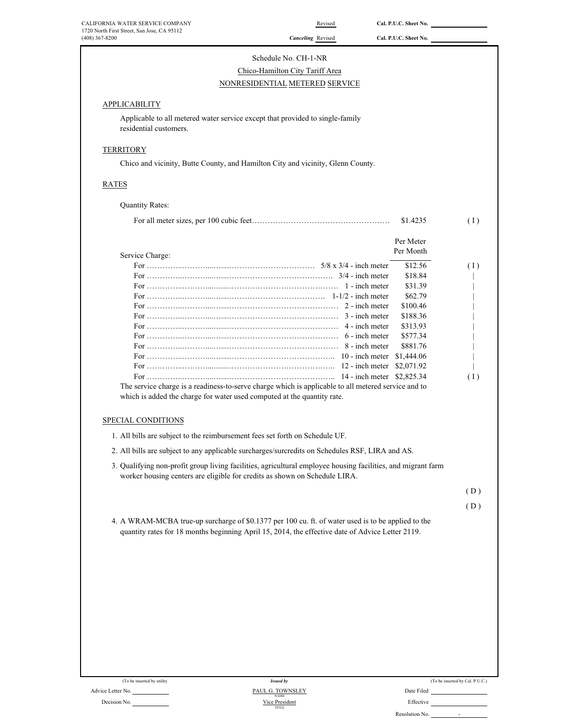| 1720 North First Street, San Jose, CA 95112<br>$(408)$ 367-8200<br>APPLICABILITY<br>Applicable to all metered water service except that provided to single-family<br>residential customers.<br><b>TERRITORY</b><br>Chico and vicinity, Butte County, and Hamilton City and vicinity, Glenn County. | <b>Canceling</b> Revised<br>Schedule No. CH-1-NR<br>Chico-Hamilton City Tariff Area<br>NONRESIDENTIAL METERED SERVICE | Cal. P.U.C. Sheet No.           |     |
|----------------------------------------------------------------------------------------------------------------------------------------------------------------------------------------------------------------------------------------------------------------------------------------------------|-----------------------------------------------------------------------------------------------------------------------|---------------------------------|-----|
|                                                                                                                                                                                                                                                                                                    |                                                                                                                       |                                 |     |
|                                                                                                                                                                                                                                                                                                    |                                                                                                                       |                                 |     |
|                                                                                                                                                                                                                                                                                                    |                                                                                                                       |                                 |     |
|                                                                                                                                                                                                                                                                                                    |                                                                                                                       |                                 |     |
|                                                                                                                                                                                                                                                                                                    |                                                                                                                       |                                 |     |
|                                                                                                                                                                                                                                                                                                    |                                                                                                                       |                                 |     |
|                                                                                                                                                                                                                                                                                                    |                                                                                                                       |                                 |     |
|                                                                                                                                                                                                                                                                                                    |                                                                                                                       |                                 |     |
|                                                                                                                                                                                                                                                                                                    |                                                                                                                       |                                 |     |
| RATES                                                                                                                                                                                                                                                                                              |                                                                                                                       |                                 |     |
| <b>Quantity Rates:</b>                                                                                                                                                                                                                                                                             |                                                                                                                       |                                 |     |
|                                                                                                                                                                                                                                                                                                    |                                                                                                                       | \$1.4235                        | (1) |
|                                                                                                                                                                                                                                                                                                    |                                                                                                                       | Per Meter                       |     |
| Service Charge:                                                                                                                                                                                                                                                                                    |                                                                                                                       | Per Month                       |     |
|                                                                                                                                                                                                                                                                                                    |                                                                                                                       | \$12.56                         | (1) |
|                                                                                                                                                                                                                                                                                                    |                                                                                                                       | \$18.84                         |     |
|                                                                                                                                                                                                                                                                                                    |                                                                                                                       | \$31.39                         |     |
|                                                                                                                                                                                                                                                                                                    |                                                                                                                       | \$62.79                         |     |
|                                                                                                                                                                                                                                                                                                    |                                                                                                                       | \$100.46                        |     |
|                                                                                                                                                                                                                                                                                                    |                                                                                                                       | \$188.36                        |     |
|                                                                                                                                                                                                                                                                                                    | 4 - inch meter                                                                                                        | \$313.93                        |     |
|                                                                                                                                                                                                                                                                                                    |                                                                                                                       | \$577.34<br>\$881.76            |     |
|                                                                                                                                                                                                                                                                                                    |                                                                                                                       |                                 |     |
|                                                                                                                                                                                                                                                                                                    |                                                                                                                       |                                 |     |
|                                                                                                                                                                                                                                                                                                    |                                                                                                                       |                                 | (1) |
| The service charge is a readiness-to-serve charge which is applicable to all metered service and to                                                                                                                                                                                                |                                                                                                                       |                                 |     |
| which is added the charge for water used computed at the quantity rate.                                                                                                                                                                                                                            |                                                                                                                       |                                 |     |
|                                                                                                                                                                                                                                                                                                    |                                                                                                                       |                                 |     |
| SPECIAL CONDITIONS                                                                                                                                                                                                                                                                                 |                                                                                                                       |                                 |     |
| 1. All bills are subject to the reimbursement fees set forth on Schedule UF.                                                                                                                                                                                                                       |                                                                                                                       |                                 |     |
| 2. All bills are subject to any applicable surcharges/surcredits on Schedules RSF, LIRA and AS.<br>3. Qualifying non-profit group living facilities, agricultural employee housing facilities, and migrant farm                                                                                    |                                                                                                                       |                                 |     |
| worker housing centers are eligible for credits as shown on Schedule LIRA.                                                                                                                                                                                                                         |                                                                                                                       |                                 |     |
|                                                                                                                                                                                                                                                                                                    |                                                                                                                       |                                 | (D) |
|                                                                                                                                                                                                                                                                                                    |                                                                                                                       |                                 | (D) |
| 4. A WRAM-MCBA true-up surcharge of \$0.1377 per 100 cu. ft. of water used is to be applied to the<br>quantity rates for 18 months beginning April 15, 2014, the effective date of Advice Letter 2119.                                                                                             |                                                                                                                       |                                 |     |
|                                                                                                                                                                                                                                                                                                    |                                                                                                                       |                                 |     |
|                                                                                                                                                                                                                                                                                                    |                                                                                                                       |                                 |     |
|                                                                                                                                                                                                                                                                                                    |                                                                                                                       |                                 |     |
|                                                                                                                                                                                                                                                                                                    |                                                                                                                       |                                 |     |
|                                                                                                                                                                                                                                                                                                    |                                                                                                                       |                                 |     |
|                                                                                                                                                                                                                                                                                                    |                                                                                                                       |                                 |     |
|                                                                                                                                                                                                                                                                                                    |                                                                                                                       |                                 |     |
|                                                                                                                                                                                                                                                                                                    |                                                                                                                       |                                 |     |
|                                                                                                                                                                                                                                                                                                    |                                                                                                                       |                                 |     |
| (To be inserted by utility)<br>Advice Letter No.                                                                                                                                                                                                                                                   | <b>Issued by</b><br>PAUL G. TOWNSLEY                                                                                  | (To be inserted by Cal. P.U.C.) |     |

Resolution No. -

Vice President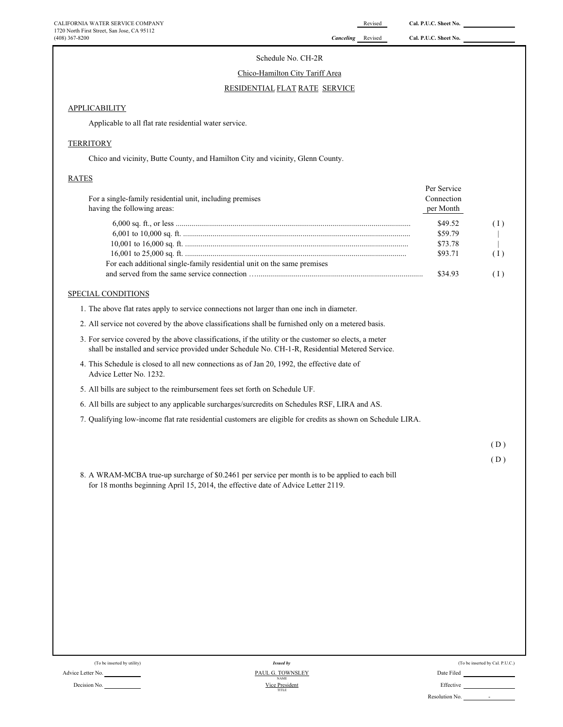#### Schedule No. CH-2R

#### Chico-Hamilton City Tariff Area

#### RESIDENTIAL FLAT RATE SERVICE

#### **APPLICABILITY**

Applicable to all flat rate residential water service.

#### **TERRITORY**

Chico and vicinity, Butte County, and Hamilton City and vicinity, Glenn County.

#### RATES

| For a single-family residential unit, including premises<br>having the following areas: | Per Service<br>Connection<br>per Month |     |
|-----------------------------------------------------------------------------------------|----------------------------------------|-----|
|                                                                                         | \$49.52                                | (I) |
|                                                                                         | \$59.79                                |     |
|                                                                                         | \$73.78                                |     |
|                                                                                         | \$93.71                                | (I) |
| For each additional single-family residential unit on the same premises                 |                                        |     |
|                                                                                         | \$34.93                                |     |

#### SPECIAL CONDITIONS

1. The above flat rates apply to service connections not larger than one inch in diameter.

- 2. All service not covered by the above classifications shall be furnished only on a metered basis.
- 3. For service covered by the above classifications, if the utility or the customer so elects, a meter shall be installed and service provided under Schedule No. CH-1-R, Residential Metered Service.
- 4. This Schedule is closed to all new connections as of Jan 20, 1992, the effective date of Advice Letter No. 1232.
- 5. All bills are subject to the reimbursement fees set forth on Schedule UF.
- 6. All bills are subject to any applicable surcharges/surcredits on Schedules RSF, LIRA and AS.
- 7. Qualifying low-income flat rate residential customers are eligible for credits as shown on Schedule LIRA.

( D )

8. A WRAM-MCBA true-up surcharge of \$0.2461 per service per month is to be applied to each bill for 18 months beginning April 15, 2014, the effective date of Advice Letter 2119.

|                           | (To be inserted by utility) |  |  |
|---------------------------|-----------------------------|--|--|
| $\mathbf{r}$ $\mathbf{r}$ |                             |  |  |

|  | (To be inserted by utility) | lssued by | (To be inserted by Cal. P.U.C.) |
|--|-----------------------------|-----------|---------------------------------|
|--|-----------------------------|-----------|---------------------------------|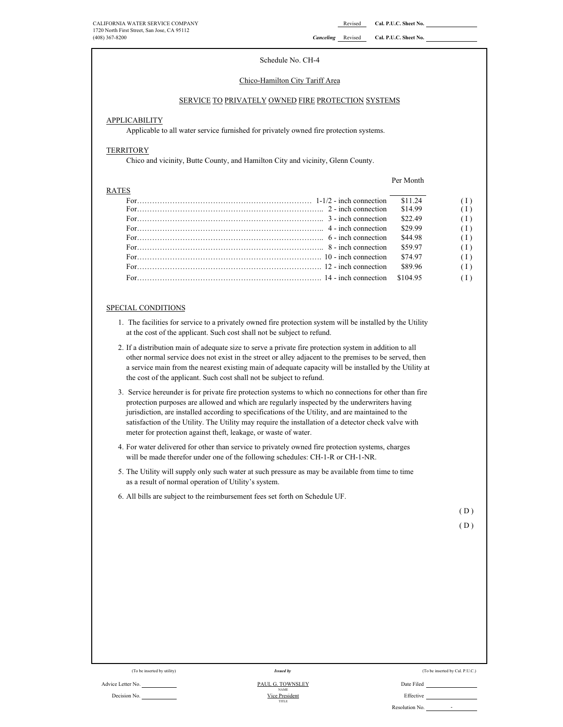Per Month

#### Schedule No. CH-4

#### Chico-Hamilton City Tariff Area

#### SERVICE TO PRIVATELY OWNED FIRE PROTECTION SYSTEMS

#### **APPLICABILITY**

Applicable to all water service furnished for privately owned fire protection systems.

#### **TERRITORY**

Chico and vicinity, Butte County, and Hamilton City and vicinity, Glenn County.

#### RATES

For…………………………………………………………… 1-1/2 - inch connection \$11.24 ( I ) For……………………………………………………………….. 2 - inch connection \$14.99 ( I ) For……………………………………………………………….. 3 - inch connection \$22.49 ( I ) For……………………………………………………………….. 4 - inch connection \$29.99 ( I ) For……………………………………………………………….. 6 - inch connection \$44.98 ( I ) For……………………………………………………………….. 8 - inch connection \$59.97 ( I ) For………………………………………………………………. 10 - inch connection \$74.97 ( I ) For………………………………………………………………. 12 - inch connection \$89.96 ( I )

For………………………………………………………………. 14 - inch connection \$104.95 ( I )

#### SPECIAL CONDITIONS

- 1. The facilities for service to a privately owned fire protection system will be installed by the Utility at the cost of the applicant. Such cost shall not be subject to refund.
- 2. If a distribution main of adequate size to serve a private fire protection system in addition to all other normal service does not exist in the street or alley adjacent to the premises to be served, then a service main from the nearest existing main of adequate capacity will be installed by the Utility at the cost of the applicant. Such cost shall not be subject to refund.
- 3. Service hereunder is for private fire protection systems to which no connections for other than fire protection purposes are allowed and which are regularly inspected by the underwriters having jurisdiction, are installed according to specifications of the Utility, and are maintained to the satisfaction of the Utility. The Utility may require the installation of a detector check valve with meter for protection against theft, leakage, or waste of water.
- 4. For water delivered for other than service to privately owned fire protection systems, charges will be made therefor under one of the following schedules: CH-1-R or CH-1-NR.
- 5. The Utility will supply only such water at such pressure as may be available from time to time as a result of normal operation of Utility's system.
- 6. All bills are subject to the reimbursement fees set forth on Schedule UF.

( D )

#### Advice Letter No. Date Filed PAUL G. TOWNSLEY Decision No. **Effective Decision No. Effective Decision No. Effective** *Issued by* PAUL G. TOWNSLEY Vice President TITLE NAME

(To be inserted by utility) (To be inserted by Cal. P.U.C.)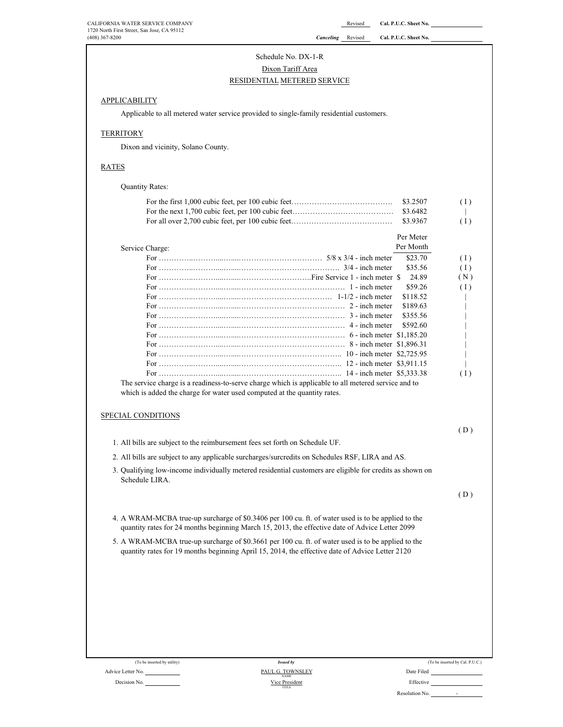Schedule No. DX-1-R

#### Dixon Tariff Area

### RESIDENTIAL METERED SERVICE

### **APPLICABILITY**

Applicable to all metered water service provided to single-family residential customers.

#### **TERRITORY**

Dixon and vicinity, Solano County.

# RATES

| <b>IATTE</b>                                                                                                                                                                                           |           |     |
|--------------------------------------------------------------------------------------------------------------------------------------------------------------------------------------------------------|-----------|-----|
| <b>Quantity Rates:</b>                                                                                                                                                                                 |           |     |
|                                                                                                                                                                                                        | \$3.2507  | (1) |
|                                                                                                                                                                                                        | \$3.6482  |     |
|                                                                                                                                                                                                        | \$3.9367  | (1) |
|                                                                                                                                                                                                        | Per Meter |     |
| Service Charge:                                                                                                                                                                                        | Per Month |     |
|                                                                                                                                                                                                        | \$23.70   | (1) |
|                                                                                                                                                                                                        | \$35.56   | (1) |
|                                                                                                                                                                                                        | 24.89     | (N) |
|                                                                                                                                                                                                        | \$59.26   | (1) |
|                                                                                                                                                                                                        | \$118.52  |     |
|                                                                                                                                                                                                        | \$189.63  |     |
|                                                                                                                                                                                                        | \$355.56  |     |
|                                                                                                                                                                                                        | \$592.60  |     |
|                                                                                                                                                                                                        |           |     |
|                                                                                                                                                                                                        |           |     |
|                                                                                                                                                                                                        |           |     |
|                                                                                                                                                                                                        |           |     |
|                                                                                                                                                                                                        |           | (1) |
|                                                                                                                                                                                                        |           | (D) |
| 1. All bills are subject to the reimbursement fees set forth on Schedule UF.                                                                                                                           |           |     |
| 2. All bills are subject to any applicable surcharges/surcredits on Schedules RSF, LIRA and AS.                                                                                                        |           |     |
| 3. Qualifying low-income individually metered residential customers are eligible for credits as shown on<br>Schedule LIRA.                                                                             |           |     |
|                                                                                                                                                                                                        |           | (D) |
| 4. A WRAM-MCBA true-up surcharge of \$0.3406 per 100 cu. ft. of water used is to be applied to the<br>quantity rates for 24 months beginning March 15, 2013, the effective date of Advice Letter 2099. |           |     |
| 5. A WRAM-MCBA true-up surcharge of \$0.3661 per 100 cu. ft. of water used is to be applied to the<br>quantity rates for 19 months beginning April 15, 2014, the effective date of Advice Letter 2120. |           |     |
|                                                                                                                                                                                                        |           |     |
|                                                                                                                                                                                                        |           |     |
|                                                                                                                                                                                                        |           |     |
|                                                                                                                                                                                                        |           |     |
|                                                                                                                                                                                                        |           |     |

| (To be inserted by Cal. P.U.C.) |  |  |
|---------------------------------|--|--|
| Date Filed                      |  |  |
| Effective                       |  |  |
| Resolution No.                  |  |  |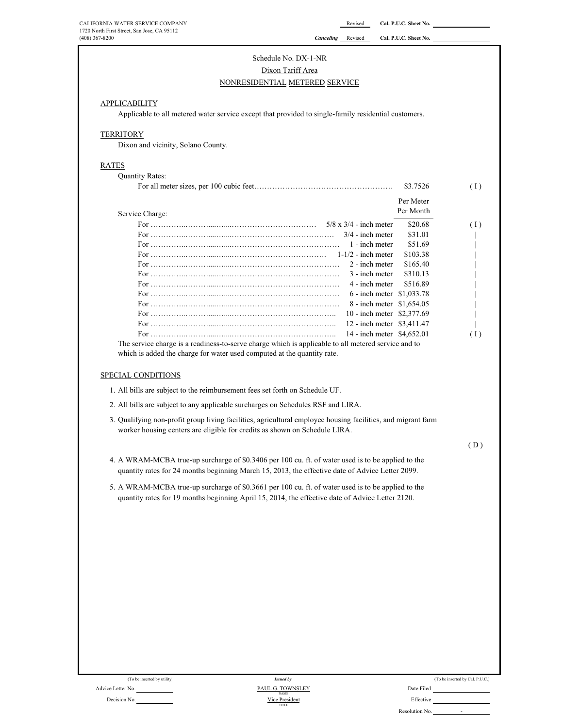| Schedule No. DX-1-NR |  |  |
|----------------------|--|--|
|                      |  |  |

#### Dixon Tariff Area

#### NONRESIDENTIAL METERED SERVICE

#### **APPLICABILITY**

Applicable to all metered water service except that provided to single-family residential customers.

#### **TERRITORY**

Dixon and vicinity, Solano County.

# RATES

| <b>Quantity Rates:</b>                                                                              |           |     |
|-----------------------------------------------------------------------------------------------------|-----------|-----|
|                                                                                                     | \$3.7526  | (1) |
|                                                                                                     | Per Meter |     |
| Service Charge:                                                                                     | Per Month |     |
|                                                                                                     | \$20.68   | (1) |
| $3/4$ - inch meter                                                                                  | \$31.01   |     |
| 1 - inch meter                                                                                      | \$51.69   |     |
|                                                                                                     | \$103.38  |     |
| 2 - inch meter                                                                                      | \$165.40  |     |
| 3 - inch meter                                                                                      | \$310.13  |     |
| 4 - inch meter                                                                                      | \$516.89  |     |
| 6 - inch meter \$1,033.78                                                                           |           |     |
| 8 - inch meter \$1,654.05                                                                           |           |     |
| 10 - inch meter \$2,377.69                                                                          |           |     |
| 12 - inch meter \$3,411.47                                                                          |           |     |
| 14 - inch meter \$4,652.01                                                                          |           | (1) |
| The service charge is a readiness-to-serve charge which is applicable to all metered service and to |           |     |

#### SPECIAL CONDITIONS

- 1. All bills are subject to the reimbursement fees set forth on Schedule UF.
- 2. All bills are subject to any applicable surcharges on Schedules RSF and LIRA.
- 3. Qualifying non-profit group living facilities, agricultural employee housing facilities, and migrant farm worker housing centers are eligible for credits as shown on Schedule LIRA.

( D )

- 4. A WRAM-MCBA true-up surcharge of \$0.3406 per 100 cu. ft. of water used is to be applied to the quantity rates for 24 months beginning March 15, 2013, the effective date of Advice Letter 2099.
- 5. A WRAM-MCBA true-up surcharge of \$0.3661 per 100 cu. ft. of water used is to be applied to the quantity rates for 19 months beginning April 15, 2014, the effective date of Advice Letter 2120.

| (To be inserted by utility) | <b>Issued by</b>                       | (To be inserted by Cal. P.U.C.) |
|-----------------------------|----------------------------------------|---------------------------------|
| Advice Letter No.           | PAUL G. TOWNSLEY                       | Date Filed                      |
| Decision No.                | <b>NAME</b><br>Vice President<br>TITLE | Effective                       |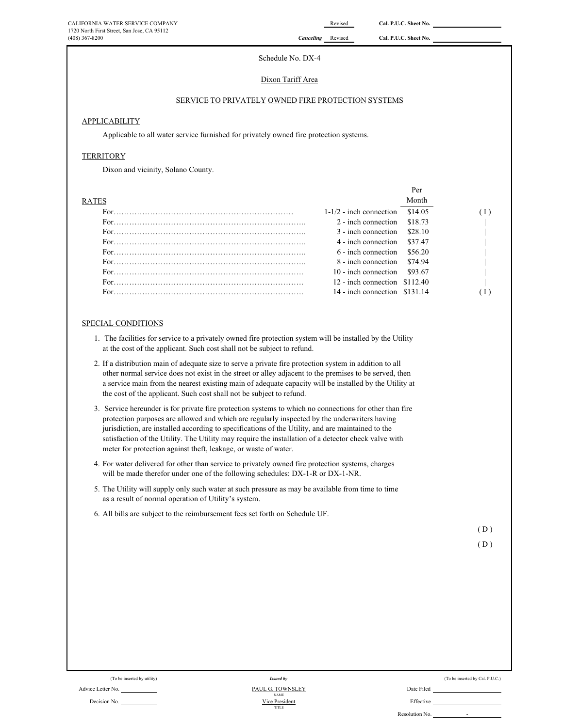#### Schedule No. DX-4

#### Dixon Tariff Area

#### SERVICE TO PRIVATELY OWNED FIRE PROTECTION SYSTEMS

#### APPLICABILITY

Applicable to all water service furnished for privately owned fire protection systems.

#### **TERRITORY**

Dixon and vicinity, Solano County.

|              |                                   | Per     |  |
|--------------|-----------------------------------|---------|--|
| <b>RATES</b> |                                   | Month   |  |
|              | $1-1/2$ - inch connection \$14.05 |         |  |
|              | 2 - inch connection               | \$18.73 |  |
|              | $3$ - inch connection $$28.10$    |         |  |
|              | 4 - inch connection \$37.47       |         |  |
|              | 6 - inch connection               | \$56.20 |  |
|              | 8 - inch connection \$74.94       |         |  |
|              | $10$ - inch connection \$93.67    |         |  |
|              | 12 - inch connection $$112.40$    |         |  |
|              | $14$ - inch connection $$131.14$  |         |  |

#### SPECIAL CONDITIONS

- 1. The facilities for service to a privately owned fire protection system will be installed by the Utility at the cost of the applicant. Such cost shall not be subject to refund.
- 2. If a distribution main of adequate size to serve a private fire protection system in addition to all other normal service does not exist in the street or alley adjacent to the premises to be served, then a service main from the nearest existing main of adequate capacity will be installed by the Utility at the cost of the applicant. Such cost shall not be subject to refund.
- 3. Service hereunder is for private fire protection systems to which no connections for other than fire protection purposes are allowed and which are regularly inspected by the underwriters having jurisdiction, are installed according to specifications of the Utility, and are maintained to the satisfaction of the Utility. The Utility may require the installation of a detector check valve with meter for protection against theft, leakage, or waste of water.
- 4. For water delivered for other than service to privately owned fire protection systems, charges will be made therefor under one of the following schedules: DX-1-R or DX-1-NR.
- 5. The Utility will supply only such water at such pressure as may be available from time to time as a result of normal operation of Utility's system.
- 6. All bills are subject to the reimbursement fees set forth on Schedule UF.

 $(D)$ 

$$
(D)
$$

(To be inserted by Cal. P.U.C.) Issued by Cal. P.U.C.) Advice Letter No. 2004 2014 12:30 2014 12:30 2014 12:30 2014 12:30 2014 12:30 2014 12:30 2014 12:30 2014 12:30 Decision No. Effective Resolution No.  $\qquad$ -TITLE *Issued by* NAME PAUL G. TOWNSLEY Vice Presid

|  | (To be inserted by Cal. P.U. |  |  |
|--|------------------------------|--|--|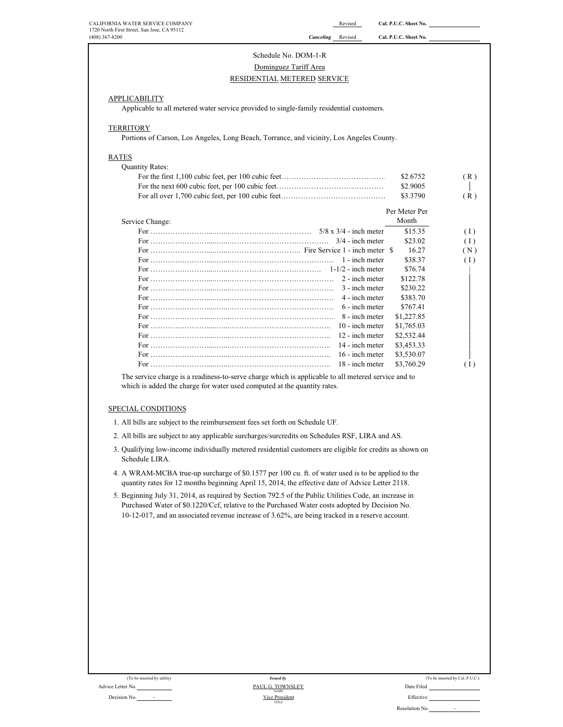| (408) 367-8200                                                                           | <b>Canceling</b> Revised | Cal. P.U.C. Sheet No. |     |
|------------------------------------------------------------------------------------------|--------------------------|-----------------------|-----|
| Schedule No. DOM-1-R                                                                     |                          |                       |     |
| Dominguez Tariff Area                                                                    |                          |                       |     |
| RESIDENTIAL METERED SERVICE                                                              |                          |                       |     |
|                                                                                          |                          |                       |     |
| <b>APPLICABILITY</b>                                                                     |                          |                       |     |
| Applicable to all metered water service provided to single-family residential customers. |                          |                       |     |
|                                                                                          |                          |                       |     |
| <b>TERRITORY</b>                                                                         |                          |                       |     |
| Portions of Carson, Los Angeles, Long Beach, Torrance, and vicinity, Los Angeles County. |                          |                       |     |
| <b>RATES</b>                                                                             |                          |                       |     |
| <b>Quantity Rates:</b>                                                                   |                          |                       |     |
|                                                                                          |                          | \$2.6752              | (R) |
|                                                                                          |                          | \$2.9005              |     |
|                                                                                          |                          | \$3.3790              | (R) |
|                                                                                          |                          |                       |     |
|                                                                                          |                          | Per Meter Per         |     |
| Service Change:                                                                          |                          | Month                 |     |
|                                                                                          |                          | \$15.35               | (1) |
|                                                                                          | $3/4$ - inch meter       | \$23.02               | (1) |
| For $\ldots$ Fire Service 1 - inch meter \$                                              |                          | 16.27                 | (N) |
|                                                                                          | 1 - inch meter           | \$38.37               | (1) |
|                                                                                          |                          | \$76.74               |     |
|                                                                                          | 2 - inch meter           | \$122.78              |     |
|                                                                                          | 3 - inch meter           | \$230.22              |     |
|                                                                                          | 4 - inch meter           | \$383.70              |     |
|                                                                                          | 6 - inch meter           | \$767.41              |     |
|                                                                                          | 8 - inch meter           | \$1,227.85            |     |
|                                                                                          | $10 -$ inch meter        | \$1,765.03            |     |
|                                                                                          | 12 - inch meter          | \$2,532.44            |     |
|                                                                                          | 14 - inch meter          | \$3,453.33            |     |
|                                                                                          | 16 - inch meter          | \$3,530.07            |     |
|                                                                                          | 18 - inch meter          | \$3,760.29            | (1) |

### SPECIAL CONDITIONS

- 1. All bills are subject to the reimbursement fees set forth on Schedule UF.
- 2. All bills are subject to any applicable surcharges/surcredits on Schedules RSF, LIRA and AS.
- 3. Qualifying low-income individually metered residential customers are eligible for credits as shown on Schedule LIRA.
- 4. A WRAM-MCBA true-up surcharge of \$0.1577 per 100 cu. ft. of water used is to be applied to the quantity rates for 12 months beginning April 15, 2014, the effective date of Advice Letter 2118.
- 5. Beginning July 31, 2014, as required by Section 792.5 of the Public Utilities Code, an increase in Purchased Water of \$0.1220/Ccf, relative to the Purchased Water costs adopted by Decision No. 10-12-017, and an associated revenue increase of 3.62%, are being tracked in a reserve account.

| (To be inserted by utility)              | <i>Issued by</i>                |            |
|------------------------------------------|---------------------------------|------------|
| Advice Letter No.                        | PAUL G. TOWNSLEY<br><b>NAME</b> | Date Filed |
| Decision No.<br>$\overline{\phantom{a}}$ | Vice President                  | Effective  |

| (To be inserted by utility)     | Issued by                       | (To be inserted by Cal. P.U.C.)            |
|---------------------------------|---------------------------------|--------------------------------------------|
| No.                             | PAUL G. TOWNSLEY<br><b>NAME</b> | Date Filed                                 |
| No.<br>$\overline{\phantom{a}}$ | Vice President<br><b>TITLE</b>  | Effective                                  |
|                                 |                                 | Resolution No.<br>$\overline{\phantom{a}}$ |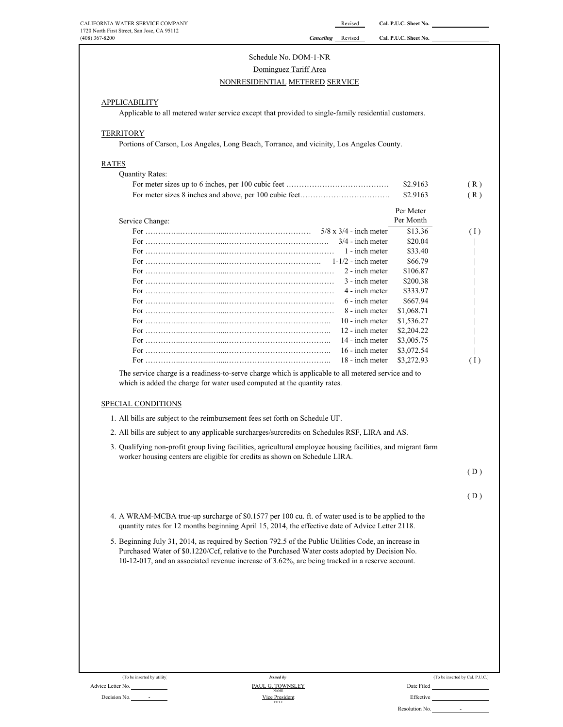# Schedule No. DOM-1-NR

# Dominguez Tariff Area

### NONRESIDENTIAL METERED SERVICE

#### **APPLICABILITY**

Applicable to all metered water service except that provided to single-family residential customers.

#### **TERRITORY**

Portions of Carson, Los Angeles, Long Beach, Torrance, and vicinity, Los Angeles County.

#### RATES

| <b>Quantity Rates:</b>        |            |     |
|-------------------------------|------------|-----|
|                               | \$2.9163   | (R) |
|                               | \$2.9163   | (R) |
|                               | Per Meter  |     |
| Service Change:               | Per Month  |     |
| $5/8 \times 3/4$ - inch meter | \$13.36    | (1) |
| $3/4$ - inch meter            | \$20.04    |     |
| 1 - inch meter                | \$33.40    |     |
|                               | \$66.79    |     |
| 2 - inch meter                | \$106.87   |     |
| 3 - inch meter                | \$200.38   |     |
| 4 - inch meter                | \$333.97   |     |
| 6 - inch meter                | \$667.94   |     |
| 8 - inch meter                | \$1,068.71 |     |
| $10$ - inch meter             | \$1,536.27 |     |
| 12 - inch meter               | \$2,204.22 |     |
| 14 - inch meter               | \$3,005.75 |     |
| 16 - inch meter               | \$3,072.54 |     |
| 18 - inch meter               | \$3,272.93 | (1) |

The service charge is a readiness-to-serve charge which is applicable to all metered service and to which is added the charge for water used computed at the quantity rates.

#### SPECIAL CONDITIONS

- 1. All bills are subject to the reimbursement fees set forth on Schedule UF.
- 2. All bills are subject to any applicable surcharges/surcredits on Schedules RSF, LIRA and AS.
- 3. Qualifying non-profit group living facilities, agricultural employee housing facilities, and migrant farm worker housing centers are eligible for credits as shown on Schedule LIRA.

 $(D)$ 

#### ( D )

- 4. A WRAM-MCBA true-up surcharge of \$0.1577 per 100 cu. ft. of water used is to be applied to the quantity rates for 12 months beginning April 15, 2014, the effective date of Advice Letter 2118.
- 5. Beginning July 31, 2014, as required by Section 792.5 of the Public Utilities Code, an increase in Purchased Water of \$0.1220/Ccf, relative to the Purchased Water costs adopted by Decision No. 10-12-017, and an associated revenue increase of 3.62%, are being tracked in a reserve account.

| (To be inserted by utility)              | <i>Issued by</i>                |            |
|------------------------------------------|---------------------------------|------------|
| Advice Letter No.                        | PAUL G. TOWNSLEY<br><b>NAME</b> | Date Filed |
| Decision No.<br>$\overline{\phantom{a}}$ | Vice President                  | Effective  |

TITLE NAME *Issued by* (To be inserted by Cal.  $P.U.C.$ )

-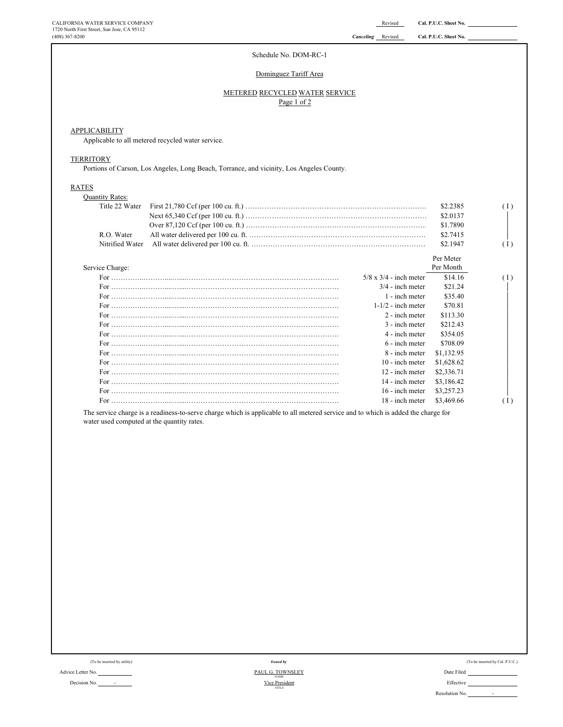Per Month

#### Schedule No. DOM-RC-1

#### Dominguez Tariff Area

#### METERED RECYCLED WATER SERVICE Page 1 of 2

#### **APPLICABILITY**

Applicable to all metered recycled water service.

#### **TERRITORY**

Portions of Carson, Los Angeles, Long Beach, Torrance, and vicinity, Los Angeles County.

#### RATES

| <b>Quantity Rates:</b> |           |          |
|------------------------|-----------|----------|
|                        | \$2.2385  | $(\bot)$ |
|                        | \$2,0137  |          |
|                        | \$1.7890  |          |
| R.O. Water             | \$2.7415  |          |
|                        | \$2,1947  | (I)      |
|                        | Per Meter |          |

#### Service Charge:

| $5/8 \times 3/4$ - inch meter | \$14.16    | (I)              |
|-------------------------------|------------|------------------|
| $3/4$ - inch meter            | \$21.24    |                  |
| 1 - inch meter                | \$35.40    |                  |
| $1-1/2$ - inch meter          | \$70.81    |                  |
| 2 - inch meter                | \$113.30   |                  |
| 3 - inch meter                | \$212.43   |                  |
| 4 - inch meter                | \$354.05   |                  |
| 6 - inch meter                | \$708.09   |                  |
| 8 - inch meter                | \$1,132.95 |                  |
| 10 - inch meter               | \$1,628.62 |                  |
| 12 - inch meter               | \$2,336.71 |                  |
| 14 - inch meter               | \$3,186.42 |                  |
| 16 - inch meter               | \$3,257.23 |                  |
| 18 - inch meter               | \$3,469.66 | $\left(1\right)$ |

The service charge is a readiness-to-serve charge which is applicable to all metered service and to which is added the charge for water used computed at the quantity rates.

| (To be inserted by utility) | <b>Issued by</b>                |            |
|-----------------------------|---------------------------------|------------|
| Advice Letter No.           | PAUL G. TOWNSLEY<br><b>NAME</b> | Date Filed |
| Decision No.                | Vice President                  | Effective  |

| (To be inserted by utility) | <b>Issued by</b>                | (To be inserted by Cal. P.U.C.) |
|-----------------------------|---------------------------------|---------------------------------|
| No.                         | PAUL G. TOWNSLEY<br><b>NAME</b> | Date Filed                      |
| No.<br>$\sim$               | Vice President<br>TITLE         | Effective                       |
|                             |                                 | Resolution No.<br>$\sim$        |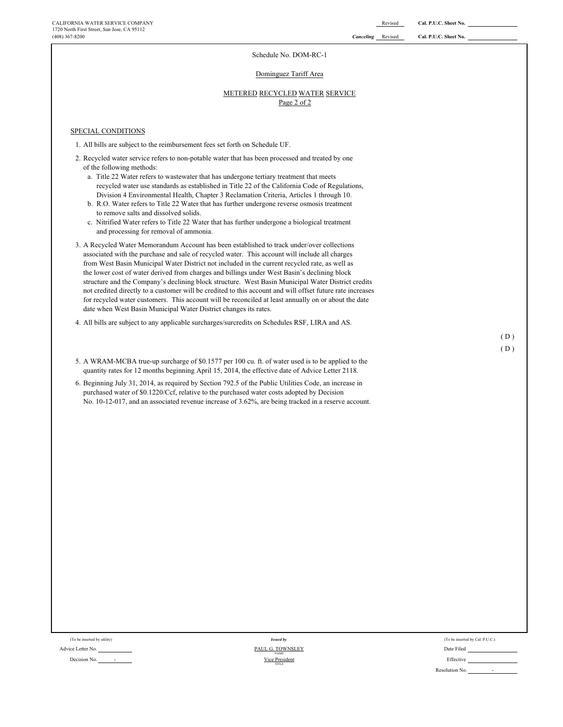#### Schedule No. DOM-RC-1

#### Dominguez Tariff Area

#### Page 2 of 2 METERED RECYCLED WATER SERVICE

SPECIAL CONDITIONS

- 1. All bills are subject to the reimbursement fees set forth on Schedule UF.
- 2. Recycled water service refers to non-potable water that has been processed and treated by one of the following methods:
	- a. Title 22 Water refers to wastewater that has undergone tertiary treatment that meets recycled water use standards as established in Title 22 of the California Code of Regulations, Division 4 Environmental Health, Chapter 3 Reclamation Criteria, Articles 1 through 10.
	- b. R.O. Water refers to Title 22 Water that has further undergone reverse osmosis treatment to remove salts and dissolved solids.
	- c. Nitrified Water refers to Title 22 Water that has further undergone a biological treatment and processing for removal of ammonia.
- 3. A Recycled Water Memorandum Account has been established to track under/over collections associated with the purchase and sale of recycled water. This account will include all charges from West Basin Municipal Water District not included in the current recycled rate, as well as the lower cost of water derived from charges and billings under West Basin's declining block structure and the Company's declining block structure. West Basin Municipal Water District credits not credited directly to a customer will be credited to this account and will offset future rate increases for recycled water customers. This account will be reconciled at least annually on or about the date date when West Basin Municipal Water District changes its rates.
- 4. All bills are subject to any applicable surcharges/surcredits on Schedules RSF, LIRA and AS.
- 5. A WRAM-MCBA true-up surcharge of \$0.1577 per 100 cu. ft. of water used is to be applied to the quantity rates for 12 months beginning April 15, 2014, the effective date of Advice Letter 2118.
- 6. Beginning July 31, 2014, as required by Section 792.5 of the Public Utilities Code, an increase in purchased water of \$0.1220/Ccf, relative to the purchased water costs adopted by Decision No. 10-12-017, and an associated revenue increase of 3.62%, are being tracked in a reserve account.

Advice Letter No. Date Filed Contact Advice Letter No. Date Filed Contact Advice Letter No.

Decision No. 2012 - 2022 - 2022 - 2022 - 2022 - 2022 - 2022 - 2022 - 2022 - 2022 - 2022 - 2022 - 2022 - 2022 - 2022 - 2022 - 2022 - 2022 - 2022 - 2022 - 2022 - 2022 - 2022 - 2022 - 2022 - 2022 - 2022 - 2022 - 2022 - 2022 -*Issued by* NAME Vice President TITLE

(To be inserted by utility) (To be inserted by Cal. P.U.C.) (To be inserted by Cal. P.U.C.) Resolution No. -

 $(D)$ ( D )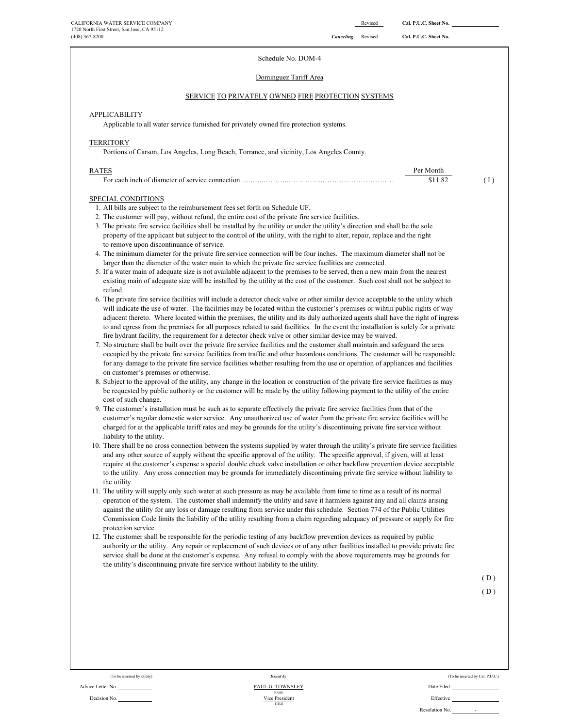# Schedule No. DOM-4

#### Dominguez Tariff Area

#### SERVICE TO PRIVATELY OWNED FIRE PROTECTION SYSTEMS

# **APPLICABILITY**

Applicable to all water service furnished for privately owned fire protection systems.

#### **TERRITORY**

Portions of Carson, Los Angeles, Long Beach, Torrance, and vicinity, Los Angeles County.

| RATES | Per Monti |  |
|-------|-----------|--|
|       |           |  |

#### SPECIAL CONDITIONS

- 1. All bills are subject to the reimbursement fees set forth on Schedule UF.
- 2. The customer will pay, without refund, the entire cost of the private fire service facilities.
- 3. The private fire service facilities shall be installed by the utility or under the utility's direction and shall be the sole property of the applicant but subject to the control of the utility, with the right to alter, repair, replace and the right to remove upon discontinuance of service.
- 4. The minimum diameter for the private fire service connection will be four inches. The maximum diameter shall not be larger than the diameter of the water main to which the private fire service facilities are connected.
- 5. If a water main of adequate size is not available adjacent to the premises to be served, then a new main from the nearest existing main of adequate size will be installed by the utility at the cost of the customer. Such cost shall not be subject to refund.
- 6. The private fire service facilities will include a detector check valve or other similar device acceptable to the utility which will indicate the use of water. The facilities may be located within the customer's premises or wihtin public rights of way adjacent thereto. Where located within the premises, the utility and its duly authorized agents shall have the right of ingress to and egress from the premises for all purposes related to said facilities. In the event the installation is solely for a private fire hydrant facility, the requirement for a detector check valve or other similar device may be waived.
- 7. No structure shall be built over the private fire service facilities and the customer shall maintain and safeguard the area occupied by the private fire service facilities from traffic and other hazardous conditions. The customer will be responsible for any damage to the private fire service facilities whether resulting from the use or operation of appliances and facilities on customer's premises or otherwise.
- 8. Subject to the approval of the utility, any change in the location or construction of the private fire service facilities as may be requested by public authority or the customer will be made by the utility following payment to the utility of the entire cost of such change.
- 9. The customer's installation must be such as to separate effectively the private fire service facilities from that of the customer's regular domestic water service. Any unauthorized use of water from the private fire service facilities will be charged for at the applicable tariff rates and may be grounds for the utility's discontinuing private fire service without liability to the utility.
- 10. There shall be no cross connection between the systems supplied by water through the utility's private fire service facilities and any other source of supply without the specific approval of the utility. The specific approval, if given, will at least require at the customer's expense a special double check valve installation or other backflow prevention device acceptable to the utility. Any cross connection may be grounds for immediately discontinuing private fire service without liability to the utility.
- 11. The utility will supply only such water at such pressure as may be available from time to time as a result of its normal operation of the system. The customer shall indemnify the utility and save it harmless against any and all claims arising against the utility for any loss or damage resulting from service under this schedule. Section 774 of the Public Utilities Commission Code limits the liability of the utility resulting from a claim regarding adequacy of pressure or supply for fire protection service.
- 12. The customer shall be responsible for the periodic testing of any backflow prevention devices as required by public authority or the utility. Any repair or replacement of such devices or of any other facilities installed to provide private fire service shall be done at the customer's expense. Any refusal to comply with the above requirements may be grounds for the utility's discontinuing private fire service without liability to the utility.

 $(D)$ 

 $(D)$ 

Advice Letter No. Date Filed States of the Contract of Tables and Tables and Tables and Tables and Tables and Date Filed

Decision No. **Effective** Effective **Decision** No. **Effective Effective Effective** TITLE *Issued by* NAME PAUL G. TOWNSLEY Vice President

(To be inserted by utility) (To be inserted by Cal. P.U.C.) Issued by Resolution No.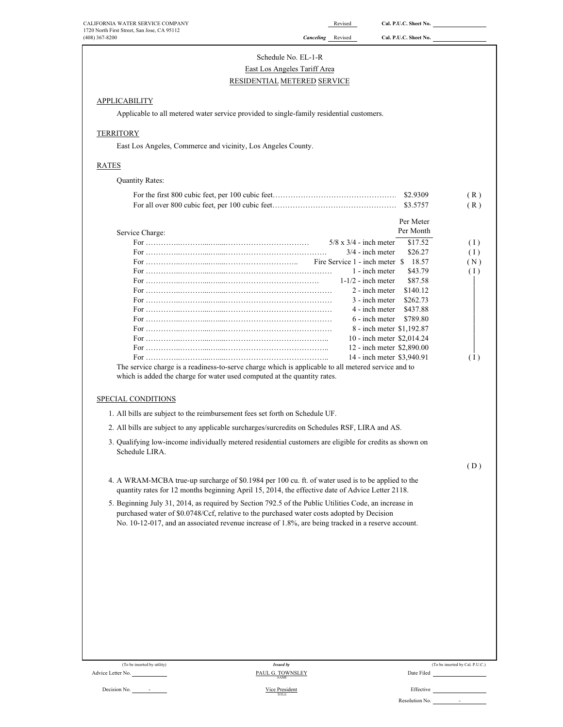| CALIFORNIA WATER SERVICE COMPANY                                                                                                                                                                       |                                 | Revised                                                  | Cal. P.U.C. Sheet No.  |                                 |
|--------------------------------------------------------------------------------------------------------------------------------------------------------------------------------------------------------|---------------------------------|----------------------------------------------------------|------------------------|---------------------------------|
| 1720 North First Street, San Jose, CA 95112<br>$(408)$ 367-8200                                                                                                                                        | <b>Canceling</b> Revised        |                                                          | Cal. P.U.C. Sheet No.  |                                 |
|                                                                                                                                                                                                        | Schedule No. EL-1-R             |                                                          |                        |                                 |
|                                                                                                                                                                                                        | East Los Angeles Tariff Area    |                                                          |                        |                                 |
|                                                                                                                                                                                                        | RESIDENTIAL METERED SERVICE     |                                                          |                        |                                 |
|                                                                                                                                                                                                        |                                 |                                                          |                        |                                 |
| <b>APPLICABILITY</b>                                                                                                                                                                                   |                                 |                                                          |                        |                                 |
| Applicable to all metered water service provided to single-family residential customers.                                                                                                               |                                 |                                                          |                        |                                 |
| <b>TERRITORY</b>                                                                                                                                                                                       |                                 |                                                          |                        |                                 |
| East Los Angeles, Commerce and vicinity, Los Angeles County.                                                                                                                                           |                                 |                                                          |                        |                                 |
| <b>RATES</b>                                                                                                                                                                                           |                                 |                                                          |                        |                                 |
| <b>Quantity Rates:</b>                                                                                                                                                                                 |                                 |                                                          |                        |                                 |
|                                                                                                                                                                                                        |                                 |                                                          |                        |                                 |
|                                                                                                                                                                                                        |                                 |                                                          | \$3.5757               | (R)<br>(R)                      |
|                                                                                                                                                                                                        |                                 |                                                          |                        |                                 |
| Service Charge:                                                                                                                                                                                        |                                 |                                                          | Per Meter<br>Per Month |                                 |
|                                                                                                                                                                                                        |                                 | $5/8 \times 3/4$ - inch meter                            | \$17.52                | (1)                             |
|                                                                                                                                                                                                        |                                 | $3/4$ - inch meter                                       | \$26.27                | (1)                             |
|                                                                                                                                                                                                        |                                 | Fire Service 1 - inch meter \$                           | 18.57                  | (N)                             |
|                                                                                                                                                                                                        |                                 | 1 - inch meter                                           | \$43.79                | (1)                             |
|                                                                                                                                                                                                        |                                 | $1-1/2$ - inch meter                                     | \$87.58                |                                 |
|                                                                                                                                                                                                        |                                 | 2 - inch meter                                           | \$140.12               |                                 |
|                                                                                                                                                                                                        |                                 | 3 - inch meter                                           | \$262.73               |                                 |
|                                                                                                                                                                                                        |                                 | 4 - inch meter                                           | \$437.88               |                                 |
|                                                                                                                                                                                                        |                                 | 6 - inch meter                                           | \$789.80               |                                 |
|                                                                                                                                                                                                        |                                 | 8 - inch meter \$1,192.87                                |                        |                                 |
|                                                                                                                                                                                                        |                                 | 10 - inch meter \$2,014.24                               |                        |                                 |
|                                                                                                                                                                                                        |                                 | 12 - inch meter \$2,890.00<br>14 - inch meter \$3,940.91 |                        | (1)                             |
| The service charge is a readiness-to-serve charge which is applicable to all metered service and to<br>which is added the charge for water used computed at the quantity rates.<br>SPECIAL CONDITIONS  |                                 |                                                          |                        |                                 |
| 1. All bills are subject to the reimbursement fees set forth on Schedule UF.                                                                                                                           |                                 |                                                          |                        |                                 |
|                                                                                                                                                                                                        |                                 |                                                          |                        |                                 |
| 2. All bills are subject to any applicable surcharges/surcredits on Schedules RSF, LIRA and AS                                                                                                         |                                 |                                                          |                        |                                 |
| 3. Qualifying low-income individually metered residential customers are eligible for credits as shown on<br>Schedule LIRA.                                                                             |                                 |                                                          |                        |                                 |
|                                                                                                                                                                                                        |                                 |                                                          |                        | (D)                             |
| 4. A WRAM-MCBA true-up surcharge of \$0.1984 per 100 cu. ft. of water used is to be applied to the<br>quantity rates for 12 months beginning April 15, 2014, the effective date of Advice Letter 2118. |                                 |                                                          |                        |                                 |
| 5. Beginning July 31, 2014, as required by Section 792.5 of the Public Utilities Code, an increase in                                                                                                  |                                 |                                                          |                        |                                 |
| purchased water of \$0.0748/Ccf, relative to the purchased water costs adopted by Decision<br>No. 10-12-017, and an associated revenue increase of 1.8%, are being tracked in a reserve account.       |                                 |                                                          |                        |                                 |
|                                                                                                                                                                                                        |                                 |                                                          |                        |                                 |
|                                                                                                                                                                                                        |                                 |                                                          |                        |                                 |
|                                                                                                                                                                                                        |                                 |                                                          |                        |                                 |
|                                                                                                                                                                                                        |                                 |                                                          |                        |                                 |
|                                                                                                                                                                                                        |                                 |                                                          |                        |                                 |
|                                                                                                                                                                                                        |                                 |                                                          |                        |                                 |
|                                                                                                                                                                                                        |                                 |                                                          |                        |                                 |
|                                                                                                                                                                                                        |                                 |                                                          |                        |                                 |
|                                                                                                                                                                                                        |                                 |                                                          |                        |                                 |
|                                                                                                                                                                                                        |                                 |                                                          |                        |                                 |
| (To be inserted by utility)                                                                                                                                                                            | <b>Issued by</b>                |                                                          |                        | (To be inserted by Cal. P.U.C.) |
| Advice Letter No.                                                                                                                                                                                      | PAUL G. TOWNSLEY<br><b>NAME</b> |                                                          | Date Filed             |                                 |
| Decision No.                                                                                                                                                                                           | Vice President                  |                                                          | Effective              |                                 |
|                                                                                                                                                                                                        | TITLE                           |                                                          |                        |                                 |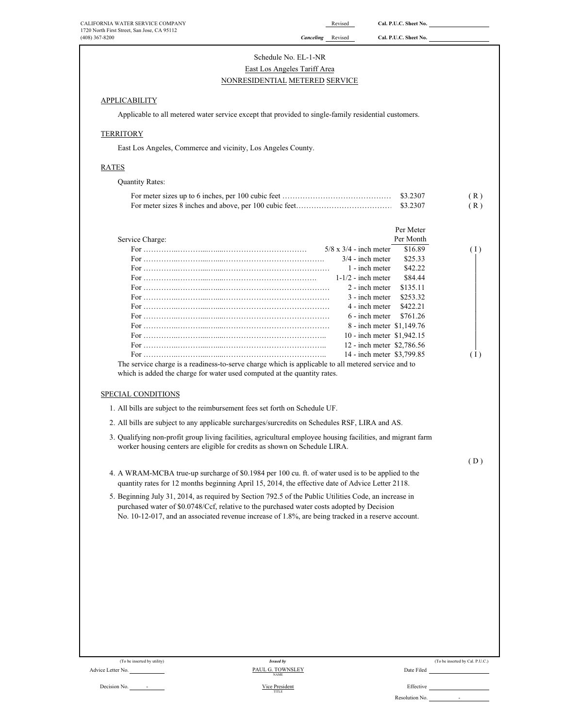| CALIFORNIA WATER SERVICE COMPANY<br>1720 North First Street, San Jose, CA 95112 |                                                                                                                                                                                                        | Revised                       | Cal. P.U.C. Sheet No.           |                                 |
|---------------------------------------------------------------------------------|--------------------------------------------------------------------------------------------------------------------------------------------------------------------------------------------------------|-------------------------------|---------------------------------|---------------------------------|
| $(408)$ 367-8200                                                                |                                                                                                                                                                                                        | <b>Canceling</b> Revised      | Cal. P.U.C. Sheet No.           |                                 |
|                                                                                 | Schedule No. EL-1-NR                                                                                                                                                                                   |                               |                                 |                                 |
|                                                                                 | East Los Angeles Tariff Area                                                                                                                                                                           |                               |                                 |                                 |
|                                                                                 | NONRESIDENTIAL METERED SERVICE                                                                                                                                                                         |                               |                                 |                                 |
| <b>APPLICABILITY</b>                                                            |                                                                                                                                                                                                        |                               |                                 |                                 |
|                                                                                 | Applicable to all metered water service except that provided to single-family residential customers.                                                                                                   |                               |                                 |                                 |
|                                                                                 |                                                                                                                                                                                                        |                               |                                 |                                 |
| <b>TERRITORY</b>                                                                |                                                                                                                                                                                                        |                               |                                 |                                 |
|                                                                                 | East Los Angeles, Commerce and vicinity, Los Angeles County.                                                                                                                                           |                               |                                 |                                 |
| <b>RATES</b>                                                                    |                                                                                                                                                                                                        |                               |                                 |                                 |
| <b>Quantity Rates:</b>                                                          |                                                                                                                                                                                                        |                               |                                 |                                 |
|                                                                                 |                                                                                                                                                                                                        |                               |                                 | (R)                             |
|                                                                                 |                                                                                                                                                                                                        |                               |                                 | (R)                             |
|                                                                                 |                                                                                                                                                                                                        |                               | Per Meter                       |                                 |
| Service Charge:                                                                 |                                                                                                                                                                                                        |                               | Per Month                       |                                 |
|                                                                                 |                                                                                                                                                                                                        | $5/8 \times 3/4$ - inch meter | \$16.89                         | (1)                             |
|                                                                                 |                                                                                                                                                                                                        |                               | $3/4$ - inch meter<br>\$25.33   |                                 |
|                                                                                 |                                                                                                                                                                                                        |                               | \$42.22<br>1 - inch meter       |                                 |
|                                                                                 |                                                                                                                                                                                                        |                               | \$84.44<br>$1-1/2$ - inch meter |                                 |
|                                                                                 |                                                                                                                                                                                                        |                               | \$135.11<br>2 - inch meter      |                                 |
|                                                                                 |                                                                                                                                                                                                        |                               | 3 - inch meter<br>\$253.32      |                                 |
|                                                                                 |                                                                                                                                                                                                        |                               | 4 - inch meter<br>\$422.21      |                                 |
|                                                                                 |                                                                                                                                                                                                        |                               | \$761.26<br>6 - inch meter      |                                 |
|                                                                                 |                                                                                                                                                                                                        |                               | 8 - inch meter \$1,149.76       |                                 |
|                                                                                 |                                                                                                                                                                                                        |                               | 10 - inch meter \$1,942.15      |                                 |
|                                                                                 |                                                                                                                                                                                                        |                               | 12 - inch meter \$2,786.56      |                                 |
|                                                                                 |                                                                                                                                                                                                        |                               | 14 - inch meter \$3,799.85      | (1)                             |
|                                                                                 | The service charge is a readiness-to-serve charge which is applicable to all metered service and to<br>which is added the charge for water used computed at the quantity rates.                        |                               |                                 |                                 |
| SPECIAL CONDITIONS                                                              |                                                                                                                                                                                                        |                               |                                 |                                 |
|                                                                                 | 1. All bills are subject to the reimbursement fees set forth on Schedule UF.                                                                                                                           |                               |                                 |                                 |
|                                                                                 | 2. All bills are subject to any applicable surcharges/surcredits on Schedules RSF, LIRA and AS.                                                                                                        |                               |                                 |                                 |
|                                                                                 | 3. Qualifying non-profit group living facilities, agricultural employee housing facilities, and migrant farm<br>worker housing centers are eligible for credits as shown on Schedule LIRA.             |                               |                                 |                                 |
|                                                                                 |                                                                                                                                                                                                        |                               |                                 | (D)                             |
|                                                                                 | 4. A WRAM-MCBA true-up surcharge of \$0.1984 per 100 cu. ft. of water used is to be applied to the<br>quantity rates for 12 months beginning April 15, 2014, the effective date of Advice Letter 2118. |                               |                                 |                                 |
|                                                                                 | 5. Beginning July 31, 2014, as required by Section 792.5 of the Public Utilities Code, an increase in<br>purchased water of \$0.0748/Ccf, relative to the purchased water costs adopted by Decision    |                               |                                 |                                 |
|                                                                                 | No. 10-12-017, and an associated revenue increase of 1.8%, are being tracked in a reserve account.                                                                                                     |                               |                                 |                                 |
|                                                                                 |                                                                                                                                                                                                        |                               |                                 |                                 |
|                                                                                 |                                                                                                                                                                                                        |                               |                                 |                                 |
|                                                                                 |                                                                                                                                                                                                        |                               |                                 |                                 |
|                                                                                 |                                                                                                                                                                                                        |                               |                                 |                                 |
|                                                                                 |                                                                                                                                                                                                        |                               |                                 |                                 |
|                                                                                 |                                                                                                                                                                                                        |                               |                                 |                                 |
|                                                                                 |                                                                                                                                                                                                        |                               |                                 |                                 |
|                                                                                 |                                                                                                                                                                                                        |                               |                                 |                                 |
| (To be inserted by utility)<br>Advice Letter No.                                | <b>Issued by</b><br>PAUL G. TOWNSLEY                                                                                                                                                                   |                               | Date Filed                      | (To be inserted by Cal. P.U.C.) |
|                                                                                 | <b>NAME</b>                                                                                                                                                                                            |                               |                                 |                                 |
| Decision No.                                                                    | <b>Vice President</b><br>TITLE                                                                                                                                                                         |                               | Effective                       |                                 |

Resolution No. -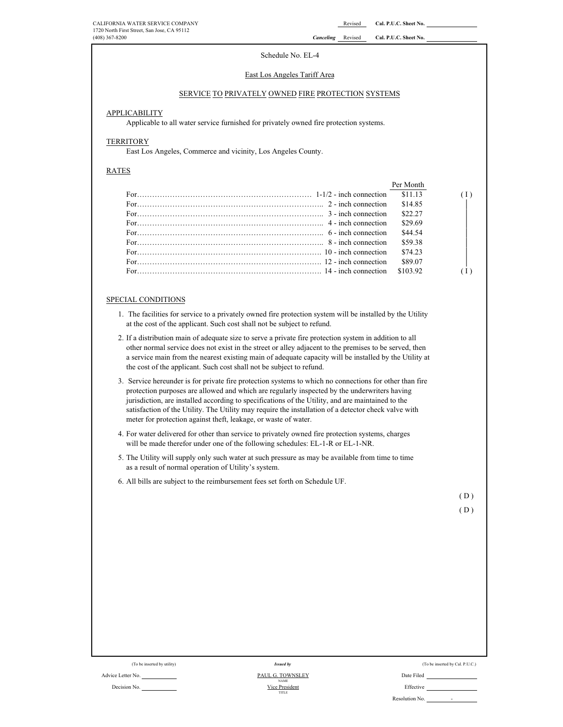#### Schedule No. EL-4

#### East Los Angeles Tariff Area

## SERVICE TO PRIVATELY OWNED FIRE PROTECTION SYSTEMS

### APPLICABILITY

Applicable to all water service furnished for privately owned fire protection systems.

# **TERRITORY**

East Los Angeles, Commerce and vicinity, Los Angeles County.

#### RATES

|                                                                                                                                                                                                                                                                                                                                         | Per Month |  |
|-----------------------------------------------------------------------------------------------------------------------------------------------------------------------------------------------------------------------------------------------------------------------------------------------------------------------------------------|-----------|--|
|                                                                                                                                                                                                                                                                                                                                         | \$11.13   |  |
| For $\ldots$ $\ldots$ $\ldots$ $\ldots$ $\ldots$ $\ldots$ $\ldots$ $\ldots$ $\ldots$ $\ldots$ $\ldots$ $\ldots$ $\ldots$ $\ldots$ $\ldots$ $\ldots$ $\ldots$ $\ldots$ $\ldots$ $\ldots$ $\ldots$ $\ldots$ $\ldots$ $\ldots$ $\ldots$ $\ldots$ $\ldots$ $\ldots$ $\ldots$ $\ldots$ $\ldots$ $\ldots$ $\ldots$ $\ldots$ $\ldots$ $\ldots$ | \$14.85   |  |
| For $\ldots$ $\ldots$ $\ldots$ $\ldots$ $\ldots$ $\ldots$ $\ldots$ $\ldots$ $\ldots$ $\ldots$ $\ldots$ $\ldots$ $\ldots$ $\ldots$ $\ldots$ $\ldots$ $\ldots$ $\ldots$ $\ldots$ $\ldots$ $\ldots$ $\ldots$ $\ldots$ $\ldots$ $\ldots$                                                                                                    | \$22.27   |  |
|                                                                                                                                                                                                                                                                                                                                         | \$29.69   |  |
| For $\cdots$ $\cdots$ $\cdots$ $\cdots$ $\cdots$ $\cdots$ $\cdots$ $\cdots$ $\cdots$ $\cdots$ $\cdots$ $\cdots$ $\cdots$ $\cdots$ $\cdots$ $\cdots$ $\cdots$ $\cdots$                                                                                                                                                                   | \$44.54   |  |
| For $\ldots$ $\ldots$ $\ldots$ $\ldots$ $\ldots$ $\ldots$ $\ldots$ $\ldots$ $\ldots$ $\ldots$ $\ldots$ $\ldots$ $\ldots$ $\ldots$ $\ldots$ $\ldots$ $\ldots$ $\ldots$ $\ldots$ $\ldots$ $\ldots$ $\ldots$ $\ldots$ $\ldots$ $\ldots$ $\ldots$ $\ldots$ $\ldots$ $\ldots$ $\ldots$ $\ldots$ $\ldots$ $\ldots$ $\ldots$ $\ldots$ $\ldots$ | \$59.38   |  |
| For <i></i>                                                                                                                                                                                                                                                                                                                             | \$74.23   |  |
| For $\ldots$ is a set of $\ldots$ is a set of $\ldots$ is a set of $\ldots$ in $\ldots$ in $\ldots$ in $\ldots$ in $\ldots$ in $\ldots$ in $\ldots$ is a set of $\ldots$ in $\ldots$ in $\ldots$ in $\ldots$ in $\ldots$ in $\ldots$ in $\ldots$ in $\ldots$ in $\ldots$ in $\ldots$ in                                                 | \$89.07   |  |
| $For$ 14 - inch connection                                                                                                                                                                                                                                                                                                              | \$103.92  |  |

## SPECIAL CONDITIONS

- 1. The facilities for service to a privately owned fire protection system will be installed by the Utility at the cost of the applicant. Such cost shall not be subject to refund.
- 2. If a distribution main of adequate size to serve a private fire protection system in addition to all other normal service does not exist in the street or alley adjacent to the premises to be served, then a service main from the nearest existing main of adequate capacity will be installed by the Utility at the cost of the applicant. Such cost shall not be subject to refund.
- 3. Service hereunder is for private fire protection systems to which no connections for other than fire protection purposes are allowed and which are regularly inspected by the underwriters having jurisdiction, are installed according to specifications of the Utility, and are maintained to the satisfaction of the Utility. The Utility may require the installation of a detector check valve with meter for protection against theft, leakage, or waste of water.
- 4. For water delivered for other than service to privately owned fire protection systems, charges will be made therefor under one of the following schedules: EL-1-R or EL-1-NR.
- 5. The Utility will supply only such water at such pressure as may be available from time to time as a result of normal operation of Utility's system.
- 6. All bills are subject to the reimbursement fees set forth on Schedule UF.

( D )

( D )

| (To be inserted by utility) | Issued by                     | (To be inserted by Cal. P.U.C.) |
|-----------------------------|-------------------------------|---------------------------------|
| Advice Letter No.           | PAUL G. TOWNSLEY              | Date Filed                      |
| Decision No.                | <b>NAME</b><br>Vice President | Effective                       |
|                             | TITLE                         | Resolution No.<br>. .           |

| vice Letter No. |  |
|-----------------|--|
|                 |  |

-

| ite Filed        |  |
|------------------|--|
|                  |  |
| <b>iffective</b> |  |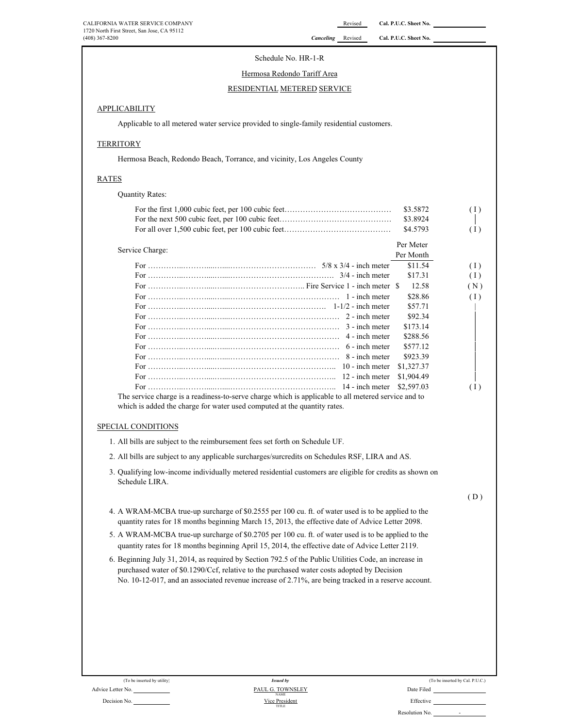# Schedule No. HR-1-R

#### Hermosa Redondo Tariff Area

# RESIDENTIAL METERED SERVICE

# APPLICABILITY

Applicable to all metered water service provided to single-family residential customers.

# **TERRITORY**

Hermosa Beach, Redondo Beach, Torrance, and vicinity, Los Angeles County

# RATES

Quantity Rates:

|                                                                                                     | \$3.5872   | (1) |
|-----------------------------------------------------------------------------------------------------|------------|-----|
|                                                                                                     | \$3.8924   |     |
|                                                                                                     | \$4.5793   | (1) |
| Service Charge:                                                                                     | Per Meter  |     |
|                                                                                                     | Per Month  |     |
|                                                                                                     | \$11.54    | (1) |
|                                                                                                     | \$17.31    | (1) |
|                                                                                                     | 12.58      | (N) |
|                                                                                                     | \$28.86    | (1) |
|                                                                                                     | \$57.71    |     |
|                                                                                                     | \$92.34    |     |
|                                                                                                     | \$173.14   |     |
|                                                                                                     | \$288.56   |     |
|                                                                                                     | \$577.12   |     |
|                                                                                                     | \$923.39   |     |
|                                                                                                     | \$1,327.37 |     |
|                                                                                                     | \$1,904.49 |     |
|                                                                                                     | \$2,597.03 | (1) |
| The service charge is a readiness-to-serve charge which is applicable to all metered service and to |            |     |
| which is added the charge for water used computed at the quantity rates.                            |            |     |

# SPECIAL CONDITIONS

- 1. All bills are subject to the reimbursement fees set forth on Schedule UF.
- 2. All bills are subject to any applicable surcharges/surcredits on Schedules RSF, LIRA and AS.
- 3. Qualifying low-income individually metered residential customers are eligible for credits as shown on Schedule LIRA.

 $(D)$ 

- 4. A WRAM-MCBA true-up surcharge of \$0.2555 per 100 cu. ft. of water used is to be applied to the quantity rates for 18 months beginning March 15, 2013, the effective date of Advice Letter 2098.
- 5. A WRAM-MCBA true-up surcharge of \$0.2705 per 100 cu. ft. of water used is to be applied to the quantity rates for 18 months beginning April 15, 2014, the effective date of Advice Letter 2119.
- 6. Beginning July 31, 2014, as required by Section 792.5 of the Public Utilities Code, an increase in purchased water of \$0.1290/Ccf, relative to the purchased water costs adopted by Decision No. 10-12-017, and an associated revenue increase of 2.71%, are being tracked in a reserve account.

| (To be inserted by utility) | <b>Issued by</b>                |            |
|-----------------------------|---------------------------------|------------|
| Advice Letter No.           | PAUL G. TOWNSLEY<br><b>NAME</b> | Date Filed |
| Decision No.                | Vice President                  | Effective  |

| (To be inserted by utility) | Issued by                       | (To be inserted by Cal. P.U.C.) |
|-----------------------------|---------------------------------|---------------------------------|
| No.                         | PAUL G. TOWNSLEY<br><b>NAME</b> | Date Filed                      |
| No.                         | Vice President<br>TITLE         | Effective                       |
|                             |                                 | Resolution No.                  |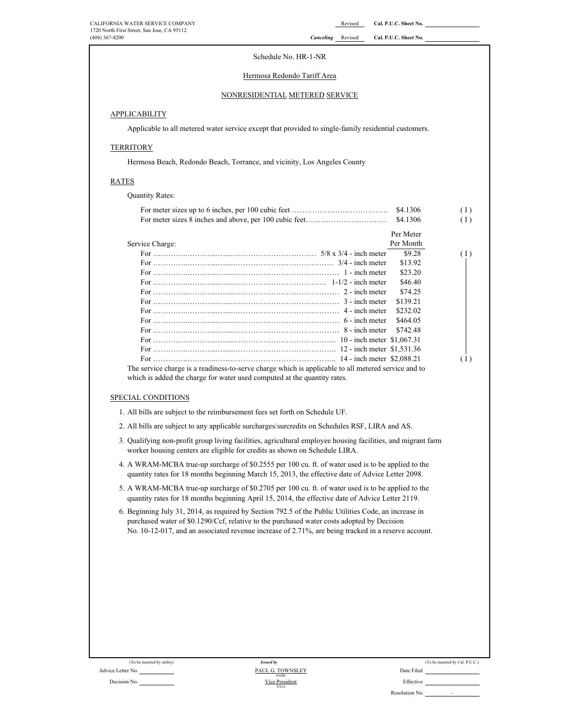# Schedule No. HR-1-NR

# Hermosa Redondo Tariff Area

# NONRESIDENTIAL METERED SERVICE

# **APPLICABILITY**

Applicable to all metered water service except that provided to single-family residential customers.

#### **TERRITORY**

Hermosa Beach, Redondo Beach, Torrance, and vicinity, Los Angeles County

# RATES

Quantity Rates:

|                                                                                                     |           | (1) |
|-----------------------------------------------------------------------------------------------------|-----------|-----|
|                                                                                                     |           | (1) |
|                                                                                                     | Per Meter |     |
| Service Charge:                                                                                     | Per Month |     |
|                                                                                                     | \$9.28    | (1) |
|                                                                                                     | \$13.92   |     |
|                                                                                                     | \$23.20   |     |
|                                                                                                     | \$46.40   |     |
|                                                                                                     | \$74.25   |     |
|                                                                                                     | \$139.21  |     |
|                                                                                                     | \$232.02  |     |
|                                                                                                     | \$464.05  |     |
|                                                                                                     | \$742.48  |     |
|                                                                                                     |           |     |
|                                                                                                     |           |     |
|                                                                                                     |           | (1) |
| The service charge is a readiness-to-serve charge which is applicable to all metered service and to |           |     |

which is added the charge for water used computed at the quantity rates.

#### SPECIAL CONDITIONS

1. All bills are subject to the reimbursement fees set forth on Schedule UF.

2. All bills are subject to any applicable surcharges/surcredits on Schedules RSF, LIRA and AS.

- 3. Qualifying non-profit group living facilities, agricultural employee housing facilities, and migrant farm worker housing centers are eligible for credits as shown on Schedule LIRA.
- 4. A WRAM-MCBA true-up surcharge of \$0.2555 per 100 cu. ft. of water used is to be applied to the quantity rates for 18 months beginning March 15, 2013, the effective date of Advice Letter 2098.
- 5. A WRAM-MCBA true-up surcharge of \$0.2705 per 100 cu. ft. of water used is to be applied to the quantity rates for 18 months beginning April 15, 2014, the effective date of Advice Letter 2119.

6. Beginning July 31, 2014, as required by Section 792.5 of the Public Utilities Code, an increase in purchased water of \$0.1290/Ccf, relative to the purchased water costs adopted by Decision No. 10-12-017, and an associated revenue increase of 2.71%, are being tracked in a reserve account.

| (To be inserted by utility)                                     | <b>Issued by</b>                |                                  |
|-----------------------------------------------------------------|---------------------------------|----------------------------------|
| Advice Letter No.                                               | PAUL G. TOWNSLEY<br><b>NAME</b> | Date Filed                       |
| $\mathbf{D}$ and $\mathbf{L}$ and $\mathbf{M}$ and $\mathbf{L}$ | Visa Davidson                   | $\Gamma$ CC $\sim$ $\sim$ $\sim$ |

| (To be inserted by utility) | <b>Issued by</b>                | (To be inserted by Cal. P.U.C.)            |
|-----------------------------|---------------------------------|--------------------------------------------|
| No.                         | PAUL G. TOWNSLEY<br><b>NAME</b> | Date Filed                                 |
| No.                         | Vice President<br>TITLE         | Effective                                  |
|                             |                                 | Resolution No.<br>$\overline{\phantom{a}}$ |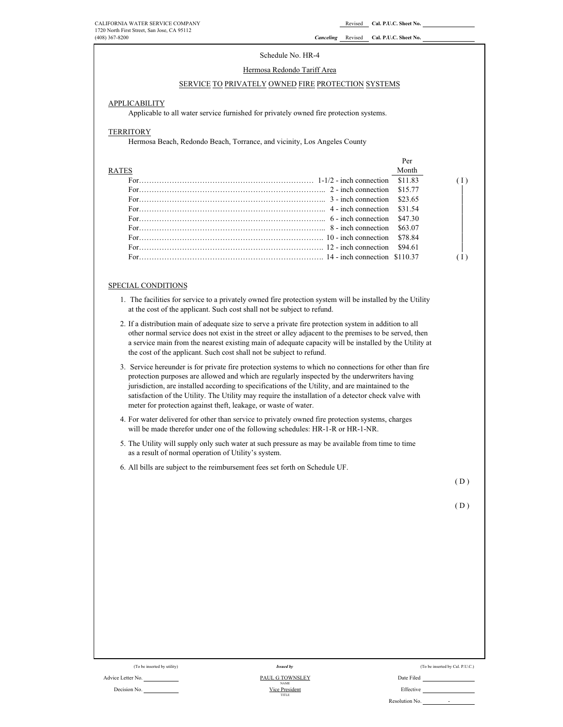#### Schedule No. HR-4

# Hermosa Redondo Tariff Area

#### SERVICE TO PRIVATELY OWNED FIRE PROTECTION SYSTEMS

#### **APPLICABILITY**

Applicable to all water service furnished for privately owned fire protection systems.

#### **TERRITORY**

Hermosa Beach, Redondo Beach, Torrance, and vicinity, Los Angeles County

|                                                                                                                                               | Per     |  |
|-----------------------------------------------------------------------------------------------------------------------------------------------|---------|--|
| <b>RATES</b>                                                                                                                                  | Month   |  |
| For $\ldots$ inches the connection $1-1/2$ - inch connection                                                                                  | \$11.83 |  |
|                                                                                                                                               | \$15.77 |  |
| For $\frac{1}{2}$ = inch connection \$23.65                                                                                                   |         |  |
|                                                                                                                                               |         |  |
|                                                                                                                                               | \$47.30 |  |
| For $\sim$ 8 - inch connection                                                                                                                | \$63.07 |  |
|                                                                                                                                               | \$78.84 |  |
| For $\ldots$ in $\ldots$ is a set of $\ldots$ is a set of $\ldots$ in $\ldots$ $\ldots$ $\ldots$ $\ldots$ $\ldots$ $\ldots$ $\ldots$ $\ldots$ | \$94.61 |  |
| For $\frac{1}{4}$ = inch connection \$110.37                                                                                                  |         |  |

#### SPECIAL CONDITIONS

- 1. The facilities for service to a privately owned fire protection system will be installed by the Utility at the cost of the applicant. Such cost shall not be subject to refund.
- 2. If a distribution main of adequate size to serve a private fire protection system in addition to all other normal service does not exist in the street or alley adjacent to the premises to be served, then a service main from the nearest existing main of adequate capacity will be installed by the Utility at the cost of the applicant. Such cost shall not be subject to refund.
- 3. Service hereunder is for private fire protection systems to which no connections for other than fire protection purposes are allowed and which are regularly inspected by the underwriters having jurisdiction, are installed according to specifications of the Utility, and are maintained to the satisfaction of the Utility. The Utility may require the installation of a detector check valve with meter for protection against theft, leakage, or waste of water.
- 4. For water delivered for other than service to privately owned fire protection systems, charges will be made therefor under one of the following schedules: HR-1-R or HR-1-NR.
- 5. The Utility will supply only such water at such pressure as may be available from time to time as a result of normal operation of Utility's system.
- 6. All bills are subject to the reimbursement fees set forth on Schedule UF.

 $(D)$ 

| I |  |
|---|--|
|   |  |

| (To be inserted by utility) | Issued by                             | (To be inserted by Cal. P.U.C.) |  |
|-----------------------------|---------------------------------------|---------------------------------|--|
| Advice Letter No.           | <b>PAUL G TOWNSLEY</b><br><b>NAME</b> | Date Filed                      |  |
| Decision No.                | Vice President<br>TITLE               | Effective                       |  |
|                             |                                       | Resolution No.<br>-             |  |

| ivice Letter No. |  |  |
|------------------|--|--|
|                  |  |  |
| Decision No.     |  |  |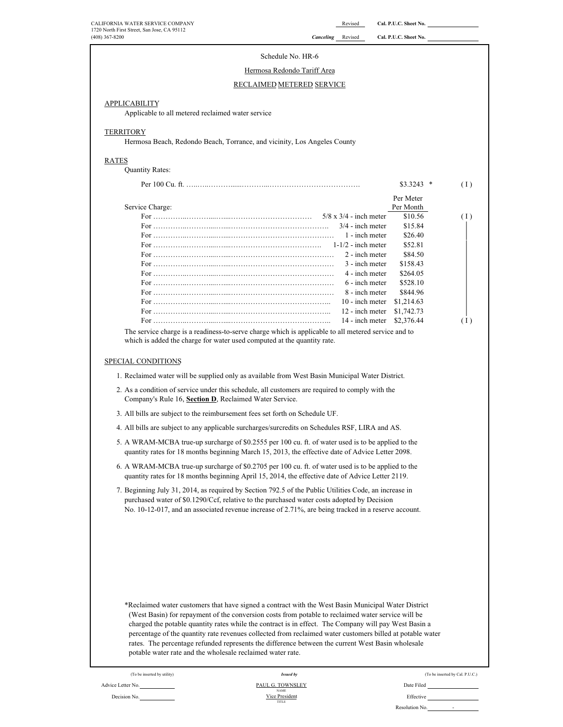| CALIFORNIA WATER SERVICE COMPANY<br>1720 North First Street, San Jose, CA 95112 |                                                                                                                                                                                                                                                                                                                    | Revised                          | Cal. P.U.C. Sheet No. |                                 |
|---------------------------------------------------------------------------------|--------------------------------------------------------------------------------------------------------------------------------------------------------------------------------------------------------------------------------------------------------------------------------------------------------------------|----------------------------------|-----------------------|---------------------------------|
| $(408)$ 367-8200                                                                |                                                                                                                                                                                                                                                                                                                    | <b>Canceling</b> Revised         | Cal. P.U.C. Sheet No. |                                 |
|                                                                                 | Schedule No. HR-6                                                                                                                                                                                                                                                                                                  |                                  |                       |                                 |
|                                                                                 | Hermosa Redondo Tariff Area                                                                                                                                                                                                                                                                                        |                                  |                       |                                 |
|                                                                                 |                                                                                                                                                                                                                                                                                                                    |                                  |                       |                                 |
|                                                                                 | RECLAIMED METERED SERVICE                                                                                                                                                                                                                                                                                          |                                  |                       |                                 |
| <b>APPLICABILITY</b>                                                            |                                                                                                                                                                                                                                                                                                                    |                                  |                       |                                 |
| Applicable to all metered reclaimed water service                               |                                                                                                                                                                                                                                                                                                                    |                                  |                       |                                 |
|                                                                                 |                                                                                                                                                                                                                                                                                                                    |                                  |                       |                                 |
| <b>TERRITORY</b>                                                                | Hermosa Beach, Redondo Beach, Torrance, and vicinity, Los Angeles County                                                                                                                                                                                                                                           |                                  |                       |                                 |
|                                                                                 |                                                                                                                                                                                                                                                                                                                    |                                  |                       |                                 |
| <b>RATES</b><br><b>Quantity Rates:</b>                                          |                                                                                                                                                                                                                                                                                                                    |                                  |                       |                                 |
|                                                                                 |                                                                                                                                                                                                                                                                                                                    |                                  |                       |                                 |
|                                                                                 |                                                                                                                                                                                                                                                                                                                    |                                  | $$3.3243$ *           | (1)                             |
|                                                                                 |                                                                                                                                                                                                                                                                                                                    |                                  | Per Meter             |                                 |
| Service Charge:                                                                 |                                                                                                                                                                                                                                                                                                                    | $5/8$ x $3/4$ - inch meter       | Per Month<br>\$10.56  | (1)                             |
|                                                                                 |                                                                                                                                                                                                                                                                                                                    | $3/4$ - inch meter               | \$15.84               |                                 |
|                                                                                 |                                                                                                                                                                                                                                                                                                                    | 1 - inch meter                   | \$26.40               |                                 |
|                                                                                 |                                                                                                                                                                                                                                                                                                                    | $1-1/2$ - inch meter             | \$52.81               |                                 |
|                                                                                 |                                                                                                                                                                                                                                                                                                                    | 2 - inch meter                   | \$84.50               |                                 |
|                                                                                 |                                                                                                                                                                                                                                                                                                                    | 3 - inch meter                   | \$158.43              |                                 |
|                                                                                 |                                                                                                                                                                                                                                                                                                                    | 4 - inch meter<br>6 - inch meter | \$264.05<br>\$528.10  |                                 |
|                                                                                 |                                                                                                                                                                                                                                                                                                                    | 8 - inch meter                   | \$844.96              |                                 |
|                                                                                 |                                                                                                                                                                                                                                                                                                                    | 10 - inch meter                  | \$1,214.63            |                                 |
|                                                                                 |                                                                                                                                                                                                                                                                                                                    | 12 - inch meter                  | \$1,742.73            |                                 |
|                                                                                 |                                                                                                                                                                                                                                                                                                                    | 14 - inch meter                  | \$2,376.44            | (1)                             |
|                                                                                 | 1. Reclaimed water will be supplied only as available from West Basin Municipal Water District.<br>2. As a condition of service under this schedule, all customers are required to comply with the                                                                                                                 |                                  |                       |                                 |
| Company's Rule 16, Section D, Reclaimed Water Service.                          | 3. All bills are subject to the reimbursement fees set forth on Schedule UF.                                                                                                                                                                                                                                       |                                  |                       |                                 |
|                                                                                 | 4. All bills are subject to any applicable surcharges/surcredits on Schedules RSF, LIRA and AS.                                                                                                                                                                                                                    |                                  |                       |                                 |
|                                                                                 |                                                                                                                                                                                                                                                                                                                    |                                  |                       |                                 |
|                                                                                 | 5. A WRAM-MCBA true-up surcharge of \$0.2555 per 100 cu. ft. of water used is to be applied to the<br>quantity rates for 18 months beginning March 15, 2013, the effective date of Advice Letter 2098.                                                                                                             |                                  |                       |                                 |
|                                                                                 | 6. A WRAM-MCBA true-up surcharge of \$0.2705 per 100 cu. ft. of water used is to be applied to the<br>quantity rates for 18 months beginning April 15, 2014, the effective date of Advice Letter 2119.                                                                                                             |                                  |                       |                                 |
|                                                                                 | 7. Beginning July 31, 2014, as required by Section 792.5 of the Public Utilities Code, an increase in<br>purchased water of \$0.1290/Ccf, relative to the purchased water costs adopted by Decision<br>No. 10-12-017, and an associated revenue increase of 2.71%, are being tracked in a reserve account.         |                                  |                       |                                 |
|                                                                                 | *Reclaimed water customers that have signed a contract with the West Basin Municipal Water District<br>(West Basin) for repayment of the conversion costs from potable to reclaimed water service will be<br>charged the potable quantity rates while the contract is in effect. The Company will pay West Basin a |                                  |                       |                                 |
| potable water rate and the wholesale reclaimed water rate.                      | percentage of the quantity rate revenues collected from reclaimed water customers billed at potable water<br>rates. The percentage refunded represents the difference between the current West Basin wholesale                                                                                                     |                                  |                       |                                 |
| (To be inserted by utility)                                                     | <b>Issued by</b>                                                                                                                                                                                                                                                                                                   |                                  |                       | (To be inserted by Cal. P.U.C.) |
| Advice Letter No.                                                               | PAUL G. TOWNSLEY<br><b>NAME</b>                                                                                                                                                                                                                                                                                    |                                  | Date Filed            |                                 |

Vice President

TITLE

Resolution No. -

Decision No.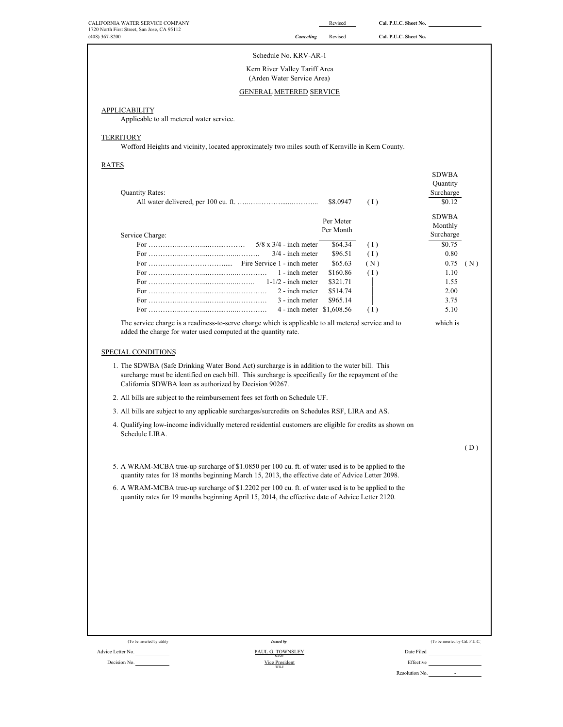| CALIFORNIA WATER SERVICE COMPANY                                                                                                                                                                       |                                                     | Revised              |                       | Cal. P.U.C. Sheet No.                                                |
|--------------------------------------------------------------------------------------------------------------------------------------------------------------------------------------------------------|-----------------------------------------------------|----------------------|-----------------------|----------------------------------------------------------------------|
| 1720 North First Street, San Jose, CA 95112<br>$(408)$ 367-8200                                                                                                                                        | <b>Canceling</b>                                    | Revised              | Cal. P.U.C. Sheet No. |                                                                      |
|                                                                                                                                                                                                        | Schedule No. KRV-AR-1                               |                      |                       |                                                                      |
|                                                                                                                                                                                                        |                                                     |                      |                       |                                                                      |
| Kern River Valley Tariff Area                                                                                                                                                                          | (Arden Water Service Area)                          |                      |                       |                                                                      |
| <b>GENERAL METERED SERVICE</b>                                                                                                                                                                         |                                                     |                      |                       |                                                                      |
|                                                                                                                                                                                                        |                                                     |                      |                       |                                                                      |
| APPLICABILITY                                                                                                                                                                                          |                                                     |                      |                       |                                                                      |
| Applicable to all metered water service.                                                                                                                                                               |                                                     |                      |                       |                                                                      |
| TERRITORY                                                                                                                                                                                              |                                                     |                      |                       |                                                                      |
| Wofford Heights and vicinity, located approximately two miles south of Kernville in Kern County.                                                                                                       |                                                     |                      |                       |                                                                      |
| RATES                                                                                                                                                                                                  |                                                     |                      |                       |                                                                      |
|                                                                                                                                                                                                        |                                                     |                      |                       | <b>SDWBA</b>                                                         |
| <b>Quantity Rates:</b>                                                                                                                                                                                 |                                                     |                      |                       | Quantity<br>Surcharge                                                |
|                                                                                                                                                                                                        |                                                     |                      | (1)                   | \$0.12                                                               |
|                                                                                                                                                                                                        |                                                     |                      |                       | <b>SDWBA</b>                                                         |
|                                                                                                                                                                                                        |                                                     | Per Meter            |                       | Monthly                                                              |
| Service Charge:                                                                                                                                                                                        |                                                     | Per Month            |                       | Surcharge                                                            |
|                                                                                                                                                                                                        | $5/8 \times 3/4$ - inch meter<br>$3/4$ - inch meter | \$64.34<br>\$96.51   | (1)                   | \$0.75<br>0.80                                                       |
|                                                                                                                                                                                                        |                                                     | \$65.63              | (1)<br>(N)            | 0.75<br>(N)                                                          |
|                                                                                                                                                                                                        | 1 - inch meter                                      | \$160.86             | (1)                   | 1.10                                                                 |
|                                                                                                                                                                                                        | $1-1/2$ - inch meter                                | \$321.71             |                       | 1.55                                                                 |
|                                                                                                                                                                                                        | 2 - inch meter<br>3 - inch meter                    | \$514.74<br>\$965.14 |                       | 2.00<br>3.75                                                         |
|                                                                                                                                                                                                        | 4 - inch meter \$1,608.56                           |                      | (1)                   | 5.10                                                                 |
| The service charge is a readiness-to-serve charge which is applicable to all metered service and to                                                                                                    |                                                     |                      |                       | which is                                                             |
| added the charge for water used computed at the quantity rate.<br>SPECIAL CONDITIONS<br>1. The SDWBA (Safe Drinking Water Bond Act) surcharge is in addition to the water bill. This                   |                                                     |                      |                       |                                                                      |
| surcharge must be identified on each bill. This surcharge is specifically for the repayment of the<br>California SDWBA loan as authorized by Decision 90267.                                           |                                                     |                      |                       |                                                                      |
| 2. All bills are subject to the reimbursement fees set forth on Schedule UF.                                                                                                                           |                                                     |                      |                       |                                                                      |
| 3. All bills are subject to any applicable surcharges/surcredits on Schedules RSF, LIRA and AS.                                                                                                        |                                                     |                      |                       |                                                                      |
| 4. Qualifying low-income individually metered residential customers are eligible for credits as shown on<br>Schedule LIRA.                                                                             |                                                     |                      |                       |                                                                      |
|                                                                                                                                                                                                        |                                                     |                      |                       | (D)                                                                  |
| 5. A WRAM-MCBA true-up surcharge of \$1.0850 per 100 cu. ft. of water used is to be applied to the<br>quantity rates for 18 months beginning March 15, 2013, the effective date of Advice Letter 2098. |                                                     |                      |                       |                                                                      |
| 6. A WRAM-MCBA true-up surcharge of \$1.2202 per 100 cu. ft. of water used is to be applied to the<br>quantity rates for 19 months beginning April 15, 2014, the effective date of Advice Letter 2120. |                                                     |                      |                       |                                                                      |
|                                                                                                                                                                                                        |                                                     |                      |                       |                                                                      |
|                                                                                                                                                                                                        |                                                     |                      |                       |                                                                      |
|                                                                                                                                                                                                        |                                                     |                      |                       |                                                                      |
|                                                                                                                                                                                                        |                                                     |                      |                       |                                                                      |
|                                                                                                                                                                                                        |                                                     |                      |                       |                                                                      |
|                                                                                                                                                                                                        |                                                     |                      |                       |                                                                      |
|                                                                                                                                                                                                        |                                                     |                      |                       |                                                                      |
|                                                                                                                                                                                                        |                                                     |                      |                       |                                                                      |
|                                                                                                                                                                                                        |                                                     |                      |                       |                                                                      |
|                                                                                                                                                                                                        |                                                     |                      |                       |                                                                      |
| (To be inserted by utility<br><b>Issued by</b>                                                                                                                                                         |                                                     |                      |                       | (To be inserted by Cal. P.U.C.)                                      |
| Advice Letter No.<br>PAUL G. TOWNSLEY<br><b>NAME</b><br>Decision No.<br>Vice President<br><b>TITLE</b>                                                                                                 |                                                     |                      |                       | Date Filed <b>Container and Container and Container</b><br>Effective |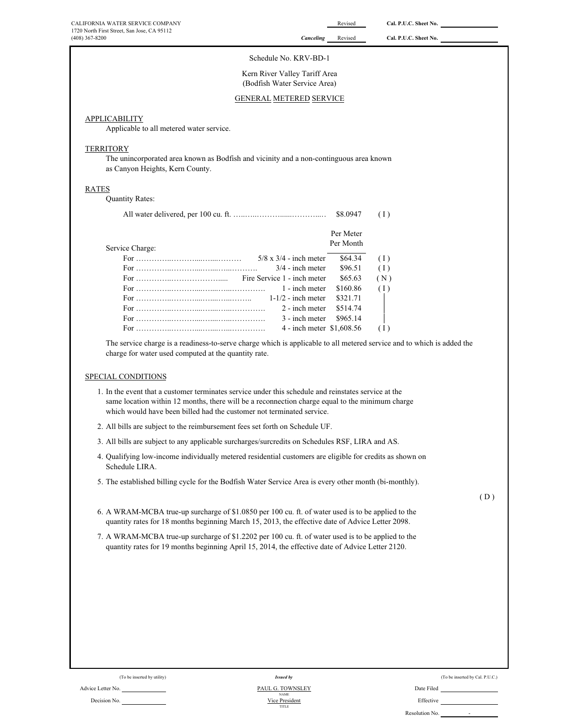|                                                                                                                                                                                                                                                                                  |                                                                                                          | Revised   | Cal. P.U.C. Sheet No. |  |
|----------------------------------------------------------------------------------------------------------------------------------------------------------------------------------------------------------------------------------------------------------------------------------|----------------------------------------------------------------------------------------------------------|-----------|-----------------------|--|
| 1720 North First Street, San Jose, CA 95112<br>$(408)$ 367-8200                                                                                                                                                                                                                  | Canceling                                                                                                | Revised   | Cal. P.U.C. Sheet No. |  |
|                                                                                                                                                                                                                                                                                  | Schedule No. KRV-BD-1                                                                                    |           |                       |  |
|                                                                                                                                                                                                                                                                                  | Kern River Valley Tariff Area<br>(Bodfish Water Service Area)                                            |           |                       |  |
|                                                                                                                                                                                                                                                                                  | <b>GENERAL METERED SERVICE</b>                                                                           |           |                       |  |
|                                                                                                                                                                                                                                                                                  |                                                                                                          |           |                       |  |
| APPLICABILITY<br>Applicable to all metered water service.                                                                                                                                                                                                                        |                                                                                                          |           |                       |  |
|                                                                                                                                                                                                                                                                                  |                                                                                                          |           |                       |  |
| TERRITORY                                                                                                                                                                                                                                                                        |                                                                                                          |           |                       |  |
| The unincorporated area known as Bodfish and vicinity and a non-continguous area known<br>as Canyon Heights, Kern County.                                                                                                                                                        |                                                                                                          |           |                       |  |
|                                                                                                                                                                                                                                                                                  |                                                                                                          |           |                       |  |
| RATES                                                                                                                                                                                                                                                                            |                                                                                                          |           |                       |  |
| <b>Quantity Rates:</b>                                                                                                                                                                                                                                                           |                                                                                                          |           |                       |  |
|                                                                                                                                                                                                                                                                                  |                                                                                                          | \$8,0947  | (1)                   |  |
|                                                                                                                                                                                                                                                                                  |                                                                                                          | Per Meter |                       |  |
| Service Charge:                                                                                                                                                                                                                                                                  |                                                                                                          | Per Month |                       |  |
|                                                                                                                                                                                                                                                                                  | $5/8$ x $3/4$ - inch meter                                                                               | \$64.34   | (1)                   |  |
|                                                                                                                                                                                                                                                                                  | $3/4$ - inch meter                                                                                       | \$96.51   | (1)                   |  |
|                                                                                                                                                                                                                                                                                  |                                                                                                          | \$65.63   | (N)                   |  |
|                                                                                                                                                                                                                                                                                  | 1 - inch meter                                                                                           | \$160.86  | (1)                   |  |
|                                                                                                                                                                                                                                                                                  | $1-1/2$ - inch meter                                                                                     | \$321.71  |                       |  |
|                                                                                                                                                                                                                                                                                  | 2 - inch meter                                                                                           | \$514.74  |                       |  |
|                                                                                                                                                                                                                                                                                  | 3 - inch meter                                                                                           | \$965.14  |                       |  |
|                                                                                                                                                                                                                                                                                  | 4 - inch meter \$1,608.56                                                                                |           | (1)                   |  |
| The service charge is a readiness-to-serve charge which is applicable to all metered service and to which is added the<br>charge for water used computed at the quantity rate.                                                                                                   |                                                                                                          |           |                       |  |
| SPECIAL CONDITIONS                                                                                                                                                                                                                                                               |                                                                                                          |           |                       |  |
| 1. In the event that a customer terminates service under this schedule and reinstates service at the<br>same location within 12 months, there will be a reconnection charge equal to the minimum charge<br>which would have been billed had the customer not terminated service. |                                                                                                          |           |                       |  |
| 2. All bills are subject to the reimbursement fees set forth on Schedule UF.                                                                                                                                                                                                     |                                                                                                          |           |                       |  |
| 3. All bills are subject to any applicable surcharges/surcredits on Schedules RSF, LIRA and AS.                                                                                                                                                                                  |                                                                                                          |           |                       |  |
|                                                                                                                                                                                                                                                                                  | 4. Qualifying low-income individually metered residential customers are eligible for credits as shown on |           |                       |  |
| Schedule LIRA.                                                                                                                                                                                                                                                                   |                                                                                                          |           |                       |  |

- 6. A WRAM-MCBA true-up surcharge of \$1.0850 per 100 cu. ft. of water used is to be applied to the quantity rates for 18 months beginning March 15, 2013, the effective date of Advice Letter 2098.
- 7. A WRAM-MCBA true-up surcharge of \$1.2202 per 100 cu. ft. of water used is to be applied to the quantity rates for 19 months beginning April 15, 2014, the effective date of Advice Letter 2120.

Advice Letter No. Date Filed Contact the Contact of PAUL G. TOWNSLEY Decision No. **Effective** Effective **Effective** TITLE *Issued by* Vice President NAME

|         | (To be inserted by Cal. P.U.C.) |
|---------|---------------------------------|
| e Filed |                                 |

 $(D)$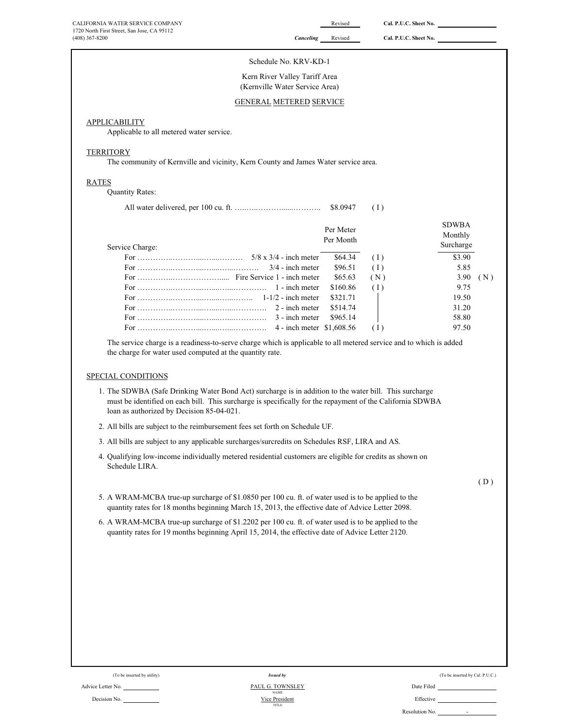| CALIFORNIA WATER SERVICE COMPANY                                                                                                                                                                                                          |                                             | Revised   | Cal. P.U.C. Sheet No. |                                 |
|-------------------------------------------------------------------------------------------------------------------------------------------------------------------------------------------------------------------------------------------|---------------------------------------------|-----------|-----------------------|---------------------------------|
| 1720 North First Street, San Jose, CA 95112<br>$(408)$ 367-8200                                                                                                                                                                           | Canceling                                   | Revised   | Cal. P.U.C. Sheet No. |                                 |
| Schedule No. KRV-KD-1                                                                                                                                                                                                                     |                                             |           |                       |                                 |
| Kern River Valley Tariff Area<br>(Kernville Water Service Area)                                                                                                                                                                           |                                             |           |                       |                                 |
| <b>GENERAL METERED SERVICE</b>                                                                                                                                                                                                            |                                             |           |                       |                                 |
| <b>APPLICABILITY</b>                                                                                                                                                                                                                      |                                             |           |                       |                                 |
| Applicable to all metered water service.                                                                                                                                                                                                  |                                             |           |                       |                                 |
| <b>TERRITORY</b>                                                                                                                                                                                                                          |                                             |           |                       |                                 |
| The community of Kernville and vicinity, Kern County and James Water service area.                                                                                                                                                        |                                             |           |                       |                                 |
| <b>RATES</b>                                                                                                                                                                                                                              |                                             |           |                       |                                 |
| <b>Quantity Rates:</b>                                                                                                                                                                                                                    |                                             |           |                       |                                 |
|                                                                                                                                                                                                                                           |                                             | \$8.0947  | (1)                   |                                 |
|                                                                                                                                                                                                                                           |                                             | Per Meter |                       | <b>SDWBA</b><br>Monthly         |
| Service Charge:                                                                                                                                                                                                                           |                                             | Per Month |                       | Surcharge                       |
|                                                                                                                                                                                                                                           |                                             | \$64.34   | (1)                   | \$3.90                          |
|                                                                                                                                                                                                                                           | $3/4$ - inch meter                          | \$96.51   | (1)                   | 5.85                            |
|                                                                                                                                                                                                                                           |                                             | \$65.63   | (N)                   | 3.90<br>(N)                     |
|                                                                                                                                                                                                                                           | 1 - inch meter                              | \$160.86  | (1)                   | 9.75                            |
|                                                                                                                                                                                                                                           |                                             | \$321.71  |                       | 19.50                           |
|                                                                                                                                                                                                                                           | 2 - inch meter                              | \$514.74  |                       | 31.20                           |
|                                                                                                                                                                                                                                           | 3 - inch meter<br>4 - inch meter \$1,608.56 | \$965.14  | (1)                   | 58.80<br>97.50                  |
| SPECIAL CONDITIONS<br>1. The SDWBA (Safe Drinking Water Bond Act) surcharge is in addition to the water bill. This surcharge<br>must be identified on each bill. This surcharge is specifically for the repayment of the California SDWBA |                                             |           |                       |                                 |
| loan as authorized by Decision 85-04-021.<br>2. All bills are subject to the reimbursement fees set forth on Schedule UF.                                                                                                                 |                                             |           |                       |                                 |
| 3. All bills are subject to any applicable surcharges/surcredits on Schedules RSF, LIRA and AS.                                                                                                                                           |                                             |           |                       |                                 |
| 4. Qualifying low-income individually metered residential customers are eligible for credits as shown on<br>Schedule LIRA.                                                                                                                |                                             |           |                       |                                 |
|                                                                                                                                                                                                                                           |                                             |           |                       | (D)                             |
| 5. A WRAM-MCBA true-up surcharge of \$1.0850 per 100 cu. ft. of water used is to be applied to the<br>quantity rates for 18 months beginning March 15, 2013, the effective date of Advice Letter 2098.                                    |                                             |           |                       |                                 |
| 6. A WRAM-MCBA true-up surcharge of \$1.2202 per 100 cu. ft. of water used is to be applied to the<br>quantity rates for 19 months beginning April 15, 2014, the effective date of Advice Letter 2120.                                    |                                             |           |                       |                                 |
|                                                                                                                                                                                                                                           |                                             |           |                       |                                 |
|                                                                                                                                                                                                                                           |                                             |           |                       |                                 |
|                                                                                                                                                                                                                                           |                                             |           |                       |                                 |
|                                                                                                                                                                                                                                           |                                             |           |                       |                                 |
| (To be inserted by utility)<br><b>Issued by</b>                                                                                                                                                                                           |                                             |           |                       | (To be inserted by Cal. P.U.C.) |
| PAUL G. TOWNSLEY<br>Advice Letter No.<br><b>NAME</b>                                                                                                                                                                                      |                                             |           | Date Filed            |                                 |
| Decision No.<br>Vice President                                                                                                                                                                                                            |                                             |           | Effective             |                                 |

TITLE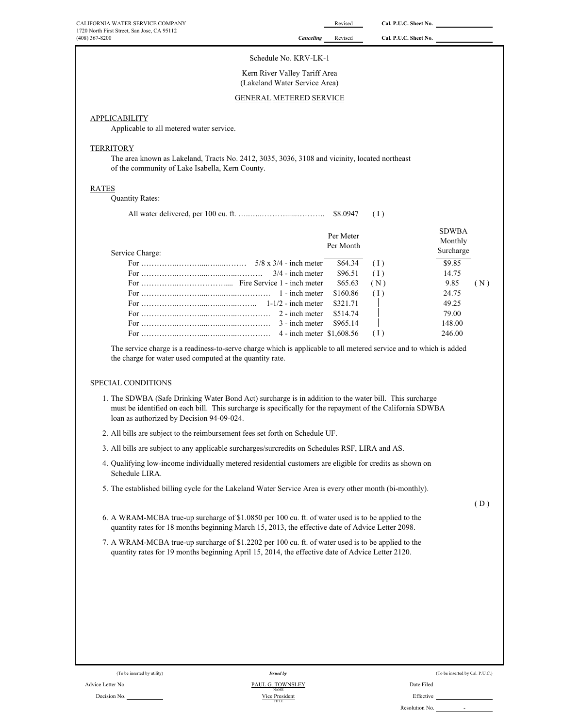#### Schedule No. KRV-LK-1

Kern River Valley Tariff Area (Lakeland Water Service Area)

# GENERAL METERED SERVICE

# APPLICABILITY

Applicable to all metered water service.

#### **TERRITORY**

The area known as Lakeland, Tracts No. 2412, 3035, 3036, 3108 and vicinity, located northeast of the community of Lake Isabella, Kern County.

#### RATES

Quantity Rates:

|  | $$8.0947$ (I) |  |
|--|---------------|--|
|--|---------------|--|

| Service Charge:                                                                        | Per Meter<br>Per Month |     | <b>SDWBA</b><br>Monthly<br>Surcharge |
|----------------------------------------------------------------------------------------|------------------------|-----|--------------------------------------|
|                                                                                        | \$64.34                | (1) | \$9.85                               |
|                                                                                        | \$96.51                | (1) | 14.75                                |
|                                                                                        | \$65.63                | (N) | 9.85<br>(N)                          |
|                                                                                        | \$160.86               | (1) | 24.75                                |
|                                                                                        | \$321.71               |     | 49.25                                |
|                                                                                        | \$514.74               |     | 79.00                                |
| For $\dots \dots \dots \dots \dots \dots \dots \dots \dots \dots \dots$ 3 - inch meter | \$965.14               |     | 148.00                               |
|                                                                                        |                        |     | 246.00                               |

The service charge is a readiness-to-serve charge which is applicable to all metered service and to which is added the charge for water used computed at the quantity rate.

# SPECIAL CONDITIONS

- 1. The SDWBA (Safe Drinking Water Bond Act) surcharge is in addition to the water bill. This surcharge must be identified on each bill. This surcharge is specifically for the repayment of the California SDWBA loan as authorized by Decision 94-09-024.
- 2. All bills are subject to the reimbursement fees set forth on Schedule UF.
- 3. All bills are subject to any applicable surcharges/surcredits on Schedules RSF, LIRA and AS.
- 4. Qualifying low-income individually metered residential customers are eligible for credits as shown on Schedule LIRA.
- 5. The established billing cycle for the Lakeland Water Service Area is every other month (bi-monthly).

( D )

- 6. A WRAM-MCBA true-up surcharge of \$1.0850 per 100 cu. ft. of water used is to be applied to the quantity rates for 18 months beginning March 15, 2013, the effective date of Advice Letter 2098.
- 7. A WRAM-MCBA true-up surcharge of \$1.2202 per 100 cu. ft. of water used is to be applied to the quantity rates for 19 months beginning April 15, 2014, the effective date of Advice Letter 2120.



#### Advice Letter No. Date Filed PAUL G. TOWNSLEY Decision No. **Effective Effective Effective Effective Effective** Vice President NAME TITLE PAUL G. TOWNSLEY *Issued by*

(To be inserted by utility) (To be inserted by Cal. P.U.C.) Issued by (To be inserted by Cal. P.U.C.)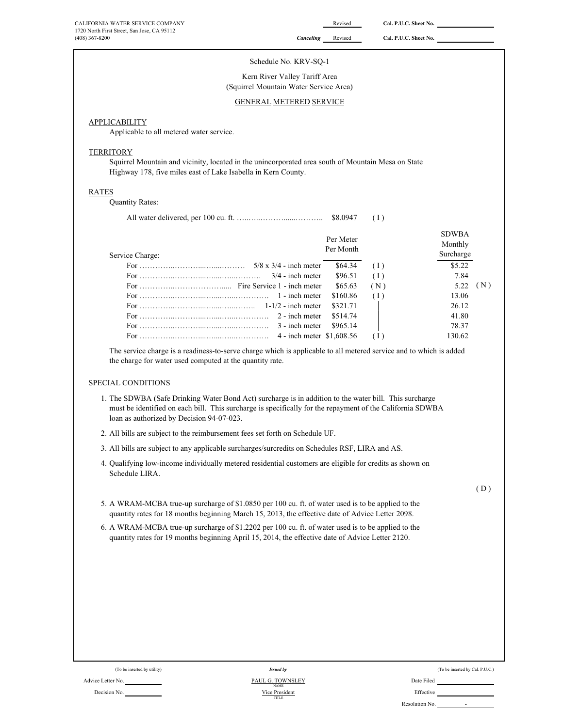| CALIFORNIA WATER SERVICE COMPANY            |                  | Revised | Cal. P.U.C. Sheet No. |
|---------------------------------------------|------------------|---------|-----------------------|
| 1720 North First Street, San Jose, CA 95112 |                  |         |                       |
| $(408)$ 367-8200                            | <b>Canceling</b> | Revised | Cal. P.U.C. Sheet No. |

# Schedule No. KRV-SQ-1

Kern River Valley Tariff Area (Squirrel Mountain Water Service Area)

# GENERAL METERED SERVICE

# **APPLICABILITY**

Applicable to all metered water service.

#### **TERRITORY**

Squirrel Mountain and vicinity, located in the unincorporated area south of Mountain Mesa on State Highway 178, five miles east of Lake Isabella in Kern County.

# RATES

Quantity Rates:

|                                                                                                                                                                                                                                                                                                                                         |                        | (1) |                                      |
|-----------------------------------------------------------------------------------------------------------------------------------------------------------------------------------------------------------------------------------------------------------------------------------------------------------------------------------------|------------------------|-----|--------------------------------------|
| Service Charge:                                                                                                                                                                                                                                                                                                                         | Per Meter<br>Per Month |     | <b>SDWBA</b><br>Monthly<br>Surcharge |
|                                                                                                                                                                                                                                                                                                                                         | \$64.34                | (1) | \$5.22                               |
|                                                                                                                                                                                                                                                                                                                                         | \$96.51                | (1) | 7.84                                 |
|                                                                                                                                                                                                                                                                                                                                         | \$65.63                | (N) | (N)<br>5.22                          |
|                                                                                                                                                                                                                                                                                                                                         | \$160.86               | (1) | 13.06                                |
|                                                                                                                                                                                                                                                                                                                                         | \$321.71               |     | 26.12                                |
|                                                                                                                                                                                                                                                                                                                                         | \$514.74               |     | 41.80                                |
| For $\ldots$ $\ldots$ $\ldots$ $\ldots$ $\ldots$ $\ldots$ $\ldots$ $\ldots$ $\ldots$ $\ldots$ $\ldots$ $\ldots$ $\ldots$ $\ldots$ $\ldots$ $\ldots$ $\ldots$ $\ldots$ $\ldots$ $\ldots$ $\ldots$ $\ldots$ $\ldots$ $\ldots$ $\ldots$ $\ldots$ $\ldots$ $\ldots$ $\ldots$ $\ldots$ $\ldots$ $\ldots$ $\ldots$ $\ldots$ $\ldots$ $\ldots$ | \$965.14               |     | 78.37                                |
|                                                                                                                                                                                                                                                                                                                                         |                        | (1) | 130.62                               |

The service charge is a readiness-to-serve charge which is applicable to all metered service and to which is added the charge for water used computed at the quantity rate.

# SPECIAL CONDITIONS

- 1. The SDWBA (Safe Drinking Water Bond Act) surcharge is in addition to the water bill. This surcharge must be identified on each bill. This surcharge is specifically for the repayment of the California SDWBA loan as authorized by Decision 94-07-023.
- 2. All bills are subject to the reimbursement fees set forth on Schedule UF.
- 3. All bills are subject to any applicable surcharges/surcredits on Schedules RSF, LIRA and AS.
- 4. Qualifying low-income individually metered residential customers are eligible for credits as shown on Schedule LIRA.

 $(D)$ 

- 5. A WRAM-MCBA true-up surcharge of \$1.0850 per 100 cu. ft. of water used is to be applied to the quantity rates for 18 months beginning March 15, 2013, the effective date of Advice Letter 2098.
- 6. A WRAM-MCBA true-up surcharge of \$1.2202 per 100 cu. ft. of water used is to be applied to the quantity rates for 19 months beginning April 15, 2014, the effective date of Advice Letter 2120.

|  | (To be inserted by uti |  |
|--|------------------------|--|
|  |                        |  |

#### (To be inserted by Cal. P.U.C.) Issued by the inserted by Cal. P.U.C.) Advice Letter No. Date Filed Contact Advice Letter No. Date Filed Decision No. Nice President No. 2006 and Nice President No. 2006 and Nice President No. 2006 and Nice President *Issued by* Vice President NAME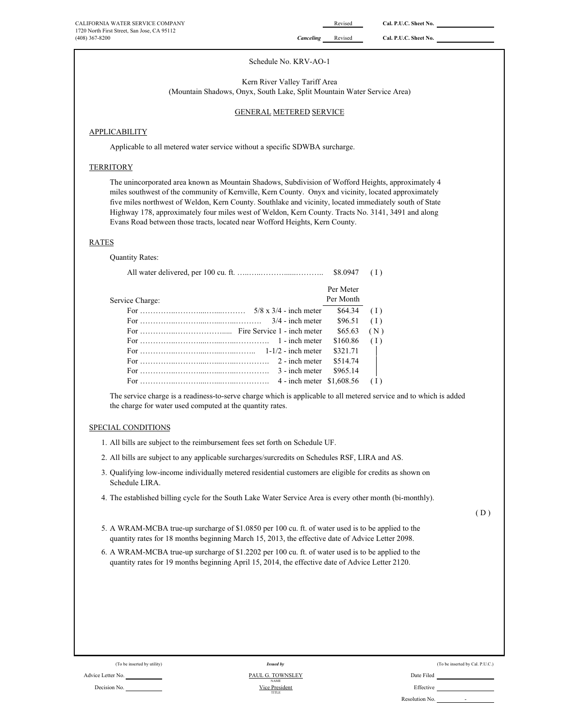# Schedule No. KRV-AO-1

Kern River Valley Tariff Area (Mountain Shadows, Onyx, South Lake, Split Mountain Water Service Area)

# GENERAL METERED SERVICE

# **APPLICABILITY**

Applicable to all metered water service without a specific SDWBA surcharge.

# **TERRITORY**

The unincorporated area known as Mountain Shadows, Subdivision of Wofford Heights, approximately 4 miles southwest of the community of Kernville, Kern County. Onyx and vicinity, located approximately five miles northwest of Weldon, Kern County. Southlake and vicinity, located immediately south of State Highway 178, approximately four miles west of Weldon, Kern County. Tracts No. 3141, 3491 and along Evans Road between those tracts, located near Wofford Heights, Kern County.

# RATES

Quantity Rates:

|                                 |                           | \$8,0947  |        |
|---------------------------------|---------------------------|-----------|--------|
|                                 |                           | Per Meter |        |
| Service Charge:                 |                           | Per Month |        |
|                                 |                           | \$64.34   | (1)    |
| For $\ldots$ $3/4$ - inch meter |                           | \$96.51   | (1)    |
|                                 |                           | \$65.63   | (N)    |
|                                 |                           | \$160.86  | (1)    |
|                                 |                           | \$321.71  | $\Box$ |
|                                 | 2 - inch meter            | \$514.74  |        |
|                                 | 3 - inch meter            | \$965.14  |        |
|                                 | 4 - inch meter \$1,608.56 |           |        |

The service charge is a readiness-to-serve charge which is applicable to all metered service and to which is added the charge for water used computed at the quantity rates.

# SPECIAL CONDITIONS

- 1. All bills are subject to the reimbursement fees set forth on Schedule UF.
- 2. All bills are subject to any applicable surcharges/surcredits on Schedules RSF, LIRA and AS.
- 3. Qualifying low-income individually metered residential customers are eligible for credits as shown on Schedule LIRA.
- 4. The established billing cycle for the South Lake Water Service Area is every other month (bi-monthly).

 $(D)$ 

- 5. A WRAM-MCBA true-up surcharge of \$1.0850 per 100 cu. ft. of water used is to be applied to the quantity rates for 18 months beginning March 15, 2013, the effective date of Advice Letter 2098.
- 6. A WRAM-MCBA true-up surcharge of \$1.2202 per 100 cu. ft. of water used is to be applied to the quantity rates for 19 months beginning April 15, 2014, the effective date of Advice Letter 2120.

| (To be inserted by utility) | Issued by                       |            |
|-----------------------------|---------------------------------|------------|
| Advice Letter No.           | PAUL G. TOWNSLEY<br><b>NAME</b> | Date Filed |
| Decision No.                | Vice President<br>TITI D        | Effective  |

TITLE *Issued by* NAME

(To be inserted by Cal. P.U.C.)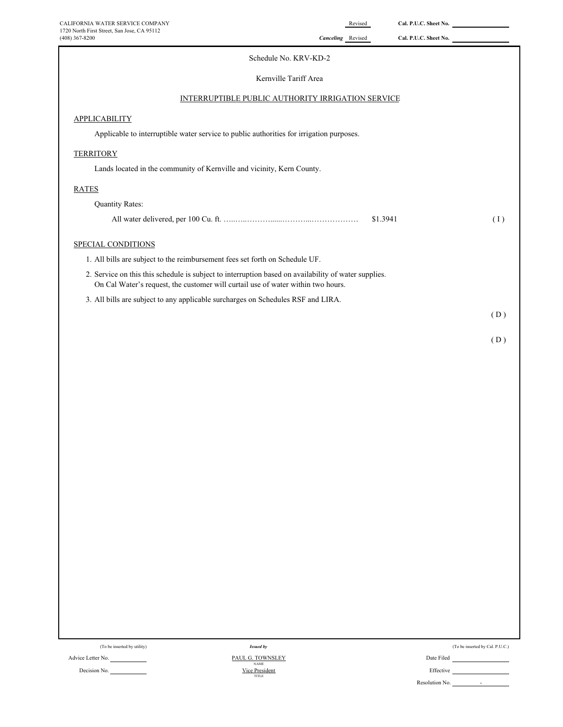| CALIFORNIA WATER SERVICE COMPANY<br>1720 North First Street, San Jose, CA 95112                                                                                                          | Cal. P.U.C. Sheet No.<br>Revised                  |     |
|------------------------------------------------------------------------------------------------------------------------------------------------------------------------------------------|---------------------------------------------------|-----|
| (408) 367-8200                                                                                                                                                                           | Canceling Revised<br>Cal. P.U.C. Sheet No.        |     |
|                                                                                                                                                                                          | Schedule No. KRV-KD-2                             |     |
|                                                                                                                                                                                          | Kernville Tariff Area                             |     |
|                                                                                                                                                                                          | INTERRUPTIBLE PUBLIC AUTHORITY IRRIGATION SERVICE |     |
| <b>APPLICABILITY</b>                                                                                                                                                                     |                                                   |     |
| Applicable to interruptible water service to public authorities for irrigation purposes.                                                                                                 |                                                   |     |
| <b>TERRITORY</b>                                                                                                                                                                         |                                                   |     |
| Lands located in the community of Kernville and vicinity, Kern County.                                                                                                                   |                                                   |     |
| <b>RATES</b>                                                                                                                                                                             |                                                   |     |
| <b>Quantity Rates:</b>                                                                                                                                                                   |                                                   |     |
|                                                                                                                                                                                          | \$1.3941                                          | (1) |
| SPECIAL CONDITIONS                                                                                                                                                                       |                                                   |     |
| 1. All bills are subject to the reimbursement fees set forth on Schedule UF.                                                                                                             |                                                   |     |
| 2. Service on this this schedule is subject to interruption based on availability of water supplies.<br>On Cal Water's request, the customer will curtail use of water within two hours. |                                                   |     |
| 3. All bills are subject to any applicable surcharges on Schedules RSF and LIRA.                                                                                                         |                                                   |     |
|                                                                                                                                                                                          |                                                   | (D) |

( D )

| (To be inserted by utility) |  |
|-----------------------------|--|
|-----------------------------|--|

Advice Letter No. 2014 2016 2017 2020 2020 2021 2021 2021 2022 2021 2022 2022 2022 2022 2022 2022 2022 2022 20

Decision No.

*Issued by* Vice President<br>TITLE PAUL G. TOWNSLEY (To be inserted by Cal. P.U.C.)  $\,$ 

| Date Filed     |  |
|----------------|--|
| Effective      |  |
| Resolution No. |  |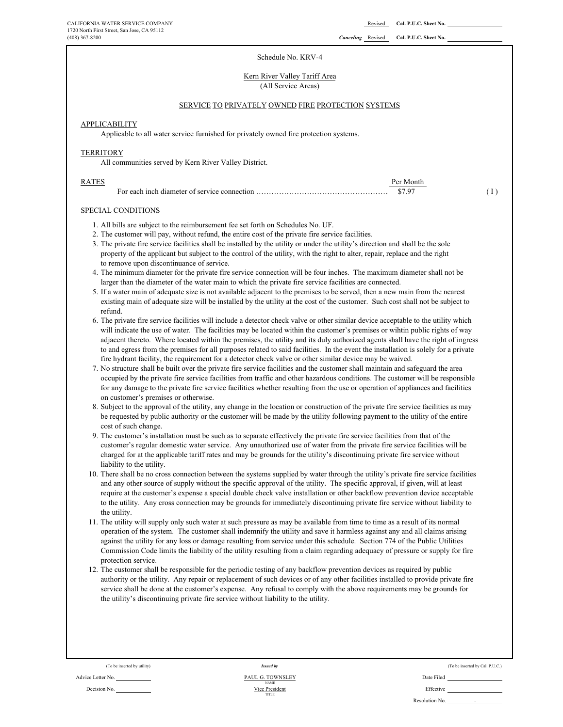#### Schedule No. KRV-4

#### Kern River Valley Tariff Area (All Service Areas)

# SERVICE TO PRIVATELY OWNED FIRE PROTECTION SYSTEMS

# **APPLICABILITY**

Applicable to all water service furnished for privately owned fire protection systems.

#### **TERRITORY**

All communities served by Kern River Valley District.

| RATES | Per Month |  |
|-------|-----------|--|
|       | \$7.97    |  |

#### SPECIAL CONDITIONS

- 1. All bills are subject to the reimbursement fee set forth on Schedules No. UF.
- 2. The customer will pay, without refund, the entire cost of the private fire service facilities.
- 3. The private fire service facilities shall be installed by the utility or under the utility's direction and shall be the sole property of the applicant but subject to the control of the utility, with the right to alter, repair, replace and the right to remove upon discontinuance of service.
- 4. The minimum diameter for the private fire service connection will be four inches. The maximum diameter shall not be larger than the diameter of the water main to which the private fire service facilities are connected.
- 5. If a water main of adequate size is not available adjacent to the premises to be served, then a new main from the nearest existing main of adequate size will be installed by the utility at the cost of the customer. Such cost shall not be subject to refund.
- 6. The private fire service facilities will include a detector check valve or other similar device acceptable to the utility which will indicate the use of water. The facilities may be located within the customer's premises or wihtin public rights of way adjacent thereto. Where located within the premises, the utility and its duly authorized agents shall have the right of ingress to and egress from the premises for all purposes related to said facilities. In the event the installation is solely for a private fire hydrant facility, the requirement for a detector check valve or other similar device may be waived.
- 7. No structure shall be built over the private fire service facilities and the customer shall maintain and safeguard the area occupied by the private fire service facilities from traffic and other hazardous conditions. The customer will be responsible for any damage to the private fire service facilities whether resulting from the use or operation of appliances and facilities on customer's premises or otherwise.
- 8. Subject to the approval of the utility, any change in the location or construction of the private fire service facilities as may be requested by public authority or the customer will be made by the utility following payment to the utility of the entire cost of such change.
- 9. The customer's installation must be such as to separate effectively the private fire service facilities from that of the customer's regular domestic water service. Any unauthorized use of water from the private fire service facilities will be charged for at the applicable tariff rates and may be grounds for the utility's discontinuing private fire service without liability to the utility.
- 10. There shall be no cross connection between the systems supplied by water through the utility's private fire service facilities and any other source of supply without the specific approval of the utility. The specific approval, if given, will at least require at the customer's expense a special double check valve installation or other backflow prevention device acceptable to the utility. Any cross connection may be grounds for immediately discontinuing private fire service without liability to the utility.
- 11. The utility will supply only such water at such pressure as may be available from time to time as a result of its normal operation of the system. The customer shall indemnify the utility and save it harmless against any and all claims arising against the utility for any loss or damage resulting from service under this schedule. Section 774 of the Public Utilities Commission Code limits the liability of the utility resulting from a claim regarding adequacy of pressure or supply for fire protection service.
- 12. The customer shall be responsible for the periodic testing of any backflow prevention devices as required by public authority or the utility. Any repair or replacement of such devices or of any other facilities installed to provide private fire service shall be done at the customer's expense. Any refusal to comply with the above requirements may be grounds for the utility's discontinuing private fire service without liability to the utility.

Advice Letter No. No. 2008 Contract Contract Contract Contract Contract Contract Contract Contract Contract Contract Contract Contract Contract Contract Contract Contract Contract Contract Contract Contract Contract Contra

Decision No. **Effective Effective Effective Effective Effective Effective Effective** TITLE NAME<br>Vice President *Issued by* PAUL G. TOWNSLEY

(To be inserted by utility) (To be inserted by Cal. P.U.C.) Resolution No. -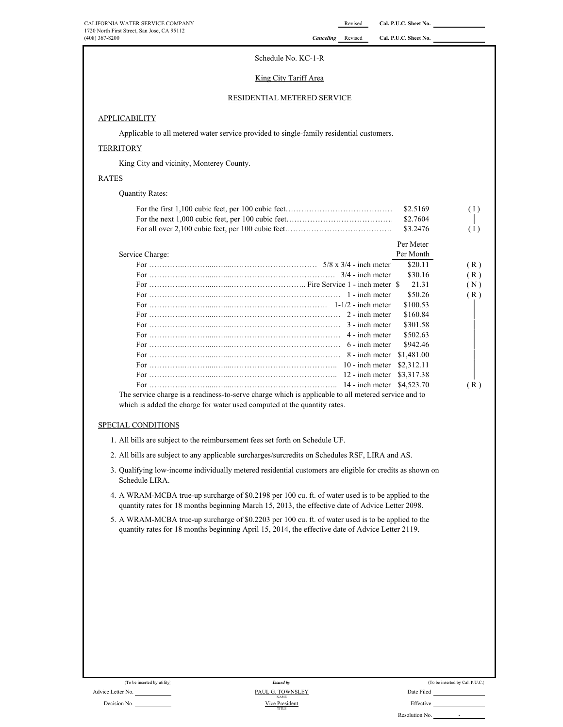# Schedule No. KC-1-R

# King City Tariff Area

# RESIDENTIAL METERED SERVICE

# **APPLICABILITY**

Applicable to all metered water service provided to single-family residential customers.

# **TERRITORY**

King City and vicinity, Monterey County.

# RATES

Quantity Rates:

|                                                                                                     | \$2.5169   | (1) |
|-----------------------------------------------------------------------------------------------------|------------|-----|
|                                                                                                     | \$2.7604   |     |
|                                                                                                     | \$3.2476   | (1) |
|                                                                                                     | Per Meter  |     |
| Service Charge:                                                                                     | Per Month  |     |
|                                                                                                     | \$20.11    | (R) |
|                                                                                                     | \$30.16    | (R) |
|                                                                                                     | 21.31      | (N) |
|                                                                                                     | \$50.26    | (R) |
|                                                                                                     | \$100.53   |     |
|                                                                                                     | \$160.84   |     |
|                                                                                                     | \$301.58   |     |
|                                                                                                     | \$502.63   |     |
|                                                                                                     | \$942.46   |     |
|                                                                                                     | \$1,481.00 |     |
|                                                                                                     | \$2,312.11 |     |
|                                                                                                     | \$3,317.38 |     |
|                                                                                                     | \$4,523.70 | (R) |
| The service charge is a readiness-to-serve charge which is applicable to all metered service and to |            |     |

which is added the charge for water used computed at the quantity rates.

# SPECIAL CONDITIONS

- 1. All bills are subject to the reimbursement fees set forth on Schedule UF.
- 2. All bills are subject to any applicable surcharges/surcredits on Schedules RSF, LIRA and AS.
- 3. Qualifying low-income individually metered residential customers are eligible for credits as shown on Schedule LIRA.
- 4. A WRAM-MCBA true-up surcharge of \$0.2198 per 100 cu. ft. of water used is to be applied to the quantity rates for 18 months beginning March 15, 2013, the effective date of Advice Letter 2098.
- 5. A WRAM-MCBA true-up surcharge of \$0.2203 per 100 cu. ft. of water used is to be applied to the quantity rates for 18 months beginning April 15, 2014, the effective date of Advice Letter 2119.

| (To be inserted by utility) | <b>Issued by</b>                |            |
|-----------------------------|---------------------------------|------------|
| Advice Letter No.           | PAUL G. TOWNSLEY<br><b>NAME</b> | Date Filed |
| _ _ _ _                     | --- - -                         | $ -$       |

| (To be inserted by utility) | <b>Issued by</b>                | (To be inserted by Cal. P.U.C.) |
|-----------------------------|---------------------------------|---------------------------------|
| No.                         | PAUL G. TOWNSLEY<br><b>NAME</b> | Date Filed                      |
| No.                         | Vice President<br>TITLE         | Effective                       |

-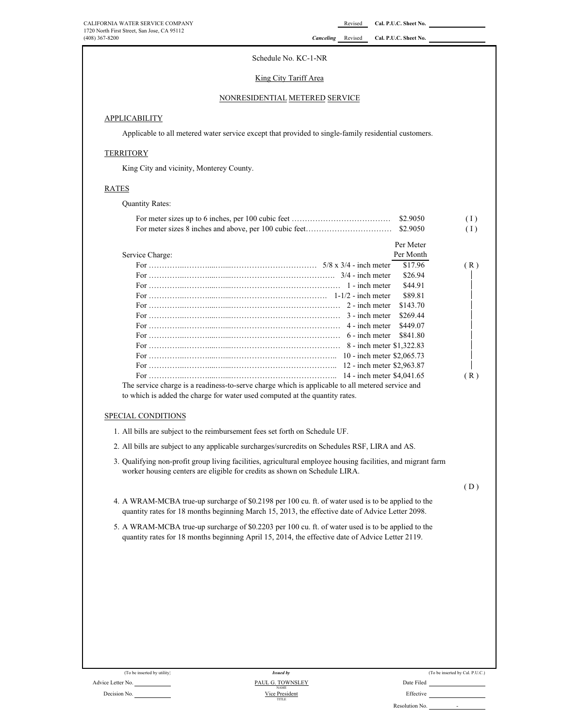# Schedule No. KC-1-NR

# King City Tariff Area

# NONRESIDENTIAL METERED SERVICE

# **APPLICABILITY**

Applicable to all metered water service except that provided to single-family residential customers.

# **TERRITORY**

King City and vicinity, Monterey County.

# **RATES**

Quantity Rates:

| \$2.9050<br>\$2.9050                                                                                                                                                                                                                                                                                         | (1)<br>(1) |
|--------------------------------------------------------------------------------------------------------------------------------------------------------------------------------------------------------------------------------------------------------------------------------------------------------------|------------|
| Per Meter<br>Per Month<br>Service Charge:<br>\$17.96<br>\$26.94<br>\$44.91<br>\$89.81<br>2 - inch meter<br>\$143.70<br>\$269.44<br>3 - inch meter<br>4 - inch meter<br>\$449.07<br>\$841.80<br>6 - inch meter<br>8 - inch meter \$1,322.83                                                                   | (R)        |
|                                                                                                                                                                                                                                                                                                              | (R)        |
| The service charge is a readiness-to-serve charge which is applicable to all metered service and<br>to which is added the charge for water used computed at the quantity rates.<br>SPECIAL CONDITIONS                                                                                                        |            |
| 1. All bills are subject to the reimbursement fees set forth on Schedule UF.                                                                                                                                                                                                                                 |            |
| 2. All bills are subject to any applicable surcharges/surcredits on Schedules RSF, LIRA and AS.                                                                                                                                                                                                              |            |
|                                                                                                                                                                                                                                                                                                              |            |
| 3. Qualifying non-profit group living facilities, agricultural employee housing facilities, and migrant farm<br>worker housing centers are eligible for credits as shown on Schedule LIRA.                                                                                                                   |            |
|                                                                                                                                                                                                                                                                                                              | (D)        |
| 4. A WRAM-MCBA true-up surcharge of \$0.2198 per 100 cu. ft. of water used is to be applied to the<br>quantity rates for 18 months beginning March 15, 2013, the effective date of Advice Letter 2098.<br>5. A WRAM-MCBA true-up surcharge of \$0.2203 per 100 cu. ft. of water used is to be applied to the |            |
| quantity rates for 18 months beginning April 15, 2014, the effective date of Advice Letter 2119.                                                                                                                                                                                                             |            |
|                                                                                                                                                                                                                                                                                                              |            |
|                                                                                                                                                                                                                                                                                                              |            |
|                                                                                                                                                                                                                                                                                                              |            |
|                                                                                                                                                                                                                                                                                                              |            |
|                                                                                                                                                                                                                                                                                                              |            |
|                                                                                                                                                                                                                                                                                                              |            |
|                                                                                                                                                                                                                                                                                                              |            |
|                                                                                                                                                                                                                                                                                                              |            |

(To be inserted by utility)

Decision No.

#### Advice Letter No. <u>PAUL G. TOWNSLEY</u> Date Filed Date Filed Decision No. <u>PAUL G. TOWNSLEY</u> Date Filed Decision No. TITLE NAME<br>Vice President *Issued by* PAUL G. TOWNSLEY

|      |  | (To be inserted by Cal. P.U.C.) |  |  |
|------|--|---------------------------------|--|--|
| $-1$ |  |                                 |  |  |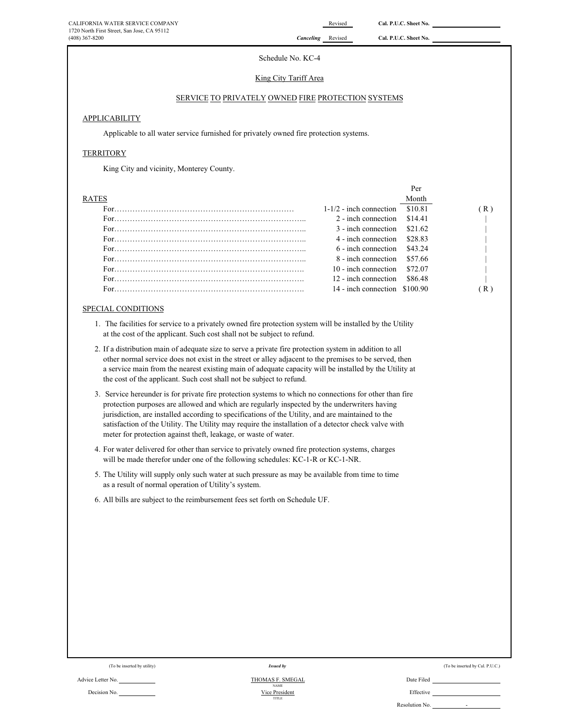# Schedule No. KC-4

#### King City Tariff Area

# SERVICE TO PRIVATELY OWNED FIRE PROTECTION SYSTEMS

#### **APPLICABILITY**

Applicable to all water service furnished for privately owned fire protection systems.

# **TERRITORY**

King City and vicinity, Monterey County.

|              |                                  | Per     |   |
|--------------|----------------------------------|---------|---|
| <b>RATES</b> |                                  | Month   |   |
|              | $1-1/2$ - inch connection        | \$10.81 | R |
|              | 2 - inch connection \$14.41      |         |   |
|              | $3$ - inch connection $$21.62$   |         |   |
|              | 4 - inch connection \$28.83      |         |   |
|              | $6$ - inch connection $$43.24$   |         |   |
|              | 8 - inch connection \$57.66      |         |   |
|              | $10$ - inch connection \$72.07   |         |   |
|              | 12 - inch connection             | \$86.48 |   |
|              | $14$ - inch connection $$100.90$ |         |   |

# SPECIAL CONDITIONS

- 1. The facilities for service to a privately owned fire protection system will be installed by the Utility at the cost of the applicant. Such cost shall not be subject to refund.
- 2. If a distribution main of adequate size to serve a private fire protection system in addition to all other normal service does not exist in the street or alley adjacent to the premises to be served, then a service main from the nearest existing main of adequate capacity will be installed by the Utility at the cost of the applicant. Such cost shall not be subject to refund.
- 3. Service hereunder is for private fire protection systems to which no connections for other than fire protection purposes are allowed and which are regularly inspected by the underwriters having jurisdiction, are installed according to specifications of the Utility, and are maintained to the satisfaction of the Utility. The Utility may require the installation of a detector check valve with meter for protection against theft, leakage, or waste of water.
- 4. For water delivered for other than service to privately owned fire protection systems, charges will be made therefor under one of the following schedules: KC-1-R or KC-1-NR.
- 5. The Utility will supply only such water at such pressure as may be available from time to time as a result of normal operation of Utility's system.
- 6. All bills are subject to the reimbursement fees set forth on Schedule UF.

|  | (To be inserted by utility) |  |
|--|-----------------------------|--|

# *Issued by*

Advice Letter No. 2014 2014 2015 2016 2017 2018 2019 2014 2016 2017 2018 2019 2022 2023 2024 2022 2023 2024 20 Decision No. **Effective Decision No. Effective Decision No. Effective** NAME<br>Vice President TITLE

| (To be inserted by utility) | <i>ssued by</i> | (To be inserted by Cal. P.U.C.)<br>. |
|-----------------------------|-----------------|--------------------------------------|
|-----------------------------|-----------------|--------------------------------------|

-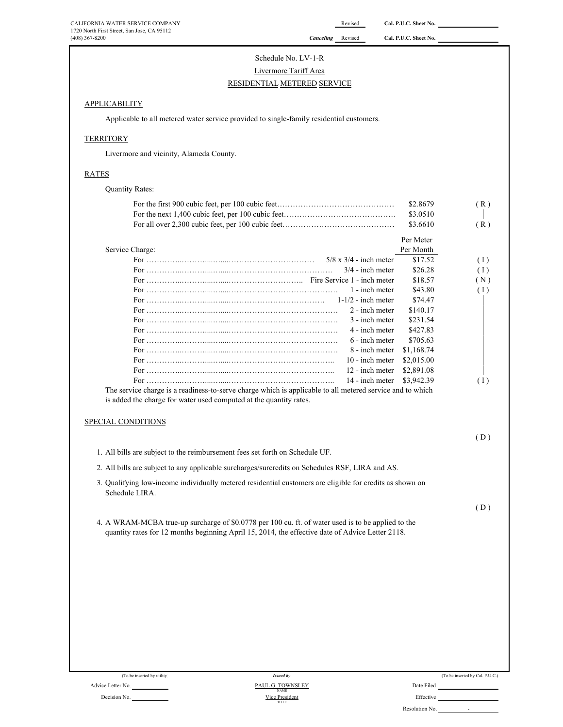# Schedule No. LV-1-R RESIDENTIAL METERED SERVICE Livermore Tariff Area

# **APPLICABILITY**

Applicable to all metered water service provided to single-family residential customers.

# **TERRITORY**

Livermore and vicinity, Alameda County.

# RATES

| <b>Quantity Rates:</b>                                                                                                                                                                                 |            |     |
|--------------------------------------------------------------------------------------------------------------------------------------------------------------------------------------------------------|------------|-----|
|                                                                                                                                                                                                        | \$2,8679   | (R) |
|                                                                                                                                                                                                        | \$3.0510   |     |
|                                                                                                                                                                                                        | \$3.6610   | (R) |
|                                                                                                                                                                                                        | Per Meter  |     |
| Service Charge:                                                                                                                                                                                        | Per Month  |     |
| $5/8 \times 3/4$ - inch meter                                                                                                                                                                          | \$17.52    | (1) |
| $3/4$ - inch meter                                                                                                                                                                                     | \$26.28    | (1) |
|                                                                                                                                                                                                        | \$18.57    | (N) |
| 1 - inch meter                                                                                                                                                                                         | \$43.80    | (1) |
| $1-1/2$ - inch meter                                                                                                                                                                                   | \$74.47    |     |
| 2 - inch meter                                                                                                                                                                                         | \$140.17   |     |
| 3 - inch meter                                                                                                                                                                                         | \$231.54   |     |
| 4 - inch meter                                                                                                                                                                                         | \$427.83   |     |
| 6 - inch meter                                                                                                                                                                                         | \$705.63   |     |
| 8 - inch meter                                                                                                                                                                                         | \$1,168.74 |     |
| 10 - inch meter                                                                                                                                                                                        | \$2,015.00 |     |
| 12 - inch meter                                                                                                                                                                                        | \$2,891.08 |     |
| 14 - inch meter                                                                                                                                                                                        | \$3,942.39 | (1) |
| The service charge is a readiness-to-serve charge which is applicable to all metered service and to which                                                                                              |            |     |
| is added the charge for water used computed at the quantity rates.                                                                                                                                     |            |     |
| SPECIAL CONDITIONS                                                                                                                                                                                     |            |     |
|                                                                                                                                                                                                        |            | (D) |
| 1. All bills are subject to the reimbursement fees set forth on Schedule UF.                                                                                                                           |            |     |
| 2. All bills are subject to any applicable surcharges/surcredits on Schedules RSF, LIRA and AS.                                                                                                        |            |     |
| 3. Qualifying low-income individually metered residential customers are eligible for credits as shown on<br>Schedule LIRA.                                                                             |            |     |
|                                                                                                                                                                                                        |            | (D) |
| 4. A WRAM-MCBA true-up surcharge of \$0.0778 per 100 cu. ft. of water used is to be applied to the<br>quantity rates for 12 months beginning April 15, 2014, the effective date of Advice Letter 2118. |            |     |
|                                                                                                                                                                                                        |            |     |

|                |  | (To be inserted by utilit |  |
|----------------|--|---------------------------|--|
| ice Letter No. |  |                           |  |

Decision No.

| (To be inserted by utility) | <b>Issued by</b>                | (To be inserted by Cal. P.U.C.) |
|-----------------------------|---------------------------------|---------------------------------|
| No.                         | PAUL G. TOWNSLEY<br><b>NAME</b> | Date Filed                      |
| No.                         | Vice President<br>TITLE         | Effective                       |
|                             |                                 | Resolution No.<br>$\sim$        |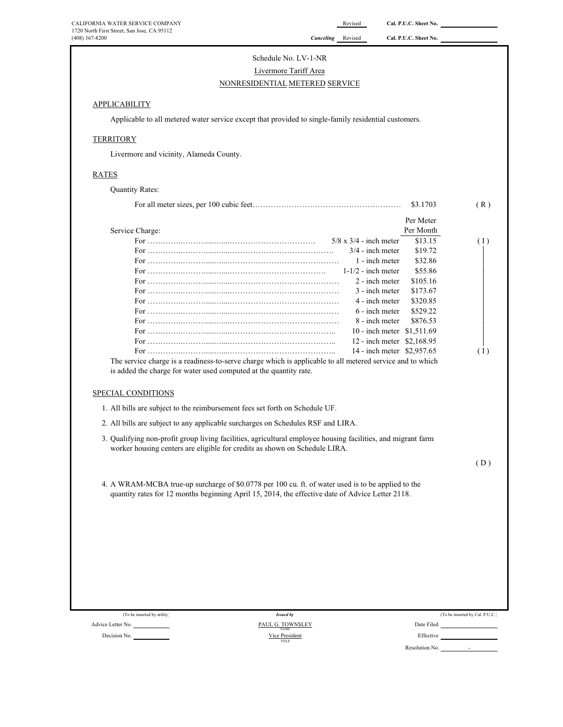# Schedule No. LV-1-NR Livermore Tariff Area NONRESIDENTIAL METERED SERVICE

# **APPLICABILITY**

Applicable to all metered water service except that provided to single-family residential customers.

# **TERRITORY**

Livermore and vicinity, Alameda County.

#### RATES

Quantity Rates: For all meter sizes, per 100 cubic feet………………………………………………… \$3.1703 ( R ) Service Charge: Per Meter Per Month For …………..………....…....…………………………… 5/8 x 3/4 - inch meter \$13.15 ( I ) For …………..………....…....…………………………………. 3/4 - inch meter \$19.72 <sup>|</sup> For …………..………....…....…………………………………… 1 - inch meter \$32.86 <sup>|</sup> For …………..………....…....………………………………. 1-1/2 - inch meter \$55.86 <sup>|</sup> For …………..………....…....…………………………………… 2 - inch meter \$105.16 <sup>|</sup> For …………..………....…....…………………………………… 3 - inch meter \$173.67 <sup>|</sup> For …………..………....…....…………………………………… 4 - inch meter \$320.85 <sup>|</sup> For …………..………....…....…………………………………… 6 - inch meter \$529.22 <sup>|</sup> For …………..………....…....…………………………………… 8 - inch meter \$876.53 <sup>|</sup> For …………..………....…....………………………………….. 10 - inch meter \$1,511.69 <sup>|</sup> For …………..………....…....………………………………….. 12 - inch meter \$2,168.95 <sup>|</sup> For …………..………....…....………………………………….. 14 - inch meter \$2,957.65 ( I ) SPECIAL CONDITIONS 1. All bills are subject to the reimbursement fees set forth on Schedule UF. 2. All bills are subject to any applicable surcharges on Schedules RSF and LIRA. 3. Qualifying non-profit group living facilities, agricultural employee housing facilities, and migrant farm worker housing centers are eligible for credits as shown on Schedule LIRA.  $(D)$ 4. A WRAM-MCBA true-up surcharge of \$0.0778 per 100 cu. ft. of water used is to be applied to the quantity rates for 12 months beginning April 15, 2014, the effective date of Advice Letter 2118. The service charge is a readiness-to-serve charge which is applicable to all metered service and to which is added the charge for water used computed at the quantity rate.

| (To be inserted by utility) | <b>Issued by</b>                | (To be inserted by Cal. P.U.C.) |
|-----------------------------|---------------------------------|---------------------------------|
| Advice Letter No.           | PAUL G. TOWNSLEY<br><b>NAME</b> | Date Filed                      |
| Decision No.                | Vice President<br>TITLE         | Effective                       |
|                             |                                 | Resolution No.                  |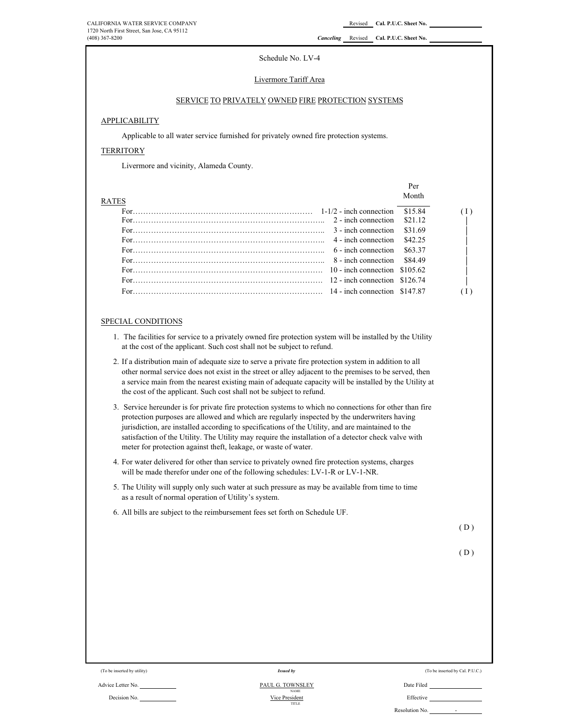#### Schedule No. LV-4

#### Livermore Tariff Area

# SERVICE TO PRIVATELY OWNED FIRE PROTECTION SYSTEMS

# APPLICABILITY

Applicable to all water service furnished for privately owned fire protection systems.

# **TERRITORY**

Livermore and vicinity, Alameda County.

|              |                                                                                                                                                                                                  |                             | Per     |  |
|--------------|--------------------------------------------------------------------------------------------------------------------------------------------------------------------------------------------------|-----------------------------|---------|--|
| <b>RATES</b> |                                                                                                                                                                                                  |                             | Month   |  |
|              | For $\frac{1-1}{2}$ inch connection \$15.84                                                                                                                                                      |                             |         |  |
|              |                                                                                                                                                                                                  |                             |         |  |
|              |                                                                                                                                                                                                  | 3 - inch connection \$31.69 |         |  |
|              | For $\cdots$ $\cdots$ $\cdots$ $\cdots$ $\cdots$ $\cdots$ $\cdots$ $\cdots$ $\cdots$ $\cdots$ $\cdots$ $\cdots$ $\cdots$ $\cdots$ $\cdots$ $\cdots$ $\cdots$ $\cdots$ $\cdots$ $\cdots$ $\cdots$ |                             | \$42.25 |  |
|              | For $\cdots$ $\cdots$ $\cdots$ $\cdots$ $\cdots$ $\cdots$ $\cdots$ $\cdots$ $\cdots$ $\cdots$ $\cdots$ $\cdots$ $\cdots$ $\cdots$ $\cdots$ $\cdots$ $\cdots$ $\cdots$                            |                             | \$63.37 |  |
|              | For $8-149$                                                                                                                                                                                      |                             |         |  |
|              |                                                                                                                                                                                                  |                             |         |  |
|              | For $\frac{12}{100}$ and $\frac{126.74}{1000}$ and $\frac{12}{100}$ and $\frac{126.74}{1000}$ and $\frac{126.74}{1000}$                                                                          |                             |         |  |
|              | For $\ldots$ such a set of $\ldots$ such a set of $\ldots$ such a set of $\ldots$ and $\ldots$ 14 - inch connection \$147.87                                                                     |                             |         |  |
|              |                                                                                                                                                                                                  |                             |         |  |

#### SPECIAL CONDITIONS

- 1. The facilities for service to a privately owned fire protection system will be installed by the Utility at the cost of the applicant. Such cost shall not be subject to refund.
- 2. If a distribution main of adequate size to serve a private fire protection system in addition to all other normal service does not exist in the street or alley adjacent to the premises to be served, then a service main from the nearest existing main of adequate capacity will be installed by the Utility at the cost of the applicant. Such cost shall not be subject to refund.
- 3. Service hereunder is for private fire protection systems to which no connections for other than fire protection purposes are allowed and which are regularly inspected by the underwriters having jurisdiction, are installed according to specifications of the Utility, and are maintained to the satisfaction of the Utility. The Utility may require the installation of a detector check valve with meter for protection against theft, leakage, or waste of water.
- 4. For water delivered for other than service to privately owned fire protection systems, charges will be made therefor under one of the following schedules: LV-1-R or LV-1-NR.
- 5. The Utility will supply only such water at such pressure as may be available from time to time as a result of normal operation of Utility's system.
- 6. All bills are subject to the reimbursement fees set forth on Schedule UF.

 $(D)$ 

$$
(D)
$$

|  |  |  | (To be inserted by utility) |
|--|--|--|-----------------------------|
|--|--|--|-----------------------------|

#### Advice Letter No. Date Filed NAME Decision No. No. 2006 and 2007 Nice President Christian Christian Christian Christian Christian Christian Christian Christian Christian Christian Christian Christian Christian Christian Christian Christian Christian Christ TITLE Vice President PAUL G. TOWNSLEY

*Issued by*

(To be inserted by Cal. P.U.C.)

Resolution No.  $\qquad -$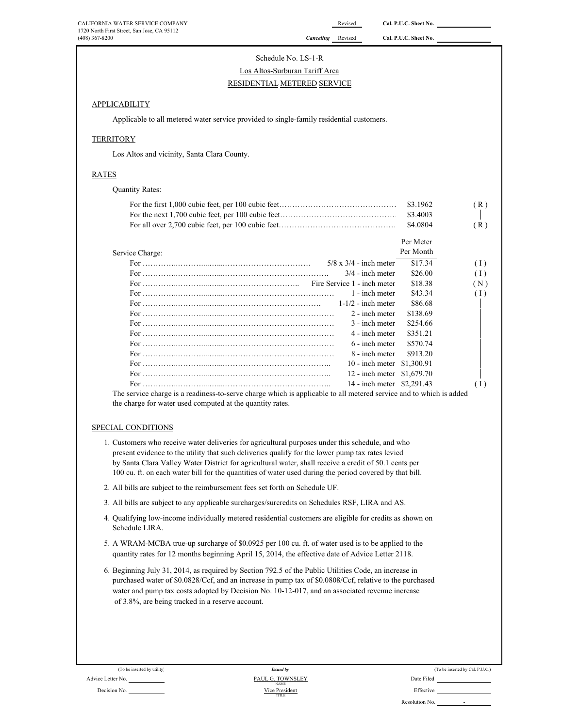# Schedule No. LS-1-R

# RESIDENTIAL METERED SERVICE Los Altos-Surburan Tariff Area

# APPLICABILITY

Applicable to all metered water service provided to single-family residential customers.

# **TERRITORY**

Los Altos and vicinity, Santa Clara County.

# RATES

| <b>Quantity Rates:</b>                                                                                            |                               |            |     |
|-------------------------------------------------------------------------------------------------------------------|-------------------------------|------------|-----|
|                                                                                                                   |                               | \$3.1962   | (R) |
|                                                                                                                   |                               | \$3.4003   |     |
|                                                                                                                   |                               | \$4.0804   | (R) |
|                                                                                                                   |                               | Per Meter  |     |
| Service Charge:                                                                                                   |                               | Per Month  |     |
|                                                                                                                   | $5/8 \times 3/4$ - inch meter | \$17.34    | (1) |
|                                                                                                                   | $3/4$ - inch meter            | \$26.00    | (1) |
|                                                                                                                   |                               | \$18.38    | (N) |
|                                                                                                                   | 1 - inch meter                | \$43.34    | (1) |
|                                                                                                                   | $1-1/2$ - inch meter          | \$86.68    |     |
|                                                                                                                   | 2 - inch meter                | \$138.69   |     |
|                                                                                                                   | 3 - inch meter                | \$254.66   |     |
|                                                                                                                   | 4 - inch meter                | \$351.21   |     |
|                                                                                                                   | 6 - inch meter                | \$570.74   |     |
|                                                                                                                   | 8 - inch meter                | \$913.20   |     |
|                                                                                                                   | 10 - inch meter               | \$1,300.91 |     |
|                                                                                                                   | 12 - inch meter               | \$1,679.70 |     |
|                                                                                                                   | 14 - inch meter \$2,291.43    |            | (1) |
| The counter change to a needinger to comer change which is continelledged in atomad compare and to which is added |                               |            |     |

The service charge is a readiness-to-serve charge which is applicable to all metered service and to which is added the charge for water used computed at the quantity rates.

# SPECIAL CONDITIONS

- 1. Customers who receive water deliveries for agricultural purposes under this schedule, and who present evidence to the utility that such deliveries qualify for the lower pump tax rates levied by Santa Clara Valley Water District for agricultural water, shall receive a credit of 50.1 cents per 100 cu. ft. on each water bill for the quantities of water used during the period covered by that bill.
- 2. All bills are subject to the reimbursement fees set forth on Schedule UF.
- 3. All bills are subject to any applicable surcharges/surcredits on Schedules RSF, LIRA and AS.
- 4. Qualifying low-income individually metered residential customers are eligible for credits as shown on Schedule LIRA.
- 5. A WRAM-MCBA true-up surcharge of \$0.0925 per 100 cu. ft. of water used is to be applied to the quantity rates for 12 months beginning April 15, 2014, the effective date of Advice Letter 2118.
- 6. Beginning July 31, 2014, as required by Section 792.5 of the Public Utilities Code, an increase in purchased water of \$0.0828/Ccf, and an increase in pump tax of \$0.0808/Ccf, relative to the purchased water and pump tax costs adopted by Decision No. 10-12-017, and an associated revenue increase of 3.8%, are being tracked in a reserve account.

|  | (To be inserted by Cal. P.U.C.) |  |  |
|--|---------------------------------|--|--|
|--|---------------------------------|--|--|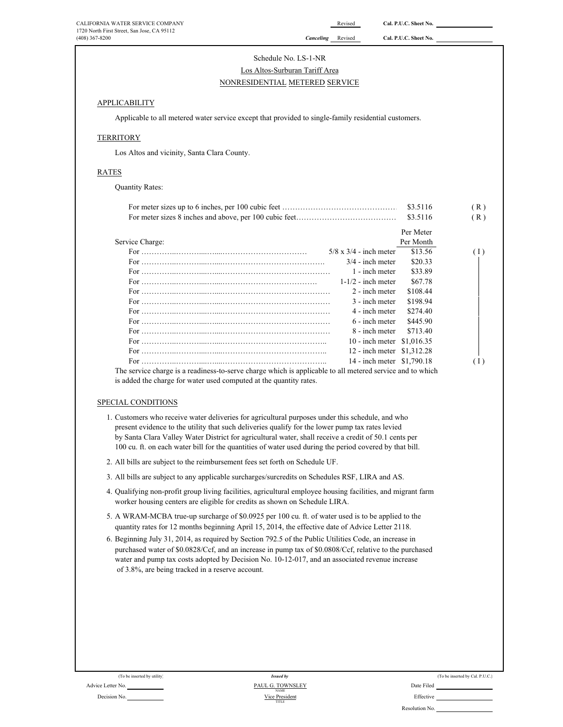| CALIFORNIA WATER SERVICE COMPANY            | Revised                     | Cal. P.U.C. Sheet No. |
|---------------------------------------------|-----------------------------|-----------------------|
| 1720 North First Street, San Jose, CA 95112 |                             |                       |
| $(408)$ 367-8200                            | <b>Canceling</b><br>Revised | Cal. P.U.C. Sheet No. |

# Schedule No. LS-1-NR Los Altos-Surburan Tariff Area

# NONRESIDENTIAL METERED SERVICE

# **APPLICABILITY**

Applicable to all metered water service except that provided to single-family residential customers.

# **TERRITORY**

Los Altos and vicinity, Santa Clara County.

# RATES

Quantity Rates:

|                                                                                                           |                               | \$3.5116  | (R) |
|-----------------------------------------------------------------------------------------------------------|-------------------------------|-----------|-----|
|                                                                                                           |                               | \$3.5116  | (R) |
|                                                                                                           |                               | Per Meter |     |
| Service Charge:                                                                                           |                               | Per Month |     |
|                                                                                                           | $5/8 \times 3/4$ - inch meter | \$13.56   | (1) |
|                                                                                                           | $3/4$ - inch meter            | \$20.33   |     |
|                                                                                                           | 1 - inch meter                | \$33.89   |     |
|                                                                                                           | $1-1/2$ - inch meter          | \$67.78   |     |
|                                                                                                           | 2 - inch meter                | \$108.44  |     |
|                                                                                                           | 3 - inch meter                | \$198.94  |     |
|                                                                                                           | 4 - inch meter                | \$274.40  |     |
|                                                                                                           | 6 - inch meter                | \$445.90  |     |
|                                                                                                           | 8 - inch meter                | \$713.40  |     |
|                                                                                                           | 10 - inch meter \$1,016.35    |           |     |
|                                                                                                           | 12 - inch meter \$1,312.28    |           |     |
|                                                                                                           | 14 - inch meter \$1,790.18    |           | (1) |
| The service charge is a readiness-to-serve charge which is applicable to all metered service and to which |                               |           |     |

is added the charge for water used computed at the quantity rates.

#### SPECIAL CONDITIONS

- 1. Customers who receive water deliveries for agricultural purposes under this schedule, and who present evidence to the utility that such deliveries qualify for the lower pump tax rates levied by Santa Clara Valley Water District for agricultural water, shall receive a credit of 50.1 cents per 100 cu. ft. on each water bill for the quantities of water used during the period covered by that bill.
- 2. All bills are subject to the reimbursement fees set forth on Schedule UF.
- 3. All bills are subject to any applicable surcharges/surcredits on Schedules RSF, LIRA and AS.
- 4. Qualifying non-profit group living facilities, agricultural employee housing facilities, and migrant farm worker housing centers are eligible for credits as shown on Schedule LIRA.
- 5. A WRAM-MCBA true-up surcharge of \$0.0925 per 100 cu. ft. of water used is to be applied to the quantity rates for 12 months beginning April 15, 2014, the effective date of Advice Letter 2118.
- 6. Beginning July 31, 2014, as required by Section 792.5 of the Public Utilities Code, an increase in purchased water of \$0.0828/Ccf, and an increase in pump tax of \$0.0808/Ccf, relative to the purchased water and pump tax costs adopted by Decision No. 10-12-017, and an associated revenue increase of 3.8%, are being tracked in a reserve account.

(To be inserted by utility)

#### Advice Letter No. Date Filed PAUL G. TOWNSLEY Decision No. 2002 Contract Contract Contract Contract Contract Contract Contract Contract Contract Contract Contract Contract Contract Contract Contract Contract Contract Contract Contract Contract Contract Contract Contra TITLE Vice President NAME *Issued by*

|  | (To be inserted by Cal. P.U.C.) |
|--|---------------------------------|
|  |                                 |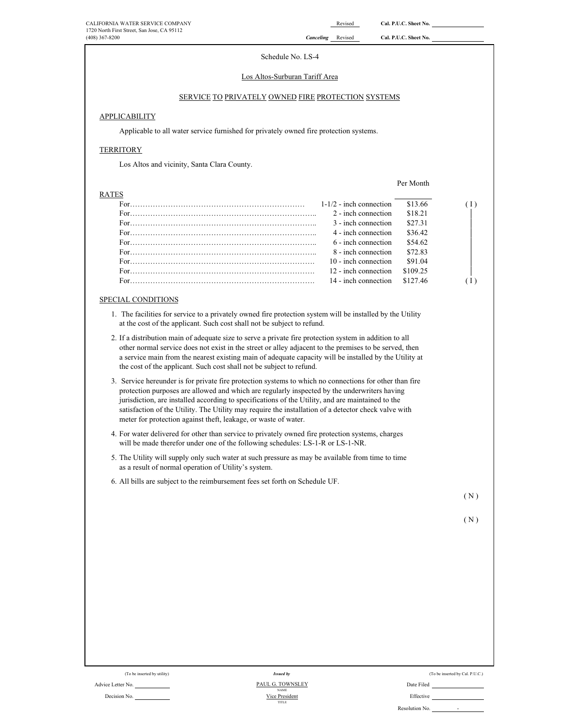Per Month

# Schedule No. LS-4

#### Los Altos-Surburan Tariff Area

# SERVICE TO PRIVATELY OWNED FIRE PROTECTION SYSTEMS

# APPLICABILITY

Applicable to all water service furnished for privately owned fire protection systems.

#### **TERRITORY**

Los Altos and vicinity, Santa Clara County.

#### **RATE**

| -22 |                                  |          |  |
|-----|----------------------------------|----------|--|
|     | $1-1/2$ - inch connection        | \$13.66  |  |
|     | 2 - inch connection              | \$18.21  |  |
|     | 3 - inch connection              | \$27.31  |  |
|     | 4 - inch connection              | \$3642   |  |
|     | 6 - inch connection              | \$54.62  |  |
|     | 8 - inch connection              | \$72.83  |  |
|     | 10 - inch connection             | \$91.04  |  |
|     | 12 - inch connection             | \$109.25 |  |
|     | $14$ - inch connection $$127.46$ |          |  |
|     |                                  |          |  |

## SPECIAL CONDITIONS

- 1. The facilities for service to a privately owned fire protection system will be installed by the Utility at the cost of the applicant. Such cost shall not be subject to refund.
- 2. If a distribution main of adequate size to serve a private fire protection system in addition to all other normal service does not exist in the street or alley adjacent to the premises to be served, then a service main from the nearest existing main of adequate capacity will be installed by the Utility at the cost of the applicant. Such cost shall not be subject to refund.
- 3. Service hereunder is for private fire protection systems to which no connections for other than fire protection purposes are allowed and which are regularly inspected by the underwriters having jurisdiction, are installed according to specifications of the Utility, and are maintained to the satisfaction of the Utility. The Utility may require the installation of a detector check valve with meter for protection against theft, leakage, or waste of water.
- 4. For water delivered for other than service to privately owned fire protection systems, charges will be made therefor under one of the following schedules: LS-1-R or LS-1-NR.
- 5. The Utility will supply only such water at such pressure as may be available from time to time as a result of normal operation of Utility's system.
- 6. All bills are subject to the reimbursement fees set forth on Schedule UF.

( N )

( N )

|  | (To be inserted by utility) |  |  |
|--|-----------------------------|--|--|
|  |                             |  |  |

#### Advice Letter No. Date Filed Decision No. **Effective Decision No. Decision No. Effective Decision No. Effective** TITLE NAME *Issued by* Vice President PAUL G. TOWNSLEY

| (To be inserted by utility) | <i>Issued by</i><br>-------- | (To be inserted by Cal. P.U.C.) |
|-----------------------------|------------------------------|---------------------------------|
|                             |                              |                                 |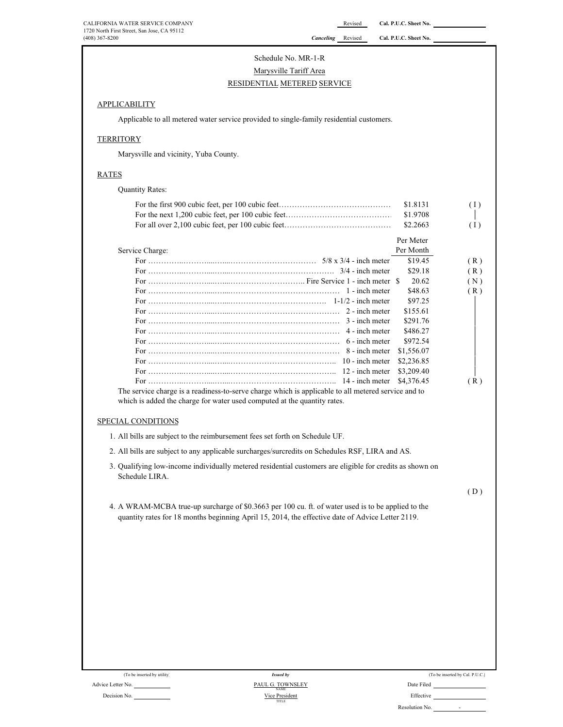# Schedule No. MR-1-R Marysville Tariff Area RESIDENTIAL METERED SERVICE

# **APPLICABILITY**

Applicable to all metered water service provided to single-family residential customers.

# **TERRITORY**

Marysville and vicinity, Yuba County.

# RATES

Quantity Rates:

|                                                                                                     | \$1.8131   | (1) |
|-----------------------------------------------------------------------------------------------------|------------|-----|
|                                                                                                     | \$1.9708   |     |
|                                                                                                     | \$2.2663   | (1) |
|                                                                                                     | Per Meter  |     |
| Service Charge:                                                                                     | Per Month  |     |
|                                                                                                     | \$19.45    | (R) |
|                                                                                                     | \$29.18    | (R) |
|                                                                                                     | 20.62      | (N) |
|                                                                                                     | \$48.63    | (R) |
|                                                                                                     | \$97.25    |     |
|                                                                                                     | \$155.61   |     |
|                                                                                                     | \$291.76   |     |
|                                                                                                     | \$486.27   |     |
|                                                                                                     | \$972.54   |     |
|                                                                                                     | \$1,556.07 |     |
|                                                                                                     | \$2,236.85 |     |
|                                                                                                     | \$3,209.40 |     |
|                                                                                                     | \$4,376.45 | (R) |
| The service charge is a readiness-to-serve charge which is applicable to all metered service and to |            |     |

which is added the charge for water used computed at the quantity rates.

# SPECIAL CONDITIONS

- 1. All bills are subject to the reimbursement fees set forth on Schedule UF.
- 2. All bills are subject to any applicable surcharges/surcredits on Schedules RSF, LIRA and AS.
- 3. Qualifying low-income individually metered residential customers are eligible for credits as shown on Schedule LIRA.

 $(D)$ 

4. A WRAM-MCBA true-up surcharge of \$0.3663 per 100 cu. ft. of water used is to be applied to the quantity rates for 18 months beginning April 15, 2014, the effective date of Advice Letter 2119.

| (To be inserted by utility) | Issued by                       |            |
|-----------------------------|---------------------------------|------------|
| Advice Letter No.           | PAUL G. TOWNSLEY<br><b>NAME</b> | Date Filed |
| _ _ _ _                     | --- - -                         | --         |

Decision No. **Effective** Effective **Contract Contract Contract Contract Contract Contract Contract Contract Contract Contract Contract Contract Contract Contract Contract Contract Contract Contract Contract Contract Contra** *Issued by* TITLE

| (To be inserted by utility) | <b>Issued by</b> | (To be inserted by Cal. P.U.C.) |
|-----------------------------|------------------|---------------------------------|
|                             |                  |                                 |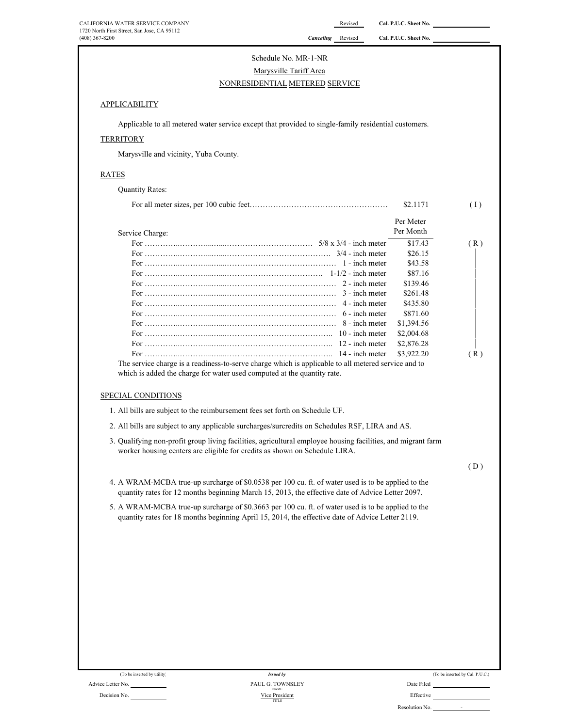# NONRESIDENTIAL METERED SERVICE Schedule No. MR-1-NR Marysville Tariff Area

# **APPLICABILITY**

Applicable to all metered water service except that provided to single-family residential customers.

# **TERRITORY**

Marysville and vicinity, Yuba County.

## RATES

Quantity Rates:

|                                                                                                     | \$2.1171   | (1) |
|-----------------------------------------------------------------------------------------------------|------------|-----|
|                                                                                                     | Per Meter  |     |
| Service Charge:                                                                                     | Per Month  |     |
|                                                                                                     | \$17.43    | (R) |
|                                                                                                     | \$26.15    |     |
|                                                                                                     | \$43.58    |     |
|                                                                                                     | \$87.16    |     |
|                                                                                                     | \$139.46   |     |
|                                                                                                     | \$261.48   |     |
|                                                                                                     | \$435.80   |     |
|                                                                                                     | \$871.60   |     |
|                                                                                                     | \$1,394.56 |     |
|                                                                                                     | \$2,004.68 |     |
| 12 - inch meter                                                                                     | \$2,876.28 |     |
|                                                                                                     | \$3,922.20 | (R) |
| The service charge is a readiness-to-serve charge which is applicable to all metered service and to |            |     |

which is added the charge for water used computed at the quantity rate.

# SPECIAL CONDITIONS

1. All bills are subject to the reimbursement fees set forth on Schedule UF.

2. All bills are subject to any applicable surcharges/surcredits on Schedules RSF, LIRA and AS.

3. Qualifying non-profit group living facilities, agricultural employee housing facilities, and migrant farm worker housing centers are eligible for credits as shown on Schedule LIRA.

 $(D)$ 

| 4. A WRAM-MCBA true-up surcharge of \$0.0538 per 100 cu. ft. of water used is to be applied to the |  |
|----------------------------------------------------------------------------------------------------|--|
| quantity rates for 12 months beginning March 15, 2013, the effective date of Advice Letter 2097.   |  |

5. A WRAM-MCBA true-up surcharge of \$0.3663 per 100 cu. ft. of water used is to be applied to the quantity rates for 18 months beginning April 15, 2014, the effective date of Advice Letter 2119.

TITLE

| (To be inserted by utility) | Issued by                       | (To be inserted by Cal. P.U.C.) |
|-----------------------------|---------------------------------|---------------------------------|
| Advice Letter No.           | PAUL G. TOWNSLEY<br><b>NAME</b> | Date Filed                      |
| Decision No.                | Vice President                  | Effective                       |

|  | (To be inserted by Cal. P.U. |  |  |
|--|------------------------------|--|--|
|  |                              |  |  |

| Resolution No.<br>. |  |
|---------------------|--|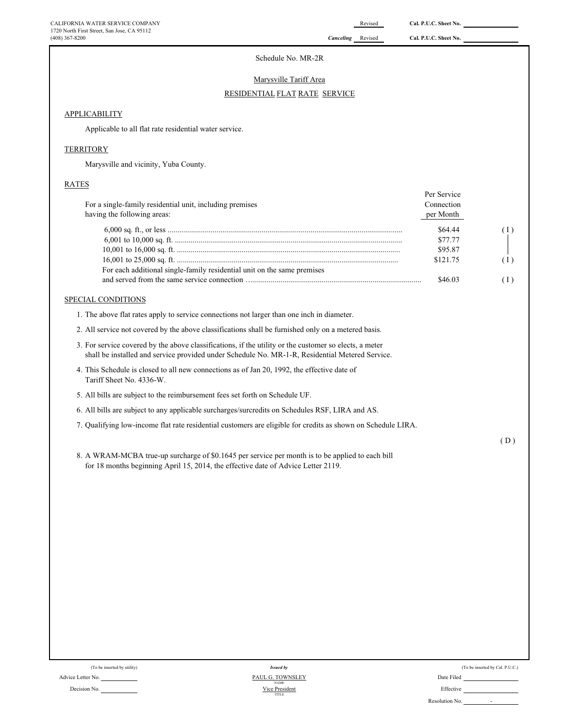# Schedule No. MR-2R

#### Marysville Tariff Area

#### RESIDENTIAL FLAT RATE SERVICE

# APPLICABILITY

Applicable to all flat rate residential water service.

# **TERRITORY**

Marysville and vicinity, Yuba County.

# RATES

| For a single-family residential unit, including premises<br>having the following areas: | Per Service<br>Connection<br>per Month |   |
|-----------------------------------------------------------------------------------------|----------------------------------------|---|
|                                                                                         | \$64.44                                |   |
|                                                                                         | \$77.77                                |   |
|                                                                                         | \$95.87                                |   |
| For each additional single-family residential unit on the same premises                 | \$121.75                               | Ω |
|                                                                                         | \$46.03                                |   |

# SPECIAL CONDITIONS

1. The above flat rates apply to service connections not larger than one inch in diameter.

- 2. All service not covered by the above classifications shall be furnished only on a metered basis.
- 3. For service covered by the above classifications, if the utility or the customer so elects, a meter shall be installed and service provided under Schedule No. MR-1-R, Residential Metered Service.
- 4. This Schedule is closed to all new connections as of Jan 20, 1992, the effective date of Tariff Sheet No. 4336-W.
- 5. All bills are subject to the reimbursement fees set forth on Schedule UF.
- 6. All bills are subject to any applicable surcharges/surcredits on Schedules RSF, LIRA and AS.
- 7. Qualifying low-income flat rate residential customers are eligible for credits as shown on Schedule LIRA.

( D )

8. A WRAM-MCBA true-up surcharge of \$0.1645 per service per month is to be applied to each bill for 18 months beginning April 15, 2014, the effective date of Advice Letter 2119.

| (To be inserted by utility) | <b>Issued by</b>                |            |
|-----------------------------|---------------------------------|------------|
| Advice Letter No.           | PAUL G. TOWNSLEY<br><b>NAME</b> | Date Filed |
| Decision No.                | Vice President                  | Effective  |

Decision No. **Effective** Effective **CONFIDENTIAL CONFIDENTIAL CONFIDENT** CONFIDENTIAL Effective Vice President *Issued by* TITLE

| (To be inserted by utility) | <b>Issued by</b>                | (To be inserted by Cal. P.U.C.)            |
|-----------------------------|---------------------------------|--------------------------------------------|
| No.                         | PAUL G. TOWNSLEY<br><b>NAME</b> | Date Filed                                 |
| No.                         | Vice President<br>TITLE         | Effective                                  |
|                             |                                 | Resolution No.<br>$\overline{\phantom{a}}$ |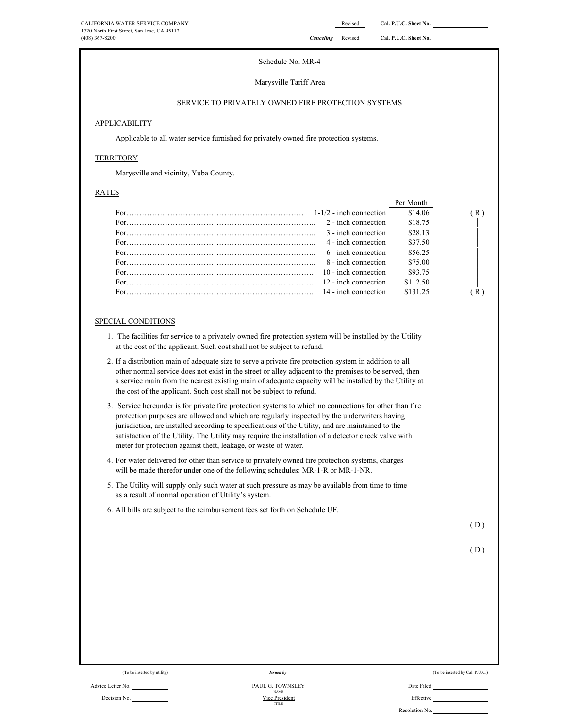Schedule No. MR-4

# Marysville Tariff Area

# SERVICE TO PRIVATELY OWNED FIRE PROTECTION SYSTEMS

# APPLICABILITY

Applicable to all water service furnished for privately owned fire protection systems.

# **TERRITORY**

Marysville and vicinity, Yuba County.

#### RATES

|                                                                                                                                                                                                                                                                                            | Per Month |  |
|--------------------------------------------------------------------------------------------------------------------------------------------------------------------------------------------------------------------------------------------------------------------------------------------|-----------|--|
| For $\ldots$ in $\ldots$ is a set of $\ldots$ is a set of $\ldots$ in $\ldots$ in $1-1/2$ - inch connection                                                                                                                                                                                | \$14.06   |  |
|                                                                                                                                                                                                                                                                                            | \$18.75   |  |
| 3 - inch connection                                                                                                                                                                                                                                                                        | \$28.13   |  |
| 4 - inch connection                                                                                                                                                                                                                                                                        | \$37.50   |  |
| 6 - inch connection                                                                                                                                                                                                                                                                        | \$56.25   |  |
| 8 - inch connection                                                                                                                                                                                                                                                                        | \$75.00   |  |
| 10 - inch connection                                                                                                                                                                                                                                                                       | \$93.75   |  |
| For $\ldots$ is a set of $\ldots$ is a set of $\ldots$ is a set of $\ldots$ in $\ldots$ in $\ldots$ in $\ldots$ in $\ldots$ in $\ldots$ in $\ldots$ in $\ldots$ in $\ldots$ in $\ldots$ in $\ldots$ in $\ldots$ in $\ldots$ in $\ldots$ in $\ldots$ in $\ldots$ in $\ldots$ in $\ldots$ in | \$112.50  |  |
| For $\ldots$ in $\ldots$ is a set of $\ldots$ is a set of $\ldots$ in $\ldots$ is $14$ - inch connection                                                                                                                                                                                   | \$131.25  |  |

#### SPECIAL CONDITIONS

- 1. The facilities for service to a privately owned fire protection system will be installed by the Utility at the cost of the applicant. Such cost shall not be subject to refund.
- 2. If a distribution main of adequate size to serve a private fire protection system in addition to all other normal service does not exist in the street or alley adjacent to the premises to be served, then a service main from the nearest existing main of adequate capacity will be installed by the Utility at the cost of the applicant. Such cost shall not be subject to refund.
- 3. Service hereunder is for private fire protection systems to which no connections for other than fire protection purposes are allowed and which are regularly inspected by the underwriters having jurisdiction, are installed according to specifications of the Utility, and are maintained to the satisfaction of the Utility. The Utility may require the installation of a detector check valve with meter for protection against theft, leakage, or waste of water.
- 4. For water delivered for other than service to privately owned fire protection systems, charges will be made therefor under one of the following schedules: MR-1-R or MR-1-NR.
- 5. The Utility will supply only such water at such pressure as may be available from time to time as a result of normal operation of Utility's system.
- 6. All bills are subject to the reimbursement fees set forth on Schedule UF.

( D )

$$
(D)
$$

#### Advice Letter No. Date Filed PAUL G. TOWNSLEY NAME<br>Vice President TITLE

*Issued by*

(To be inserted by utility) (To be inserted by Cal. P.U.C.) Issued by Cal. P.U.C.)

Decision No. 2008 2012 12:00 President Manual Manual Decision No. 2012 12:00 President Manual Defective

Reso

| olution No. |  |
|-------------|--|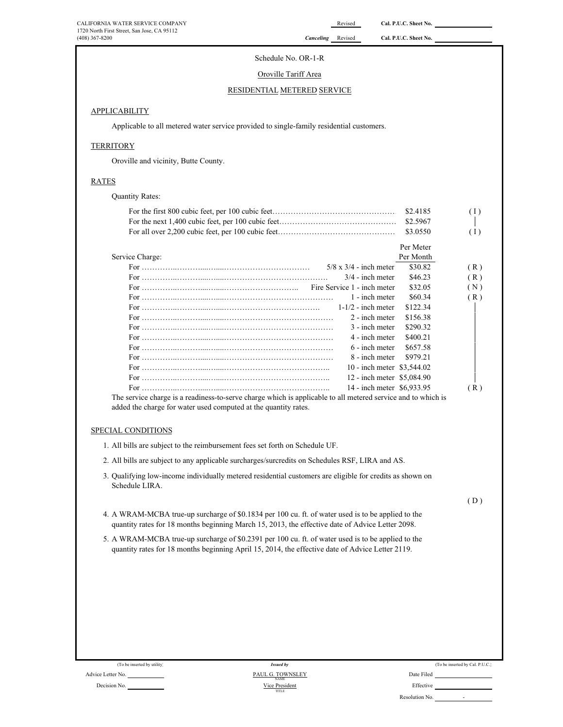# Schedule No. OR-1-R

# Oroville Tariff Area

# RESIDENTIAL METERED SERVICE

# **APPLICABILITY**

Applicable to all metered water service provided to single-family residential customers.

# **TERRITORY**

Oroville and vicinity, Butte County.

# RATES

Quantity Rates:

| \$2.4185 | (1) |
|----------|-----|
|          |     |
|          | (1) |

|                                                                                                                 |                               | Per Meter |     |
|-----------------------------------------------------------------------------------------------------------------|-------------------------------|-----------|-----|
| Service Charge:                                                                                                 |                               | Per Month |     |
|                                                                                                                 | $5/8 \times 3/4$ - inch meter | \$30.82   | (R) |
|                                                                                                                 | $3/4$ - inch meter            | \$46.23   | (R) |
|                                                                                                                 |                               | \$32.05   | (N) |
|                                                                                                                 | 1 - inch meter                | \$60.34   | (R) |
|                                                                                                                 | $1-1/2$ - inch meter          | \$122.34  |     |
|                                                                                                                 | 2 - inch meter                | \$156.38  |     |
|                                                                                                                 | 3 - inch meter                | \$290.32  |     |
|                                                                                                                 | 4 - inch meter                | \$400.21  |     |
|                                                                                                                 | $6$ - inch meter              | \$657.58  |     |
|                                                                                                                 | 8 - inch meter \$979.21       |           |     |
|                                                                                                                 | 10 - inch meter \$3,544.02    |           |     |
|                                                                                                                 | 12 - inch meter \$5,084.90    |           |     |
|                                                                                                                 | 14 - inch meter \$6,933.95    |           | (R) |
| The semiler shower is a mediater to semic shower which is smalledaled at all meters disemiler and to which is t |                               |           |     |

The service charge is a readiness-to-serve charge which is applicable to all metered service and to which is added the charge for water used computed at the quantity rates.

# SPECIAL CONDITIONS

- 1. All bills are subject to the reimbursement fees set forth on Schedule UF.
- 2. All bills are subject to any applicable surcharges/surcredits on Schedules RSF, LIRA and AS.
- 3. Qualifying low-income individually metered residential customers are eligible for credits as shown on Schedule LIRA.

( D )

- 4. A WRAM-MCBA true-up surcharge of \$0.1834 per 100 cu. ft. of water used is to be applied to the quantity rates for 18 months beginning March 15, 2013, the effective date of Advice Letter 2098.
- 5. A WRAM-MCBA true-up surcharge of \$0.2391 per 100 cu. ft. of water used is to be applied to the quantity rates for 18 months beginning April 15, 2014, the effective date of Advice Letter 2119.

|                | (To be inserted by Cal. P.U.C.) |
|----------------|---------------------------------|
| Date Filed     |                                 |
| Effective      |                                 |
| Resolution No. |                                 |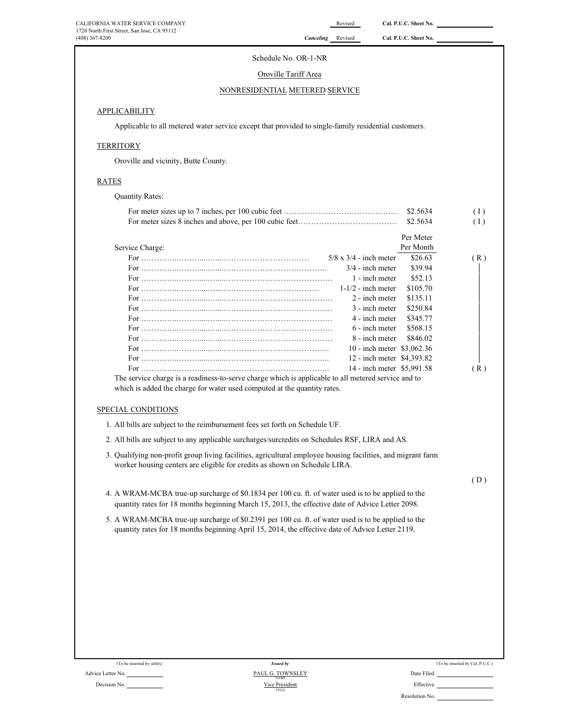# Schedule No. OR-1-NR

# Oroville Tariff Area

# NONRESIDENTIAL METERED SERVICE

# **APPLICABILITY**

Applicable to all metered water service except that provided to single-family residential customers.

# **TERRITORY**

Oroville and vicinity, Butte County.

# RATES

Quantity Rates:

|                                                                                                                                                                                                        | \$2.5634  | (1) |
|--------------------------------------------------------------------------------------------------------------------------------------------------------------------------------------------------------|-----------|-----|
|                                                                                                                                                                                                        | \$2.5634  | (1) |
|                                                                                                                                                                                                        | Per Meter |     |
| Service Charge:                                                                                                                                                                                        | Per Month |     |
| $5/8 \times 3/4$ - inch meter                                                                                                                                                                          | \$26.63   | (R) |
| $3/4$ - inch meter                                                                                                                                                                                     | \$39.94   |     |
| 1 - inch meter                                                                                                                                                                                         | \$52.13   |     |
| $1-1/2$ - inch meter                                                                                                                                                                                   | \$105.70  |     |
| 2 - inch meter                                                                                                                                                                                         | \$135.11  |     |
| 3 - inch meter                                                                                                                                                                                         | \$250.84  |     |
| 4 - inch meter                                                                                                                                                                                         | \$345.77  |     |
| 6 - inch meter                                                                                                                                                                                         | \$568.15  |     |
| 8 - inch meter                                                                                                                                                                                         | \$846.02  |     |
| 10 - inch meter \$3,062.36                                                                                                                                                                             |           |     |
| 12 - inch meter \$4,393.82                                                                                                                                                                             |           |     |
| 14 - inch meter \$5,991.58                                                                                                                                                                             |           | (R) |
| The service charge is a readiness-to-serve charge which is applicable to all metered service and to<br>which is added the charge for water used computed at the quantity rates.<br>SPECIAL CONDITIONS  |           |     |
| 1. All bills are subject to the reimbursement fees set forth on Schedule UF.                                                                                                                           |           |     |
| 2. All bills are subject to any applicable surcharges/surcredits on Schedules RSF, LIRA and AS.                                                                                                        |           |     |
| 3. Qualifying non-profit group living facilities, agricultural employee housing facilities, and migrant farm<br>worker housing centers are eligible for credits as shown on Schedule LIRA.             |           |     |
|                                                                                                                                                                                                        |           | (D) |
| 4. A WRAM-MCBA true-up surcharge of \$0.1834 per 100 cu. ft. of water used is to be applied to the<br>quantity rates for 18 months beginning March 15, 2013, the effective date of Advice Letter 2098. |           |     |
| 5. A WRAM-MCBA true-up surcharge of \$0.2391 per 100 cu. ft. of water used is to be applied to the<br>quantity rates for 18 months beginning April 15, 2014, the effective date of Advice Letter 2119. |           |     |
|                                                                                                                                                                                                        |           |     |

| (To be inserted by utility) | <b>Issued by</b>                |            |
|-----------------------------|---------------------------------|------------|
| Advice Letter No.           | PAUL G. TOWNSLEY<br><b>NAME</b> | Date Filed |
| Decision No.                | Vice President                  | Effective  |

| (To be inserted by utility) | <b>Issued by</b>        | (To be inserted by Cal. P.U.C.) |
|-----------------------------|-------------------------|---------------------------------|
| No.                         | <b>PAUL G. TOWNSLEY</b> | Date Filed                      |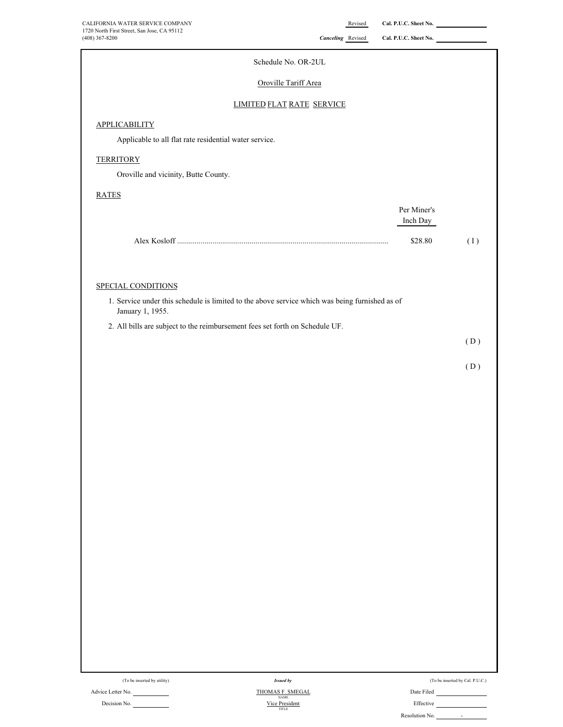| CALIFORNIA WATER SERVICE COMPANY                                                                                   |                                  | Revised | Cal. P.U.C. Sheet No. |                                 |
|--------------------------------------------------------------------------------------------------------------------|----------------------------------|---------|-----------------------|---------------------------------|
| 1720 North First Street, San Jose, CA 95112<br>(408) 367-8200                                                      | <b>Canceling</b> Revised         |         | Cal. P.U.C. Sheet No. |                                 |
|                                                                                                                    | Schedule No. OR-2UL              |         |                       |                                 |
|                                                                                                                    | Oroville Tariff Area             |         |                       |                                 |
|                                                                                                                    | <b>LIMITED FLAT RATE SERVICE</b> |         |                       |                                 |
| <b>APPLICABILITY</b>                                                                                               |                                  |         |                       |                                 |
| Applicable to all flat rate residential water service.                                                             |                                  |         |                       |                                 |
| <b>TERRITORY</b>                                                                                                   |                                  |         |                       |                                 |
| Oroville and vicinity, Butte County.                                                                               |                                  |         |                       |                                 |
| <b>RATES</b>                                                                                                       |                                  |         |                       |                                 |
|                                                                                                                    |                                  |         | Per Miner's           |                                 |
|                                                                                                                    |                                  |         | Inch Day              |                                 |
|                                                                                                                    |                                  |         | \$28.80               | (1)                             |
|                                                                                                                    |                                  |         |                       |                                 |
| SPECIAL CONDITIONS                                                                                                 |                                  |         |                       |                                 |
| 1. Service under this schedule is limited to the above service which was being furnished as of<br>January 1, 1955. |                                  |         |                       |                                 |
| 2. All bills are subject to the reimbursement fees set forth on Schedule UF.                                       |                                  |         |                       |                                 |
|                                                                                                                    |                                  |         |                       | (D)                             |
|                                                                                                                    |                                  |         |                       | (D)                             |
|                                                                                                                    |                                  |         |                       |                                 |
|                                                                                                                    |                                  |         |                       |                                 |
|                                                                                                                    |                                  |         |                       |                                 |
|                                                                                                                    |                                  |         |                       |                                 |
|                                                                                                                    |                                  |         |                       |                                 |
|                                                                                                                    |                                  |         |                       |                                 |
|                                                                                                                    |                                  |         |                       |                                 |
|                                                                                                                    |                                  |         |                       |                                 |
|                                                                                                                    |                                  |         |                       |                                 |
|                                                                                                                    |                                  |         |                       |                                 |
|                                                                                                                    |                                  |         |                       |                                 |
|                                                                                                                    |                                  |         |                       |                                 |
|                                                                                                                    |                                  |         |                       |                                 |
|                                                                                                                    |                                  |         |                       |                                 |
|                                                                                                                    |                                  |         |                       |                                 |
|                                                                                                                    |                                  |         |                       |                                 |
| (To be inserted by utility)                                                                                        | <b>Issued by</b>                 |         |                       | (To be inserted by Cal. P.U.C.) |
|                                                                                                                    |                                  |         |                       |                                 |

Advice Letter No. Decision No.

THOMAS F. SMEGAL NAME Vice President

| (10 De inserted by Cal. P.U.C.) |  |
|---------------------------------|--|
| Date Filed                      |  |
| Effective                       |  |

| Resolution No. |  |
|----------------|--|
|                |  |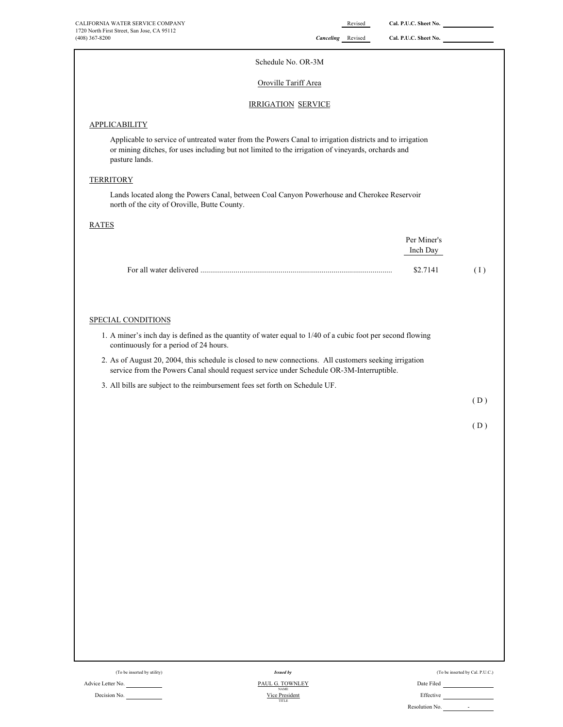| CALIFORNIA WATER SERVICE COMPANY                                                                                                                                                                                                 | Revised                   | Cal. P.U.C. Sheet No.   |     |
|----------------------------------------------------------------------------------------------------------------------------------------------------------------------------------------------------------------------------------|---------------------------|-------------------------|-----|
| 1720 North First Street, San Jose, CA 95112<br>(408) 367-8200                                                                                                                                                                    | <b>Canceling</b> Revised  | Cal. P.U.C. Sheet No.   |     |
|                                                                                                                                                                                                                                  | Schedule No. OR-3M        |                         |     |
|                                                                                                                                                                                                                                  | Oroville Tariff Area      |                         |     |
|                                                                                                                                                                                                                                  | <b>IRRIGATION SERVICE</b> |                         |     |
| APPLICABILITY                                                                                                                                                                                                                    |                           |                         |     |
| Applicable to service of untreated water from the Powers Canal to irrigation districts and to irrigation<br>or mining ditches, for uses including but not limited to the irrigation of vineyards, orchards and<br>pasture lands. |                           |                         |     |
| <b>TERRITORY</b>                                                                                                                                                                                                                 |                           |                         |     |
| Lands located along the Powers Canal, between Coal Canyon Powerhouse and Cherokee Reservoir<br>north of the city of Oroville, Butte County.                                                                                      |                           |                         |     |
| <b>RATES</b>                                                                                                                                                                                                                     |                           |                         |     |
|                                                                                                                                                                                                                                  |                           | Per Miner's<br>Inch Day |     |
|                                                                                                                                                                                                                                  |                           | \$2.7141                | (1) |
| SPECIAL CONDITIONS                                                                                                                                                                                                               |                           |                         |     |
| 1. A miner's inch day is defined as the quantity of water equal to 1/40 of a cubic foot per second flowing<br>continuously for a period of 24 hours.                                                                             |                           |                         |     |
| 2. As of August 20, 2004, this schedule is closed to new connections. All customers seeking irrigation<br>service from the Powers Canal should request service under Schedule OR-3M-Interruptible.                               |                           |                         |     |
| 3. All bills are subject to the reimbursement fees set forth on Schedule UF.                                                                                                                                                     |                           |                         |     |
|                                                                                                                                                                                                                                  |                           |                         | (D) |
|                                                                                                                                                                                                                                  |                           |                         | (D) |
|                                                                                                                                                                                                                                  |                           |                         |     |
|                                                                                                                                                                                                                                  |                           |                         |     |
|                                                                                                                                                                                                                                  |                           |                         |     |

(To be inserted by utility) (To be inserted by Cal. P.U.C.) Advice Letter No. <u>PAUL G. TOWNLEY</u> Date Filed Date Filed Decision No. <u>Vice President</u> Effective Effective Effective Effective Effective Effective Effective Effective Effective Effective Effective Effective Effective Effective Effective Effective Effective Effective Effective Ef PAUL G. TOWNLEY<br>Vice President<br>TITLE *Issued by*

|  | (To be inserted by Cal. P.U.C. |  |  |
|--|--------------------------------|--|--|

| (To be inserted by utility) |  |  |  |
|-----------------------------|--|--|--|
|-----------------------------|--|--|--|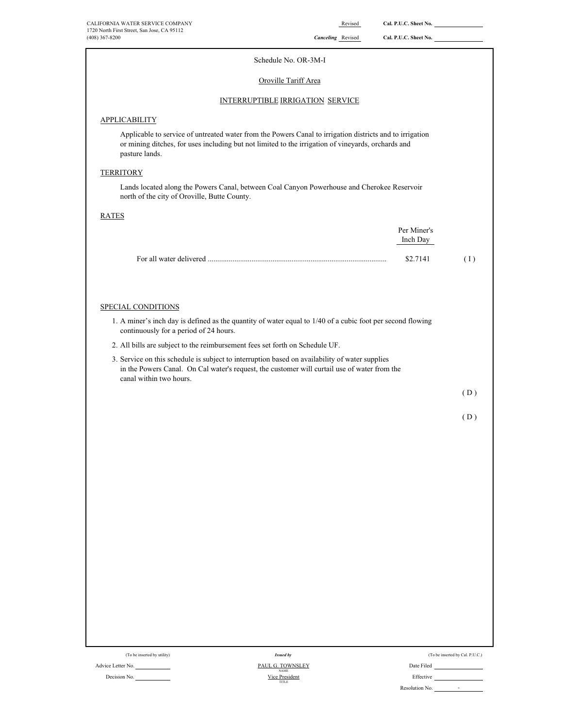| CALIFORNIA WATER SERVICE COMPANY<br>1720 North First Street, San Jose, CA 95112<br>(408) 367-8200                                                                                                                                | Revised<br><b>Canceling</b> Revised | Cal. P.U.C. Sheet No.<br>Cal. P.U.C. Sheet No. |     |
|----------------------------------------------------------------------------------------------------------------------------------------------------------------------------------------------------------------------------------|-------------------------------------|------------------------------------------------|-----|
| Schedule No. OR-3M-I                                                                                                                                                                                                             |                                     |                                                |     |
| Oroville Tariff Area                                                                                                                                                                                                             |                                     |                                                |     |
| INTERRUPTIBLE IRRIGATION SERVICE                                                                                                                                                                                                 |                                     |                                                |     |
| <b>APPLICABILITY</b>                                                                                                                                                                                                             |                                     |                                                |     |
| Applicable to service of untreated water from the Powers Canal to irrigation districts and to irrigation<br>or mining ditches, for uses including but not limited to the irrigation of vineyards, orchards and<br>pasture lands. |                                     |                                                |     |
| TERRITORY                                                                                                                                                                                                                        |                                     |                                                |     |
| Lands located along the Powers Canal, between Coal Canyon Powerhouse and Cherokee Reservoir<br>north of the city of Oroville, Butte County.                                                                                      |                                     |                                                |     |
| <b>RATES</b>                                                                                                                                                                                                                     |                                     |                                                |     |
|                                                                                                                                                                                                                                  |                                     | Per Miner's<br>Inch Day                        |     |
|                                                                                                                                                                                                                                  |                                     | \$2.7141                                       | (1) |
|                                                                                                                                                                                                                                  |                                     |                                                |     |
| SPECIAL CONDITIONS                                                                                                                                                                                                               |                                     |                                                |     |
| 1. A miner's inch day is defined as the quantity of water equal to 1/40 of a cubic foot per second flowing<br>continuously for a period of 24 hours.                                                                             |                                     |                                                |     |
| 2. All bills are subject to the reimbursement fees set forth on Schedule UF.                                                                                                                                                     |                                     |                                                |     |
| 3. Service on this schedule is subject to interruption based on availability of water supplies<br>in the Powers Canal. On Cal water's request, the customer will curtail use of water from the<br>canal within two hours.        |                                     |                                                |     |
|                                                                                                                                                                                                                                  |                                     |                                                | (D) |
|                                                                                                                                                                                                                                  |                                     |                                                | (D) |
|                                                                                                                                                                                                                                  |                                     |                                                |     |
|                                                                                                                                                                                                                                  |                                     |                                                |     |
|                                                                                                                                                                                                                                  |                                     |                                                |     |
|                                                                                                                                                                                                                                  |                                     |                                                |     |
|                                                                                                                                                                                                                                  |                                     |                                                |     |
|                                                                                                                                                                                                                                  |                                     |                                                |     |
|                                                                                                                                                                                                                                  |                                     |                                                |     |
|                                                                                                                                                                                                                                  |                                     |                                                |     |
|                                                                                                                                                                                                                                  |                                     |                                                |     |
|                                                                                                                                                                                                                                  |                                     |                                                |     |
|                                                                                                                                                                                                                                  |                                     |                                                |     |

| (To be inserted by utility) | Issued by                       | (To be inserted by Cal. P.U.C.)            |
|-----------------------------|---------------------------------|--------------------------------------------|
| Advice Letter No.           | PAUL G. TOWNSLEY<br><b>NAME</b> | Date Filed                                 |
| Decision No.                | Vice President<br>TITLE         | Effective                                  |
|                             |                                 | Resolution No.<br>$\overline{\phantom{0}}$ |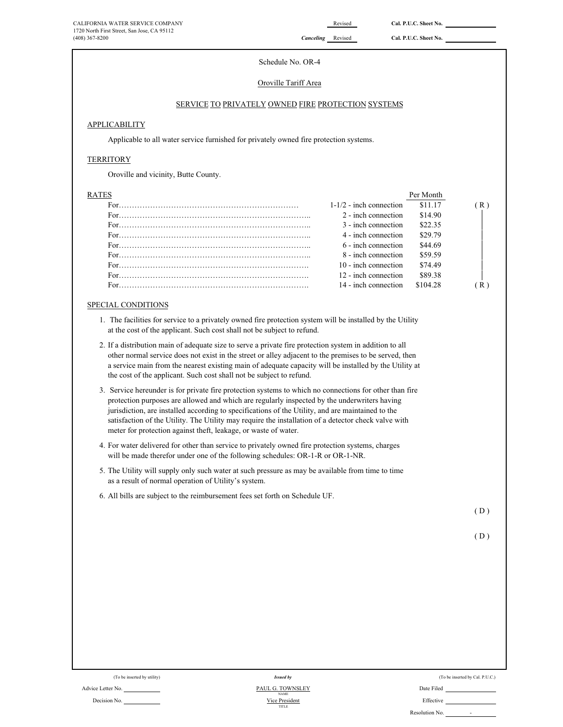# Schedule No. OR-4

# Oroville Tariff Area

# SERVICE TO PRIVATELY OWNED FIRE PROTECTION SYSTEMS

# **APPLICABILITY**

Applicable to all water service furnished for privately owned fire protection systems.

# **TERRITORY**

Oroville and vicinity, Butte County.

| RATES |                           | Per Month |    |
|-------|---------------------------|-----------|----|
|       | $1-1/2$ - inch connection | \$11.17   | R) |
|       | 2 - inch connection       | \$14.90   |    |
|       | 3 - inch connection       | \$22.35   |    |
|       | 4 - inch connection       | \$29.79   |    |
|       | 6 - inch connection       | \$44.69   |    |
|       | 8 - inch connection       | \$59.59   |    |
|       | 10 - inch connection      | \$74.49   |    |
|       | 12 - inch connection      | \$89.38   |    |
|       | 14 - inch connection      | \$104.28  |    |
|       |                           |           |    |

# SPECIAL CONDITIONS

- 1. The facilities for service to a privately owned fire protection system will be installed by the Utility at the cost of the applicant. Such cost shall not be subject to refund.
- 2. If a distribution main of adequate size to serve a private fire protection system in addition to all other normal service does not exist in the street or alley adjacent to the premises to be served, then a service main from the nearest existing main of adequate capacity will be installed by the Utility at the cost of the applicant. Such cost shall not be subject to refund.
- 3. Service hereunder is for private fire protection systems to which no connections for other than fire protection purposes are allowed and which are regularly inspected by the underwriters having jurisdiction, are installed according to specifications of the Utility, and are maintained to the satisfaction of the Utility. The Utility may require the installation of a detector check valve with meter for protection against theft, leakage, or waste of water.
- 4. For water delivered for other than service to privately owned fire protection systems, charges will be made therefor under one of the following schedules: OR-1-R or OR-1-NR.
- 5. The Utility will supply only such water at such pressure as may be available from time to time as a result of normal operation of Utility's system.
- 6. All bills are subject to the reimbursement fees set forth on Schedule UF.

( D )

|  | (To be inserted by utility) |  |  |
|--|-----------------------------|--|--|
|  |                             |  |  |

Decision No.

Advice Letter No. Date Filed Contact Advice Letter No. Date Filed TITLE NAME Vice President *Issued by*

| (To be inserted by utility) | <b>Issued by</b>                | (To be inserted by Cal. P.U.C.)            |
|-----------------------------|---------------------------------|--------------------------------------------|
| No.                         | PAUL G. TOWNSLEY<br><b>NAME</b> | Date Filed                                 |
| No.                         | Vice President<br>TITLE         | Effective                                  |
|                             |                                 | Resolution No.<br>$\overline{\phantom{0}}$ |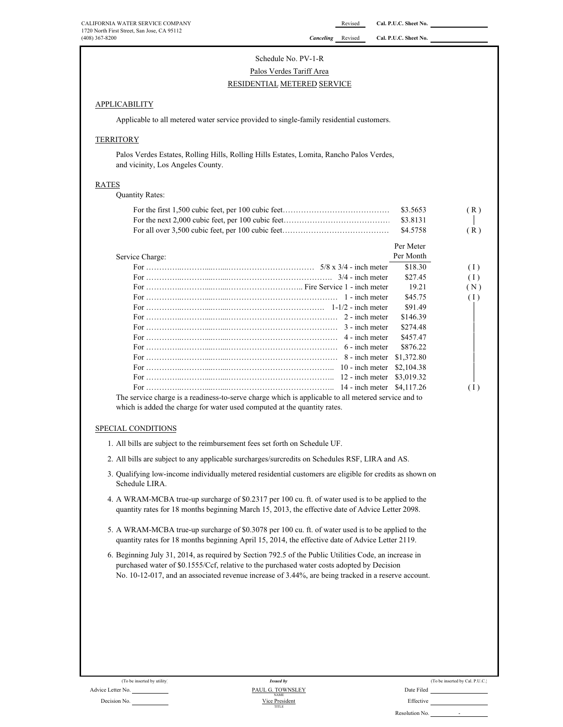# Schedule No. PV-1-R

# RESIDENTIAL METERED SERVICE Palos Verdes Tariff Area

### **APPLICABILITY**

Applicable to all metered water service provided to single-family residential customers.

### **TERRITORY**

Palos Verdes Estates, Rolling Hills, Rolling Hills Estates, Lomita, Rancho Palos Verdes, and vicinity, Los Angeles County.

### RATES

Quantity Rates:

| \$3.5653 | (R) |
|----------|-----|
|          |     |
| \$4.5758 | (R) |

|                                                                                                     | Per Meter |     |
|-----------------------------------------------------------------------------------------------------|-----------|-----|
| Service Charge:                                                                                     | Per Month |     |
|                                                                                                     | \$18.30   | (1) |
|                                                                                                     | \$27.45   | (1) |
|                                                                                                     | 19.21     | (N) |
|                                                                                                     | \$45.75   | (1) |
|                                                                                                     | \$91.49   |     |
|                                                                                                     | \$146.39  |     |
|                                                                                                     | \$274.48  |     |
| For $\ldots$ $4$ - inch meter                                                                       | \$457.47  |     |
|                                                                                                     | \$876.22  |     |
|                                                                                                     |           |     |
|                                                                                                     |           |     |
|                                                                                                     |           |     |
|                                                                                                     |           | (1) |
| The service charge is a readiness-to-serve charge which is applicable to all metered service and to |           |     |

The service charge is a readiness-to-serve charge which is applicable to all metered service and to which is added the charge for water used computed at the quantity rates.

### SPECIAL CONDITIONS

- 1. All bills are subject to the reimbursement fees set forth on Schedule UF.
- 2. All bills are subject to any applicable surcharges/surcredits on Schedules RSF, LIRA and AS.
- 3. Qualifying low-income individually metered residential customers are eligible for credits as shown on Schedule LIRA.
- 4. A WRAM-MCBA true-up surcharge of \$0.2317 per 100 cu. ft. of water used is to be applied to the quantity rates for 18 months beginning March 15, 2013, the effective date of Advice Letter 2098.
- 5. A WRAM-MCBA true-up surcharge of \$0.3078 per 100 cu. ft. of water used is to be applied to the quantity rates for 18 months beginning April 15, 2014, the effective date of Advice Letter 2119.
- 6. Beginning July 31, 2014, as required by Section 792.5 of the Public Utilities Code, an increase in purchased water of \$0.1555/Ccf, relative to the purchased water costs adopted by Decision No. 10-12-017, and an associated revenue increase of 3.44%, are being tracked in a reserve account.

|            | (To be inserted by Cal. P.U.C.) |
|------------|---------------------------------|
| Date Filed |                                 |
| Effective  |                                 |
|            |                                 |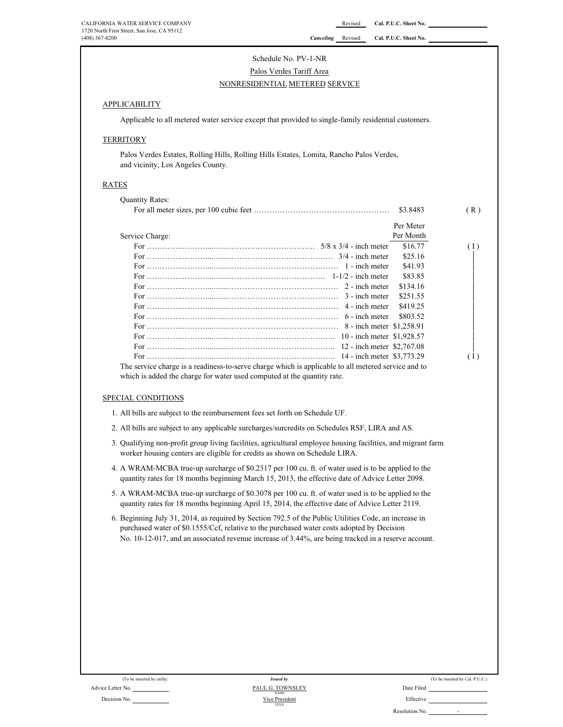# Schedule No. PV-1-NR

# Palos Verdes Tariff Area NONRESIDENTIAL METERED SERVICE

### **APPLICABILITY**

Applicable to all metered water service except that provided to single-family residential customers.

### **TERRITORY**

Palos Verdes Estates, Rolling Hills, Rolling Hills Estates, Lomita, Rancho Palos Verdes, and vicinity, Los Angeles County.

## RATES

|                                                                                                                                                                                | \$3.8483  | (R) |
|--------------------------------------------------------------------------------------------------------------------------------------------------------------------------------|-----------|-----|
|                                                                                                                                                                                | Per Meter |     |
| Service Charge:                                                                                                                                                                | Per Month |     |
|                                                                                                                                                                                | \$16.77   | (1) |
|                                                                                                                                                                                | \$25.16   |     |
|                                                                                                                                                                                | \$41.93   |     |
|                                                                                                                                                                                | \$83.85   |     |
|                                                                                                                                                                                | \$134.16  |     |
|                                                                                                                                                                                | \$251.55  |     |
|                                                                                                                                                                                | \$419.25  |     |
|                                                                                                                                                                                | \$803.52  |     |
|                                                                                                                                                                                |           |     |
|                                                                                                                                                                                |           |     |
|                                                                                                                                                                                |           |     |
|                                                                                                                                                                                |           | (1) |
| The service charge is a readiness-to-serve charge which is applicable to all metered service and to<br>which is added the charge for water used computed at the quantity rate. |           |     |

### SPECIAL CONDITIONS

- 1. All bills are subject to the reimbursement fees set forth on Schedule UF.
- 2. All bills are subject to any applicable surcharges/surcredits on Schedules RSF, LIRA and AS.
- 3. Qualifying non-profit group living facilities, agricultural employee housing facilities, and migrant farm worker housing centers are eligible for credits as shown on Schedule LIRA.
- 4. A WRAM-MCBA true-up surcharge of \$0.2317 per 100 cu. ft. of water used is to be applied to the quantity rates for 18 months beginning March 15, 2013, the effective date of Advice Letter 2098.
- 5. A WRAM-MCBA true-up surcharge of \$0.3078 per 100 cu. ft. of water used is to be applied to the quantity rates for 18 months beginning April 15, 2014, the effective date of Advice Letter 2119.
- 6. Beginning July 31, 2014, as required by Section 792.5 of the Public Utilities Code, an increase in purchased water of \$0.1555/Ccf, relative to the purchased water costs adopted by Decision No. 10-12-017, and an associated revenue increase of 3.44%, are being tracked in a reserve account.

|           | (To be inserted by Cal. P.U.C.) |  |
|-----------|---------------------------------|--|
| ate Filed |                                 |  |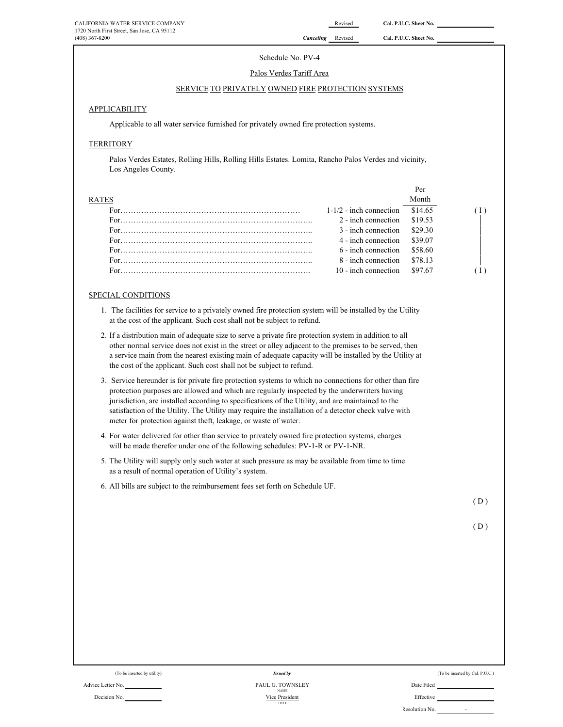Per

### Schedule No. PV-4

### Palos Verdes Tariff Area

### SERVICE TO PRIVATELY OWNED FIRE PROTECTION SYSTEMS

### APPLICABILITY

Applicable to all water service furnished for privately owned fire protection systems.

# **TERRITORY**

Palos Verdes Estates, Rolling Hills, Rolling Hills Estates. Lomita, Rancho Palos Verdes and vicinity, Los Angeles County.

| ES |                                   |  |
|----|-----------------------------------|--|
|    | $1-1/2$ - inch connection \$14.65 |  |
|    | 2 - inch connection \$19.53       |  |
|    | $3$ - inch connection $$29.30$    |  |
|    | 4 - inch connection \$39.07       |  |
|    | $6$ - inch connection $$58.60$    |  |
|    | 8 - inch connection \$78.13       |  |
|    | $10$ - inch connection $$97.67$   |  |

### SPECIAL CONDITIONS

- 1. The facilities for service to a privately owned fire protection system will be installed by the Utility at the cost of the applicant. Such cost shall not be subject to refund.
- 2. If a distribution main of adequate size to serve a private fire protection system in addition to all other normal service does not exist in the street or alley adjacent to the premises to be served, then a service main from the nearest existing main of adequate capacity will be installed by the Utility at the cost of the applicant. Such cost shall not be subject to refund.
- 3. Service hereunder is for private fire protection systems to which no connections for other than fire protection purposes are allowed and which are regularly inspected by the underwriters having jurisdiction, are installed according to specifications of the Utility, and are maintained to the satisfaction of the Utility. The Utility may require the installation of a detector check valve with meter for protection against theft, leakage, or waste of water.
- 4. For water delivered for other than service to privately owned fire protection systems, charges will be made therefor under one of the following schedules: PV-1-R or PV-1-NR.
- 5. The Utility will supply only such water at such pressure as may be available from time to time as a result of normal operation of Utility's system.
- 6. All bills are subject to the reimbursement fees set forth on Schedule UF.

 $(D)$ 

 $(D)$ 

| (To be inserted by utility) |  |
|-----------------------------|--|
|-----------------------------|--|

Advice Letter No. Date Filed Contact Advice Letter No. Date Filed Decision No. **Effective Effective Effective Effective Effective Effective Effective** *Issued by* Vice Preside NAME TITLE

(To be inserted by Cal. P.U.C.)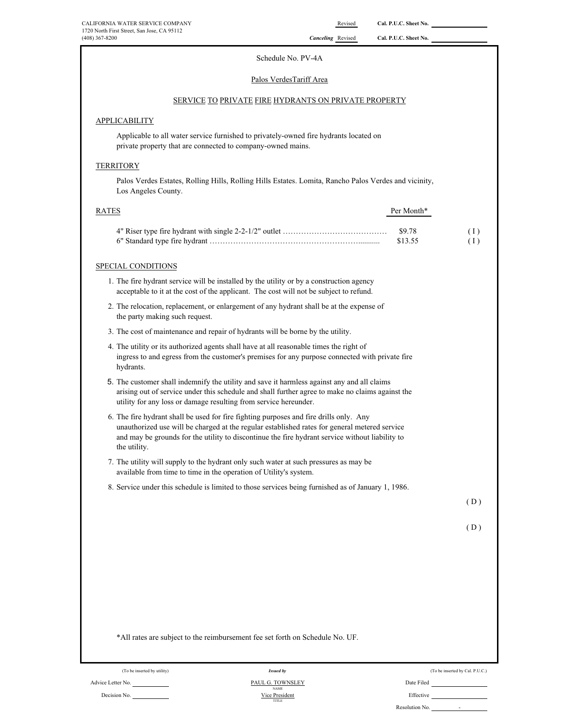# Palos VerdesTariff Area

# SERVICE TO PRIVATE FIRE HYDRANTS ON PRIVATE PROPERTY

### **APPLICABILITY**

Applicable to all water service furnished to privately-owned fire hydrants located on private property that are connected to company-owned mains.

### **TERRITORY**

Palos Verdes Estates, Rolling Hills, Rolling Hills Estates. Lomita, Rancho Palos Verdes and vicinity, Los Angeles County.

| <b>RATES</b> | Per Month* |                  |
|--------------|------------|------------------|
|              | \$9.78     | $\left(1\right)$ |
|              | \$13.55    | (1)              |
|              |            |                  |

### SPECIAL CONDITIONS

- 1. The fire hydrant service will be installed by the utility or by a construction agency acceptable to it at the cost of the applicant. The cost will not be subject to refund.
- 2. The relocation, replacement, or enlargement of any hydrant shall be at the expense of the party making such request.
- 3. The cost of maintenance and repair of hydrants will be borne by the utility.
- 4. The utility or its authorized agents shall have at all reasonable times the right of ingress to and egress from the customer's premises for any purpose connected with private fire hydrants.
- 5. The customer shall indemnify the utility and save it harmless against any and all claims arising out of service under this schedule and shall further agree to make no claims against the utility for any loss or damage resulting from service hereunder.
- 6. The fire hydrant shall be used for fire fighting purposes and fire drills only. Any unauthorized use will be charged at the regular established rates for general metered service and may be grounds for the utility to discontinue the fire hydrant service without liability to the utility.
- 7. The utility will supply to the hydrant only such water at such pressures as may be available from time to time in the operation of Utility's system.
- 8. Service under this schedule is limited to those services being furnished as of January 1, 1986.

 $(D)$ 

 $(D)$ 

|                             | *All rates are subject to the reimbursement fee set forth on Schedule No. UF. |                                 |
|-----------------------------|-------------------------------------------------------------------------------|---------------------------------|
| (To be inserted by utility) | <b>Issued by</b>                                                              | (To be inserted by Cal. P.U.C.) |
| Advice Letter No.           | PAUL G. TOWNSLEY<br><b>NAME</b>                                               | Date Filed                      |
| Decision No.                | Vice President<br>TITLE                                                       | Effective                       |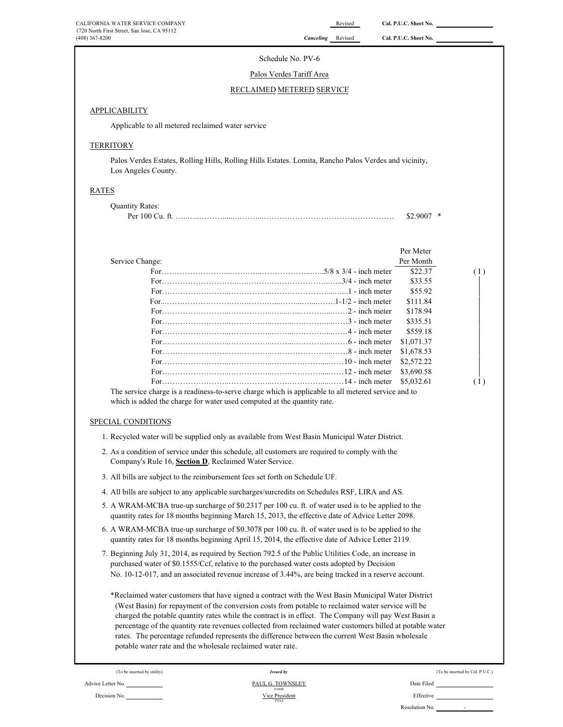# (408) 367-8200 *Canceling* Revised **Cal. P.U.C. Sheet No. APPLICABILITY** Applicable to all metered reclaimed water service **TERRITORY** Palos Verdes Estates, Rolling Hills, Rolling Hills Estates. Lomita, Rancho Palos Verdes and vicinity, Los Angeles County. RATES Quantity Rates: Per 100 Cu. ft. …..…..………......………...…………………………………………… \$2.9007 \* Service Change: Per Meter Per Month For……………………...…….…..………………...…..5/8 x 3/4 - inch meter \$22.37 ( I ) For………………………..….……….…………………..…..3/4 - inch meter \$33.55 <sup>|</sup> For……………………..……………..…………………....…...1 - inch meter \$55.92 <sup>|</sup> For...…………………….…….…….…...……...…....…….1-1/2 - inch meter \$111.84 <sup>|</sup> For……………………..……………..…....…...………....……2 - inch meter \$178.94 <sup>|</sup> For……………………..……………..……...…………....……3 - inch meter \$335.51 <sup>|</sup> For……………………..……………..……...…………....……4 - inch meter \$559.18 <sup>|</sup> For……………………..……………..……...…………....……6 - inch meter \$1,071.37 <sup>|</sup> For……………………..……………..…………………...……8 - inch meter \$1,678.53 <sup>|</sup> For……………………..……………..…….…………....……10 - inch meter \$2,572.22 <sup>|</sup> For……………………..……………..…….…………....……12 - inch meter \$3,690.58 <sup>|</sup> For……………………..……………..…….…………....……14 - inch meter \$5,032.61 ( I ) SPECIAL CONDITIONS 1. Recycled water will be supplied only as available from West Basin Municipal Water District. 2. As a condition of service under this schedule, all customers are required to comply with the Company's Rule 16, **Section D**, Reclaimed Water Service. 3. All bills are subject to the reimbursement fees set forth on Schedule UF. 4. All bills are subject to any applicable surcharges/surcredits on Schedules RSF, LIRA and AS. 5. A WRAM-MCBA true-up surcharge of \$0.2317 per 100 cu. ft. of water used is to be applied to the quantity rates for 18 months beginning March 15, 2013, the effective date of Advice Letter 2098. 6. A WRAM-MCBA true-up surcharge of \$0.3078 per 100 cu. ft. of water used is to be applied to the quantity rates for 18 months beginning April 15, 2014, the effective date of Advice Letter 2119. 7. Beginning July 31, 2014, as required by Section 792.5 of the Public Utilities Code, an increase in purchased water of \$0.1555/Ccf, relative to the purchased water costs adopted by Decision No. 10-12-017, and an associated revenue increase of 3.44%, are being tracked in a reserve account. \*Reclaimed water customers that have signed a contract with the West Basin Municipal Water District (West Basin) for repayment of the conversion costs from potable to reclaimed water service will be charged the potable quantity rates while the contract is in effect. The Company will pay West Basin a percentage of the quantity rate revenues collected from reclaimed water customers billed at potable water rates. The percentage refunded represents the difference between the current West Basin wholesale potable water rate and the wholesale reclaimed water rate. (To be inserted by Cal. P.U.C.) (To be inserted by Cal. P.U.C.) Schedule No. PV-6 Palos Verdes Tariff Area RECLAIMED METERED SERVICE The service charge is a readiness-to-serve charge which is applicable to all metered service and to which is added the charge for water used computed at the quantity rate. *Issued by*

Advice Letter No. Date Filed Contact Advice Letter No. Date Filed Decision No. **Effective Effective Effective Effective Effective Effective Effective** TITLE NAME Vice President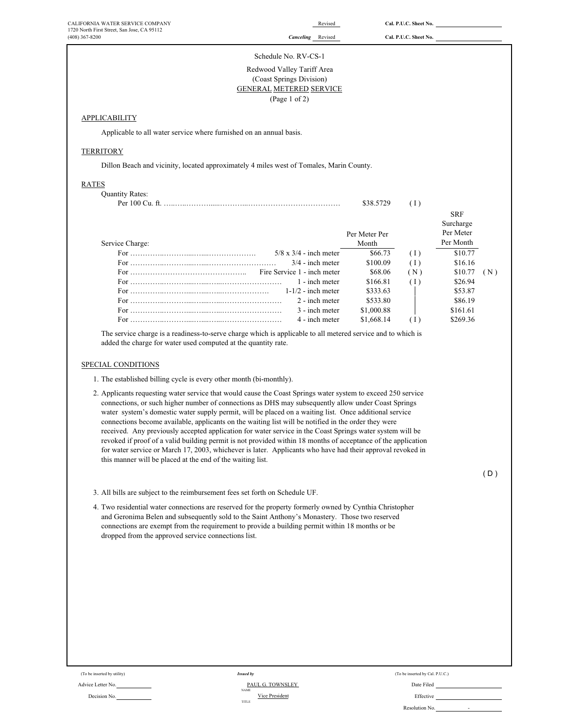| CALIFORNIA WATER SERVICE COMPANY<br>1720 North First Street, San Jose, CA 95112 |                                                                                                                                                                                                                                                                                                                                                                                                                                                                                                                                                                                                                                                                                                                                                                                                                                                                                                                        | Revised                | Cal. P.U.C. Sheet No.           |                                                                                                                                                                                                                                      |
|---------------------------------------------------------------------------------|------------------------------------------------------------------------------------------------------------------------------------------------------------------------------------------------------------------------------------------------------------------------------------------------------------------------------------------------------------------------------------------------------------------------------------------------------------------------------------------------------------------------------------------------------------------------------------------------------------------------------------------------------------------------------------------------------------------------------------------------------------------------------------------------------------------------------------------------------------------------------------------------------------------------|------------------------|---------------------------------|--------------------------------------------------------------------------------------------------------------------------------------------------------------------------------------------------------------------------------------|
| $(408)$ 367-8200                                                                | <b>Canceling</b> Revised                                                                                                                                                                                                                                                                                                                                                                                                                                                                                                                                                                                                                                                                                                                                                                                                                                                                                               |                        | Cal. P.U.C. Sheet No.           |                                                                                                                                                                                                                                      |
|                                                                                 | Schedule No. RV-CS-1                                                                                                                                                                                                                                                                                                                                                                                                                                                                                                                                                                                                                                                                                                                                                                                                                                                                                                   |                        |                                 |                                                                                                                                                                                                                                      |
|                                                                                 | Redwood Valley Tariff Area<br>(Coast Springs Division)<br><b>GENERAL METERED SERVICE</b><br>(Page 1 of 2)                                                                                                                                                                                                                                                                                                                                                                                                                                                                                                                                                                                                                                                                                                                                                                                                              |                        |                                 |                                                                                                                                                                                                                                      |
| <b>APPLICABILITY</b>                                                            |                                                                                                                                                                                                                                                                                                                                                                                                                                                                                                                                                                                                                                                                                                                                                                                                                                                                                                                        |                        |                                 |                                                                                                                                                                                                                                      |
|                                                                                 | Applicable to all water service where furnished on an annual basis.                                                                                                                                                                                                                                                                                                                                                                                                                                                                                                                                                                                                                                                                                                                                                                                                                                                    |                        |                                 |                                                                                                                                                                                                                                      |
| <b>TERRITORY</b>                                                                |                                                                                                                                                                                                                                                                                                                                                                                                                                                                                                                                                                                                                                                                                                                                                                                                                                                                                                                        |                        |                                 |                                                                                                                                                                                                                                      |
|                                                                                 | Dillon Beach and vicinity, located approximately 4 miles west of Tomales, Marin County.                                                                                                                                                                                                                                                                                                                                                                                                                                                                                                                                                                                                                                                                                                                                                                                                                                |                        |                                 |                                                                                                                                                                                                                                      |
| <b>RATES</b>                                                                    |                                                                                                                                                                                                                                                                                                                                                                                                                                                                                                                                                                                                                                                                                                                                                                                                                                                                                                                        |                        |                                 |                                                                                                                                                                                                                                      |
| <b>Quantity Rates:</b>                                                          |                                                                                                                                                                                                                                                                                                                                                                                                                                                                                                                                                                                                                                                                                                                                                                                                                                                                                                                        | \$38.5729              | (1)                             |                                                                                                                                                                                                                                      |
|                                                                                 |                                                                                                                                                                                                                                                                                                                                                                                                                                                                                                                                                                                                                                                                                                                                                                                                                                                                                                                        |                        |                                 | <b>SRF</b><br>Surcharge                                                                                                                                                                                                              |
| Service Charge:                                                                 |                                                                                                                                                                                                                                                                                                                                                                                                                                                                                                                                                                                                                                                                                                                                                                                                                                                                                                                        | Per Meter Per<br>Month |                                 | Per Meter<br>Per Month                                                                                                                                                                                                               |
|                                                                                 | $5/8 \times 3/4$ - inch meter                                                                                                                                                                                                                                                                                                                                                                                                                                                                                                                                                                                                                                                                                                                                                                                                                                                                                          | \$66.73                | (1)                             | \$10.77                                                                                                                                                                                                                              |
|                                                                                 | $3/4$ - inch meter                                                                                                                                                                                                                                                                                                                                                                                                                                                                                                                                                                                                                                                                                                                                                                                                                                                                                                     | \$100.09               | (1)                             | \$16.16                                                                                                                                                                                                                              |
|                                                                                 | Fire Service 1 - inch meter<br>1 - inch meter                                                                                                                                                                                                                                                                                                                                                                                                                                                                                                                                                                                                                                                                                                                                                                                                                                                                          | \$68.06<br>\$166.81    | (N)                             | \$10.77<br>(N)<br>\$26.94                                                                                                                                                                                                            |
|                                                                                 | $1-1/2$ - inch meter                                                                                                                                                                                                                                                                                                                                                                                                                                                                                                                                                                                                                                                                                                                                                                                                                                                                                                   | \$333.63               | (1)                             | \$53.87                                                                                                                                                                                                                              |
|                                                                                 | 2 - inch meter                                                                                                                                                                                                                                                                                                                                                                                                                                                                                                                                                                                                                                                                                                                                                                                                                                                                                                         | \$533.80               |                                 | \$86.19                                                                                                                                                                                                                              |
|                                                                                 | 3 - inch meter                                                                                                                                                                                                                                                                                                                                                                                                                                                                                                                                                                                                                                                                                                                                                                                                                                                                                                         | \$1,000.88             |                                 | \$161.61                                                                                                                                                                                                                             |
|                                                                                 | 4 - inch meter                                                                                                                                                                                                                                                                                                                                                                                                                                                                                                                                                                                                                                                                                                                                                                                                                                                                                                         | \$1,668.14             | (1)                             | \$269.36                                                                                                                                                                                                                             |
|                                                                                 | The service charge is a readiness-to-serve charge which is applicable to all metered service and to which is<br>added the charge for water used computed at the quantity rate.                                                                                                                                                                                                                                                                                                                                                                                                                                                                                                                                                                                                                                                                                                                                         |                        |                                 |                                                                                                                                                                                                                                      |
|                                                                                 | 1. The established billing cycle is every other month (bi-monthly).<br>2. Applicants requesting water service that would cause the Coast Springs water system to exceed 250 service<br>connections, or such higher number of connections as DHS may subsequently allow under Coast Springs<br>water system's domestic water supply permit, will be placed on a waiting list. Once additional service<br>connections become available, applicants on the waiting list will be notified in the order they were<br>received. Any previously accepted application for water service in the Coast Springs water system will be<br>revoked if proof of a valid building permit is not provided within 18 months of acceptance of the application<br>for water service or March 17, 2003, whichever is later. Applicants who have had their approval revoked in<br>this manner will be placed at the end of the waiting list. |                        |                                 |                                                                                                                                                                                                                                      |
|                                                                                 |                                                                                                                                                                                                                                                                                                                                                                                                                                                                                                                                                                                                                                                                                                                                                                                                                                                                                                                        |                        |                                 | (D)                                                                                                                                                                                                                                  |
|                                                                                 | 3. All bills are subject to the reimbursement fees set forth on Schedule UF.                                                                                                                                                                                                                                                                                                                                                                                                                                                                                                                                                                                                                                                                                                                                                                                                                                           |                        |                                 |                                                                                                                                                                                                                                      |
| dropped from the approved service connections list.                             | 4. Two residential water connections are reserved for the property formerly owned by Cynthia Christopher<br>and Geronima Belen and subsequently sold to the Saint Anthony's Monastery. Those two reserved<br>connections are exempt from the requirement to provide a building permit within 18 months or be                                                                                                                                                                                                                                                                                                                                                                                                                                                                                                                                                                                                           |                        |                                 |                                                                                                                                                                                                                                      |
|                                                                                 |                                                                                                                                                                                                                                                                                                                                                                                                                                                                                                                                                                                                                                                                                                                                                                                                                                                                                                                        |                        |                                 |                                                                                                                                                                                                                                      |
|                                                                                 |                                                                                                                                                                                                                                                                                                                                                                                                                                                                                                                                                                                                                                                                                                                                                                                                                                                                                                                        |                        |                                 |                                                                                                                                                                                                                                      |
|                                                                                 |                                                                                                                                                                                                                                                                                                                                                                                                                                                                                                                                                                                                                                                                                                                                                                                                                                                                                                                        |                        |                                 |                                                                                                                                                                                                                                      |
|                                                                                 |                                                                                                                                                                                                                                                                                                                                                                                                                                                                                                                                                                                                                                                                                                                                                                                                                                                                                                                        |                        |                                 |                                                                                                                                                                                                                                      |
|                                                                                 |                                                                                                                                                                                                                                                                                                                                                                                                                                                                                                                                                                                                                                                                                                                                                                                                                                                                                                                        |                        |                                 |                                                                                                                                                                                                                                      |
|                                                                                 |                                                                                                                                                                                                                                                                                                                                                                                                                                                                                                                                                                                                                                                                                                                                                                                                                                                                                                                        |                        |                                 |                                                                                                                                                                                                                                      |
|                                                                                 |                                                                                                                                                                                                                                                                                                                                                                                                                                                                                                                                                                                                                                                                                                                                                                                                                                                                                                                        |                        |                                 |                                                                                                                                                                                                                                      |
|                                                                                 |                                                                                                                                                                                                                                                                                                                                                                                                                                                                                                                                                                                                                                                                                                                                                                                                                                                                                                                        |                        |                                 |                                                                                                                                                                                                                                      |
| SPECIAL CONDITIONS<br>(To be inserted by utility)                               | <b>Issued by</b>                                                                                                                                                                                                                                                                                                                                                                                                                                                                                                                                                                                                                                                                                                                                                                                                                                                                                                       |                        | (To be inserted by Cal. P.U.C.) |                                                                                                                                                                                                                                      |
| Advice Letter No.                                                               | PAUL G. TOWNSLEY<br><b>NAME</b>                                                                                                                                                                                                                                                                                                                                                                                                                                                                                                                                                                                                                                                                                                                                                                                                                                                                                        |                        |                                 | Date Filed <b>National Contract of Contract Contract Contract Contract Contract Contract Contract Contract Contract Contract Contract Contract Contract Contract Contract Contract Contract Contract Contract Contract Contract </b> |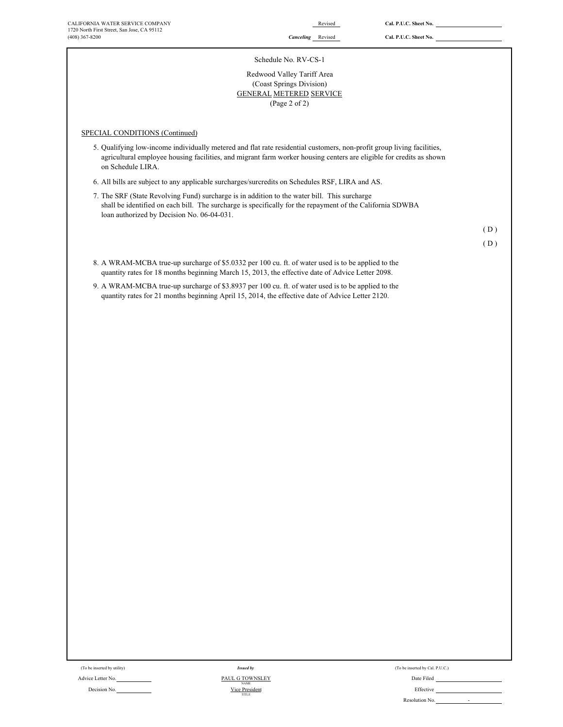### Schedule No. RV-CS-1

# Redwood Valley Tariff Area GENERAL METERED SERVICE (Coast Springs Division) (Page 2 of 2)

### SPECIAL CONDITIONS (Continued)

5. Qualifying low-income individually metered and flat rate residential customers, non-profit group living facilities, agricultural employee housing facilities, and migrant farm worker housing centers are eligible for credits as shown on Schedule LIRA.

6. All bills are subject to any applicable surcharges/surcredits on Schedules RSF, LIRA and AS.

7. The SRF (State Revolving Fund) surcharge is in addition to the water bill. This surcharge shall be identified on each bill. The surcharge is specifically for the repayment of the California SDWBA loan authorized by Decision No. 06-04-031.

( D )

( D )

- 8. A WRAM-MCBA true-up surcharge of \$5.0332 per 100 cu. ft. of water used is to be applied to the quantity rates for 18 months beginning March 15, 2013, the effective date of Advice Letter 2098.
- 9. A WRAM-MCBA true-up surcharge of \$3.8937 per 100 cu. ft. of water used is to be applied to the quantity rates for 21 months beginning April 15, 2014, the effective date of Advice Letter 2120.

Advice Letter No. 2006 Contract the Contract of Table Townsler Contract Contract of Date Filed Contract Only and PAUL G TOWNSLEY

Decision No. Nice President No. 2006 Nice President No. 2006 Nice President No. 2006 Nice President No. 2006 Nice President No. 2006 Nice President No. 2006 Nice President No. 2006 Nice President No. 2006 Nice President No NAME Vice President TITLE *Issued by*

(To be inserted by utility) (To be inserted by Cal. P.U.C.) Issued by (To be inserted by Cal. P.U.C.)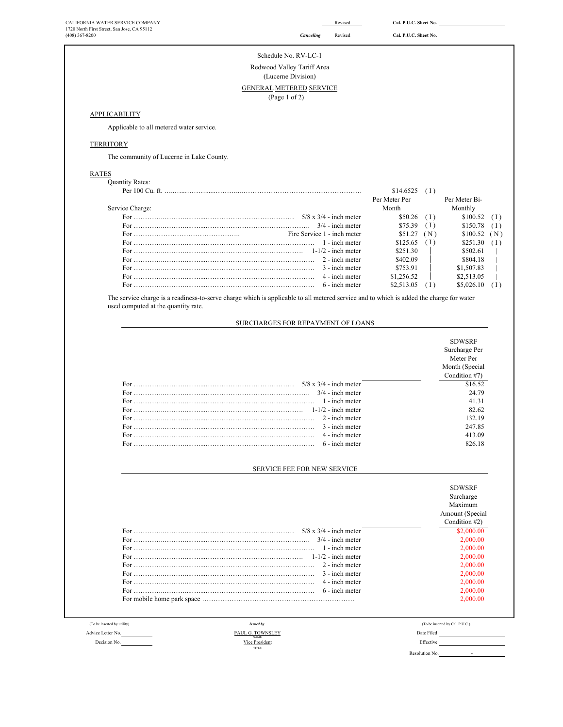| Revised<br>Cal. P.U.C. Sheet No.<br>Canceling<br>Schedule No. RV-LC-1<br>Redwood Valley Tariff Area<br>(Lucerne Division)<br>GENERAL METERED SERVICE<br>(Page 1 of 2)<br>APPLICABILITY<br>Applicable to all metered water service.<br><b>TERRITORY</b><br>The community of Lucerne in Lake County.<br><b>RATES</b><br><b>Quantity Rates:</b><br>$$14.6525$ (I)<br>Per Meter Per<br>Per Meter Bi-<br>Monthly<br>Service Charge:<br>Month<br>$$50.26$ (I)<br>\$100.52<br>\$75.39<br>(1)<br>\$150.78<br>$3/4$ - inch meter<br>Fire Service 1 - inch meter<br>\$51.27(N)<br>\$100.52<br>(N)<br>$$125.65$ (I)<br>1 - inch meter<br>\$251.30<br>(1)<br>\$251.30<br>\$502.61<br>2 - inch meter<br>\$402.09<br>\$804.18<br>3 - inch meter<br>\$753.91<br>\$1,507.83<br>4 - inch meter<br>\$1,256.52<br>\$2,513.05<br>6 - inch meter<br>\$2,513.05<br>(1)<br>\$5,026.10<br>The service charge is a readiness-to-serve charge which is applicable to all metered service and to which is added the charge for water<br>used computed at the quantity rate.<br>SURCHARGES FOR REPAYMENT OF LOANS<br><b>SDWSRF</b><br>Surcharge Per<br>Meter Per<br>Month (Special<br>Condition #7)<br>\$16.52<br>$3/4$ - inch meter<br>24.79<br>1 - inch meter<br>41.31<br>82.62<br>132.19<br>2 - inch meter<br>247.85<br>For<br>3 - inch meter<br>413.09<br>4 - inch meter<br>6 - inch meter<br>826.18<br><b>SERVICE FEE FOR NEW SERVICE</b><br><b>SDWSRF</b><br>Surcharge<br>Maximum<br>Amount (Special<br>Condition #2)<br>\$2,000.00<br>$3/4$ - inch meter<br>2,000.00<br>1 - inch meter<br>2,000.00<br>2,000.00<br>2 - inch meter<br>2,000.00<br>3 - inch meter<br>2,000.00<br>4 - inch meter<br>2,000.00<br>6 - inch meter<br>2,000.00<br>2,000.00<br>(To be inserted by utility)<br><b>Issued by</b><br>(To be inserted by Cal. P.U.C.)<br>PAUL G. TOWNSLEY<br>Date Filed<br>Vice President<br>Decision No.<br>Effective<br>TITLE<br>Resolution No. | CALIFORNIA WATER SERVICE COMPANY<br>1720 North First Street, San Jose, CA 95112 | Revised | Cal. P.U.C. Sheet No. |                             |
|---------------------------------------------------------------------------------------------------------------------------------------------------------------------------------------------------------------------------------------------------------------------------------------------------------------------------------------------------------------------------------------------------------------------------------------------------------------------------------------------------------------------------------------------------------------------------------------------------------------------------------------------------------------------------------------------------------------------------------------------------------------------------------------------------------------------------------------------------------------------------------------------------------------------------------------------------------------------------------------------------------------------------------------------------------------------------------------------------------------------------------------------------------------------------------------------------------------------------------------------------------------------------------------------------------------------------------------------------------------------------------------------------------------------------------------------------------------------------------------------------------------------------------------------------------------------------------------------------------------------------------------------------------------------------------------------------------------------------------------------------------------------------------------------------------------------------------------------------------------------------------------------------------------------------------|---------------------------------------------------------------------------------|---------|-----------------------|-----------------------------|
|                                                                                                                                                                                                                                                                                                                                                                                                                                                                                                                                                                                                                                                                                                                                                                                                                                                                                                                                                                                                                                                                                                                                                                                                                                                                                                                                                                                                                                                                                                                                                                                                                                                                                                                                                                                                                                                                                                                                 | $(408)$ 367-8200                                                                |         |                       |                             |
|                                                                                                                                                                                                                                                                                                                                                                                                                                                                                                                                                                                                                                                                                                                                                                                                                                                                                                                                                                                                                                                                                                                                                                                                                                                                                                                                                                                                                                                                                                                                                                                                                                                                                                                                                                                                                                                                                                                                 |                                                                                 |         |                       |                             |
|                                                                                                                                                                                                                                                                                                                                                                                                                                                                                                                                                                                                                                                                                                                                                                                                                                                                                                                                                                                                                                                                                                                                                                                                                                                                                                                                                                                                                                                                                                                                                                                                                                                                                                                                                                                                                                                                                                                                 |                                                                                 |         |                       |                             |
|                                                                                                                                                                                                                                                                                                                                                                                                                                                                                                                                                                                                                                                                                                                                                                                                                                                                                                                                                                                                                                                                                                                                                                                                                                                                                                                                                                                                                                                                                                                                                                                                                                                                                                                                                                                                                                                                                                                                 |                                                                                 |         |                       |                             |
|                                                                                                                                                                                                                                                                                                                                                                                                                                                                                                                                                                                                                                                                                                                                                                                                                                                                                                                                                                                                                                                                                                                                                                                                                                                                                                                                                                                                                                                                                                                                                                                                                                                                                                                                                                                                                                                                                                                                 |                                                                                 |         |                       |                             |
|                                                                                                                                                                                                                                                                                                                                                                                                                                                                                                                                                                                                                                                                                                                                                                                                                                                                                                                                                                                                                                                                                                                                                                                                                                                                                                                                                                                                                                                                                                                                                                                                                                                                                                                                                                                                                                                                                                                                 |                                                                                 |         |                       |                             |
|                                                                                                                                                                                                                                                                                                                                                                                                                                                                                                                                                                                                                                                                                                                                                                                                                                                                                                                                                                                                                                                                                                                                                                                                                                                                                                                                                                                                                                                                                                                                                                                                                                                                                                                                                                                                                                                                                                                                 |                                                                                 |         |                       |                             |
|                                                                                                                                                                                                                                                                                                                                                                                                                                                                                                                                                                                                                                                                                                                                                                                                                                                                                                                                                                                                                                                                                                                                                                                                                                                                                                                                                                                                                                                                                                                                                                                                                                                                                                                                                                                                                                                                                                                                 |                                                                                 |         |                       |                             |
|                                                                                                                                                                                                                                                                                                                                                                                                                                                                                                                                                                                                                                                                                                                                                                                                                                                                                                                                                                                                                                                                                                                                                                                                                                                                                                                                                                                                                                                                                                                                                                                                                                                                                                                                                                                                                                                                                                                                 |                                                                                 |         |                       |                             |
|                                                                                                                                                                                                                                                                                                                                                                                                                                                                                                                                                                                                                                                                                                                                                                                                                                                                                                                                                                                                                                                                                                                                                                                                                                                                                                                                                                                                                                                                                                                                                                                                                                                                                                                                                                                                                                                                                                                                 |                                                                                 |         |                       |                             |
|                                                                                                                                                                                                                                                                                                                                                                                                                                                                                                                                                                                                                                                                                                                                                                                                                                                                                                                                                                                                                                                                                                                                                                                                                                                                                                                                                                                                                                                                                                                                                                                                                                                                                                                                                                                                                                                                                                                                 |                                                                                 |         |                       |                             |
|                                                                                                                                                                                                                                                                                                                                                                                                                                                                                                                                                                                                                                                                                                                                                                                                                                                                                                                                                                                                                                                                                                                                                                                                                                                                                                                                                                                                                                                                                                                                                                                                                                                                                                                                                                                                                                                                                                                                 |                                                                                 |         |                       |                             |
|                                                                                                                                                                                                                                                                                                                                                                                                                                                                                                                                                                                                                                                                                                                                                                                                                                                                                                                                                                                                                                                                                                                                                                                                                                                                                                                                                                                                                                                                                                                                                                                                                                                                                                                                                                                                                                                                                                                                 |                                                                                 |         |                       |                             |
|                                                                                                                                                                                                                                                                                                                                                                                                                                                                                                                                                                                                                                                                                                                                                                                                                                                                                                                                                                                                                                                                                                                                                                                                                                                                                                                                                                                                                                                                                                                                                                                                                                                                                                                                                                                                                                                                                                                                 |                                                                                 |         |                       |                             |
|                                                                                                                                                                                                                                                                                                                                                                                                                                                                                                                                                                                                                                                                                                                                                                                                                                                                                                                                                                                                                                                                                                                                                                                                                                                                                                                                                                                                                                                                                                                                                                                                                                                                                                                                                                                                                                                                                                                                 |                                                                                 |         |                       | (1)                         |
|                                                                                                                                                                                                                                                                                                                                                                                                                                                                                                                                                                                                                                                                                                                                                                                                                                                                                                                                                                                                                                                                                                                                                                                                                                                                                                                                                                                                                                                                                                                                                                                                                                                                                                                                                                                                                                                                                                                                 |                                                                                 |         |                       | (1)                         |
|                                                                                                                                                                                                                                                                                                                                                                                                                                                                                                                                                                                                                                                                                                                                                                                                                                                                                                                                                                                                                                                                                                                                                                                                                                                                                                                                                                                                                                                                                                                                                                                                                                                                                                                                                                                                                                                                                                                                 |                                                                                 |         |                       |                             |
|                                                                                                                                                                                                                                                                                                                                                                                                                                                                                                                                                                                                                                                                                                                                                                                                                                                                                                                                                                                                                                                                                                                                                                                                                                                                                                                                                                                                                                                                                                                                                                                                                                                                                                                                                                                                                                                                                                                                 |                                                                                 |         |                       |                             |
|                                                                                                                                                                                                                                                                                                                                                                                                                                                                                                                                                                                                                                                                                                                                                                                                                                                                                                                                                                                                                                                                                                                                                                                                                                                                                                                                                                                                                                                                                                                                                                                                                                                                                                                                                                                                                                                                                                                                 |                                                                                 |         |                       |                             |
|                                                                                                                                                                                                                                                                                                                                                                                                                                                                                                                                                                                                                                                                                                                                                                                                                                                                                                                                                                                                                                                                                                                                                                                                                                                                                                                                                                                                                                                                                                                                                                                                                                                                                                                                                                                                                                                                                                                                 |                                                                                 |         |                       |                             |
|                                                                                                                                                                                                                                                                                                                                                                                                                                                                                                                                                                                                                                                                                                                                                                                                                                                                                                                                                                                                                                                                                                                                                                                                                                                                                                                                                                                                                                                                                                                                                                                                                                                                                                                                                                                                                                                                                                                                 |                                                                                 |         |                       |                             |
|                                                                                                                                                                                                                                                                                                                                                                                                                                                                                                                                                                                                                                                                                                                                                                                                                                                                                                                                                                                                                                                                                                                                                                                                                                                                                                                                                                                                                                                                                                                                                                                                                                                                                                                                                                                                                                                                                                                                 |                                                                                 |         |                       | (1)                         |
|                                                                                                                                                                                                                                                                                                                                                                                                                                                                                                                                                                                                                                                                                                                                                                                                                                                                                                                                                                                                                                                                                                                                                                                                                                                                                                                                                                                                                                                                                                                                                                                                                                                                                                                                                                                                                                                                                                                                 |                                                                                 |         |                       |                             |
|                                                                                                                                                                                                                                                                                                                                                                                                                                                                                                                                                                                                                                                                                                                                                                                                                                                                                                                                                                                                                                                                                                                                                                                                                                                                                                                                                                                                                                                                                                                                                                                                                                                                                                                                                                                                                                                                                                                                 |                                                                                 |         |                       |                             |
|                                                                                                                                                                                                                                                                                                                                                                                                                                                                                                                                                                                                                                                                                                                                                                                                                                                                                                                                                                                                                                                                                                                                                                                                                                                                                                                                                                                                                                                                                                                                                                                                                                                                                                                                                                                                                                                                                                                                 |                                                                                 |         |                       |                             |
|                                                                                                                                                                                                                                                                                                                                                                                                                                                                                                                                                                                                                                                                                                                                                                                                                                                                                                                                                                                                                                                                                                                                                                                                                                                                                                                                                                                                                                                                                                                                                                                                                                                                                                                                                                                                                                                                                                                                 |                                                                                 |         |                       |                             |
|                                                                                                                                                                                                                                                                                                                                                                                                                                                                                                                                                                                                                                                                                                                                                                                                                                                                                                                                                                                                                                                                                                                                                                                                                                                                                                                                                                                                                                                                                                                                                                                                                                                                                                                                                                                                                                                                                                                                 |                                                                                 |         |                       |                             |
|                                                                                                                                                                                                                                                                                                                                                                                                                                                                                                                                                                                                                                                                                                                                                                                                                                                                                                                                                                                                                                                                                                                                                                                                                                                                                                                                                                                                                                                                                                                                                                                                                                                                                                                                                                                                                                                                                                                                 |                                                                                 |         |                       |                             |
|                                                                                                                                                                                                                                                                                                                                                                                                                                                                                                                                                                                                                                                                                                                                                                                                                                                                                                                                                                                                                                                                                                                                                                                                                                                                                                                                                                                                                                                                                                                                                                                                                                                                                                                                                                                                                                                                                                                                 |                                                                                 |         |                       |                             |
|                                                                                                                                                                                                                                                                                                                                                                                                                                                                                                                                                                                                                                                                                                                                                                                                                                                                                                                                                                                                                                                                                                                                                                                                                                                                                                                                                                                                                                                                                                                                                                                                                                                                                                                                                                                                                                                                                                                                 |                                                                                 |         |                       |                             |
|                                                                                                                                                                                                                                                                                                                                                                                                                                                                                                                                                                                                                                                                                                                                                                                                                                                                                                                                                                                                                                                                                                                                                                                                                                                                                                                                                                                                                                                                                                                                                                                                                                                                                                                                                                                                                                                                                                                                 |                                                                                 |         |                       |                             |
|                                                                                                                                                                                                                                                                                                                                                                                                                                                                                                                                                                                                                                                                                                                                                                                                                                                                                                                                                                                                                                                                                                                                                                                                                                                                                                                                                                                                                                                                                                                                                                                                                                                                                                                                                                                                                                                                                                                                 |                                                                                 |         |                       |                             |
|                                                                                                                                                                                                                                                                                                                                                                                                                                                                                                                                                                                                                                                                                                                                                                                                                                                                                                                                                                                                                                                                                                                                                                                                                                                                                                                                                                                                                                                                                                                                                                                                                                                                                                                                                                                                                                                                                                                                 |                                                                                 |         |                       |                             |
|                                                                                                                                                                                                                                                                                                                                                                                                                                                                                                                                                                                                                                                                                                                                                                                                                                                                                                                                                                                                                                                                                                                                                                                                                                                                                                                                                                                                                                                                                                                                                                                                                                                                                                                                                                                                                                                                                                                                 |                                                                                 |         |                       |                             |
|                                                                                                                                                                                                                                                                                                                                                                                                                                                                                                                                                                                                                                                                                                                                                                                                                                                                                                                                                                                                                                                                                                                                                                                                                                                                                                                                                                                                                                                                                                                                                                                                                                                                                                                                                                                                                                                                                                                                 |                                                                                 |         |                       |                             |
|                                                                                                                                                                                                                                                                                                                                                                                                                                                                                                                                                                                                                                                                                                                                                                                                                                                                                                                                                                                                                                                                                                                                                                                                                                                                                                                                                                                                                                                                                                                                                                                                                                                                                                                                                                                                                                                                                                                                 |                                                                                 |         |                       |                             |
|                                                                                                                                                                                                                                                                                                                                                                                                                                                                                                                                                                                                                                                                                                                                                                                                                                                                                                                                                                                                                                                                                                                                                                                                                                                                                                                                                                                                                                                                                                                                                                                                                                                                                                                                                                                                                                                                                                                                 |                                                                                 |         |                       |                             |
|                                                                                                                                                                                                                                                                                                                                                                                                                                                                                                                                                                                                                                                                                                                                                                                                                                                                                                                                                                                                                                                                                                                                                                                                                                                                                                                                                                                                                                                                                                                                                                                                                                                                                                                                                                                                                                                                                                                                 |                                                                                 |         |                       |                             |
|                                                                                                                                                                                                                                                                                                                                                                                                                                                                                                                                                                                                                                                                                                                                                                                                                                                                                                                                                                                                                                                                                                                                                                                                                                                                                                                                                                                                                                                                                                                                                                                                                                                                                                                                                                                                                                                                                                                                 |                                                                                 |         |                       |                             |
|                                                                                                                                                                                                                                                                                                                                                                                                                                                                                                                                                                                                                                                                                                                                                                                                                                                                                                                                                                                                                                                                                                                                                                                                                                                                                                                                                                                                                                                                                                                                                                                                                                                                                                                                                                                                                                                                                                                                 |                                                                                 |         |                       |                             |
|                                                                                                                                                                                                                                                                                                                                                                                                                                                                                                                                                                                                                                                                                                                                                                                                                                                                                                                                                                                                                                                                                                                                                                                                                                                                                                                                                                                                                                                                                                                                                                                                                                                                                                                                                                                                                                                                                                                                 |                                                                                 |         |                       |                             |
|                                                                                                                                                                                                                                                                                                                                                                                                                                                                                                                                                                                                                                                                                                                                                                                                                                                                                                                                                                                                                                                                                                                                                                                                                                                                                                                                                                                                                                                                                                                                                                                                                                                                                                                                                                                                                                                                                                                                 |                                                                                 |         |                       |                             |
|                                                                                                                                                                                                                                                                                                                                                                                                                                                                                                                                                                                                                                                                                                                                                                                                                                                                                                                                                                                                                                                                                                                                                                                                                                                                                                                                                                                                                                                                                                                                                                                                                                                                                                                                                                                                                                                                                                                                 |                                                                                 |         |                       |                             |
|                                                                                                                                                                                                                                                                                                                                                                                                                                                                                                                                                                                                                                                                                                                                                                                                                                                                                                                                                                                                                                                                                                                                                                                                                                                                                                                                                                                                                                                                                                                                                                                                                                                                                                                                                                                                                                                                                                                                 | Advice Letter No.                                                               |         |                       |                             |
|                                                                                                                                                                                                                                                                                                                                                                                                                                                                                                                                                                                                                                                                                                                                                                                                                                                                                                                                                                                                                                                                                                                                                                                                                                                                                                                                                                                                                                                                                                                                                                                                                                                                                                                                                                                                                                                                                                                                 |                                                                                 |         |                       |                             |
|                                                                                                                                                                                                                                                                                                                                                                                                                                                                                                                                                                                                                                                                                                                                                                                                                                                                                                                                                                                                                                                                                                                                                                                                                                                                                                                                                                                                                                                                                                                                                                                                                                                                                                                                                                                                                                                                                                                                 |                                                                                 |         |                       | $\mathcal{L}_{\mathcal{A}}$ |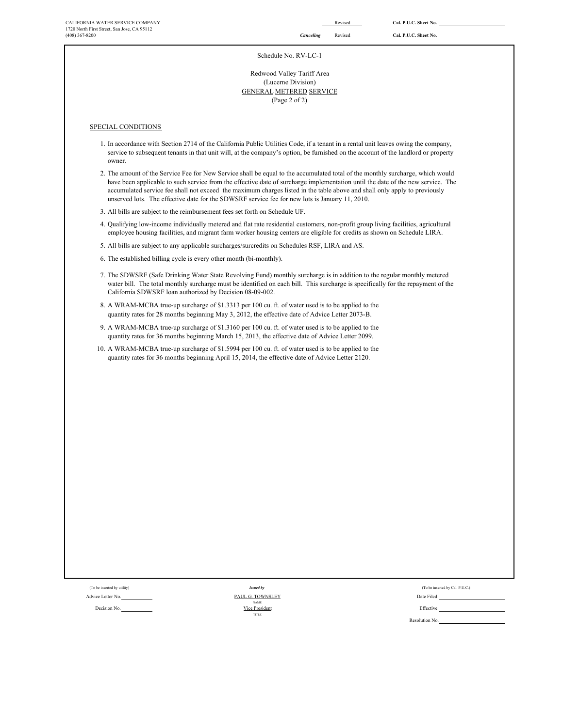### Schedule No. RV-LC-1

(Page 2 of 2) (Lucerne Division) GENERAL METERED SERVICE Redwood Valley Tariff Area

### SPECIAL CONDITIONS

- 1. In accordance with Section 2714 of the California Public Utilities Code, if a tenant in a rental unit leaves owing the company, service to subsequent tenants in that unit will, at the company's option, be furnished on the account of the landlord or property owner.
- 2. The amount of the Service Fee for New Service shall be equal to the accumulated total of the monthly surcharge, which would have been applicable to such service from the effective date of surcharge implementation until the date of the new service. The accumulated service fee shall not exceed the maximum charges listed in the table above and shall only apply to previously unserved lots. The effective date for the SDWSRF service fee for new lots is January 11, 2010.
- 3. All bills are subject to the reimbursement fees set forth on Schedule UF.
- 4. Qualifying low-income individually metered and flat rate residential customers, non-profit group living facilities, agricultural employee housing facilities, and migrant farm worker housing centers are eligible for credits as shown on Schedule LIRA.
- 5. All bills are subject to any applicable surcharges/surcredits on Schedules RSF, LIRA and AS.
- 6. The established billing cycle is every other month (bi-monthly).
- 7. The SDWSRF (Safe Drinking Water State Revolving Fund) monthly surcharge is in addition to the regular monthly metered water bill. The total monthly surcharge must be identified on each bill. This surcharge is specifically for the repayment of the California SDWSRF loan authorized by Decision 08-09-002.
- 8. A WRAM-MCBA true-up surcharge of \$1.3313 per 100 cu. ft. of water used is to be applied to the quantity rates for 28 months beginning May 3, 2012, the effective date of Advice Letter 2073-B.
- 9. A WRAM-MCBA true-up surcharge of \$1.3160 per 100 cu. ft. of water used is to be applied to the quantity rates for 36 months beginning March 15, 2013, the effective date of Advice Letter 2099.
- 10. A WRAM-MCBA true-up surcharge of \$1.5994 per 100 cu. ft. of water used is to be applied to the quantity rates for 36 months beginning April 15, 2014, the effective date of Advice Letter 2120.

Decision No. **Effective Containers Containers Containers Containers Containers Containers Containers Containers Containers Containers Containers Containers Containers Containers Containers C** *Issued by* NAME TITLE Vice President

| (To be inserted by utility) | <b>Issued by</b> | (To be inserted by Cal. P.U.C.) |
|-----------------------------|------------------|---------------------------------|
| dvice Letter No.            | PAUL G. TOWNSLEY | Date Filed                      |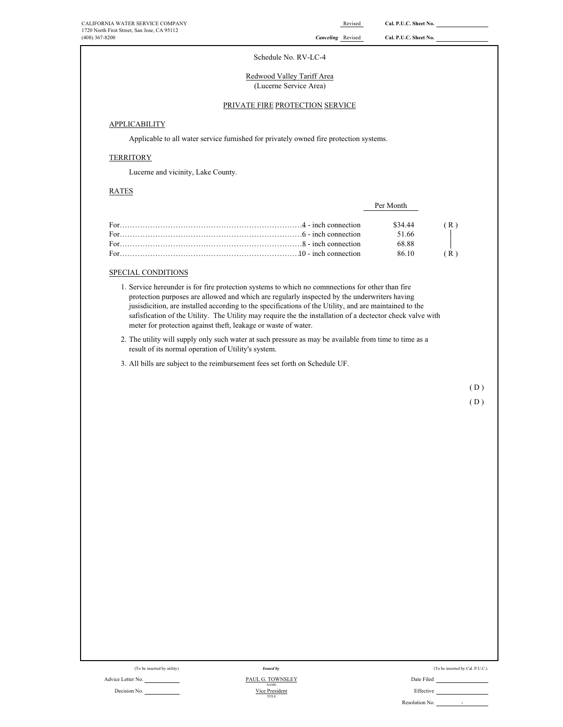| CALIFORNIA WATER SERVICE COMPANY            |
|---------------------------------------------|
| 1720 North First Street, San Jose, CA 95112 |
| $(408)$ 367-8200                            |

| CALIFORNIA WATER SERVICE COMPANY<br>1720 North First Street, San Jose, CA 95112                                       | Revised                                                                                                                                                                                                                                                                                                                        | Cal. P.U.C. Sheet No. |                                 |
|-----------------------------------------------------------------------------------------------------------------------|--------------------------------------------------------------------------------------------------------------------------------------------------------------------------------------------------------------------------------------------------------------------------------------------------------------------------------|-----------------------|---------------------------------|
| (408) 367-8200                                                                                                        | <b>Canceling</b> Revised                                                                                                                                                                                                                                                                                                       | Cal. P.U.C. Sheet No. |                                 |
|                                                                                                                       | Schedule No. RV-LC-4                                                                                                                                                                                                                                                                                                           |                       |                                 |
|                                                                                                                       |                                                                                                                                                                                                                                                                                                                                |                       |                                 |
|                                                                                                                       | Redwood Valley Tariff Area<br>(Lucerne Service Area)                                                                                                                                                                                                                                                                           |                       |                                 |
|                                                                                                                       |                                                                                                                                                                                                                                                                                                                                |                       |                                 |
|                                                                                                                       | PRIVATE FIRE PROTECTION SERVICE                                                                                                                                                                                                                                                                                                |                       |                                 |
| <b>APPLICABILITY</b>                                                                                                  |                                                                                                                                                                                                                                                                                                                                |                       |                                 |
|                                                                                                                       | Applicable to all water service furnished for privately owned fire protection systems.                                                                                                                                                                                                                                         |                       |                                 |
| <b>TERRITORY</b>                                                                                                      |                                                                                                                                                                                                                                                                                                                                |                       |                                 |
| Lucerne and vicinity, Lake County.                                                                                    |                                                                                                                                                                                                                                                                                                                                |                       |                                 |
| <b>RATES</b>                                                                                                          |                                                                                                                                                                                                                                                                                                                                |                       |                                 |
|                                                                                                                       |                                                                                                                                                                                                                                                                                                                                | Per Month             |                                 |
|                                                                                                                       |                                                                                                                                                                                                                                                                                                                                |                       |                                 |
|                                                                                                                       |                                                                                                                                                                                                                                                                                                                                | \$34.44<br>51.66      | (R)                             |
|                                                                                                                       |                                                                                                                                                                                                                                                                                                                                | 68.88                 |                                 |
|                                                                                                                       |                                                                                                                                                                                                                                                                                                                                | 86.10                 | (R)                             |
| SPECIAL CONDITIONS                                                                                                    |                                                                                                                                                                                                                                                                                                                                |                       |                                 |
|                                                                                                                       | 1. Service hereunder is for fire protection systems to which no comnnections for other than fire                                                                                                                                                                                                                               |                       |                                 |
| meter for protection against theft, leakage or waste of water.<br>result of its normal operation of Utility's system. | jusisdicition, are installed according to the specifications of the Utility, and are maintained to the<br>safisfication of the Utility. The Utility may require the the installation of a dectector check valve with<br>2. The utility will supply only such water at such pressure as may be available from time to time as a |                       |                                 |
| 3. All bills are subject to the reimbursement fees set forth on Schedule UF.                                          |                                                                                                                                                                                                                                                                                                                                |                       |                                 |
|                                                                                                                       |                                                                                                                                                                                                                                                                                                                                |                       | (D)                             |
|                                                                                                                       |                                                                                                                                                                                                                                                                                                                                |                       | (D)                             |
|                                                                                                                       |                                                                                                                                                                                                                                                                                                                                |                       |                                 |
|                                                                                                                       |                                                                                                                                                                                                                                                                                                                                |                       |                                 |
|                                                                                                                       |                                                                                                                                                                                                                                                                                                                                |                       |                                 |
|                                                                                                                       |                                                                                                                                                                                                                                                                                                                                |                       |                                 |
|                                                                                                                       |                                                                                                                                                                                                                                                                                                                                |                       |                                 |
|                                                                                                                       |                                                                                                                                                                                                                                                                                                                                |                       |                                 |
|                                                                                                                       |                                                                                                                                                                                                                                                                                                                                |                       |                                 |
|                                                                                                                       |                                                                                                                                                                                                                                                                                                                                |                       |                                 |
|                                                                                                                       |                                                                                                                                                                                                                                                                                                                                |                       |                                 |
|                                                                                                                       |                                                                                                                                                                                                                                                                                                                                |                       |                                 |
|                                                                                                                       |                                                                                                                                                                                                                                                                                                                                |                       |                                 |
|                                                                                                                       |                                                                                                                                                                                                                                                                                                                                |                       |                                 |
|                                                                                                                       |                                                                                                                                                                                                                                                                                                                                |                       |                                 |
|                                                                                                                       |                                                                                                                                                                                                                                                                                                                                |                       |                                 |
|                                                                                                                       |                                                                                                                                                                                                                                                                                                                                |                       |                                 |
|                                                                                                                       |                                                                                                                                                                                                                                                                                                                                |                       |                                 |
|                                                                                                                       |                                                                                                                                                                                                                                                                                                                                |                       |                                 |
|                                                                                                                       |                                                                                                                                                                                                                                                                                                                                |                       |                                 |
|                                                                                                                       |                                                                                                                                                                                                                                                                                                                                |                       |                                 |
| (To be inserted by utility)                                                                                           | <b>Issued by</b>                                                                                                                                                                                                                                                                                                               |                       | (To be inserted by Cal. P.U.C.) |

Decision No.

Advice Letter No. <u>PAUL G. TOWNSLEY</u> Date Filed Date Filed NAME TITLE PAUL G. TOWNSLEY Vice President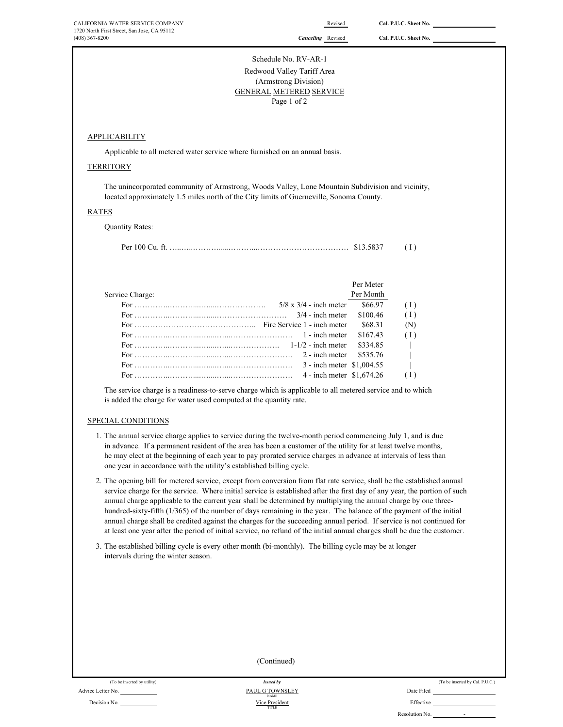Schedule No. RV-AR-1

### Redwood Valley Tariff Area (Armstrong Division) GENERAL METERED SERVICE Page 1 of 2

# **APPLICABILITY**

Applicable to all metered water service where furnished on an annual basis.

### **TERRITORY**

The unincorporated community of Armstrong, Woods Valley, Lone Mountain Subdivision and vicinity, located approximately 1.5 miles north of the City limits of Guerneville, Sonoma County.

### RATES

Quantity Rates:

|--|--|--|--|

|                 |                                                                                                                                                                                                                                                                                                              | Per Meter |            |
|-----------------|--------------------------------------------------------------------------------------------------------------------------------------------------------------------------------------------------------------------------------------------------------------------------------------------------------------|-----------|------------|
| Service Charge: |                                                                                                                                                                                                                                                                                                              | Per Month |            |
|                 | $5/8 \times 3/4$ - inch meter                                                                                                                                                                                                                                                                                | \$66.97   | (1)        |
|                 |                                                                                                                                                                                                                                                                                                              | \$100.46  | (1)        |
|                 |                                                                                                                                                                                                                                                                                                              | \$68.31   | (N)        |
|                 | For $\ldots$ = $\ldots$ = $\ldots$ = $\ldots$ = $\ldots$ = $\ldots$ = $\ldots$ = $\ldots$ = $\ldots$ = $\ldots$ = $\ldots$ = $\ldots$ = $\ldots$ = $\ldots$ = $\ldots$ = $\ldots$ = $\ldots$ = $\ldots$ = $\ldots$ = $\ldots$ = $\ldots$ = $\ldots$ = $\ldots$ = $\ldots$ = $\ldots$ = $\ldots$ = $\ldots$ = | \$167.43  | (1)        |
|                 |                                                                                                                                                                                                                                                                                                              | \$334.85  | $\sim$ 1.0 |
|                 | For $\ldots$ $\ldots$ $\ldots$ $\ldots$ $\ldots$ $\ldots$ $\ldots$ $\ldots$ $\ldots$ $\ldots$ $\ldots$ $\ldots$ $\ldots$ $\ldots$ $\ldots$ $\ldots$ $\ldots$ $\ldots$ $\ldots$ $\ldots$ $\ldots$                                                                                                             | \$535.76  | $\sim$     |
|                 |                                                                                                                                                                                                                                                                                                              |           | $\Box$     |
|                 | 4 - inch meter \$1,674.26                                                                                                                                                                                                                                                                                    |           | (1)        |
|                 |                                                                                                                                                                                                                                                                                                              |           |            |

The service charge is a readiness-to-serve charge which is applicable to all metered service and to which is added the charge for water used computed at the quantity rate.

### SPECIAL CONDITIONS

- 1. The annual service charge applies to service during the twelve-month period commencing July 1, and is due in advance. If a permanent resident of the area has been a customer of the utility for at least twelve months, he may elect at the beginning of each year to pay prorated service charges in advance at intervals of less than one year in accordance with the utility's established billing cycle.
- 2. The opening bill for metered service, except from conversion from flat rate service, shall be the established annual service charge for the service. Where initial service is established after the first day of any year, the portion of such annual charge applicable to the current year shall be determined by multiplying the annual charge by one threehundred-sixty-fifth (1/365) of the number of days remaining in the year. The balance of the payment of the initial annual charge shall be credited against the charges for the succeeding annual period. If service is not continued for at least one year after the period of initial service, no refund of the initial annual charges shall be due the customer.
- 3. The established billing cycle is every other month (bi-monthly). The billing cycle may be at longer intervals during the winter season.

|                             | (Continued)                    |                                 |
|-----------------------------|--------------------------------|---------------------------------|
| (To be inserted by utility) | <b>Issued by</b>               | (To be inserted by Cal. P.U.C.) |
| Advice Letter No.           | PAUL G TOWNSLEY<br><b>NAME</b> | Date Filed                      |
| Decision No.                | Vice President<br>TITLE        | Effective                       |

Resolution No.

-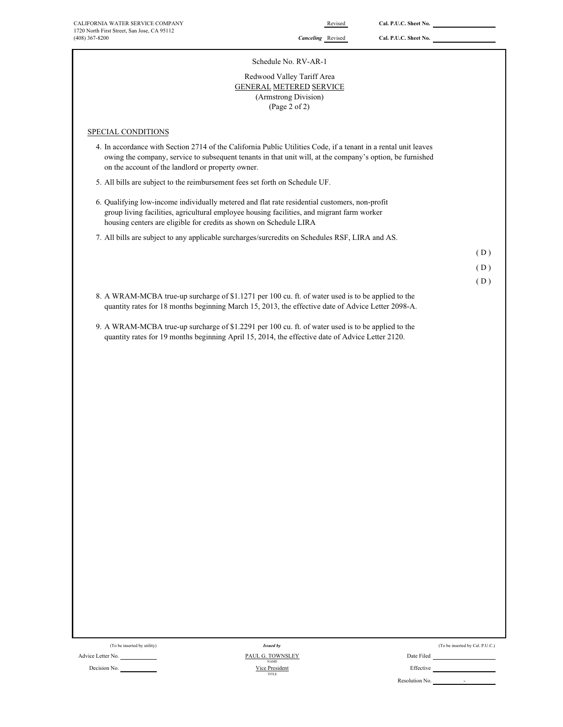| CALIFORNIA WATER SERVICE COMPANY<br>1720 North First Street, San Jose, CA 95112<br>$(408)$ 367-8200                                                                                                                                                                               | Revised<br><b>Canceling</b> Revised                                                                   | Cal. P.U.C. Sheet No.<br>Cal. P.U.C. Sheet No. |            |
|-----------------------------------------------------------------------------------------------------------------------------------------------------------------------------------------------------------------------------------------------------------------------------------|-------------------------------------------------------------------------------------------------------|------------------------------------------------|------------|
|                                                                                                                                                                                                                                                                                   |                                                                                                       |                                                |            |
|                                                                                                                                                                                                                                                                                   | Schedule No. RV-AR-1                                                                                  |                                                |            |
|                                                                                                                                                                                                                                                                                   | Redwood Valley Tariff Area<br><b>GENERAL METERED SERVICE</b><br>(Armstrong Division)<br>(Page 2 of 2) |                                                |            |
| SPECIAL CONDITIONS                                                                                                                                                                                                                                                                |                                                                                                       |                                                |            |
| 4. In accordance with Section 2714 of the California Public Utilities Code, if a tenant in a rental unit leaves<br>owing the company, service to subsequent tenants in that unit will, at the company's option, be furnished<br>on the account of the landlord or property owner. |                                                                                                       |                                                |            |
| 5. All bills are subject to the reimbursement fees set forth on Schedule UF.                                                                                                                                                                                                      |                                                                                                       |                                                |            |
| 6. Qualifying low-income individually metered and flat rate residential customers, non-profit<br>group living facilities, agricultural employee housing facilities, and migrant farm worker<br>housing centers are eligible for credits as shown on Schedule LIRA                 |                                                                                                       |                                                |            |
| 7. All bills are subject to any applicable surcharges/surcredits on Schedules RSF, LIRA and AS.                                                                                                                                                                                   |                                                                                                       |                                                |            |
|                                                                                                                                                                                                                                                                                   |                                                                                                       |                                                | (D)        |
|                                                                                                                                                                                                                                                                                   |                                                                                                       |                                                | (D)<br>(D) |
| 8. A WRAM-MCBA true-up surcharge of \$1.1271 per 100 cu. ft. of water used is to be applied to the                                                                                                                                                                                |                                                                                                       |                                                |            |
| quantity rates for 18 months beginning March 15, 2013, the effective date of Advice Letter 2098-A.                                                                                                                                                                                |                                                                                                       |                                                |            |
| quantity rates for 19 months beginning April 15, 2014, the effective date of Advice Letter 2120.                                                                                                                                                                                  |                                                                                                       |                                                |            |
|                                                                                                                                                                                                                                                                                   |                                                                                                       |                                                |            |
|                                                                                                                                                                                                                                                                                   |                                                                                                       |                                                |            |
|                                                                                                                                                                                                                                                                                   |                                                                                                       |                                                |            |
|                                                                                                                                                                                                                                                                                   |                                                                                                       |                                                |            |
|                                                                                                                                                                                                                                                                                   |                                                                                                       |                                                |            |
|                                                                                                                                                                                                                                                                                   |                                                                                                       |                                                |            |
|                                                                                                                                                                                                                                                                                   |                                                                                                       |                                                |            |
|                                                                                                                                                                                                                                                                                   |                                                                                                       |                                                |            |
|                                                                                                                                                                                                                                                                                   |                                                                                                       |                                                |            |
|                                                                                                                                                                                                                                                                                   |                                                                                                       |                                                |            |
|                                                                                                                                                                                                                                                                                   |                                                                                                       |                                                |            |
|                                                                                                                                                                                                                                                                                   |                                                                                                       |                                                |            |
|                                                                                                                                                                                                                                                                                   |                                                                                                       |                                                |            |
|                                                                                                                                                                                                                                                                                   |                                                                                                       |                                                |            |

| Decision No. |  |
|--------------|--|

Decision No. **Effective Effective Containers Effective Containers Effective Containers Effective Effective** TITLE PAUL G. TOWNSLEY Vice President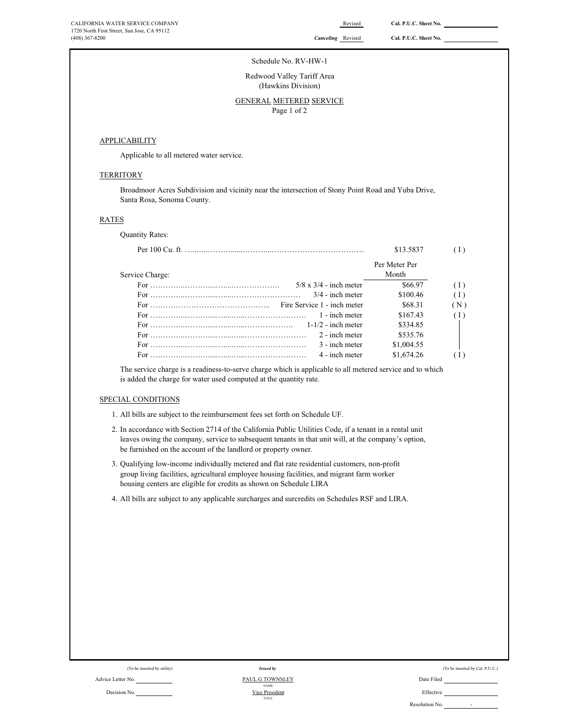### Schedule No. RV-HW-1

Redwood Valley Tariff Area (Hawkins Division)

# GENERAL METERED SERVICE

Page 1 of 2

### **APPLICABILITY**

Applicable to all metered water service.

### **TERRITORY**

Broadmoor Acres Subdivision and vicinity near the intersection of Stony Point Road and Yuba Drive, Santa Rosa, Sonoma County.

### RATES

Quantity Rates:

|                                                                                                                                           | \$13.5837     |     |
|-------------------------------------------------------------------------------------------------------------------------------------------|---------------|-----|
|                                                                                                                                           | Per Meter Per |     |
| Service Charge:                                                                                                                           | Month         |     |
| $5/8 \times 3/4$ - inch meter                                                                                                             | \$66.97       | (1) |
| $3/4$ - inch meter                                                                                                                        | \$100.46      | (1) |
| Fire Service 1 - inch meter                                                                                                               | \$68.31       | (N) |
| 1 - inch meter                                                                                                                            | \$167.43      | (1) |
| $1-1/2$ - inch meter<br>For $\ldots$ . $\ldots$ . $\ldots$ . $\ldots$ . $\ldots$ . $\ldots$ . $\ldots$ . $\ldots$ . $\ldots$ . $\ldots$ . | \$334.85      |     |
| 2 - inch meter                                                                                                                            | \$535.76      |     |
| 3 - inch meter                                                                                                                            | \$1,004.55    |     |
| 4 - inch meter                                                                                                                            | \$1,674.26    |     |

The service charge is a readiness-to-serve charge which is applicable to all metered service and to which is added the charge for water used computed at the quantity rate.

### SPECIAL CONDITIONS

1. All bills are subject to the reimbursement fees set forth on Schedule UF.

- 2. In accordance with Section 2714 of the California Public Utilities Code, if a tenant in a rental unit leaves owing the company, service to subsequent tenants in that unit will, at the company's option, be furnished on the account of the landlord or property owner.
- 3. Qualifying low-income individually metered and flat rate residential customers, non-profit group living facilities, agricultural employee housing facilities, and migrant farm worker housing centers are eligible for credits as shown on Schedule LIRA
- 4. All bills are subject to any applicable surcharges and surcredits on Schedules RSF and LIRA.

|  |                                    |  | . . |
|--|------------------------------------|--|-----|
|  |                                    |  |     |
|  |                                    |  |     |
|  |                                    |  |     |
|  |                                    |  |     |
|  | $\sim$ $\sim$ $\sim$ $\sim$ $\sim$ |  |     |
|  |                                    |  |     |

(To be inserted by utility)

### Advice Letter No. No. 2008 Contract Contract Contract Contract Contract Contract Contract Contract Contract Contract Contract Contract Contract Contract Contract Contract Contract Contract Contract Contract Contract Contra Decision No. Effective PAUL G TOWNSLEY Vice President *Issued by* NAME TITLE

|  | (To be inserted by Cal. P.U.C.) |  |
|--|---------------------------------|--|
|  |                                 |  |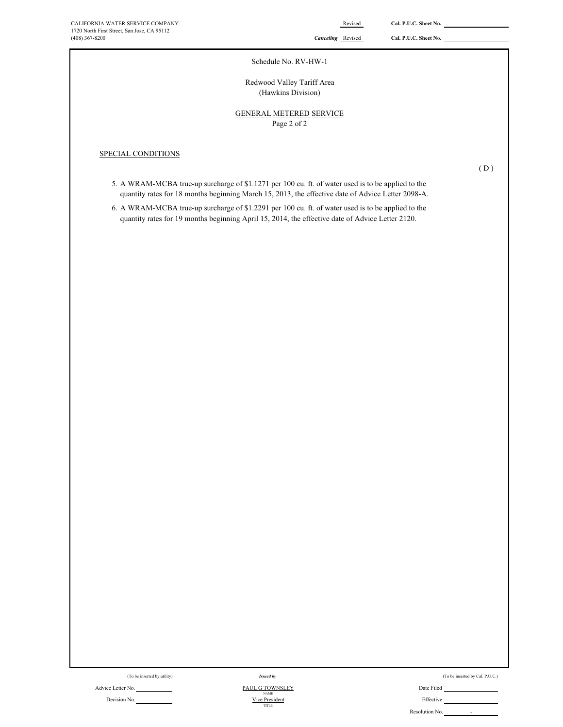### Schedule No. RV-HW-1

# Redwood Valley Tariff Area (Hawkins Division)

# Page 2 of 2 GENERAL METERED SERVICE

# SPECIAL CONDITIONS

 $(D)$ 

- 5. A WRAM-MCBA true-up surcharge of \$1.1271 per 100 cu. ft. of water used is to be applied to the quantity rates for 18 months beginning March 15, 2013, the effective date of Advice Letter 2098-A.
- 6. A WRAM-MCBA true-up surcharge of \$1.2291 per 100 cu. ft. of water used is to be applied to the quantity rates for 19 months beginning April 15, 2014, the effective date of Advice Letter 2120.

Advice Letter No. Date Filed Contact Advice Letter No. Date Filed Decision No. <u>Nice President</u> No. 2006 and Nice President No. 2006 and Nice President No. 2006 and Nice President Nice President Nice President Nice President Nice President Nice President Nice President Nice President Nic *Issued by* NAME Vice President TITLE

(To be inserted by utility) (To be inserted by Cal. P.U.C.) Issued by Cal. P.U.C.)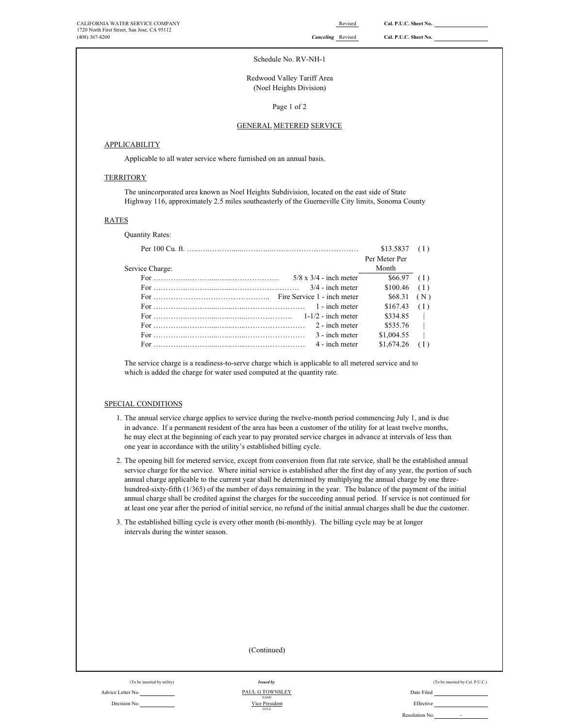### Schedule No. RV-NH-1

Redwood Valley Tariff Area (Noel Heights Division)

Page 1 of 2

### GENERAL METERED SERVICE

## **APPLICABILITY**

Applicable to all water service where furnished on an annual basis.

# **TERRITORY**

The unincorporated area known as Noel Heights Subdivision, located on the east side of State Highway 116, approximately 2.5 miles southeasterly of the Guerneville City limits, Sonoma County

### RATES

Quantity Rates:

|                                                                                                                                                                                                           | \$13.5837     |                     |
|-----------------------------------------------------------------------------------------------------------------------------------------------------------------------------------------------------------|---------------|---------------------|
|                                                                                                                                                                                                           | Per Meter Per |                     |
| Service Charge:                                                                                                                                                                                           | Month         |                     |
| $5/8 \times 3/4$ - inch meter                                                                                                                                                                             | $$66.97$ (I)  |                     |
| For $\ldots$ $3/4$ - inch meter                                                                                                                                                                           | $$100.46$ (I) |                     |
|                                                                                                                                                                                                           | \$68.31       | (N)                 |
| For $\ldots$ is a set of $\ldots$ is a set of $\ldots$ in $\ldots$ in $\ldots$ in $\ldots$ in $\ldots$ in $\ldots$                                                                                        | \$167.43      | (1)                 |
|                                                                                                                                                                                                           | \$334.85      | $\sim$ 1.000 $\sim$ |
| For $\ldots$ $\ldots$ $\ldots$ $\ldots$ $\ldots$ $\ldots$ $\ldots$ $\ldots$ $\ldots$ $\ldots$ $\ldots$ $\ldots$ $\ldots$ $\ldots$ $\ldots$ $\ldots$ $\ldots$ $\ldots$ $\ldots$ $\ldots$ $\ldots$ $\ldots$ | \$535.76      | $\Box$              |
| 3 - inch meter                                                                                                                                                                                            | \$1,004.55    |                     |
| 4 - inch meter                                                                                                                                                                                            | \$1,674.26    |                     |

The service charge is a readiness-to-serve charge which is applicable to all metered service and to which is added the charge for water used computed at the quantity rate.

### SPECIAL CONDITIONS

- 1. The annual service charge applies to service during the twelve-month period commencing July 1, and is due in advance. If a permanent resident of the area has been a customer of the utility for at least twelve months, he may elect at the beginning of each year to pay prorated service charges in advance at intervals of less than one year in accordance with the utility's established billing cycle.
- 2. The opening bill for metered service, except from conversion from flat rate service, shall be the established annual service charge for the service. Where initial service is established after the first day of any year, the portion of such annual charge applicable to the current year shall be determined by multiplying the annual charge by one threehundred-sixty-fifth (1/365) of the number of days remaining in the year. The balance of the payment of the initial annual charge shall be credited against the charges for the succeeding annual period. If service is not continued for at least one year after the period of initial service, no refund of the initial annual charges shall be due the customer.
- 3. The established billing cycle is every other month (bi-monthly). The billing cycle may be at longer intervals during the winter season.

TITLE

(To be inserted by utility) (To be inserted by Cal. P.U.C.) Advice Letter No. Date Filed NAME<br>Decision No. Effective<br>Effective<br>Effective Vice President PAUL G TOWNSLEY NAME (Continued) *Issued by*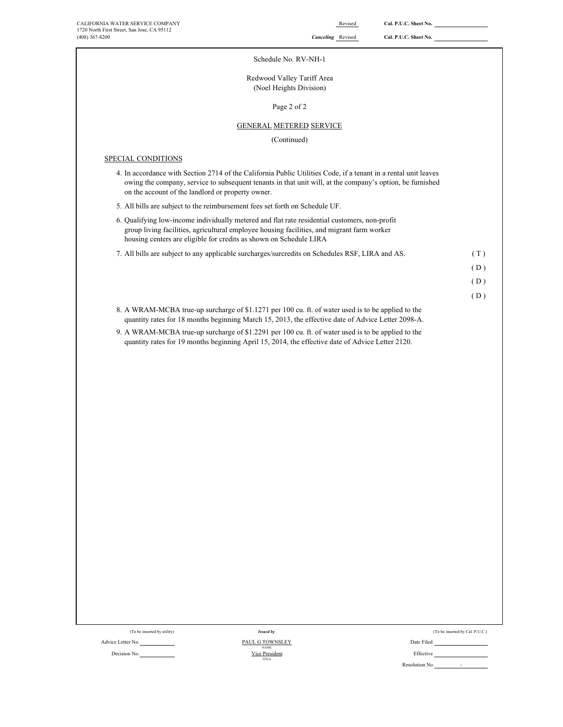|  | $Cal$ $PIC$ Shoot No. |  |
|--|-----------------------|--|

÷.

| (408) 367-8200                                                                                                                                                                                                                                                                    |                                                       | <b>Canceling</b> Revised | Cal. P.U.C. Sheet No. |                                 |
|-----------------------------------------------------------------------------------------------------------------------------------------------------------------------------------------------------------------------------------------------------------------------------------|-------------------------------------------------------|--------------------------|-----------------------|---------------------------------|
|                                                                                                                                                                                                                                                                                   | Schedule No. RV-NH-1                                  |                          |                       |                                 |
|                                                                                                                                                                                                                                                                                   | Redwood Valley Tariff Area<br>(Noel Heights Division) |                          |                       |                                 |
|                                                                                                                                                                                                                                                                                   | Page 2 of 2                                           |                          |                       |                                 |
|                                                                                                                                                                                                                                                                                   | <b>GENERAL METERED SERVICE</b>                        |                          |                       |                                 |
|                                                                                                                                                                                                                                                                                   | (Continued)                                           |                          |                       |                                 |
| SPECIAL CONDITIONS                                                                                                                                                                                                                                                                |                                                       |                          |                       |                                 |
| 4. In accordance with Section 2714 of the California Public Utilities Code, if a tenant in a rental unit leaves<br>owing the company, service to subsequent tenants in that unit will, at the company's option, be furnished<br>on the account of the landlord or property owner. |                                                       |                          |                       |                                 |
| 5. All bills are subject to the reimbursement fees set forth on Schedule UF.                                                                                                                                                                                                      |                                                       |                          |                       |                                 |
| 6. Qualifying low-income individually metered and flat rate residential customers, non-profit<br>group living facilities, agricultural employee housing facilities, and migrant farm worker<br>housing centers are eligible for credits as shown on Schedule LIRA                 |                                                       |                          |                       |                                 |
| 7. All bills are subject to any applicable surcharges/surcredits on Schedules RSF, LIRA and AS.                                                                                                                                                                                   |                                                       |                          |                       | (T)                             |
|                                                                                                                                                                                                                                                                                   |                                                       |                          |                       | (D)                             |
|                                                                                                                                                                                                                                                                                   |                                                       |                          |                       | (D)                             |
|                                                                                                                                                                                                                                                                                   |                                                       |                          |                       | (D)                             |
| 8. A WRAM-MCBA true-up surcharge of \$1.1271 per 100 cu. ft. of water used is to be applied to the<br>quantity rates for 18 months beginning March 15, 2013, the effective date of Advice Letter 2098-A.                                                                          |                                                       |                          |                       |                                 |
| 9. A WRAM-MCBA true-up surcharge of \$1.2291 per 100 cu. ft. of water used is to be applied to the<br>quantity rates for 19 months beginning April 15, 2014, the effective date of Advice Letter 2120.                                                                            |                                                       |                          |                       |                                 |
|                                                                                                                                                                                                                                                                                   |                                                       |                          |                       |                                 |
|                                                                                                                                                                                                                                                                                   |                                                       |                          |                       |                                 |
|                                                                                                                                                                                                                                                                                   |                                                       |                          |                       |                                 |
|                                                                                                                                                                                                                                                                                   |                                                       |                          |                       |                                 |
|                                                                                                                                                                                                                                                                                   |                                                       |                          |                       |                                 |
|                                                                                                                                                                                                                                                                                   |                                                       |                          |                       |                                 |
|                                                                                                                                                                                                                                                                                   |                                                       |                          |                       |                                 |
|                                                                                                                                                                                                                                                                                   |                                                       |                          |                       |                                 |
|                                                                                                                                                                                                                                                                                   |                                                       |                          |                       |                                 |
|                                                                                                                                                                                                                                                                                   |                                                       |                          |                       |                                 |
|                                                                                                                                                                                                                                                                                   |                                                       |                          |                       |                                 |
|                                                                                                                                                                                                                                                                                   |                                                       |                          |                       |                                 |
|                                                                                                                                                                                                                                                                                   |                                                       |                          |                       |                                 |
|                                                                                                                                                                                                                                                                                   |                                                       |                          |                       |                                 |
|                                                                                                                                                                                                                                                                                   |                                                       |                          |                       |                                 |
|                                                                                                                                                                                                                                                                                   |                                                       |                          |                       |                                 |
|                                                                                                                                                                                                                                                                                   |                                                       |                          |                       |                                 |
| (To be inserted by utility)                                                                                                                                                                                                                                                       | <b>Issued by</b>                                      |                          |                       | (To be inserted by Cal. P.U.C.) |

NAME<br>Decision No. Effective Contract of the Contract of True President Contract of the Contract of True President TITLE PAUL G TOWNSLEY Vice President

Advice Letter No. <u>PAUL G TOWNSLEY</u><br>Decision No. <u>NAME Pice President</u><br>Decision No. <u>Vice President</u><br>Time Resolution No. - J.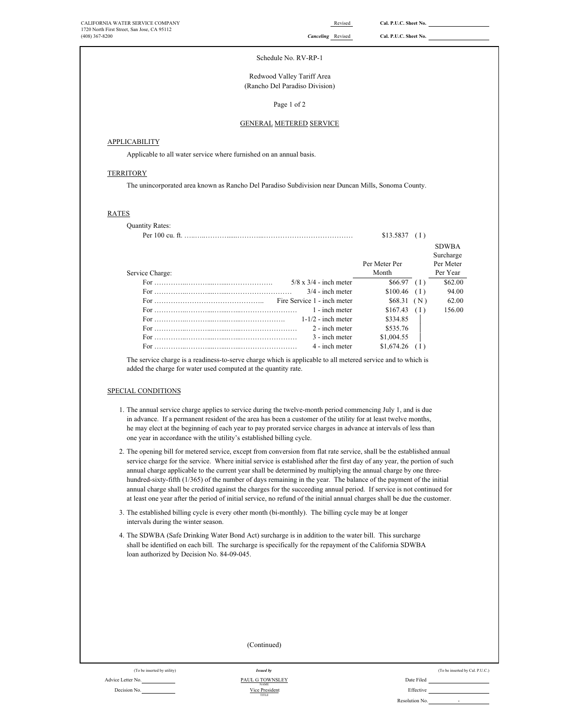### Schedule No. RV-RP-1

(Rancho Del Paradiso Division) Redwood Valley Tariff Area

Page 1 of 2

### GENERAL METERED SERVICE

# **APPLICABILITY**

Applicable to all water service where furnished on an annual basis.

### **TERRITORY**

The unincorporated area known as Rancho Del Paradiso Subdivision near Duncan Mills, Sonoma County.

### RATES

| <b>Quantity Rates:</b>        |               |     |                           |
|-------------------------------|---------------|-----|---------------------------|
|                               | \$13.5837     | (1) |                           |
|                               |               |     | <b>SDWBA</b><br>Surcharge |
|                               | Per Meter Per |     | Per Meter                 |
| Service Charge:               | Month         |     | Per Year                  |
| $5/8 \times 3/4$ - inch meter | $$66.97$ (1)  |     | \$62.00                   |
| $3/4$ - inch meter            | $$100.46$ (I) |     | 94.00                     |
| Fire Service 1 - inch meter   | \$68.31(N)    |     | 62.00                     |
| 1 - inch meter                | \$167.43      | (1) | 156.00                    |
| $1-1/2$ - inch meter          | \$334.85      |     |                           |
| 2 - inch meter                | \$535.76      |     |                           |
| 3 - inch meter                | \$1,004.55    |     |                           |
| 4 - inch meter                | \$1,674.26    |     |                           |

The service charge is a readiness-to-serve charge which is applicable to all metered service and to which is added the charge for water used computed at the quantity rate.

# SPECIAL CONDITIONS

Advice Letter No. Decision No.

- 1. The annual service charge applies to service during the twelve-month period commencing July 1, and is due in advance. If a permanent resident of the area has been a customer of the utility for at least twelve months, he may elect at the beginning of each year to pay prorated service charges in advance at intervals of less than one year in accordance with the utility's established billing cycle.
- 2. The opening bill for metered service, except from conversion from flat rate service, shall be the established annual service charge for the service. Where initial service is established after the first day of any year, the portion of such annual charge applicable to the current year shall be determined by multiplying the annual charge by one threehundred-sixty-fifth (1/365) of the number of days remaining in the year. The balance of the payment of the initial annual charge shall be credited against the charges for the succeeding annual period. If service is not continued for at least one year after the period of initial service, no refund of the initial annual charges shall be due the customer.
- 3. The established billing cycle is every other month (bi-monthly). The billing cycle may be at longer intervals during the winter season.
- 4. The SDWBA (Safe Drinking Water Bond Act) surcharge is in addition to the water bill. This surcharge shall be identified on each bill. The surcharge is specifically for the repayment of the California SDWBA loan authorized by Decision No. 84-09-045.

|                             | (Continued)                   |            |                                 |
|-----------------------------|-------------------------------|------------|---------------------------------|
|                             |                               |            |                                 |
| (To be inserted by utility) | <b>Issued by</b>              |            | (To be inserted by Cal. P.U.C.) |
| No.                         | PAUL G TOWNSLEY<br>$\rm NAME$ | Date Filed |                                 |
| No.                         | Vice President<br>TITLE       | Effective  |                                 |

Resolution No.

-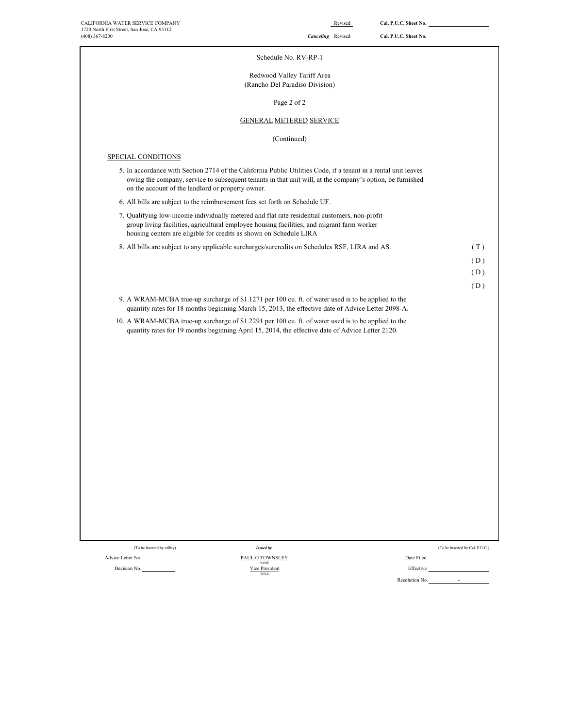| CALIFORNIA WATER SERVICE COMPANY<br>1720 North First Street, San Jose, CA 95112<br>(408) 367-8200                                                                                                                                                                                 | Revised<br><b>Canceling</b> Revised                          | Cal. P.U.C. Sheet No.<br>Cal. P.U.C. Sheet No. |                                 |
|-----------------------------------------------------------------------------------------------------------------------------------------------------------------------------------------------------------------------------------------------------------------------------------|--------------------------------------------------------------|------------------------------------------------|---------------------------------|
|                                                                                                                                                                                                                                                                                   | Schedule No. RV-RP-1                                         |                                                |                                 |
|                                                                                                                                                                                                                                                                                   | Redwood Valley Tariff Area<br>(Rancho Del Paradiso Division) |                                                |                                 |
|                                                                                                                                                                                                                                                                                   | Page 2 of 2                                                  |                                                |                                 |
|                                                                                                                                                                                                                                                                                   | <b>GENERAL METERED SERVICE</b>                               |                                                |                                 |
|                                                                                                                                                                                                                                                                                   | (Continued)                                                  |                                                |                                 |
| SPECIAL CONDITIONS                                                                                                                                                                                                                                                                |                                                              |                                                |                                 |
| 5. In accordance with Section 2714 of the California Public Utilities Code, if a tenant in a rental unit leaves<br>owing the company, service to subsequent tenants in that unit will, at the company's option, be furnished<br>on the account of the landlord or property owner. |                                                              |                                                |                                 |
| 6. All bills are subject to the reimbursement fees set forth on Schedule UF.                                                                                                                                                                                                      |                                                              |                                                |                                 |
| 7. Qualifying low-income individually metered and flat rate residential customers, non-profit<br>group living facilities, agricultural employee housing facilities, and migrant farm worker<br>housing centers are eligible for credits as shown on Schedule LIRA                 |                                                              |                                                |                                 |
| 8. All bills are subject to any applicable surcharges/surcredits on Schedules RSF, LIRA and AS.                                                                                                                                                                                   |                                                              |                                                | (T)                             |
|                                                                                                                                                                                                                                                                                   |                                                              |                                                | (D)                             |
|                                                                                                                                                                                                                                                                                   |                                                              |                                                | (D)<br>(D)                      |
| 9. A WRAM-MCBA true-up surcharge of \$1.1271 per 100 cu. ft. of water used is to be applied to the<br>quantity rates for 18 months beginning March 15, 2013, the effective date of Advice Letter 2098-A.                                                                          |                                                              |                                                |                                 |
| 10. A WRAM-MCBA true-up surcharge of \$1.2291 per 100 cu. ft. of water used is to be applied to the<br>quantity rates for 19 months beginning April 15, 2014, the effective date of Advice Letter 2120.                                                                           |                                                              |                                                |                                 |
|                                                                                                                                                                                                                                                                                   |                                                              |                                                |                                 |
|                                                                                                                                                                                                                                                                                   |                                                              |                                                |                                 |
|                                                                                                                                                                                                                                                                                   |                                                              |                                                |                                 |
|                                                                                                                                                                                                                                                                                   |                                                              |                                                |                                 |
|                                                                                                                                                                                                                                                                                   |                                                              |                                                |                                 |
|                                                                                                                                                                                                                                                                                   |                                                              |                                                |                                 |
|                                                                                                                                                                                                                                                                                   |                                                              |                                                |                                 |
|                                                                                                                                                                                                                                                                                   |                                                              |                                                |                                 |
|                                                                                                                                                                                                                                                                                   |                                                              |                                                |                                 |
|                                                                                                                                                                                                                                                                                   |                                                              |                                                |                                 |
|                                                                                                                                                                                                                                                                                   |                                                              |                                                |                                 |
|                                                                                                                                                                                                                                                                                   |                                                              |                                                |                                 |
| (To be inserted by utility)<br><b>Issued by</b>                                                                                                                                                                                                                                   |                                                              |                                                | (To be inserted by Cal. P.U.C.) |

Decision No. **Effective Effective Effective Effective Effective Effective Effective** 

Advice Letter No. Date Filed Communication of the Communication of TOWNSLEY Date Filed Date Filed TITLE *Issued by* PAUL G TOWNSLEY NAME<br>Vice President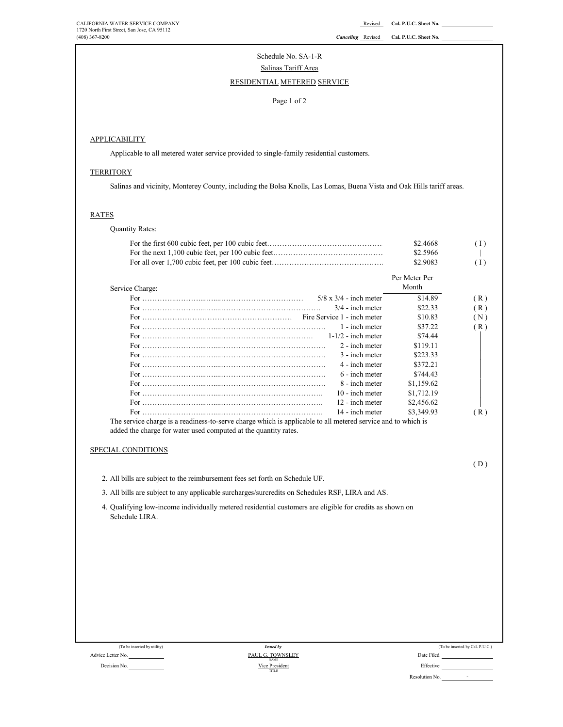### (408) 367-8200 *Canceling* Revised **Cal. P.U.C. Sheet No.**

# Schedule No. SA-1-R Salinas Tariff Area

# RESIDENTIAL METERED SERVICE

### Page 1 of 2

# **APPLICABILITY**

Applicable to all metered water service provided to single-family residential customers.

# **TERRITORY**

Salinas and vicinity, Monterey County, including the Bolsa Knolls, Las Lomas, Buena Vista and Oak Hills tariff areas.

# RATES

Quantity Rates:

|                                                                                                          | \$2.4668      | (1)                             |
|----------------------------------------------------------------------------------------------------------|---------------|---------------------------------|
|                                                                                                          | \$2.5966      |                                 |
|                                                                                                          | \$2.9083      | (1)                             |
|                                                                                                          | Per Meter Per |                                 |
| Service Charge:                                                                                          | Month         |                                 |
| $5/8 \times 3/4$ - inch meter                                                                            | \$14.89       | (R)                             |
| $3/4$ - inch meter                                                                                       | \$22.33       | (R)                             |
| Fire Service 1 - inch meter                                                                              | \$10.83       | (N)                             |
| 1 - inch meter                                                                                           | \$37.22       | (R)                             |
| $1-1/2$ - inch meter                                                                                     | \$74.44       |                                 |
| 2 - inch meter                                                                                           | \$119.11      |                                 |
| 3 - inch meter                                                                                           | \$223.33      |                                 |
| 4 - inch meter                                                                                           | \$372.21      |                                 |
| 6 - inch meter                                                                                           | \$744.43      |                                 |
| 8 - inch meter                                                                                           | \$1,159.62    |                                 |
| 10 - inch meter                                                                                          | \$1,712.19    |                                 |
| 12 - inch meter                                                                                          | \$2,456.62    |                                 |
| 14 - inch meter                                                                                          | \$3,349.93    | (R)                             |
| SPECIAL CONDITIONS                                                                                       |               | (D)                             |
| 2. All bills are subject to the reimbursement fees set forth on Schedule UF.                             |               |                                 |
| 3. All bills are subject to any applicable surcharges/surcredits on Schedules RSF, LIRA and AS.          |               |                                 |
| 4. Qualifying low-income individually metered residential customers are eligible for credits as shown on |               |                                 |
| Schedule LIRA.                                                                                           |               |                                 |
|                                                                                                          |               |                                 |
|                                                                                                          |               |                                 |
|                                                                                                          |               |                                 |
|                                                                                                          |               |                                 |
|                                                                                                          |               |                                 |
|                                                                                                          |               |                                 |
|                                                                                                          |               |                                 |
|                                                                                                          |               |                                 |
|                                                                                                          |               |                                 |
|                                                                                                          |               |                                 |
|                                                                                                          |               |                                 |
| (To be inserted by utility)<br><b>Issued by</b><br>PAUL G. TOWNSLEY<br>Advice Letter No.                 | Date Filed    | (To be inserted by Cal. P.U.C.) |

Decision No. **Effective Effective Effective Effective Effective Effective Effective** TITLE NAME<br>Vice President PAUL G. TOWNSLEY

Resolution No.

-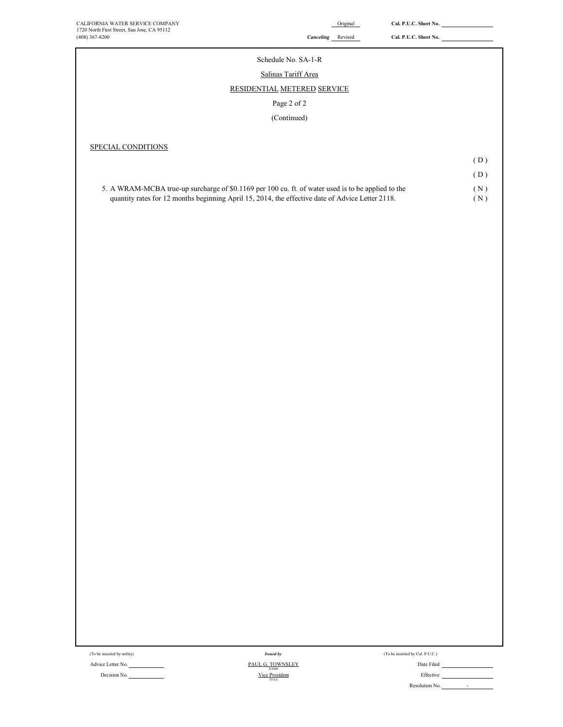# ÷, Schedule No. SA-1-R Salinas Tariff Area RESIDENTIAL METERED SERVICE Page 2 of 2 (Continued) SPECIAL CONDITIONS ( D ) ( D ) 5. A WRAM-MCBA true-up surcharge of \$0.1169 per 100 cu. ft. of water used is to be applied to the ( N ) quantity rates for 12 months beginning April 15, 2014, the effective date of Advice Letter 2118. (N)

(To be inserted by utility) (To be inserted by Cal. P.U.C.) Issued by Cal. P.U.C.)

Advice Letter No. 2006 Contract the Contract of the PAUL G. TOWNSLEY Contract of the Contract of Date Filed *Issued by*

NAME<br>Vice President<br>TITLE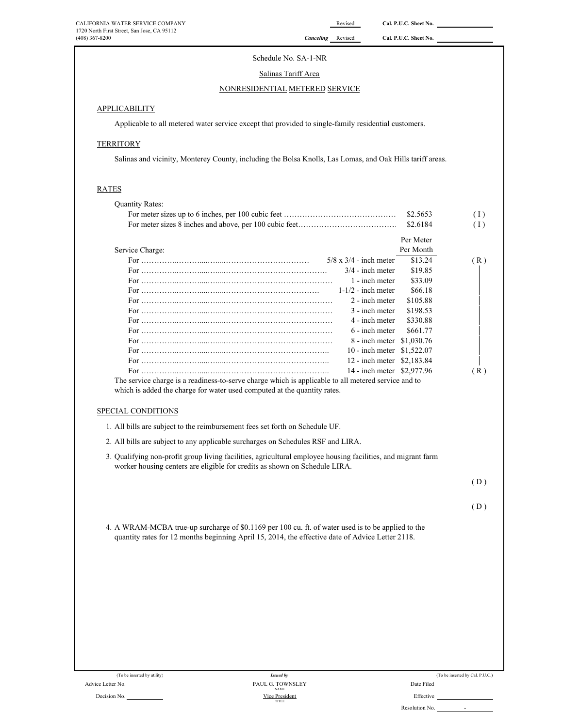# Schedule No. SA-1-NR

# Salinas Tariff Area

# NONRESIDENTIAL METERED SERVICE

# **APPLICABILITY**

Applicable to all metered water service except that provided to single-family residential customers.

# **TERRITORY**

Salinas and vicinity, Monterey County, including the Bolsa Knolls, Las Lomas, and Oak Hills tariff areas.

### RATES

| <b>Quantity Rates:</b>                                                                                                                                                                                 |           |     |
|--------------------------------------------------------------------------------------------------------------------------------------------------------------------------------------------------------|-----------|-----|
|                                                                                                                                                                                                        | \$2.5653  | (1) |
|                                                                                                                                                                                                        | \$2.6184  | (1) |
|                                                                                                                                                                                                        | Per Meter |     |
| Service Charge:                                                                                                                                                                                        | Per Month |     |
| $5/8$ x $3/4$ - inch meter                                                                                                                                                                             | \$13.24   | (R) |
| $3/4$ - inch meter                                                                                                                                                                                     | \$19.85   |     |
| 1 - inch meter                                                                                                                                                                                         | \$33.09   |     |
| $1-1/2$ - inch meter                                                                                                                                                                                   | \$66.18   |     |
| 2 - inch meter                                                                                                                                                                                         | \$105.88  |     |
| 3 - inch meter                                                                                                                                                                                         | \$198.53  |     |
| 4 - inch meter                                                                                                                                                                                         | \$330.88  |     |
| 6 - inch meter                                                                                                                                                                                         | \$661.77  |     |
| 8 - inch meter \$1,030.76                                                                                                                                                                              |           |     |
| 10 - inch meter \$1,522.07                                                                                                                                                                             |           |     |
| 12 - inch meter \$2,183.84                                                                                                                                                                             |           |     |
| 14 - inch meter \$2,977.96                                                                                                                                                                             |           | (R) |
| The service charge is a readiness-to-serve charge which is applicable to all metered service and to                                                                                                    |           |     |
| which is added the charge for water used computed at the quantity rates.                                                                                                                               |           |     |
| SPECIAL CONDITIONS                                                                                                                                                                                     |           |     |
| 1. All bills are subject to the reimbursement fees set forth on Schedule UF.                                                                                                                           |           |     |
| 2. All bills are subject to any applicable surcharges on Schedules RSF and LIRA.                                                                                                                       |           |     |
| 3. Qualifying non-profit group living facilities, agricultural employee housing facilities, and migrant farm<br>worker housing centers are eligible for credits as shown on Schedule LIRA.             |           |     |
|                                                                                                                                                                                                        |           | (D) |
|                                                                                                                                                                                                        |           |     |
|                                                                                                                                                                                                        |           | (D) |
| 4. A WRAM-MCBA true-up surcharge of \$0.1169 per 100 cu. ft. of water used is to be applied to the<br>quantity rates for 12 months beginning April 15, 2014, the effective date of Advice Letter 2118. |           |     |
|                                                                                                                                                                                                        |           |     |
|                                                                                                                                                                                                        |           |     |
|                                                                                                                                                                                                        |           |     |
|                                                                                                                                                                                                        |           |     |
|                                                                                                                                                                                                        |           |     |
|                                                                                                                                                                                                        |           |     |
|                                                                                                                                                                                                        |           |     |
|                                                                                                                                                                                                        |           |     |
|                                                                                                                                                                                                        |           |     |
|                                                                                                                                                                                                        |           |     |
|                                                                                                                                                                                                        |           |     |

(To be inserted by utility)

|          | (To be inserted by Cal. P.U.C.) |  |
|----------|---------------------------------|--|
| te Filed |                                 |  |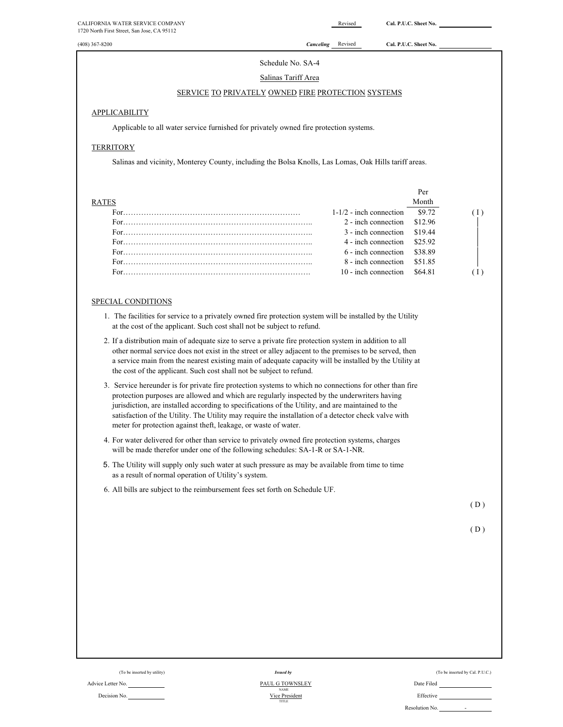| CALIFORNIA WATER SERVICE COMPANY<br>1720 North First Street, San Jose, CA 95112                                                                                                                                                                                                                                                                                                                                                                                                         |           | Revised                   | Cal. P.U.C. Sheet No. |     |
|-----------------------------------------------------------------------------------------------------------------------------------------------------------------------------------------------------------------------------------------------------------------------------------------------------------------------------------------------------------------------------------------------------------------------------------------------------------------------------------------|-----------|---------------------------|-----------------------|-----|
| (408) 367-8200                                                                                                                                                                                                                                                                                                                                                                                                                                                                          | Canceling | Revised                   | Cal. P.U.C. Sheet No. |     |
| Schedule No. SA-4                                                                                                                                                                                                                                                                                                                                                                                                                                                                       |           |                           |                       |     |
| Salinas Tariff Area                                                                                                                                                                                                                                                                                                                                                                                                                                                                     |           |                           |                       |     |
| <b>SERVICE TO PRIVATELY OWNED FIRE PROTECTION SYSTEMS</b>                                                                                                                                                                                                                                                                                                                                                                                                                               |           |                           |                       |     |
| APPLICABILITY                                                                                                                                                                                                                                                                                                                                                                                                                                                                           |           |                           |                       |     |
| Applicable to all water service furnished for privately owned fire protection systems.                                                                                                                                                                                                                                                                                                                                                                                                  |           |                           |                       |     |
| <b>TERRITORY</b>                                                                                                                                                                                                                                                                                                                                                                                                                                                                        |           |                           |                       |     |
| Salinas and vicinity, Monterey County, including the Bolsa Knolls, Las Lomas, Oak Hills tariff areas.                                                                                                                                                                                                                                                                                                                                                                                   |           |                           |                       |     |
|                                                                                                                                                                                                                                                                                                                                                                                                                                                                                         |           |                           |                       |     |
| <b>RATES</b>                                                                                                                                                                                                                                                                                                                                                                                                                                                                            |           |                           | Per<br>Month          |     |
|                                                                                                                                                                                                                                                                                                                                                                                                                                                                                         |           | $1-1/2$ - inch connection | \$9.72                | (1) |
|                                                                                                                                                                                                                                                                                                                                                                                                                                                                                         |           | 2 - inch connection       | \$12.96               |     |
|                                                                                                                                                                                                                                                                                                                                                                                                                                                                                         |           | 3 - inch connection       | \$19.44               |     |
|                                                                                                                                                                                                                                                                                                                                                                                                                                                                                         |           | 4 - inch connection       | \$25.92               |     |
|                                                                                                                                                                                                                                                                                                                                                                                                                                                                                         |           | 6 - inch connection       | \$38.89               |     |
|                                                                                                                                                                                                                                                                                                                                                                                                                                                                                         |           | 8 - inch connection       | \$51.85               |     |
|                                                                                                                                                                                                                                                                                                                                                                                                                                                                                         |           | 10 - inch connection      | \$64.81               | (1) |
| <b>SPECIAL CONDITIONS</b>                                                                                                                                                                                                                                                                                                                                                                                                                                                               |           |                           |                       |     |
| 1. The facilities for service to a privately owned fire protection system will be installed by the Utility<br>at the cost of the applicant. Such cost shall not be subject to refund.                                                                                                                                                                                                                                                                                                   |           |                           |                       |     |
| 2. If a distribution main of adequate size to serve a private fire protection system in addition to all<br>other normal service does not exist in the street or alley adjacent to the premises to be served, then<br>a service main from the nearest existing main of adequate capacity will be installed by the Utility at<br>the cost of the applicant. Such cost shall not be subject to refund.                                                                                     |           |                           |                       |     |
| 3. Service hereunder is for private fire protection systems to which no connections for other than fire<br>protection purposes are allowed and which are regularly inspected by the underwriters having<br>jurisdiction, are installed according to specifications of the Utility, and are maintained to the<br>satisfaction of the Utility. The Utility may require the installation of a detector check valve with<br>meter for protection against theft, leakage, or waste of water. |           |                           |                       |     |
| 4. For water delivered for other than service to privately owned fire protection systems, charges<br>will be made therefor under one of the following schedules: SA-1-R or SA-1-NR.                                                                                                                                                                                                                                                                                                     |           |                           |                       |     |
| 5. The Utility will supply only such water at such pressure as may be available from time to time<br>as a result of normal operation of Utility's system.                                                                                                                                                                                                                                                                                                                               |           |                           |                       |     |
| 6. All bills are subject to the reimbursement fees set forth on Schedule UF.                                                                                                                                                                                                                                                                                                                                                                                                            |           |                           |                       |     |
|                                                                                                                                                                                                                                                                                                                                                                                                                                                                                         |           |                           |                       | (D) |
|                                                                                                                                                                                                                                                                                                                                                                                                                                                                                         |           |                           |                       | (D) |
|                                                                                                                                                                                                                                                                                                                                                                                                                                                                                         |           |                           |                       |     |
|                                                                                                                                                                                                                                                                                                                                                                                                                                                                                         |           |                           |                       |     |
|                                                                                                                                                                                                                                                                                                                                                                                                                                                                                         |           |                           |                       |     |
|                                                                                                                                                                                                                                                                                                                                                                                                                                                                                         |           |                           |                       |     |
|                                                                                                                                                                                                                                                                                                                                                                                                                                                                                         |           |                           |                       |     |
|                                                                                                                                                                                                                                                                                                                                                                                                                                                                                         |           |                           |                       |     |
|                                                                                                                                                                                                                                                                                                                                                                                                                                                                                         |           |                           |                       |     |

Decision No.

Advice Letter No. **PAUL G TOWNSLEY**<br>Decision No. **Date Filed** NAME Using the MAME NAME PRESS (Pressure and MAME PRESS) No. **Date Filed** NAME PRESS (Pressure and MAME PRESS (PRESS) NO. Vice President<br>TITLE PAUL G TOWNSLEY

| (To be inserted by utility) | <b>Issued by</b> | (To be inserted by Cal. P.U.C.) |
|-----------------------------|------------------|---------------------------------|
|                             |                  |                                 |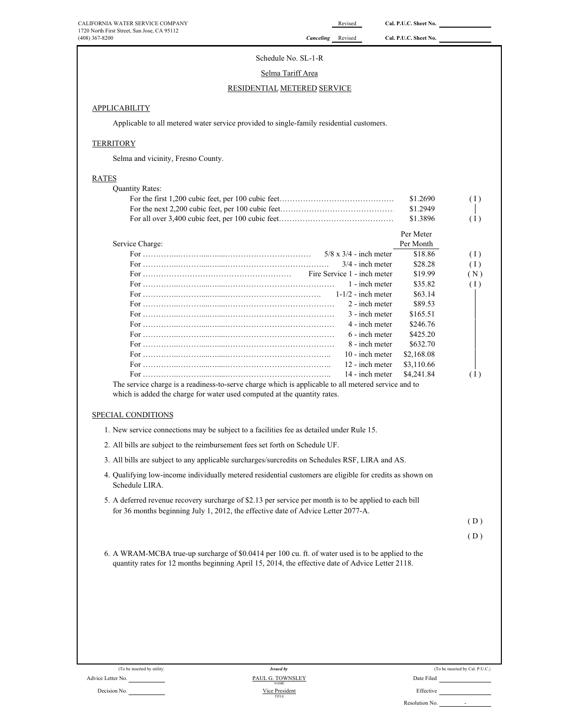# Schedule No. SL-1-R

# Selma Tariff Area

# RESIDENTIAL METERED SERVICE

# APPLICABILITY

Applicable to all metered water service provided to single-family residential customers.

# **TERRITORY**

Selma and vicinity, Fresno County.

# RATES

| <b>Quantity Rates:</b>      |                                                                                                                                                                                                                                                                                                                                                                                                                                                                                                                                                                                        |                      |                                 |
|-----------------------------|----------------------------------------------------------------------------------------------------------------------------------------------------------------------------------------------------------------------------------------------------------------------------------------------------------------------------------------------------------------------------------------------------------------------------------------------------------------------------------------------------------------------------------------------------------------------------------------|----------------------|---------------------------------|
|                             |                                                                                                                                                                                                                                                                                                                                                                                                                                                                                                                                                                                        | \$1.2690             | (1)                             |
|                             |                                                                                                                                                                                                                                                                                                                                                                                                                                                                                                                                                                                        | \$1.2949             |                                 |
|                             |                                                                                                                                                                                                                                                                                                                                                                                                                                                                                                                                                                                        | \$1.3896             | (1)                             |
|                             |                                                                                                                                                                                                                                                                                                                                                                                                                                                                                                                                                                                        | Per Meter            |                                 |
| Service Charge:             |                                                                                                                                                                                                                                                                                                                                                                                                                                                                                                                                                                                        | Per Month            |                                 |
|                             | $5/8 \times 3/4$ - inch meter                                                                                                                                                                                                                                                                                                                                                                                                                                                                                                                                                          | \$18.86              | (1)                             |
|                             | $3/4$ - inch meter                                                                                                                                                                                                                                                                                                                                                                                                                                                                                                                                                                     | \$28.28              | (1)                             |
|                             | Fire Service 1 - inch meter                                                                                                                                                                                                                                                                                                                                                                                                                                                                                                                                                            | \$19.99              | (N)                             |
|                             | 1 - inch meter                                                                                                                                                                                                                                                                                                                                                                                                                                                                                                                                                                         | \$35.82              | (1)                             |
|                             | $1-1/2$ - inch meter                                                                                                                                                                                                                                                                                                                                                                                                                                                                                                                                                                   | \$63.14              |                                 |
|                             | 2 - inch meter<br>3 - inch meter                                                                                                                                                                                                                                                                                                                                                                                                                                                                                                                                                       | \$89.53              |                                 |
|                             | 4 - inch meter                                                                                                                                                                                                                                                                                                                                                                                                                                                                                                                                                                         | \$165.51<br>\$246.76 |                                 |
|                             | 6 - inch meter                                                                                                                                                                                                                                                                                                                                                                                                                                                                                                                                                                         | \$425.20             |                                 |
|                             | 8 - inch meter                                                                                                                                                                                                                                                                                                                                                                                                                                                                                                                                                                         | \$632.70             |                                 |
|                             | 10 - inch meter                                                                                                                                                                                                                                                                                                                                                                                                                                                                                                                                                                        | \$2,168.08           |                                 |
|                             | 12 - inch meter                                                                                                                                                                                                                                                                                                                                                                                                                                                                                                                                                                        | \$3,110.66           |                                 |
|                             | 14 - inch meter                                                                                                                                                                                                                                                                                                                                                                                                                                                                                                                                                                        | \$4,241.84           | (1)                             |
|                             | The service charge is a readiness-to-serve charge which is applicable to all metered service and to                                                                                                                                                                                                                                                                                                                                                                                                                                                                                    |                      |                                 |
| Schedule LIRA.              | 1. New service connections may be subject to a facilities fee as detailed under Rule 15.<br>2. All bills are subject to the reimbursement fees set forth on Schedule UF.<br>3. All bills are subject to any applicable surcharges/surcredits on Schedules RSF, LIRA and AS.<br>4. Qualifying low-income individually metered residential customers are eligible for credits as shown on<br>5. A deferred revenue recovery surcharge of \$2.13 per service per month is to be applied to each bill<br>for 36 months beginning July 1, 2012, the effective date of Advice Letter 2077-A. |                      | (D)                             |
|                             |                                                                                                                                                                                                                                                                                                                                                                                                                                                                                                                                                                                        |                      |                                 |
|                             |                                                                                                                                                                                                                                                                                                                                                                                                                                                                                                                                                                                        |                      | (D)                             |
|                             | 6. A WRAM-MCBA true-up surcharge of \$0.0414 per 100 cu. ft. of water used is to be applied to the<br>quantity rates for 12 months beginning April 15, 2014, the effective date of Advice Letter 2118.                                                                                                                                                                                                                                                                                                                                                                                 |                      |                                 |
| (To be inserted by utility) | <b>Issued by</b>                                                                                                                                                                                                                                                                                                                                                                                                                                                                                                                                                                       |                      | (To be inserted by Cal. P.U.C.) |
| Advice Letter No.           | PAUL G. TOWNSLEY                                                                                                                                                                                                                                                                                                                                                                                                                                                                                                                                                                       | Date Filed           |                                 |
|                             |                                                                                                                                                                                                                                                                                                                                                                                                                                                                                                                                                                                        |                      |                                 |

| ate Filed |  |
|-----------|--|
|           |  |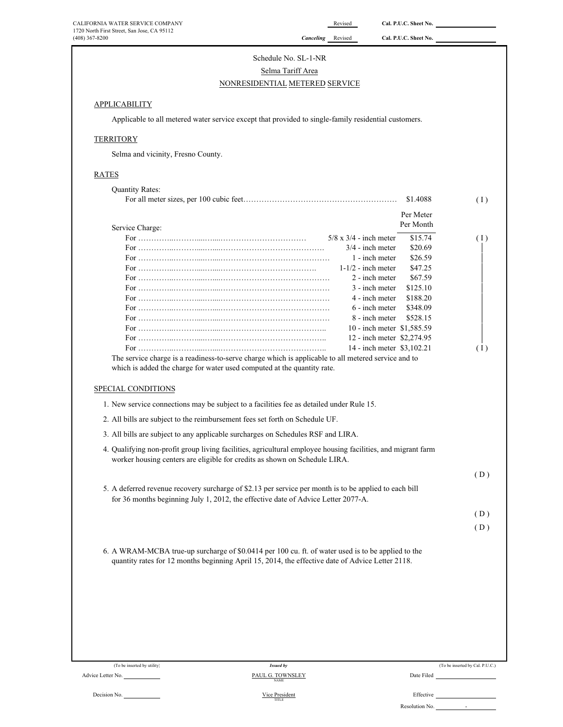| CALIFORNIA WATER SERVICE COMPANY            |
|---------------------------------------------|
| 1720 North First Street, San Jose, CA 95112 |
| $(408)$ 367-8200                            |

Revised **Cal. P.U.C. Sheet No.** 

Canceling Revised Cal. P.U.C. Sheet No.

# Schedule No. SL-1-NR Selma Tariff Area

# NONRESIDENTIAL METERED SERVICE

# **APPLICABILITY**

Applicable to all metered water service except that provided to single-family residential customers.

# **TERRITORY**

Selma and vicinity, Fresno County.

# $\overline{R}$

| <u>RATES</u>                                                                                                                                                                                |                                              |
|---------------------------------------------------------------------------------------------------------------------------------------------------------------------------------------------|----------------------------------------------|
| <b>Quantity Rates:</b>                                                                                                                                                                      |                                              |
|                                                                                                                                                                                             | \$1.4088<br>(1)                              |
|                                                                                                                                                                                             | Per Meter                                    |
| Service Charge:                                                                                                                                                                             | Per Month                                    |
|                                                                                                                                                                                             | $5/8$ x $3/4$ - inch meter<br>\$15.74<br>(1) |
|                                                                                                                                                                                             | $3/4$ - inch meter<br>\$20.69                |
|                                                                                                                                                                                             | 1 - inch meter<br>\$26.59                    |
|                                                                                                                                                                                             | $1-1/2$ - inch meter<br>\$47.25              |
|                                                                                                                                                                                             | 2 - inch meter<br>\$67.59                    |
|                                                                                                                                                                                             | 3 - inch meter<br>\$125.10                   |
|                                                                                                                                                                                             | 4 - inch meter<br>\$188.20                   |
|                                                                                                                                                                                             | 6 - inch meter<br>\$348.09                   |
|                                                                                                                                                                                             | \$528.15<br>8 - inch meter                   |
|                                                                                                                                                                                             | 10 - inch meter \$1,585.59                   |
|                                                                                                                                                                                             | 12 - inch meter \$2,274.95                   |
|                                                                                                                                                                                             | 14 - inch meter \$3,102.21<br>(1)            |
| The service charge is a readiness-to-serve charge which is applicable to all metered service and to                                                                                         |                                              |
| which is added the charge for water used computed at the quantity rate.                                                                                                                     |                                              |
|                                                                                                                                                                                             |                                              |
| SPECIAL CONDITIONS                                                                                                                                                                          |                                              |
| 1. New service connections may be subject to a facilities fee as detailed under Rule 15.                                                                                                    |                                              |
| 2. All bills are subject to the reimbursement fees set forth on Schedule UF.                                                                                                                |                                              |
| 3. All bills are subject to any applicable surcharges on Schedules RSF and LIRA.                                                                                                            |                                              |
| 4. Qualifying non-profit group living facilities, agricultural employee housing facilities, and migrant farm<br>worker housing centers are eligible for credits as shown on Schedule LIRA.  |                                              |
|                                                                                                                                                                                             | (D)                                          |
|                                                                                                                                                                                             |                                              |
| 5. A deferred revenue recovery surcharge of \$2.13 per service per month is to be applied to each bill<br>for 36 months beginning July 1, 2012, the effective date of Advice Letter 2077-A. |                                              |
|                                                                                                                                                                                             | (D)                                          |
|                                                                                                                                                                                             |                                              |
|                                                                                                                                                                                             | (D)                                          |
|                                                                                                                                                                                             |                                              |
| 6. A WRAM-MCBA true-up surcharge of \$0.0414 per 100 cu. ft. of water used is to be applied to the                                                                                          |                                              |
| quantity rates for 12 months beginning April 15, 2014, the effective date of Advice Letter 2118.                                                                                            |                                              |
|                                                                                                                                                                                             |                                              |
|                                                                                                                                                                                             |                                              |
|                                                                                                                                                                                             |                                              |
|                                                                                                                                                                                             |                                              |
|                                                                                                                                                                                             |                                              |
|                                                                                                                                                                                             |                                              |
|                                                                                                                                                                                             |                                              |
|                                                                                                                                                                                             |                                              |

Vice President<br>
TITLE

(To be inserted by Cal. P.U.C.) Issued by Cal. P.U.C.)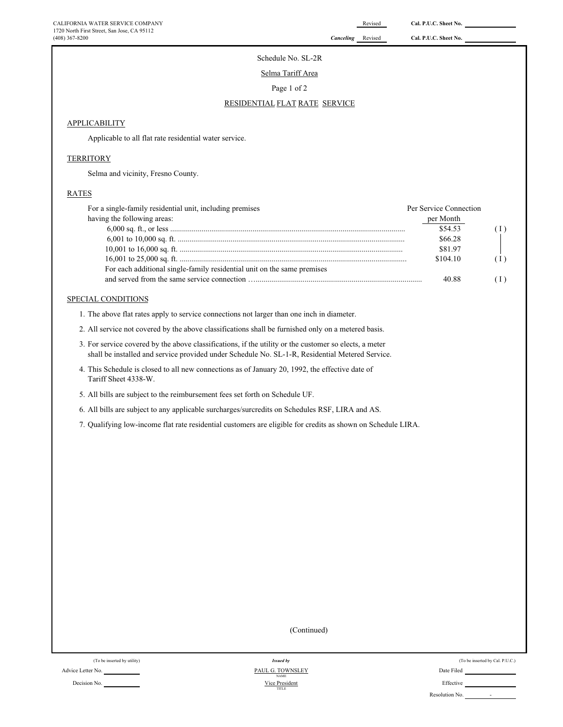Schedule No. SL-2R

Selma Tariff Area

Page 1 of 2

### RESIDENTIAL FLAT RATE SERVICE

### **APPLICABILITY**

Applicable to all flat rate residential water service.

### **TERRITORY**

Selma and vicinity, Fresno County.

### RATES

| For a single-family residential unit, including premises                | Per Service Connection |     |
|-------------------------------------------------------------------------|------------------------|-----|
| having the following areas:                                             | per Month              |     |
|                                                                         | \$54.53                |     |
|                                                                         | \$66.28                |     |
|                                                                         | \$81.97                |     |
|                                                                         | \$104.10               | (I) |
| For each additional single-family residential unit on the same premises |                        |     |
|                                                                         | 40.88                  |     |

# SPECIAL CONDITIONS

1. The above flat rates apply to service connections not larger than one inch in diameter.

- 2. All service not covered by the above classifications shall be furnished only on a metered basis.
- 3. For service covered by the above classifications, if the utility or the customer so elects, a meter shall be installed and service provided under Schedule No. SL-1-R, Residential Metered Service.
- 4. This Schedule is closed to all new connections as of January 20, 1992, the effective date of Tariff Sheet 4338-W.
- 5. All bills are subject to the reimbursement fees set forth on Schedule UF.
- 6. All bills are subject to any applicable surcharges/surcredits on Schedules RSF, LIRA and AS.

7. Qualifying low-income flat rate residential customers are eligible for credits as shown on Schedule LIRA.

(Continued)

Advice Letter No. Date Filed Communication of the Same PAUL G. TOWNSLEY And Communication of the Communication of the Communication of the Communication of the Communication of the Communication of the Communication of the

Decision No. **Effective** Effective **Decision** No. **Effective Effective Effective** Vice President TITLE NAME *Issued by*

| (To be inserted by utility) | <b>Issued by</b>                | (To be inserted by Cal. P.U.C.) |
|-----------------------------|---------------------------------|---------------------------------|
| No.                         | PAUL G. TOWNSLEY<br><b>NAME</b> | Date Filed                      |
| No.                         | Vice President<br>TITLE         | Effective                       |
|                             |                                 | Resolution No.<br>              |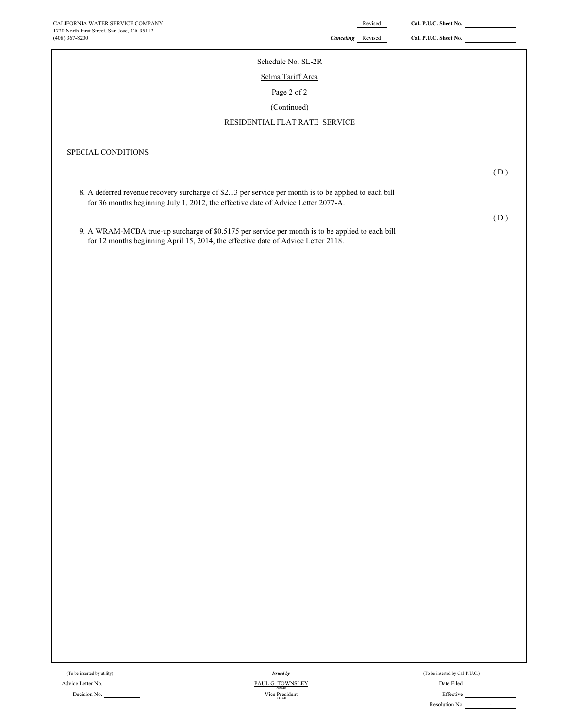| Schedule No. SL-2R                                                                                                                                                                                                |     |
|-------------------------------------------------------------------------------------------------------------------------------------------------------------------------------------------------------------------|-----|
| Selma Tariff Area                                                                                                                                                                                                 |     |
| Page 2 of 2                                                                                                                                                                                                       |     |
| (Continued)                                                                                                                                                                                                       |     |
| RESIDENTIAL FLAT RATE SERVICE                                                                                                                                                                                     |     |
| SPECIAL CONDITIONS<br>8. A deferred revenue recovery surcharge of \$2.13 per service per month is to be applied to each bill<br>for 36 months beginning July 1, 2012, the effective date of Advice Letter 2077-A. | (D) |
|                                                                                                                                                                                                                   | (D) |
| 9. A WRAM-MCBA true-up surcharge of \$0.5175 per service per month is to be applied to each bill<br>for 12 months beginning April 15, 2014, the effective date of Advice Letter 2118.                             |     |

(To be inserted by utility)  $\,$ 

Advice Letter No. Date Filed Decision No. **Effective** Effective **Contains the Container of Containing Contains and Contains and Contains and Contains and Contains and Contains and Contains and Contains and Contains and Contains and Contains and Contai** *Issued by*  $Vice President$ PAUL G. TOWNSLEY

| (To be inserted by Cal. P.U.C.) |  |
|---------------------------------|--|
| Date Filed                      |  |
| Effective                       |  |
| Resolution No.                  |  |
|                                 |  |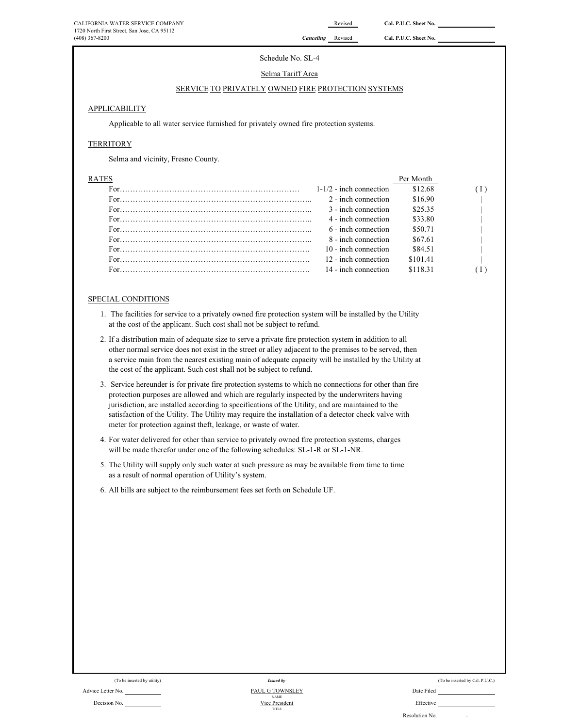# Schedule No. SL-4

### Selma Tariff Area

# SERVICE TO PRIVATELY OWNED FIRE PROTECTION SYSTEMS

### APPLICABILITY

Applicable to all water service furnished for privately owned fire protection systems.

### **TERRITORY**

Selma and vicinity, Fresno County.

| <b>RATES</b> |                           | Per Month |  |
|--------------|---------------------------|-----------|--|
|              | $1-1/2$ - inch connection | \$12.68   |  |
|              | 2 - inch connection       | \$16.90   |  |
|              | 3 - inch connection       | \$25.35   |  |
|              | 4 - inch connection       | \$33.80   |  |
|              | 6 - inch connection       | \$50.71   |  |
|              | 8 - inch connection       | \$67.61   |  |
|              | 10 - inch connection      | \$84.51   |  |
|              | 12 - inch connection      | \$101.41  |  |
|              | 14 - inch connection      | \$118.31  |  |
|              |                           |           |  |

# SPECIAL CONDITIONS

- 1. The facilities for service to a privately owned fire protection system will be installed by the Utility at the cost of the applicant. Such cost shall not be subject to refund.
- 2. If a distribution main of adequate size to serve a private fire protection system in addition to all other normal service does not exist in the street or alley adjacent to the premises to be served, then a service main from the nearest existing main of adequate capacity will be installed by the Utility at the cost of the applicant. Such cost shall not be subject to refund.
- 3. Service hereunder is for private fire protection systems to which no connections for other than fire protection purposes are allowed and which are regularly inspected by the underwriters having jurisdiction, are installed according to specifications of the Utility, and are maintained to the satisfaction of the Utility. The Utility may require the installation of a detector check valve with meter for protection against theft, leakage, or waste of water.
- 4. For water delivered for other than service to privately owned fire protection systems, charges will be made therefor under one of the following schedules: SL-1-R or SL-1-NR.
- 5. The Utility will supply only such water at such pressure as may be available from time to time as a result of normal operation of Utility's system.
- 6. All bills are subject to the reimbursement fees set forth on Schedule UF.

| (To be inserted by utility)                                                                                     | <i>Issued by</i> |            |
|-----------------------------------------------------------------------------------------------------------------|------------------|------------|
| Advice Letter No.                                                                                               | PAUL G TOWNSLEY  | Date Filed |
|                                                                                                                 | <b>NAME</b>      |            |
| the contract of the contract of the contract of the contract of the contract of the contract of the contract of |                  |            |

Decision No. **Effective Example 2 Decision No. Effective Effective Effective** TITLE NAME Vice President *Issued by*

| (To be inserted by utility) | Issued by                      | (To be inserted by Cal. P.U.C.) |
|-----------------------------|--------------------------------|---------------------------------|
| No.                         | PAUL G TOWNSLEY<br><b>NAME</b> | Date Filed                      |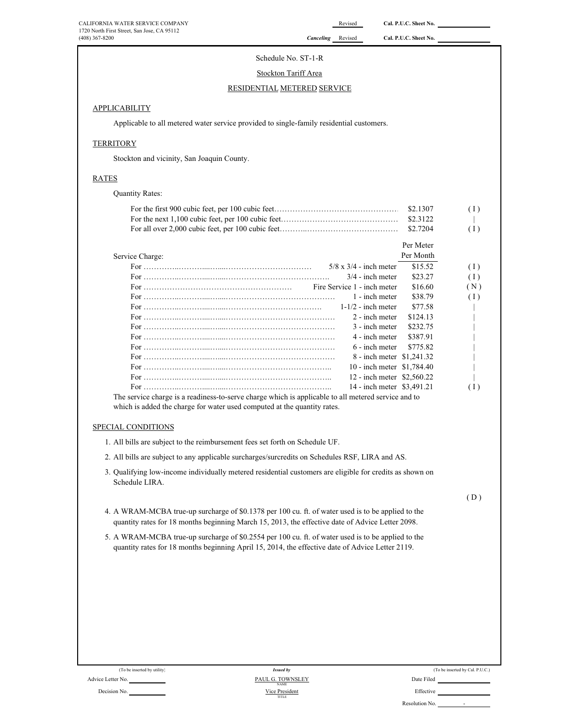### Schedule No. ST-1-R

### Stockton Tariff Area

### RESIDENTIAL METERED SERVICE

### **APPLICABILITY**

Applicable to all metered water service provided to single-family residential customers.

### **TERRITORY**

Stockton and vicinity, San Joaquin County.

### RATES

| <b>Quantity Rates:</b> |              |
|------------------------|--------------|
|                        | (1)          |
|                        | $\mathbf{1}$ |
|                        | (1)          |

|                                                                                                                    |                               | Per Meter |     |
|--------------------------------------------------------------------------------------------------------------------|-------------------------------|-----------|-----|
| Service Charge:                                                                                                    |                               | Per Month |     |
|                                                                                                                    | $5/8 \times 3/4$ - inch meter | \$15.52   | (1) |
|                                                                                                                    | $3/4$ - inch meter            | \$23.27   | (1) |
|                                                                                                                    | Fire Service 1 - inch meter   | \$16.60   | (N) |
|                                                                                                                    | 1 - inch meter                | \$38.79   | (1) |
|                                                                                                                    | $1-1/2$ - inch meter          | \$77.58   |     |
|                                                                                                                    | 2 - inch meter                | \$124.13  |     |
|                                                                                                                    | 3 - inch meter                | \$232.75  |     |
|                                                                                                                    | 4 - inch meter                | \$387.91  |     |
|                                                                                                                    | $6$ - inch meter              | \$775.82  |     |
|                                                                                                                    | 8 - inch meter \$1,241,32     |           |     |
|                                                                                                                    | 10 - inch meter \$1,784.40    |           |     |
|                                                                                                                    | 12 - inch meter \$2,560.22    |           |     |
|                                                                                                                    | 14 - inch meter \$3,491.21    |           | (1) |
| المستحدث والمنافذة والمنافرة والمتحدث والمتحدث والمستحدث والمستحدث والمستحدث والمستحدث والمستحدث والمتحدث والمتحدث |                               |           |     |

The service charge is a readiness-to-serve charge which is applicable to all metered service and to which is added the charge for water used computed at the quantity rates.

### SPECIAL CONDITIONS

- 1. All bills are subject to the reimbursement fees set forth on Schedule UF.
- 2. All bills are subject to any applicable surcharges/surcredits on Schedules RSF, LIRA and AS.
- 3. Qualifying low-income individually metered residential customers are eligible for credits as shown on Schedule LIRA.

 $(D)$ 

- 4. A WRAM-MCBA true-up surcharge of \$0.1378 per 100 cu. ft. of water used is to be applied to the quantity rates for 18 months beginning March 15, 2013, the effective date of Advice Letter 2098.
- 5. A WRAM-MCBA true-up surcharge of \$0.2554 per 100 cu. ft. of water used is to be applied to the quantity rates for 18 months beginning April 15, 2014, the effective date of Advice Letter 2119.

(To be inserted by utility)

### Advice Letter No. <u>NAME SCRIPTION CONSIDERTIES From the PAUL G. TOWNSLEY</u> Decision No. No. 2006 2012 12:00 No. 2012 2023 2024 2024 2022 2023 2024 2022 2023 2024 2022 2023 2024 2022 2023 2024 2022 2023 2024 2022 2023 2024 2022 2023 2024 2022 2023 2024 2022 2023 2024 2022 2023 2024 2022 2023 2024 TITLE Vice President *Issued by*

|           | (To be inserted by Cal. P.U.C.) |  |
|-----------|---------------------------------|--|
| oto Filod |                                 |  |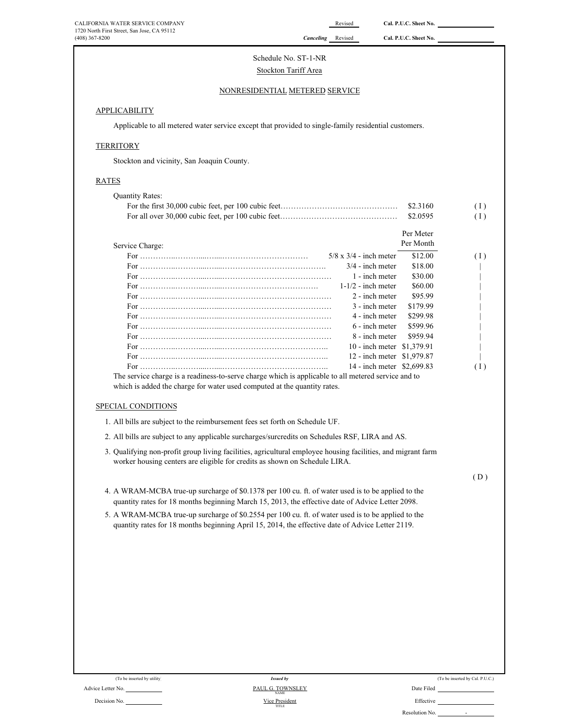(408) 367-8200 *Canceling* Revised **Cal. P.U.C. Sheet No.** 

# Schedule No. ST-1-NR Stockton Tariff Area

# NONRESIDENTIAL METERED SERVICE

# **APPLICABILITY**

Applicable to all metered water service except that provided to single-family residential customers.

# **TERRITORY**

Stockton and vicinity, San Joaquin County.

# RATES

| <b>Quantity Rates:</b>                                                                                                                                                                                 |           |     |
|--------------------------------------------------------------------------------------------------------------------------------------------------------------------------------------------------------|-----------|-----|
|                                                                                                                                                                                                        | \$2.3160  | (1) |
|                                                                                                                                                                                                        | \$2.0595  | (1) |
|                                                                                                                                                                                                        | Per Meter |     |
| Service Charge:                                                                                                                                                                                        | Per Month |     |
| $5/8 \times 3/4$ - inch meter                                                                                                                                                                          | \$12.00   | (1) |
| $3/4$ - inch meter                                                                                                                                                                                     | \$18.00   |     |
| 1 - inch meter                                                                                                                                                                                         | \$30.00   |     |
| $1-1/2$ - inch meter                                                                                                                                                                                   | \$60.00   |     |
| 2 - inch meter                                                                                                                                                                                         | \$95.99   |     |
| 3 - inch meter                                                                                                                                                                                         | \$179.99  |     |
| 4 - inch meter                                                                                                                                                                                         | \$299.98  |     |
| 6 - inch meter                                                                                                                                                                                         | \$599.96  |     |
| 8 - inch meter                                                                                                                                                                                         | \$959.94  |     |
| 10 - inch meter \$1,379.91                                                                                                                                                                             |           |     |
| 12 - inch meter \$1,979.87                                                                                                                                                                             |           |     |
| 14 - inch meter \$2,699.83                                                                                                                                                                             |           | (1) |
| The service charge is a readiness-to-serve charge which is applicable to all metered service and to                                                                                                    |           |     |
| which is added the charge for water used computed at the quantity rates.                                                                                                                               |           |     |
|                                                                                                                                                                                                        |           |     |
| SPECIAL CONDITIONS                                                                                                                                                                                     |           |     |
| 1. All bills are subject to the reimbursement fees set forth on Schedule UF.                                                                                                                           |           |     |
| 2. All bills are subject to any applicable surcharges/surcredits on Schedules RSF, LIRA and AS.                                                                                                        |           |     |
| 3. Qualifying non-profit group living facilities, agricultural employee housing facilities, and migrant farm<br>worker housing centers are eligible for credits as shown on Schedule LIRA.             |           |     |
|                                                                                                                                                                                                        |           | (D) |
| 4. A WRAM-MCBA true-up surcharge of \$0.1378 per 100 cu. ft. of water used is to be applied to the<br>quantity rates for 18 months beginning March 15, 2013, the effective date of Advice Letter 2098. |           |     |
| $5-\Delta$ WRAM-MCR $\Delta$ true-up surcharge of \$0.2554 per 100 cu. ft. of water used is to be applied to the                                                                                       |           |     |

5. A WRAM-MCBA true-up surcharge of \$0.2554 per 100 cu. ft. of water used is to be applied to the quantity rates for 18 months beginning April 15, 2014, the effective date of Advice Letter 2119.

| (To be inserted by utility) | <b>Issued by</b>                | (To be inserted by Cal. P.U.C.)            |
|-----------------------------|---------------------------------|--------------------------------------------|
| Advice Letter No.           | PAUL G. TOWNSLEY<br><b>NAME</b> | Date Filed                                 |
| Decision No.                | Vice President<br>TITLE         | Effective                                  |
|                             |                                 | Resolution No.<br>$\overline{\phantom{a}}$ |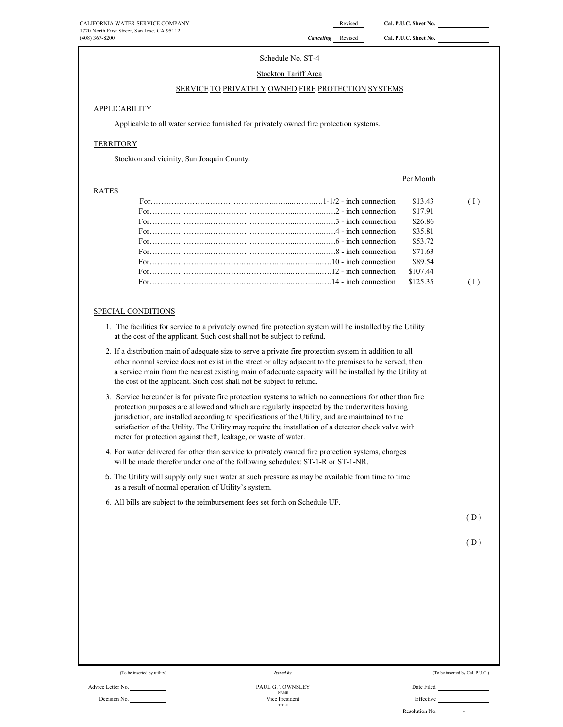# Schedule No. ST-4

### Stockton Tariff Area

# SERVICE TO PRIVATELY OWNED FIRE PROTECTION SYSTEMS

### APPLICABILITY

Applicable to all water service furnished for privately owned fire protection systems.

# **TERRITORY**

Stockton and vicinity, San Joaquin County.

### RATES

Per Month

| For $\ldots$ in $\ldots$ is a set of $\ldots$ in $\ldots$ in $\ldots$ $\ldots$ $\ldots$ $\ldots$ $\ldots$ $\ldots$ $\ldots$ $\ldots$ $\ldots$ $\ldots$                      | \$13.43  |                          |
|-----------------------------------------------------------------------------------------------------------------------------------------------------------------------------|----------|--------------------------|
| For $\ldots$ in $\ldots$ is a set of $\ldots$ is a set of $\ldots$ in $\ldots$ in $\ldots$ $\ldots$ $\ldots$ $\ldots$ $\ldots$ $\ldots$ $\ldots$ $\ldots$ $\ldots$ $\ldots$ | \$17.91  | <b>Contract Contract</b> |
| For $\ldots$ in $\ldots$ is a set of $\ldots$ is a set of $\ldots$ in $\ldots$ $\ldots$ $\ldots$ $\ldots$ $\ldots$ $\ldots$ $\ldots$ $\ldots$                               | \$26.86  |                          |
|                                                                                                                                                                             | \$35.81  |                          |
|                                                                                                                                                                             | \$53.72  |                          |
|                                                                                                                                                                             | \$71.63  |                          |
|                                                                                                                                                                             | \$89.54  |                          |
|                                                                                                                                                                             | \$107.44 | $\sim$ 1.000 $\sim$      |
|                                                                                                                                                                             | \$125.35 |                          |
|                                                                                                                                                                             |          |                          |

### SPECIAL CONDITIONS

- 1. The facilities for service to a privately owned fire protection system will be installed by the Utility at the cost of the applicant. Such cost shall not be subject to refund.
- 2. If a distribution main of adequate size to serve a private fire protection system in addition to all other normal service does not exist in the street or alley adjacent to the premises to be served, then a service main from the nearest existing main of adequate capacity will be installed by the Utility at the cost of the applicant. Such cost shall not be subject to refund.
- 3. Service hereunder is for private fire protection systems to which no connections for other than fire protection purposes are allowed and which are regularly inspected by the underwriters having jurisdiction, are installed according to specifications of the Utility, and are maintained to the satisfaction of the Utility. The Utility may require the installation of a detector check valve with meter for protection against theft, leakage, or waste of water.
- 4. For water delivered for other than service to privately owned fire protection systems, charges will be made therefor under one of the following schedules: ST-1-R or ST-1-NR.
- 5. The Utility will supply only such water at such pressure as may be available from time to time as a result of normal operation of Utility's system.
- 6. All bills are subject to the reimbursement fees set forth on Schedule UF.

 $(D)$ 

 $(D)$ 

(To be inserted by utility)

*Issued by*

| (To be inserted by Cal. P.U.C.) |  |
|---------------------------------|--|
|---------------------------------|--|

Decision No. Nice President No. 2016 and Nice President No. 2016 and Nice President No. 2016 and Nice President

| Resolution No. |  |
|----------------|--|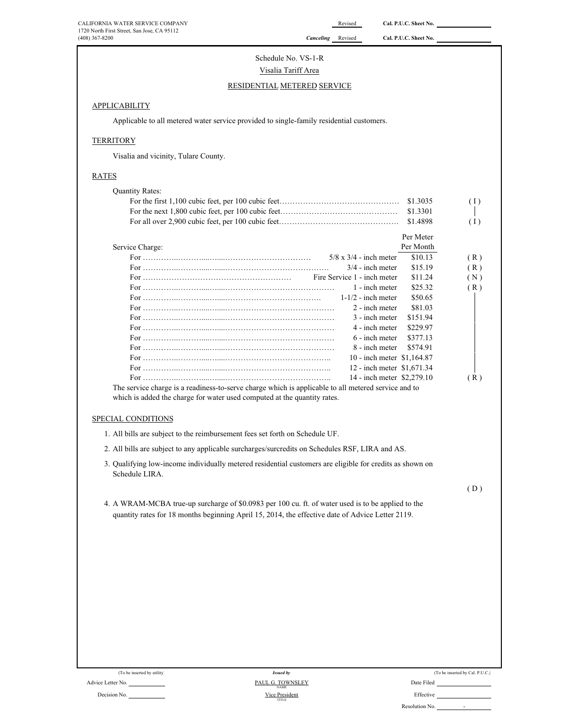# Schedule No. VS-1-R Visalia Tariff Area

# RESIDENTIAL METERED SERVICE

# **APPLICABILITY**

Applicable to all metered water service provided to single-family residential customers.

### **TERRITORY**

Visalia and vicinity, Tulare County.

# RATES

| <b>Quantity Rates:</b>                                                                                                                                                                                 |                                               |                    |                                 |
|--------------------------------------------------------------------------------------------------------------------------------------------------------------------------------------------------------|-----------------------------------------------|--------------------|---------------------------------|
|                                                                                                                                                                                                        |                                               | \$1.3035           | (1)                             |
|                                                                                                                                                                                                        |                                               | \$1.3301           |                                 |
|                                                                                                                                                                                                        |                                               | \$1.4898           | (1)                             |
|                                                                                                                                                                                                        |                                               | Per Meter          |                                 |
| Service Charge:                                                                                                                                                                                        |                                               | Per Month          |                                 |
|                                                                                                                                                                                                        | $5/8 \times 3/4$ - inch meter                 | \$10.13            | (R)                             |
|                                                                                                                                                                                                        | $3/4$ - inch meter                            | \$15.19            | (R)                             |
|                                                                                                                                                                                                        | Fire Service 1 - inch meter<br>1 - inch meter | \$11.24<br>\$25.32 | (N)                             |
|                                                                                                                                                                                                        | $1-1/2$ - inch meter                          | \$50.65            | (R)                             |
|                                                                                                                                                                                                        | 2 - inch meter                                | \$81.03            |                                 |
|                                                                                                                                                                                                        | 3 - inch meter                                | \$151.94           |                                 |
|                                                                                                                                                                                                        | 4 - inch meter                                | \$229.97           |                                 |
|                                                                                                                                                                                                        | 6 - inch meter                                | \$377.13           |                                 |
|                                                                                                                                                                                                        | 8 - inch meter                                | \$574.91           |                                 |
|                                                                                                                                                                                                        | 10 - inch meter \$1,164.87                    |                    |                                 |
|                                                                                                                                                                                                        | 12 - inch meter \$1,671.34                    |                    |                                 |
| The service charge is a readiness-to-serve charge which is applicable to all metered service and to                                                                                                    | 14 - inch meter \$2,279.10                    |                    | (R)                             |
| which is added the charge for water used computed at the quantity rates.<br>SPECIAL CONDITIONS                                                                                                         |                                               |                    |                                 |
| 1. All bills are subject to the reimbursement fees set forth on Schedule UF.                                                                                                                           |                                               |                    |                                 |
| 2. All bills are subject to any applicable surcharges/surcredits on Schedules RSF, LIRA and AS.                                                                                                        |                                               |                    |                                 |
| 3. Qualifying low-income individually metered residential customers are eligible for credits as shown on<br>Schedule LIRA.                                                                             |                                               |                    |                                 |
|                                                                                                                                                                                                        |                                               |                    | (D)                             |
| 4. A WRAM-MCBA true-up surcharge of \$0.0983 per 100 cu. ft. of water used is to be applied to the<br>quantity rates for 18 months beginning April 15, 2014, the effective date of Advice Letter 2119. |                                               |                    |                                 |
|                                                                                                                                                                                                        |                                               |                    |                                 |
|                                                                                                                                                                                                        |                                               |                    |                                 |
| (To be inserted by utility)<br><b>Issued by</b>                                                                                                                                                        |                                               |                    | (To be inserted by Cal. P.U.C.) |

Advice Letter No. **PAUL G. TOWNSLEY** Date Filed Date Filed Decision No. **Effective Effective Effective Effective Effective Effective** Vice President<br>
TITLE **PAUL G. TOWNSLEY** 

| (To be inserted by Cal. P.U.C.) |  |  |  |  |  |  |
|---------------------------------|--|--|--|--|--|--|
|---------------------------------|--|--|--|--|--|--|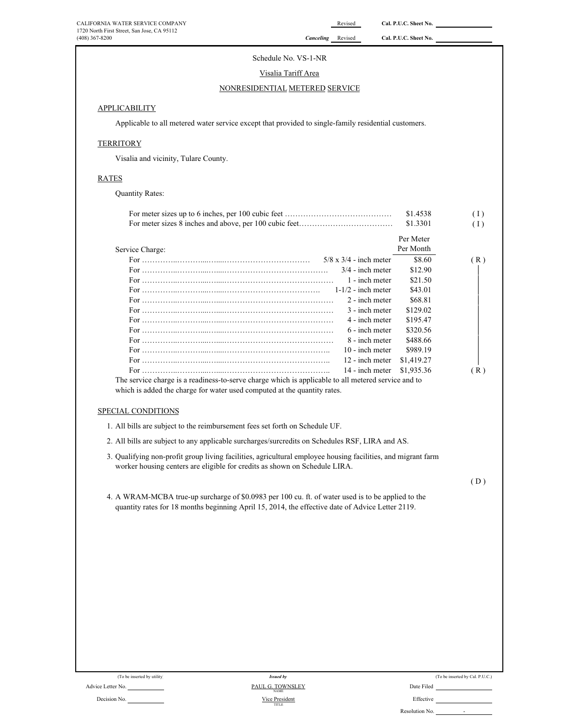# Schedule No. VS-1-NR

# Visalia Tariff Area

# NONRESIDENTIAL METERED SERVICE

# **APPLICABILITY**

Applicable to all metered water service except that provided to single-family residential customers.

# **TERRITORY**

Visalia and vicinity, Tulare County.

# RATES

Quantity Rates:

|                                                                                                                                                                                                                                                                                                                                                                                                     |                               | \$1.4538   | (1) |
|-----------------------------------------------------------------------------------------------------------------------------------------------------------------------------------------------------------------------------------------------------------------------------------------------------------------------------------------------------------------------------------------------------|-------------------------------|------------|-----|
|                                                                                                                                                                                                                                                                                                                                                                                                     |                               | \$1.3301   | (1) |
|                                                                                                                                                                                                                                                                                                                                                                                                     |                               | Per Meter  |     |
| Service Charge:                                                                                                                                                                                                                                                                                                                                                                                     |                               | Per Month  |     |
|                                                                                                                                                                                                                                                                                                                                                                                                     | $5/8 \times 3/4$ - inch meter | \$8.60     | (R) |
|                                                                                                                                                                                                                                                                                                                                                                                                     | $3/4$ - inch meter            | \$12.90    |     |
|                                                                                                                                                                                                                                                                                                                                                                                                     | 1 - inch meter                | \$21.50    |     |
|                                                                                                                                                                                                                                                                                                                                                                                                     | $1-1/2$ - inch meter          | \$43.01    |     |
|                                                                                                                                                                                                                                                                                                                                                                                                     | 2 - inch meter                | \$68.81    |     |
|                                                                                                                                                                                                                                                                                                                                                                                                     | 3 - inch meter                | \$129.02   |     |
|                                                                                                                                                                                                                                                                                                                                                                                                     | 4 - inch meter                | \$195.47   |     |
|                                                                                                                                                                                                                                                                                                                                                                                                     | 6 - inch meter                | \$320.56   |     |
|                                                                                                                                                                                                                                                                                                                                                                                                     | 8 - inch meter                | \$488.66   |     |
|                                                                                                                                                                                                                                                                                                                                                                                                     | $10$ - inch meter             | \$989.19   |     |
|                                                                                                                                                                                                                                                                                                                                                                                                     | 12 - inch meter               | \$1,419.27 |     |
|                                                                                                                                                                                                                                                                                                                                                                                                     | 14 - inch meter               | \$1,935.36 | (R) |
| SPECIAL CONDITIONS<br>1. All bills are subject to the reimbursement fees set forth on Schedule UF.<br>2. All bills are subject to any applicable surcharges/surcredits on Schedules RSF, LIRA and AS.<br>3. Qualifying non-profit group living facilities, agricultural employee housing facilities, and migrant farm<br>worker housing centers are eligible for credits as shown on Schedule LIRA. |                               |            |     |
|                                                                                                                                                                                                                                                                                                                                                                                                     |                               |            | (D) |
|                                                                                                                                                                                                                                                                                                                                                                                                     |                               |            |     |
| 4. A WRAM-MCBA true-up surcharge of \$0.0983 per 100 cu. ft. of water used is to be applied to the<br>quantity rates for 18 months beginning April 15, 2014, the effective date of Advice Letter 2119.                                                                                                                                                                                              |                               |            |     |
|                                                                                                                                                                                                                                                                                                                                                                                                     |                               |            |     |

|  | (To be inserted by Cal. P.U.C.) |  |  |
|--|---------------------------------|--|--|
|--|---------------------------------|--|--|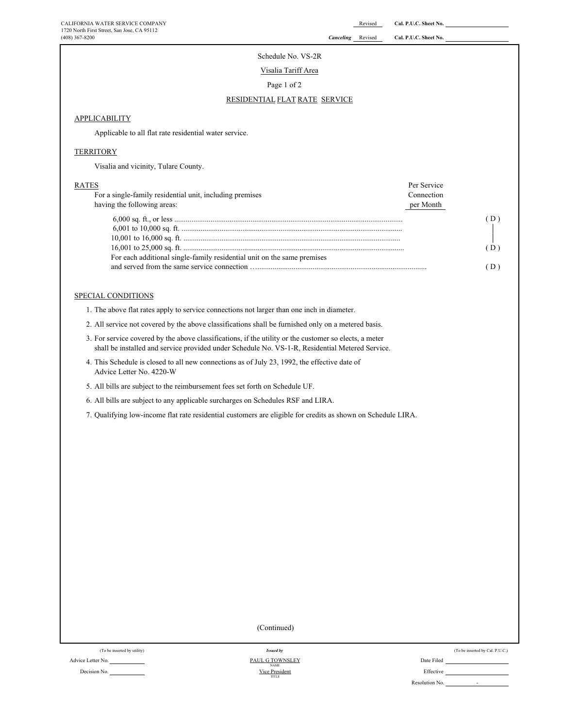# Schedule No. VS-2R

Visalia Tariff Area

Page 1 of 2

### RESIDENTIAL FLAT RATE SERVICE

# **APPLICABILITY**

Applicable to all flat rate residential water service.

### **TERRITORY**

Visalia and vicinity, Tulare County.

| <b>RATES</b>                                                            | Per Service |    |
|-------------------------------------------------------------------------|-------------|----|
| For a single-family residential unit, including premises                | Connection  |    |
| having the following areas:                                             | per Month   |    |
|                                                                         |             | D) |
|                                                                         |             |    |
|                                                                         |             |    |
|                                                                         |             | D) |
| For each additional single-family residential unit on the same premises |             |    |
|                                                                         |             |    |

### SPECIAL CONDITIONS

1. The above flat rates apply to service connections not larger than one inch in diameter.

- 2. All service not covered by the above classifications shall be furnished only on a metered basis.
- 3. For service covered by the above classifications, if the utility or the customer so elects, a meter shall be installed and service provided under Schedule No. VS-1-R, Residential Metered Service.
- 4. This Schedule is closed to all new connections as of July 23, 1992, the effective date of Advice Letter No. 4220-W
- 5. All bills are subject to the reimbursement fees set forth on Schedule UF.
- 6. All bills are subject to any applicable surcharges on Schedules RSF and LIRA.
- 7. Qualifying low-income flat rate residential customers are eligible for credits as shown on Schedule LIRA.

(Continued)

| (To be inserted by utility) | <b>Issued by</b>               |            |
|-----------------------------|--------------------------------|------------|
| Advice Letter No.           | PAUL G TOWNSLEY<br><b>NAME</b> | Date Filed |
| Decision No.                | Vice President<br>TITLE        | Effective  |

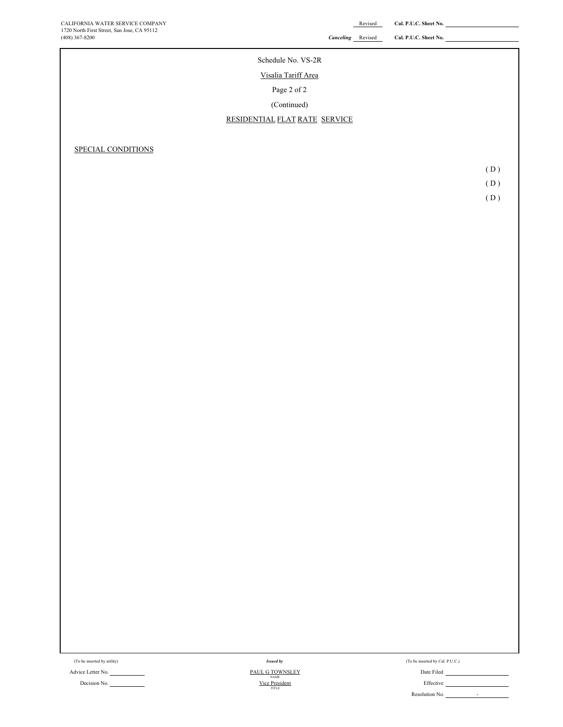| (408) 367-8200     | <b>Canceling</b> Revised      | Cal. P.U.C. Sheet No. |     |
|--------------------|-------------------------------|-----------------------|-----|
|                    | Schedule No. VS-2R            |                       |     |
|                    |                               |                       |     |
|                    | Visalia Tariff Area           |                       |     |
|                    | Page 2 of 2                   |                       |     |
|                    | (Continued)                   |                       |     |
|                    | RESIDENTIAL FLAT RATE SERVICE |                       |     |
|                    |                               |                       |     |
| SPECIAL CONDITIONS |                               |                       |     |
|                    |                               |                       | (D) |
|                    |                               |                       | (D) |
|                    |                               |                       | (D) |
|                    |                               |                       |     |
|                    |                               |                       |     |
|                    |                               |                       |     |
|                    |                               |                       |     |
|                    |                               |                       |     |
|                    |                               |                       |     |
|                    |                               |                       |     |
|                    |                               |                       |     |

Decision No. **Effective** Effective **Contract Contract Contract Contract Contract Contract Contract Contract Contract Contract Contract Contract Contract Contract Contract Contract Contract Contract Contract Contract Contra** 

Advice Letter No. Date Filed *Issued by* TITLE PAUL G TOWNSLEY<br>NAME<br>Vice President

(To be inserted by Utility) (To be inserted by Cal. P.U.C.) Issued by Cal. P.U.C.)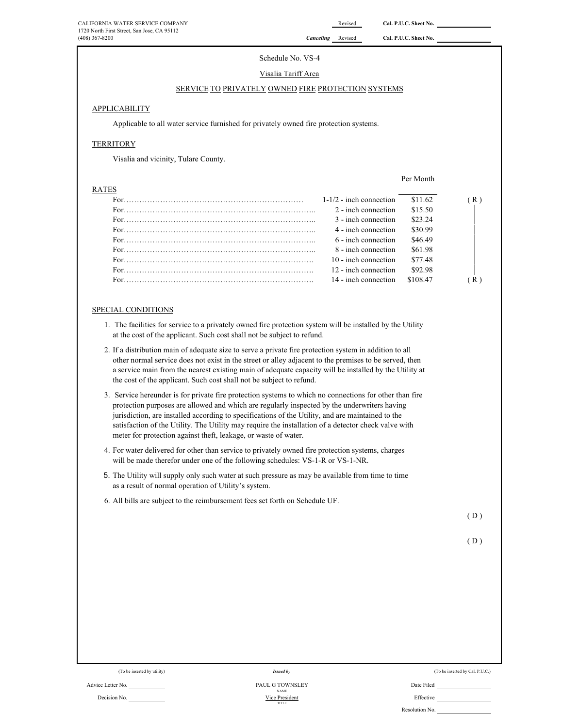Per Month

# Schedule No. VS-4

### Visalia Tariff Area

### SERVICE TO PRIVATELY OWNED FIRE PROTECTION SYSTEMS

### APPLICABILITY

Applicable to all water service furnished for privately owned fire protection systems.

# **TERRITORY**

Visalia and vicinity, Tulare County.

### RATES

| $1-1/2$ - inch connection | \$11.62  | (R) |
|---------------------------|----------|-----|
| 2 - inch connection       | \$15.50  |     |
| 3 - inch connection       | \$23.24  |     |
| 4 - inch connection       | \$30.99  |     |
| 6 - inch connection       | \$46.49  |     |
| 8 - inch connection       | \$61.98  |     |
| 10 - inch connection      | \$77.48  |     |
| 12 - inch connection      | \$92.98  |     |
| 14 - inch connection      | \$108.47 | (R) |
|                           |          |     |

### SPECIAL CONDITIONS

- 1. The facilities for service to a privately owned fire protection system will be installed by the Utility at the cost of the applicant. Such cost shall not be subject to refund.
- 2. If a distribution main of adequate size to serve a private fire protection system in addition to all other normal service does not exist in the street or alley adjacent to the premises to be served, then a service main from the nearest existing main of adequate capacity will be installed by the Utility at the cost of the applicant. Such cost shall not be subject to refund.
- 3. Service hereunder is for private fire protection systems to which no connections for other than fire protection purposes are allowed and which are regularly inspected by the underwriters having jurisdiction, are installed according to specifications of the Utility, and are maintained to the satisfaction of the Utility. The Utility may require the installation of a detector check valve with meter for protection against theft, leakage, or waste of water.
- 4. For water delivered for other than service to privately owned fire protection systems, charges will be made therefor under one of the following schedules: VS-1-R or VS-1-NR.
- 5. The Utility will supply only such water at such pressure as may be available from time to time as a result of normal operation of Utility's system.
- 6. All bills are subject to the reimbursement fees set forth on Schedule UF.

( D )

 $(D)$ 

(To be inserted by utility) (To be inserted by Cal. P.U.C.) Issued by Cal. P.U.C.)

Resolution No.

Advice Letter No. Date Filed Decision No. Effective *Issued by* NAME TITLE PAUL G TOWNSLEY Vice Presid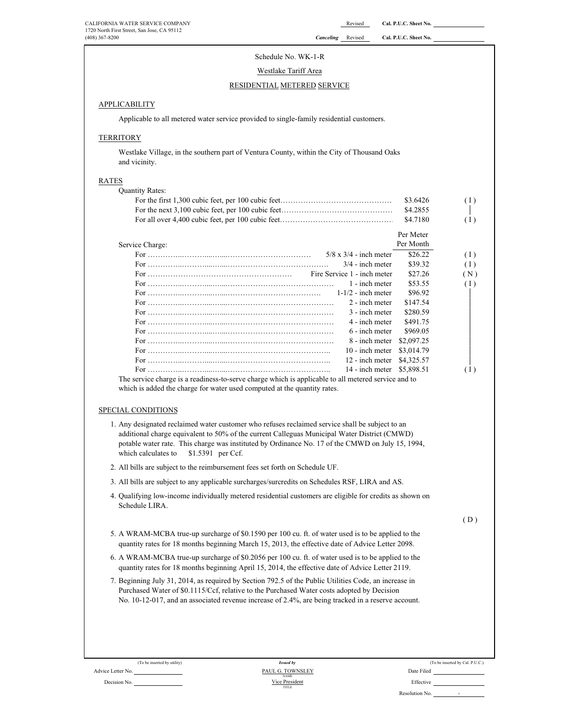| CALIFORNIA WATER SERVICE COMPANY<br>1720 North First Street, San Jose, CA 95112<br>(408) 367-8200           | Canceling | Revised<br>Revised          | Cal. P.U.C. Sheet No.<br>Cal. P.U.C. Sheet No. |               |
|-------------------------------------------------------------------------------------------------------------|-----------|-----------------------------|------------------------------------------------|---------------|
| Schedule No. WK-1-R                                                                                         |           |                             |                                                |               |
| Westlake Tariff Area                                                                                        |           |                             |                                                |               |
| RESIDENTIAL METERED SERVICE                                                                                 |           |                             |                                                |               |
| <b>APPLICABILITY</b>                                                                                        |           |                             |                                                |               |
|                                                                                                             |           |                             |                                                |               |
| Applicable to all metered water service provided to single-family residential customers.                    |           |                             |                                                |               |
| <b>TERRITORY</b>                                                                                            |           |                             |                                                |               |
| Westlake Village, in the southern part of Ventura County, within the City of Thousand Oaks<br>and vicinity. |           |                             |                                                |               |
| <b>RATES</b>                                                                                                |           |                             |                                                |               |
| <b>Quantity Rates:</b>                                                                                      |           |                             |                                                |               |
|                                                                                                             |           |                             | \$3.6426                                       | ( I           |
|                                                                                                             |           |                             | \$4.2855                                       |               |
|                                                                                                             |           |                             | \$4.7180                                       | ( I           |
|                                                                                                             |           |                             | Per Meter                                      |               |
| Service Charge:                                                                                             |           |                             | Per Month                                      |               |
|                                                                                                             |           | $5/8$ x $3/4$ - inch meter  | \$26.22                                        | <sup>(1</sup> |
|                                                                                                             |           | $3/4$ - inch meter          | \$39.32                                        | $\left($ I    |
|                                                                                                             |           | Fire Service 1 - inch meter | \$27.26                                        | $($ N         |
|                                                                                                             |           | 1 - inch meter              | \$53.55                                        | ( I           |
|                                                                                                             |           | $1-1/2$ - inch meter        | \$96.92                                        |               |
|                                                                                                             |           | 2 - inch meter              | \$147.54                                       |               |
|                                                                                                             |           | 3 - inch meter              | \$280.59                                       |               |
|                                                                                                             |           | 4 - inch meter              | \$491.75                                       |               |
|                                                                                                             |           | 6 - inch meter              | \$969.05                                       |               |
|                                                                                                             |           |                             |                                                |               |

### **APPLICABILITY**

### **TERRITORY**

# RATES

| دن∟                                                                                                 |            |     |
|-----------------------------------------------------------------------------------------------------|------------|-----|
| <b>Quantity Rates:</b>                                                                              |            |     |
|                                                                                                     | \$3.6426   | (1) |
|                                                                                                     | \$4.2855   |     |
|                                                                                                     | \$4.7180   | (1) |
|                                                                                                     | Per Meter  |     |
| Service Charge:                                                                                     | Per Month  |     |
| $5/8 \times 3/4$ - inch meter                                                                       | \$26.22    | (1) |
| $3/4$ - inch meter                                                                                  | \$39.32    | (1) |
|                                                                                                     | \$27.26    | (N) |
| 1 - inch meter                                                                                      | \$53.55    | (1) |
|                                                                                                     | \$96.92    |     |
| 2 - inch meter                                                                                      | \$147.54   |     |
| 3 - inch meter                                                                                      | \$280.59   |     |
| 4 - inch meter                                                                                      | \$491.75   |     |
| 6 - inch meter                                                                                      | \$969.05   |     |
| 8 - inch meter                                                                                      | \$2,097.25 |     |
| $10$ - inch meter                                                                                   | \$3,014.79 |     |
| 12 - inch meter                                                                                     | \$4,325.57 |     |
| 14 - inch meter \$5,898.51                                                                          |            | (1) |
| The service charge is a readiness to serve charge which is applicable to all metered service and to |            |     |

rge is a readiness-to-serve charge which is applicable to all metered service and to which is added the charge for water used computed at the quantity rates.

### SPECIAL CONDITIONS

- 1. Any designated reclaimed water customer who refuses reclaimed service shall be subject to an additional charge equivalent to 50% of the current Calleguas Municipal Water District (CMWD) potable water rate. This charge was instituted by Ordinance No. 17 of the CMWD on July 15, 1994, which calculates to \$1.5391 per Ccf.
- 2. All bills are subject to the reimbursement fees set forth on Schedule UF.
- 3. All bills are subject to any applicable surcharges/surcredits on Schedules RSF, LIRA and AS.
- 4. Qualifying low-income individually metered residential customers are eligible for credits as shown on Schedule LIRA.

( D )

- 5. A WRAM-MCBA true-up surcharge of \$0.1590 per 100 cu. ft. of water used is to be applied to the quantity rates for 18 months beginning March 15, 2013, the effective date of Advice Letter 2098.
- 6. A WRAM-MCBA true-up surcharge of \$0.2056 per 100 cu. ft. of water used is to be applied to the quantity rates for 18 months beginning April 15, 2014, the effective date of Advice Letter 2119.
- 7. Beginning July 31, 2014, as required by Section 792.5 of the Public Utilities Code, an increase in Purchased Water of \$0.1115/Ccf, relative to the Purchased Water costs adopted by Decision No. 10-12-017, and an associated revenue increase of 2.4%, are being tracked in a reserve account.

| (To be inserted by utility) | <b>Issued by</b>                | (To be inserted by Cal. P.U.C.) |
|-----------------------------|---------------------------------|---------------------------------|
|                             | PAUL G. TOWNSLEY<br><b>NAME</b> | Date Filed                      |
|                             | Vice President<br>TITLE         | Effective                       |
|                             |                                 | Resolution No.                  |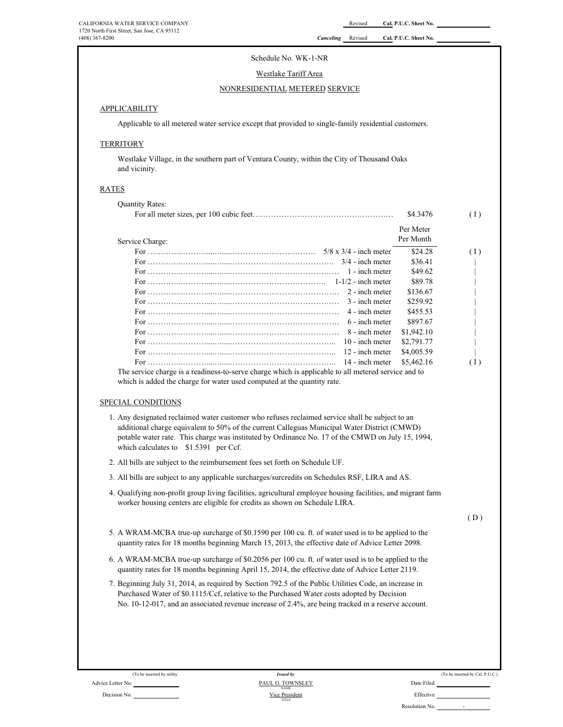# Schedule No. WK-1-NR

# Westlake Tariff Area

### NONRESIDENTIAL METERED SERVICE

### APPLICABILITY

Applicable to all metered water service except that provided to single-family residential customers.

# **TERRITORY**

Westlake Village, in the southern part of Ventura County, within the City of Thousand Oaks and vicinity.

### RATES

|                                                                                                     | Per Meter  |     |
|-----------------------------------------------------------------------------------------------------|------------|-----|
| Service Charge:                                                                                     | Per Month  |     |
|                                                                                                     | \$24.28    | (1) |
|                                                                                                     | \$36.41    |     |
| 1 - inch meter                                                                                      | \$49.62    |     |
|                                                                                                     | \$89.78    |     |
| 2 - inch meter                                                                                      | \$136.67   |     |
| 3 - inch meter                                                                                      | \$259.92   |     |
| 4 - inch meter                                                                                      | \$455.53   |     |
| 6 - inch meter                                                                                      | \$897.67   |     |
| 8 - inch meter                                                                                      | \$1,942.10 |     |
| 10 - inch meter                                                                                     | \$2,791.77 |     |
| 12 - inch meter                                                                                     | \$4,005.59 |     |
| 14 - inch meter                                                                                     | \$5,462.16 | (1) |
| The service charge is a readiness-to-serve charge which is applicable to all metered service and to |            |     |
| which is added the charge for water used computed at the quantity rate.                             |            |     |

# 1. Any designated reclaimed water customer who refuses reclaimed service shall be subject to an additional charge equivalent to 50% of the current Calleguas Municipal Water District (CMWD) potable water rate. This charge was instituted by Ordinance No. 17 of the CMWD on July 15, 1994, which calculates to \$1.5391 per Ccf.

- 2. All bills are subject to the reimbursement fees set forth on Schedule UF.
- 3. All bills are subject to any applicable surcharges/surcredits on Schedules RSF, LIRA and AS.
- 4. Qualifying non-profit group living facilities, agricultural employee housing facilities, and migrant farm worker housing centers are eligible for credits as shown on Schedule LIRA.

 $(D)$ 

- 5. A WRAM-MCBA true-up surcharge of \$0.1590 per 100 cu. ft. of water used is to be applied to the quantity rates for 18 months beginning March 15, 2013, the effective date of Advice Letter 2098.
- 6. A WRAM-MCBA true-up surcharge of \$0.2056 per 100 cu. ft. of water used is to be applied to the quantity rates for 18 months beginning April 15, 2014, the effective date of Advice Letter 2119.
- 7. Beginning July 31, 2014, as required by Section 792.5 of the Public Utilities Code, an increase in Purchased Water of \$0.1115/Ccf, relative to the Purchased Water costs adopted by Decision No. 10-12-017, and an associated revenue increase of 2.4%, are being tracked in a reserve account.

Advice Letter No. Date Filed Contact Advice Letter No. Date Filed Decision No. **Effective Decision No. Effective Decision No. Effective Decision No. Effective** Vice President NAME

TITLE

*Issued by*

(To be inserted by utility) (To be inserted by Cal. P.U.C.)

- 1992 - 1992 - 1993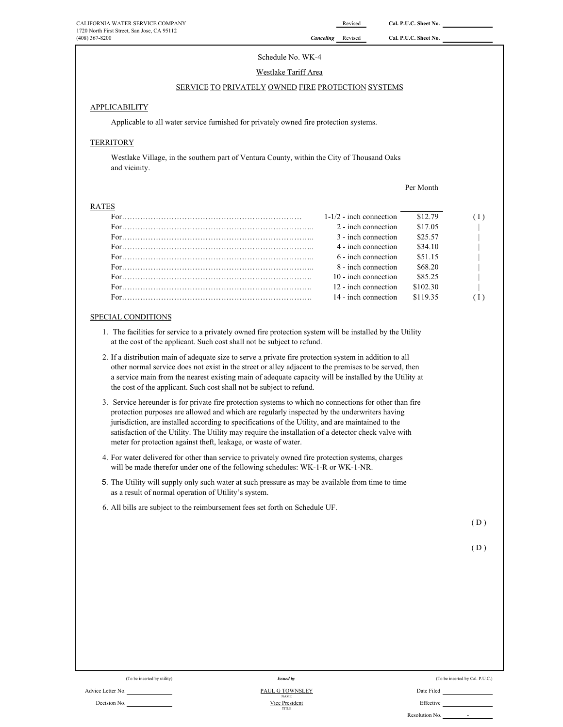# Schedule No. WK-4 Westlake Tariff Area

# SERVICE TO PRIVATELY OWNED FIRE PROTECTION SYSTEMS

### **APPLICABILITY**

Applicable to all water service furnished for privately owned fire protection systems.

## **TERRITORY**

Westlake Village, in the southern part of Ventura County, within the City of Thousand Oaks and vicinity.

Per Month

# RATES

| $1-1/2$ - inch connection | \$12.79  |  |
|---------------------------|----------|--|
| 2 - inch connection       | \$17.05  |  |
| 3 - inch connection       | \$25.57  |  |
| 4 - inch connection       | \$34.10  |  |
| 6 - inch connection       | \$51.15  |  |
| 8 - inch connection       | \$68.20  |  |
| $10$ - inch connection    | \$85.25  |  |
| 12 - inch connection      | \$102.30 |  |
| 14 - inch connection      | \$119.35 |  |
|                           |          |  |

# SPECIAL CONDITIONS

- 1. The facilities for service to a privately owned fire protection system will be installed by the Utility at the cost of the applicant. Such cost shall not be subject to refund.
- 2. If a distribution main of adequate size to serve a private fire protection system in addition to all other normal service does not exist in the street or alley adjacent to the premises to be served, then a service main from the nearest existing main of adequate capacity will be installed by the Utility at the cost of the applicant. Such cost shall not be subject to refund.
- 3. Service hereunder is for private fire protection systems to which no connections for other than fire protection purposes are allowed and which are regularly inspected by the underwriters having jurisdiction, are installed according to specifications of the Utility, and are maintained to the satisfaction of the Utility. The Utility may require the installation of a detector check valve with meter for protection against theft, leakage, or waste of water.
- 4. For water delivered for other than service to privately owned fire protection systems, charges will be made therefor under one of the following schedules: WK-1-R or WK-1-NR.
- 5. The Utility will supply only such water at such pressure as may be available from time to time as a result of normal operation of Utility's system.
- 6. All bills are subject to the reimbursement fees set forth on Schedule UF.

 $(D)$ 

$$
(D)
$$

| (To be inserted by utility) | <b>Issued by</b>               | (To be inserted by Cal. P.U.C.) |
|-----------------------------|--------------------------------|---------------------------------|
| Advice Letter No.           | PAUL G TOWNSLEY<br><b>NAME</b> | Date Filed                      |
| Decision No.                | Vice President<br>TITLE        | Effective                       |
|                             |                                | Resolution No.                  |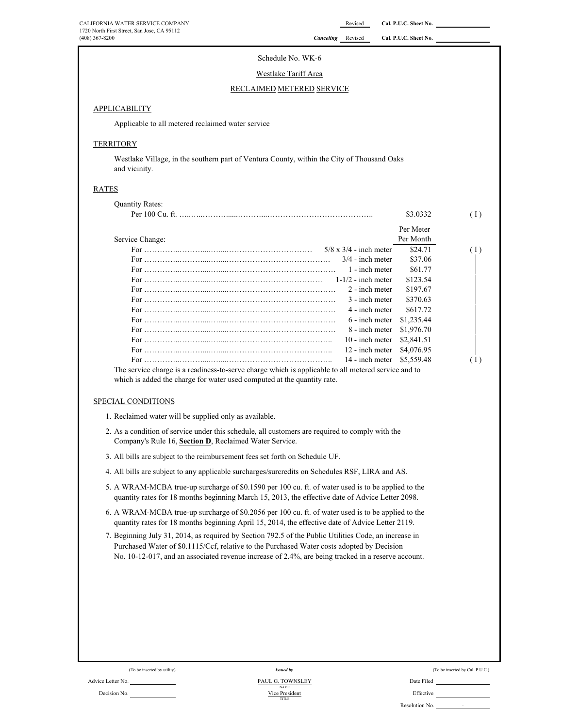# Schedule No. WK-6

### Westlake Tariff Area

#### RECLAIMED METERED SERVICE

### APPLICABILITY

Applicable to all metered reclaimed water service

# **TERRITORY**

Westlake Village, in the southern part of Ventura County, within the City of Thousand Oaks and vicinity.

### RATES

| <b>Ouantity Rates:</b>                                                                              |                               |            |     |
|-----------------------------------------------------------------------------------------------------|-------------------------------|------------|-----|
|                                                                                                     |                               | \$3.0332   | (1) |
|                                                                                                     |                               | Per Meter  |     |
| Service Change:                                                                                     |                               | Per Month  |     |
|                                                                                                     | $5/8 \times 3/4$ - inch meter | \$24.71    | (1) |
|                                                                                                     | $3/4$ - inch meter            | \$37.06    |     |
|                                                                                                     | 1 - inch meter                | \$61.77    |     |
|                                                                                                     |                               | \$123.54   |     |
|                                                                                                     | 2 - inch meter                | \$197.67   |     |
|                                                                                                     | 3 - inch meter                | \$370.63   |     |
|                                                                                                     | 4 - inch meter                | \$617.72   |     |
|                                                                                                     | 6 - inch meter                | \$1,235.44 |     |
|                                                                                                     | 8 - inch meter                | \$1,976.70 |     |
|                                                                                                     | 10 - inch meter               | \$2,841.51 |     |
|                                                                                                     | 12 - inch meter               | \$4,076.95 |     |
|                                                                                                     | 14 - inch meter \$5,559.48    |            | (1) |
| The service charge is a readiness to serve charge which is applicable to all metered service and to |                               |            |     |

The service charge is a readiness-to-serve charge which is applicable to all metered service and to which is added the charge for water used computed at the quantity rate.

### SPECIAL CONDITIONS

- 1. Reclaimed water will be supplied only as available.
- 2. As a condition of service under this schedule, all customers are required to comply with the Company's Rule 16, **Section D**, Reclaimed Water Service.
- 3. All bills are subject to the reimbursement fees set forth on Schedule UF.
- 4. All bills are subject to any applicable surcharges/surcredits on Schedules RSF, LIRA and AS.
- 5. A WRAM-MCBA true-up surcharge of \$0.1590 per 100 cu. ft. of water used is to be applied to the quantity rates for 18 months beginning March 15, 2013, the effective date of Advice Letter 2098.
- 6. A WRAM-MCBA true-up surcharge of \$0.2056 per 100 cu. ft. of water used is to be applied to the quantity rates for 18 months beginning April 15, 2014, the effective date of Advice Letter 2119.
- 7. Beginning July 31, 2014, as required by Section 792.5 of the Public Utilities Code, an increase in Purchased Water of \$0.1115/Ccf, relative to the Purchased Water costs adopted by Decision No. 10-12-017, and an associated revenue increase of 2.4%, are being tracked in a reserve account.

#### Advice Letter No. <u>2000 Community Community Community PAUL G. TOWNSLEY</u> Community Community Community Date Filed Decision No. 2002 Microsoft Christian Company of the President Effective Effective Vice President *Issued by* PAUL G. TOWNSLEY NAME TITLE

|  | (To be inserted by Cal. P.U.C.) |  |  |
|--|---------------------------------|--|--|
|--|---------------------------------|--|--|

Resolution No. -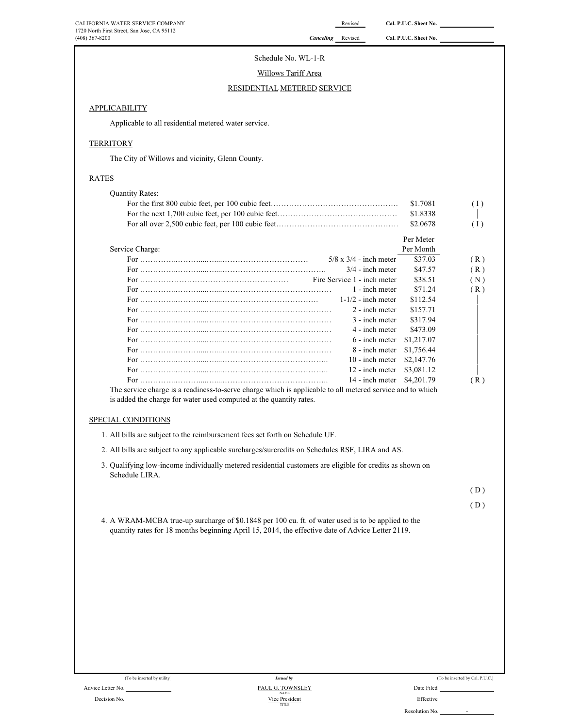# Schedule No. WL-1-R

# Willows Tariff Area

# RESIDENTIAL METERED SERVICE

# **APPLICABILITY**

Applicable to all residential metered water service.

# **TERRITORY**

The City of Willows and vicinity, Glenn County.

# RATES

|                                                                                                           | \$1.7081   | (1) |
|-----------------------------------------------------------------------------------------------------------|------------|-----|
|                                                                                                           | \$1.8338   |     |
|                                                                                                           | \$2,0678   | (1) |
|                                                                                                           | Per Meter  |     |
| Service Charge:                                                                                           | Per Month  |     |
| $5/8 \times 3/4$ - inch meter                                                                             | \$37.03    | (R) |
| $3/4$ - inch meter                                                                                        | \$47.57    | (R) |
| Fire Service 1 - inch meter                                                                               | \$38.51    | (N) |
| 1 - inch meter                                                                                            | \$71.24    | (R) |
| $1-1/2$ - inch meter                                                                                      | \$112.54   |     |
| 2 - inch meter                                                                                            | \$157.71   |     |
| 3 - inch meter                                                                                            | \$317.94   |     |
| 4 - inch meter                                                                                            | \$473.09   |     |
| 6 - inch meter                                                                                            | \$1,217.07 |     |
| 8 - inch meter                                                                                            | \$1,756.44 |     |
| $10 -$ inch meter                                                                                         | \$2,147.76 |     |
| 12 - inch meter                                                                                           | \$3,081.12 |     |
| 14 - inch meter                                                                                           | \$4,201.79 | (R) |
| The service charge is a readiness-to-serve charge which is applicable to all metered service and to which |            |     |
| is added the charge for water used computed at the quantity rates.                                        |            |     |
|                                                                                                           |            |     |
| SPECIAL CONDITIONS                                                                                        |            |     |
| 1. All bills are subject to the reimbursement fees set forth on Schedule UF.                              |            |     |

- 3. Qualifying low-income individually metered residential customers are eligible for credits as shown on Schedule LIRA.
- ( D )

( D )

4. A WRAM-MCBA true-up surcharge of \$0.1848 per 100 cu. ft. of water used is to be applied to the quantity rates for 18 months beginning April 15, 2014, the effective date of Advice Letter 2119.

| (To be inserted by utility) | <b>Issued by</b>                | (To be inserted by Cal. P.U.C.)            |
|-----------------------------|---------------------------------|--------------------------------------------|
| Advice Letter No.           | PAUL G. TOWNSLEY<br><b>NAME</b> | Date Filed                                 |
| Decision No.                | Vice President<br>TITLE         | Effective                                  |
|                             |                                 | Resolution No.<br>$\overline{\phantom{0}}$ |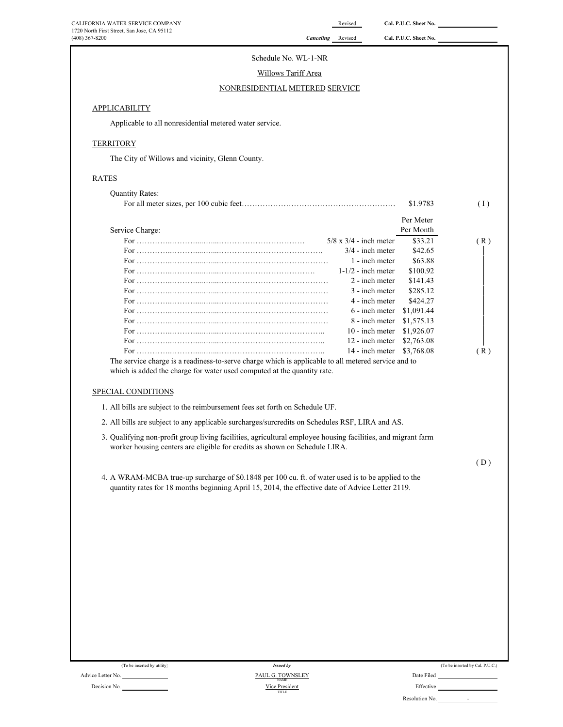| CALIFORNIA WATER SERVICE COMPANY<br>1720 North First Street, San Jose, CA 95112                                                                                                            |                                      | Revised                              | Cal. P.U.C. Sheet No.    |                                 |
|--------------------------------------------------------------------------------------------------------------------------------------------------------------------------------------------|--------------------------------------|--------------------------------------|--------------------------|---------------------------------|
| (408) 367-8200                                                                                                                                                                             | <b>Canceling</b> Revised             |                                      | Cal. P.U.C. Sheet No.    |                                 |
|                                                                                                                                                                                            | Schedule No. WL-1-NR                 |                                      |                          |                                 |
|                                                                                                                                                                                            | Willows Tariff Area                  |                                      |                          |                                 |
|                                                                                                                                                                                            | NONRESIDENTIAL METERED SERVICE       |                                      |                          |                                 |
|                                                                                                                                                                                            |                                      |                                      |                          |                                 |
| <b>APPLICABILITY</b>                                                                                                                                                                       |                                      |                                      |                          |                                 |
| Applicable to all nonresidential metered water service.                                                                                                                                    |                                      |                                      |                          |                                 |
| <b>TERRITORY</b>                                                                                                                                                                           |                                      |                                      |                          |                                 |
| The City of Willows and vicinity, Glenn County.                                                                                                                                            |                                      |                                      |                          |                                 |
| <b>RATES</b>                                                                                                                                                                               |                                      |                                      |                          |                                 |
| <b>Quantity Rates:</b>                                                                                                                                                                     |                                      |                                      |                          |                                 |
|                                                                                                                                                                                            |                                      |                                      | \$1.9783                 | (1)                             |
|                                                                                                                                                                                            |                                      |                                      | Per Meter                |                                 |
| Service Charge:                                                                                                                                                                            |                                      |                                      | Per Month                |                                 |
|                                                                                                                                                                                            |                                      | $5/8 \times 3/4$ - inch meter        | \$33.21                  | (R)                             |
|                                                                                                                                                                                            |                                      | $3/4$ - inch meter<br>1 - inch meter | \$42.65<br>\$63.88       |                                 |
|                                                                                                                                                                                            |                                      | $1-1/2$ - inch meter                 | \$100.92                 |                                 |
|                                                                                                                                                                                            |                                      | 2 - inch meter                       | \$141.43                 |                                 |
|                                                                                                                                                                                            |                                      | 3 - inch meter                       | \$285.12                 |                                 |
|                                                                                                                                                                                            |                                      | 4 - inch meter                       | \$424.27                 |                                 |
|                                                                                                                                                                                            |                                      | 6 - inch meter                       | \$1,091.44               |                                 |
|                                                                                                                                                                                            |                                      | 8 - inch meter                       | \$1,575.13               |                                 |
|                                                                                                                                                                                            |                                      | 10 - inch meter                      | \$1,926.07<br>\$2,763.08 |                                 |
|                                                                                                                                                                                            |                                      | 12 - inch meter<br>14 - inch meter   | \$3,768.08               | (R)                             |
| which is added the charge for water used computed at the quantity rate.<br>SPECIAL CONDITIONS                                                                                              |                                      |                                      |                          |                                 |
| 1. All bills are subject to the reimbursement fees set forth on Schedule UF.                                                                                                               |                                      |                                      |                          |                                 |
| 2. All bills are subject to any applicable surcharges/surcredits on Schedules RSF, LIRA and AS.                                                                                            |                                      |                                      |                          |                                 |
| 3. Qualifying non-profit group living facilities, agricultural employee housing facilities, and migrant farm<br>worker housing centers are eligible for credits as shown on Schedule LIRA. |                                      |                                      |                          |                                 |
|                                                                                                                                                                                            |                                      |                                      |                          | (D)                             |
| 4. A WRAM-MCBA true-up surcharge of \$0.1848 per 100 cu. ft. of water used is to be applied to the                                                                                         |                                      |                                      |                          |                                 |
| quantity rates for 18 months beginning April 15, 2014, the effective date of Advice Letter 2119.                                                                                           |                                      |                                      |                          |                                 |
|                                                                                                                                                                                            |                                      |                                      |                          |                                 |
|                                                                                                                                                                                            |                                      |                                      |                          |                                 |
|                                                                                                                                                                                            |                                      |                                      |                          |                                 |
|                                                                                                                                                                                            |                                      |                                      |                          |                                 |
|                                                                                                                                                                                            |                                      |                                      |                          |                                 |
|                                                                                                                                                                                            |                                      |                                      |                          |                                 |
|                                                                                                                                                                                            |                                      |                                      |                          |                                 |
|                                                                                                                                                                                            |                                      |                                      |                          |                                 |
|                                                                                                                                                                                            |                                      |                                      |                          |                                 |
|                                                                                                                                                                                            |                                      |                                      |                          |                                 |
|                                                                                                                                                                                            |                                      |                                      |                          |                                 |
|                                                                                                                                                                                            |                                      |                                      |                          |                                 |
|                                                                                                                                                                                            |                                      |                                      |                          |                                 |
|                                                                                                                                                                                            |                                      |                                      |                          |                                 |
|                                                                                                                                                                                            |                                      |                                      |                          |                                 |
| (To be inserted by utility)<br>Advice Letter No.                                                                                                                                           | <b>Issued by</b><br>PAUL G. TOWNSLEY |                                      | Date Filed               | (To be inserted by Cal. P.U.C.) |
|                                                                                                                                                                                            |                                      |                                      |                          |                                 |

Decision No.

PAUL G. TOWNSLEY<br>Vice President<br>TITLE

|                | (To be inserted by Cal. P.U.C.) |
|----------------|---------------------------------|
| Date Filed     |                                 |
| Effective      |                                 |
| Resolution No. |                                 |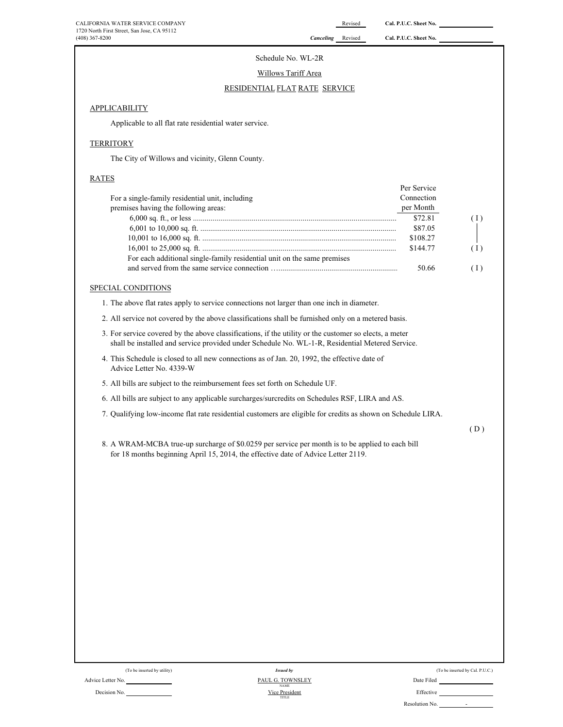$\mathbf{P}$ 

### Schedule No. WL-2R

Willows Tariff Area

# RESIDENTIAL FLAT RATE SERVICE

### **APPLICABILITY**

Applicable to all flat rate residential water service.

## **TERRITORY**

The City of Willows and vicinity, Glenn County.

# RATES

|                                                                         | Per Service |     |
|-------------------------------------------------------------------------|-------------|-----|
| For a single-family residential unit, including                         | Connection  |     |
| premises having the following areas:                                    | per Month   |     |
|                                                                         | \$72.81     | (1) |
|                                                                         | \$87.05     |     |
|                                                                         | \$108.27    |     |
|                                                                         | \$144.77    | (1) |
| For each additional single-family residential unit on the same premises |             |     |
|                                                                         | 50.66       | (1) |

# SPECIAL CONDITIONS

1. The above flat rates apply to service connections not larger than one inch in diameter.

- 2. All service not covered by the above classifications shall be furnished only on a metered basis.
- 3. For service covered by the above classifications, if the utility or the customer so elects, a meter shall be installed and service provided under Schedule No. WL-1-R, Residential Metered Service.
- 4. This Schedule is closed to all new connections as of Jan. 20, 1992, the effective date of Advice Letter No. 4339-W
- 5. All bills are subject to the reimbursement fees set forth on Schedule UF.
- 6. All bills are subject to any applicable surcharges/surcredits on Schedules RSF, LIRA and AS.
- 7. Qualifying low-income flat rate residential customers are eligible for credits as shown on Schedule LIRA.

( D )

8. A WRAM-MCBA true-up surcharge of \$0.0259 per service per month is to be applied to each bill for 18 months beginning April 15, 2014, the effective date of Advice Letter 2119.

| (To be inserted by utility) |  |
|-----------------------------|--|
|                             |  |

| (To be inserted by Cal. P.U.C.) |  |
|---------------------------------|--|
|                                 |  |